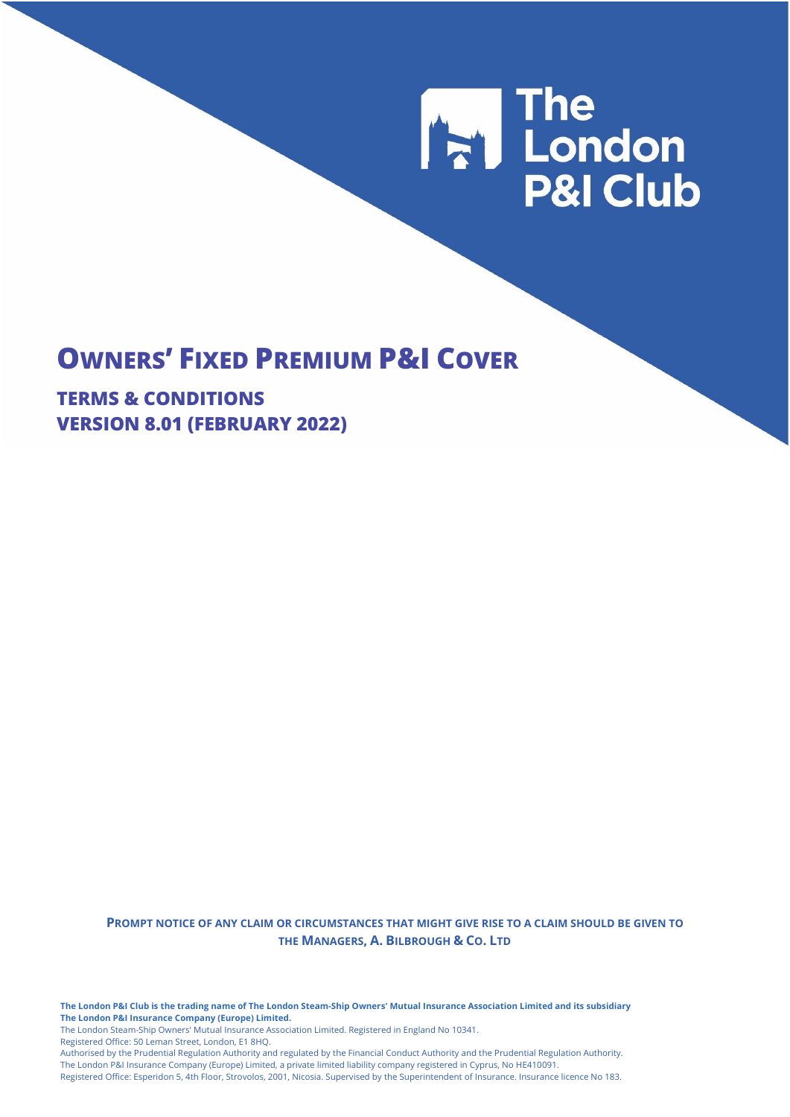# **The London<br>P&I Club**

# **OWNERS' FIXED PREMIUM P&I COVER**

**TERMS & CONDITIONS VERSION 8.01 (FEBRUARY 2022)**

> **PROMPT NOTICE OF ANY CLAIM OR CIRCUMSTANCES THAT MIGHT GIVE RISE TO A CLAIM SHOULD BE GIVEN TO THE MANAGERS, A. BILBROUGH & CO. LTD**

**The London P&I Club is the trading name of The London Steam-Ship Owners' Mutual Insurance Association Limited and its subsidiary The London P&I Insurance Company (Europe) Limited.**

The London Steam-Ship Owners' Mutual Insurance Association Limited. Registered in England No 10341.

Registered Office: 50 Leman Street, London, E1 8HQ.

Authorised by the Prudential Regulation Authority and regulated by the Financial Conduct Authority and the Prudential Regulation Authority. The London P&I Insurance Company (Europe) Limited, a private limited liability company registered in Cyprus, No HE410091.

Registered Office: Esperidon 5, 4th Floor, Strovolos, 2001, Nicosia. Supervised by the Superintendent of Insurance. Insurance licence No 183.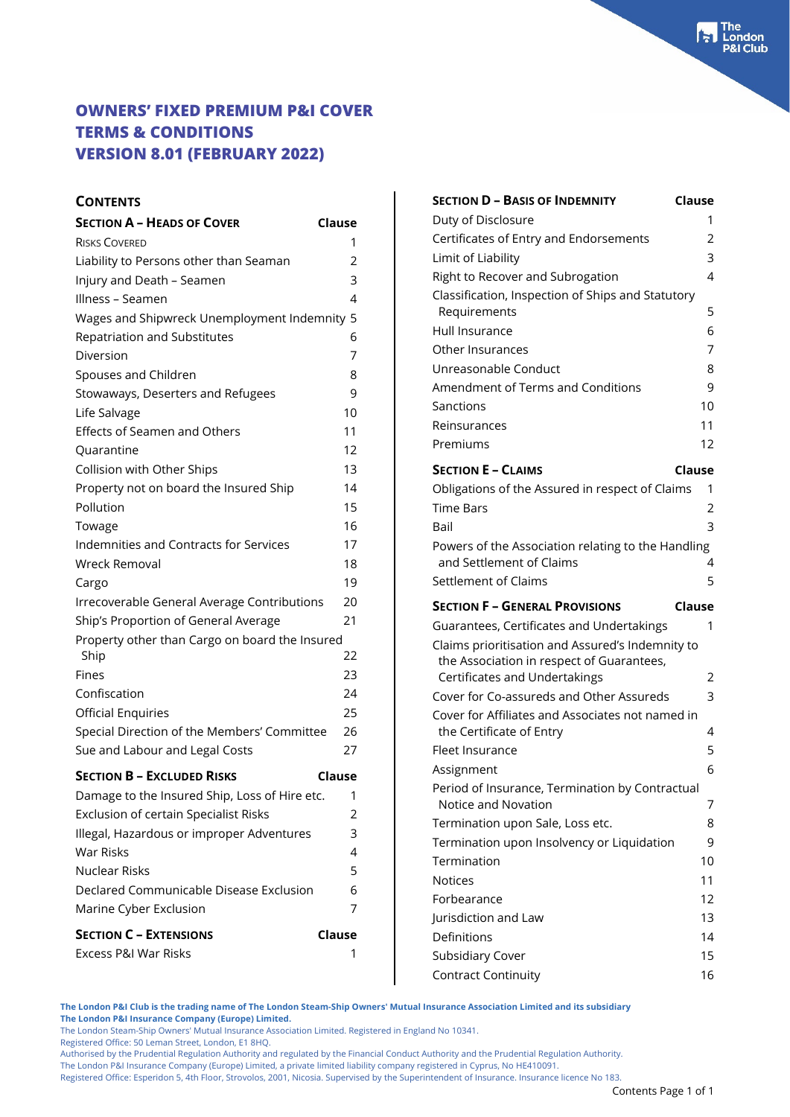### **CONTENTS**

| <b>SECTION A - HEADS OF COVER</b>              | Clause |
|------------------------------------------------|--------|
| <b>RISKS COVERED</b>                           | 1      |
| Liability to Persons other than Seaman         | 2      |
| Injury and Death - Seamen                      | 3      |
| Illness - Seamen                               | 4      |
| Wages and Shipwreck Unemployment Indemnity 5   |        |
| Repatriation and Substitutes                   | 6      |
| Diversion                                      | 7      |
| Spouses and Children                           | 8      |
| Stowaways, Deserters and Refugees              | 9      |
| Life Salvage                                   | 10     |
| Effects of Seamen and Others                   | 11     |
| Quarantine                                     | 12     |
| Collision with Other Ships                     | 13     |
| Property not on board the Insured Ship         | 14     |
| Pollution                                      | 15     |
| Towage                                         | 16     |
| Indemnities and Contracts for Services         | 17     |
| Wreck Removal                                  | 18     |
| Cargo                                          | 19     |
| Irrecoverable General Average Contributions    | 20     |
| Ship's Proportion of General Average           | 21     |
| Property other than Cargo on board the Insured |        |
| Ship                                           | 22     |
| Fines                                          | 23     |
| Confiscation                                   | 24     |
| <b>Official Enquiries</b>                      | 25     |
| Special Direction of the Members' Committee    | 26     |
| Sue and Labour and Legal Costs                 | 27     |
| <b>SECTION B - EXCLUDED RISKS</b>              | Clause |
| Damage to the Insured Ship, Loss of Hire etc.  | 1      |
| Exclusion of certain Specialist Risks          | 2      |
| Illegal, Hazardous or improper Adventures      | 3      |
| <b>War Risks</b>                               | 4      |
| <b>Nuclear Risks</b>                           | 5      |
| Declared Communicable Disease Exclusion        | 6      |
| Marine Cyber Exclusion                         | 7      |
| <b>SECTION C - EXTENSIONS</b>                  | Clause |
| Excess P&I War Risks                           | 1      |
|                                                |        |

| <b>SECTION D - BASIS OF INDEMNITY</b>                                                        | Clause        |
|----------------------------------------------------------------------------------------------|---------------|
| Duty of Disclosure                                                                           | 1             |
| Certificates of Entry and Endorsements                                                       | 2             |
| Limit of Liability                                                                           | 3             |
| Right to Recover and Subrogation                                                             | 4             |
| Classification, Inspection of Ships and Statutory                                            |               |
| Requirements                                                                                 | 5             |
| Hull Insurance                                                                               | 6             |
| Other Insurances                                                                             | 7             |
| Unreasonable Conduct                                                                         | 8             |
| Amendment of Terms and Conditions                                                            | 9             |
| Sanctions                                                                                    | 10            |
| Reinsurances                                                                                 | 11            |
| Premiums                                                                                     | 12            |
| <b>SECTION E - CLAIMS</b>                                                                    | <b>Clause</b> |
| Obligations of the Assured in respect of Claims                                              | 1             |
| <b>Time Bars</b>                                                                             | 2             |
| Bail                                                                                         | 3             |
| Powers of the Association relating to the Handling                                           |               |
| and Settlement of Claims                                                                     | 4             |
| Settlement of Claims                                                                         | 5             |
|                                                                                              |               |
|                                                                                              |               |
| <b>SECTION F - GENERAL PROVISIONS</b>                                                        | Clause        |
| Guarantees, Certificates and Undertakings                                                    | 1             |
| Claims prioritisation and Assured's Indemnity to                                             |               |
| the Association in respect of Guarantees,                                                    | 2             |
| Certificates and Undertakings                                                                | 3             |
| Cover for Co-assureds and Other Assureds<br>Cover for Affiliates and Associates not named in |               |
| the Certificate of Entry                                                                     | 4             |
| Fleet Insurance                                                                              | 5             |
| Assignment                                                                                   | 6             |
| Period of Insurance, Termination by Contractual                                              |               |
| Notice and Novation                                                                          | 7             |
| Termination upon Sale, Loss etc.                                                             | 8             |
| Termination upon Insolvency or Liquidation                                                   | 9             |
| Termination                                                                                  | 10            |
| <b>Notices</b>                                                                               | 11            |
| Forbearance                                                                                  | 12            |
| Jurisdiction and Law                                                                         | 13            |
| Definitions                                                                                  | 14            |
| Subsidiary Cover                                                                             | 15            |

**The London P&I Club is the trading name of The London Steam-Ship Owners' Mutual Insurance Association Limited and its subsidiary**

**The London P&I Insurance Company (Europe) Limited.**

The London Steam-Ship Owners' Mutual Insurance Association Limited. Registered in England No 10341.

Registered Office: 50 Leman Street, London, E1 8HQ.

Authorised by the Prudential Regulation Authority and regulated by the Financial Conduct Authority and the Prudential Regulation Authority.

The London P&I Insurance Company (Europe) Limited, a private limited liability company registered in Cyprus, No HE410091.

Registered Office: Esperidon 5, 4th Floor, Strovolos, 2001, Nicosia. Supervised by the Superintendent of Insurance. Insurance licence No 183.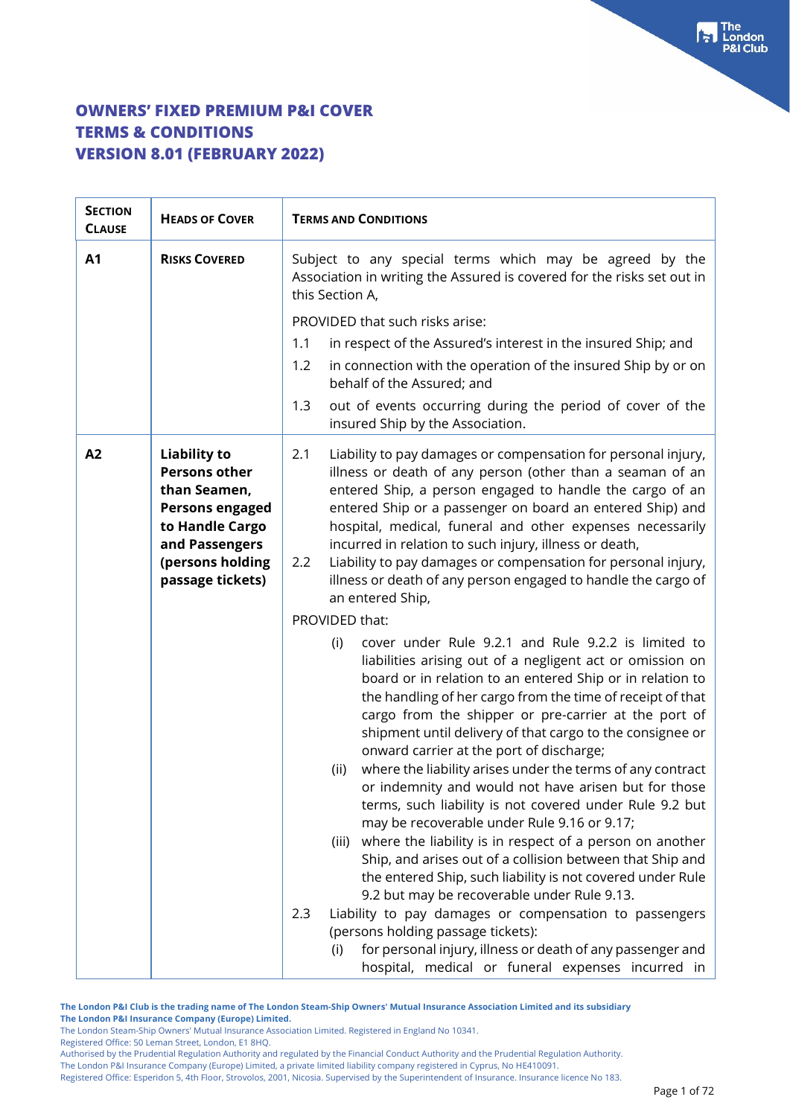| <b>SECTION</b><br><b>CLAUSE</b> | <b>HEADS OF COVER</b>                                                                                                                                              | <b>TERMS AND CONDITIONS</b>                                                                                                                                                                                                                                                                                                                                                                                                                                                                                                                                                                                  |
|---------------------------------|--------------------------------------------------------------------------------------------------------------------------------------------------------------------|--------------------------------------------------------------------------------------------------------------------------------------------------------------------------------------------------------------------------------------------------------------------------------------------------------------------------------------------------------------------------------------------------------------------------------------------------------------------------------------------------------------------------------------------------------------------------------------------------------------|
| A1                              | <b>RISKS COVERED</b>                                                                                                                                               | Subject to any special terms which may be agreed by the<br>Association in writing the Assured is covered for the risks set out in<br>this Section A,                                                                                                                                                                                                                                                                                                                                                                                                                                                         |
|                                 |                                                                                                                                                                    | PROVIDED that such risks arise:                                                                                                                                                                                                                                                                                                                                                                                                                                                                                                                                                                              |
|                                 |                                                                                                                                                                    | 1.1<br>in respect of the Assured's interest in the insured Ship; and                                                                                                                                                                                                                                                                                                                                                                                                                                                                                                                                         |
|                                 |                                                                                                                                                                    | in connection with the operation of the insured Ship by or on<br>1.2<br>behalf of the Assured; and                                                                                                                                                                                                                                                                                                                                                                                                                                                                                                           |
|                                 |                                                                                                                                                                    | out of events occurring during the period of cover of the<br>1.3<br>insured Ship by the Association.                                                                                                                                                                                                                                                                                                                                                                                                                                                                                                         |
| A2                              | <b>Liability to</b><br><b>Persons other</b><br>than Seamen,<br><b>Persons engaged</b><br>to Handle Cargo<br>and Passengers<br>(persons holding<br>passage tickets) | Liability to pay damages or compensation for personal injury,<br>2.1<br>illness or death of any person (other than a seaman of an<br>entered Ship, a person engaged to handle the cargo of an<br>entered Ship or a passenger on board an entered Ship) and<br>hospital, medical, funeral and other expenses necessarily<br>incurred in relation to such injury, illness or death,<br>Liability to pay damages or compensation for personal injury,<br>2.2<br>illness or death of any person engaged to handle the cargo of<br>an entered Ship,                                                               |
|                                 |                                                                                                                                                                    | PROVIDED that:                                                                                                                                                                                                                                                                                                                                                                                                                                                                                                                                                                                               |
|                                 |                                                                                                                                                                    | cover under Rule 9.2.1 and Rule 9.2.2 is limited to<br>(i)<br>liabilities arising out of a negligent act or omission on<br>board or in relation to an entered Ship or in relation to<br>the handling of her cargo from the time of receipt of that<br>cargo from the shipper or pre-carrier at the port of<br>shipment until delivery of that cargo to the consignee or<br>onward carrier at the port of discharge;<br>where the liability arises under the terms of any contract<br>(ii)<br>or indemnity and would not have arisen but for those<br>terms, such liability is not covered under Rule 9.2 but |
|                                 |                                                                                                                                                                    | may be recoverable under Rule 9.16 or 9.17;<br>where the liability is in respect of a person on another<br>(iii)<br>Ship, and arises out of a collision between that Ship and<br>the entered Ship, such liability is not covered under Rule                                                                                                                                                                                                                                                                                                                                                                  |
|                                 |                                                                                                                                                                    | 9.2 but may be recoverable under Rule 9.13.                                                                                                                                                                                                                                                                                                                                                                                                                                                                                                                                                                  |
|                                 |                                                                                                                                                                    | 2.3<br>Liability to pay damages or compensation to passengers                                                                                                                                                                                                                                                                                                                                                                                                                                                                                                                                                |
|                                 |                                                                                                                                                                    | (persons holding passage tickets):<br>for personal injury, illness or death of any passenger and<br>(i)<br>hospital, medical or funeral expenses incurred in                                                                                                                                                                                                                                                                                                                                                                                                                                                 |

**The London P&I Club is the trading name of The London Steam-Ship Owners' Mutual Insurance Association Limited and its subsidiary The London P&I Insurance Company (Europe) Limited.**

The London Steam-Ship Owners' Mutual Insurance Association Limited. Registered in England No 10341.

Registered Office: 50 Leman Street, London, E1 8HQ.

Authorised by the Prudential Regulation Authority and regulated by the Financial Conduct Authority and the Prudential Regulation Authority.

The London P&I Insurance Company (Europe) Limited, a private limited liability company registered in Cyprus, No HE410091. Registered Office: Esperidon 5, 4th Floor, Strovolos, 2001, Nicosia. Supervised by the Superintendent of Insurance. Insurance licence No 183.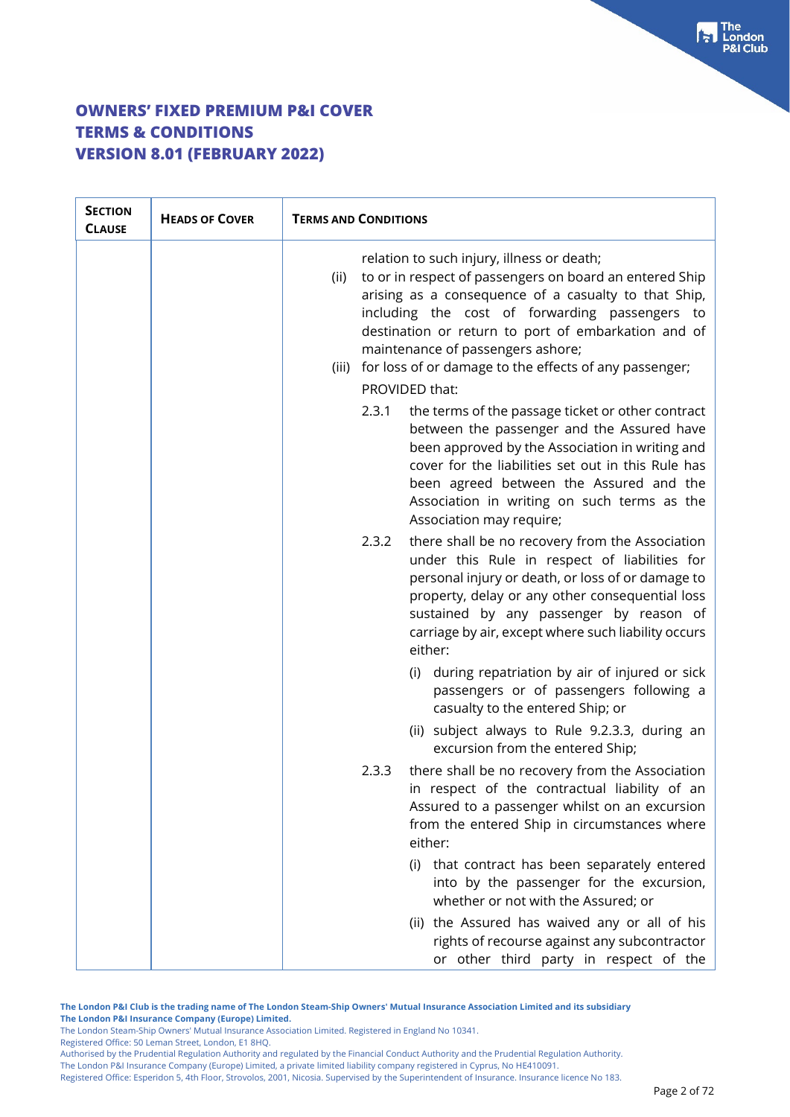| <b>SECTION</b><br><b>CLAUSE</b> | <b>HEADS OF COVER</b> | <b>TERMS AND CONDITIONS</b>                                                                                                                                                                                                                                                                                                                                                                           |  |
|---------------------------------|-----------------------|-------------------------------------------------------------------------------------------------------------------------------------------------------------------------------------------------------------------------------------------------------------------------------------------------------------------------------------------------------------------------------------------------------|--|
|                                 |                       | relation to such injury, illness or death;<br>to or in respect of passengers on board an entered Ship<br>(ii)<br>arising as a consequence of a casualty to that Ship,<br>including the cost of forwarding passengers to<br>destination or return to port of embarkation and of<br>maintenance of passengers ashore;<br>(iii) for loss of or damage to the effects of any passenger;<br>PROVIDED that: |  |
|                                 |                       | 2.3.1<br>the terms of the passage ticket or other contract<br>between the passenger and the Assured have<br>been approved by the Association in writing and<br>cover for the liabilities set out in this Rule has<br>been agreed between the Assured and the<br>Association in writing on such terms as the<br>Association may require;                                                               |  |
|                                 |                       | there shall be no recovery from the Association<br>2.3.2<br>under this Rule in respect of liabilities for<br>personal injury or death, or loss of or damage to<br>property, delay or any other consequential loss<br>sustained by any passenger by reason of<br>carriage by air, except where such liability occurs<br>either:                                                                        |  |
|                                 |                       | (i) during repatriation by air of injured or sick<br>passengers or of passengers following a<br>casualty to the entered Ship; or                                                                                                                                                                                                                                                                      |  |
|                                 |                       | (ii) subject always to Rule 9.2.3.3, during an<br>excursion from the entered Ship;                                                                                                                                                                                                                                                                                                                    |  |
|                                 |                       | there shall be no recovery from the Association<br>2.3.3<br>in respect of the contractual liability of an<br>Assured to a passenger whilst on an excursion<br>from the entered Ship in circumstances where<br>either:                                                                                                                                                                                 |  |
|                                 |                       | (i) that contract has been separately entered<br>into by the passenger for the excursion,<br>whether or not with the Assured; or                                                                                                                                                                                                                                                                      |  |
|                                 |                       | (ii) the Assured has waived any or all of his<br>rights of recourse against any subcontractor<br>or other third party in respect of the                                                                                                                                                                                                                                                               |  |

**The London P&I Club is the trading name of The London Steam-Ship Owners' Mutual Insurance Association Limited and its subsidiary The London P&I Insurance Company (Europe) Limited.**

The London Steam-Ship Owners' Mutual Insurance Association Limited. Registered in England No 10341.

Registered Office: 50 Leman Street, London, E1 8HQ.

Authorised by the Prudential Regulation Authority and regulated by the Financial Conduct Authority and the Prudential Regulation Authority. The London P&I Insurance Company (Europe) Limited, a private limited liability company registered in Cyprus, No HE410091.

Registered Office: Esperidon 5, 4th Floor, Strovolos, 2001, Nicosia. Supervised by the Superintendent of Insurance. Insurance licence No 183.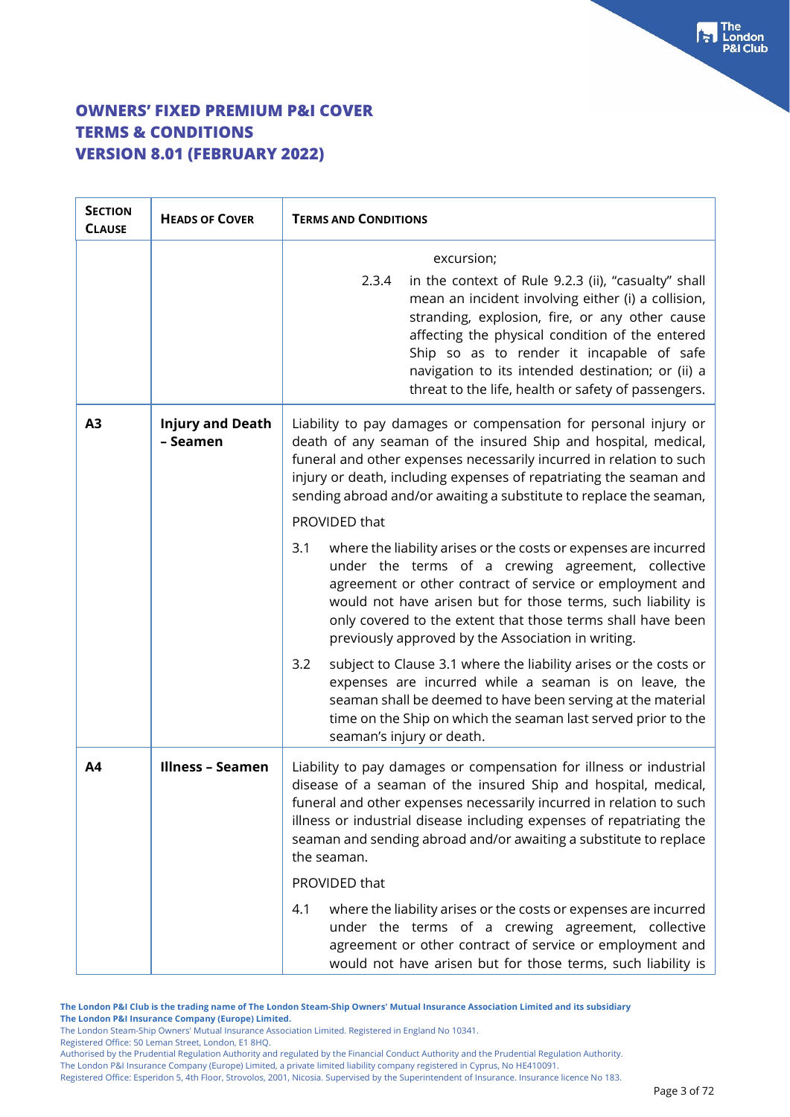| <b>SECTION</b><br><b>CLAUSE</b> | <b>HEADS OF COVER</b>               | <b>TERMS AND CONDITIONS</b>                                                                                                                                                                                                                                                                                                                                                      |
|---------------------------------|-------------------------------------|----------------------------------------------------------------------------------------------------------------------------------------------------------------------------------------------------------------------------------------------------------------------------------------------------------------------------------------------------------------------------------|
|                                 |                                     | excursion;                                                                                                                                                                                                                                                                                                                                                                       |
|                                 |                                     | in the context of Rule 9.2.3 (ii), "casualty" shall<br>2.3.4<br>mean an incident involving either (i) a collision,<br>stranding, explosion, fire, or any other cause<br>affecting the physical condition of the entered<br>Ship so as to render it incapable of safe<br>navigation to its intended destination; or (ii) a<br>threat to the life, health or safety of passengers. |
| A3                              | <b>Injury and Death</b><br>- Seamen | Liability to pay damages or compensation for personal injury or<br>death of any seaman of the insured Ship and hospital, medical,<br>funeral and other expenses necessarily incurred in relation to such<br>injury or death, including expenses of repatriating the seaman and<br>sending abroad and/or awaiting a substitute to replace the seaman,<br>PROVIDED that            |
|                                 |                                     | where the liability arises or the costs or expenses are incurred<br>3.1<br>under the terms of a crewing agreement, collective<br>agreement or other contract of service or employment and<br>would not have arisen but for those terms, such liability is<br>only covered to the extent that those terms shall have been<br>previously approved by the Association in writing.   |
|                                 |                                     | subject to Clause 3.1 where the liability arises or the costs or<br>3.2<br>expenses are incurred while a seaman is on leave, the<br>seaman shall be deemed to have been serving at the material<br>time on the Ship on which the seaman last served prior to the<br>seaman's injury or death.                                                                                    |
| A4                              | <b>Illness - Seamen</b>             | Liability to pay damages or compensation for illness or industrial<br>disease of a seaman of the insured Ship and hospital, medical,<br>funeral and other expenses necessarily incurred in relation to such<br>illness or industrial disease including expenses of repatriating the<br>seaman and sending abroad and/or awaiting a substitute to replace<br>the seaman.          |
|                                 |                                     | PROVIDED that                                                                                                                                                                                                                                                                                                                                                                    |
|                                 |                                     | 4.1<br>where the liability arises or the costs or expenses are incurred<br>under the terms of a crewing agreement, collective<br>agreement or other contract of service or employment and<br>would not have arisen but for those terms, such liability is                                                                                                                        |

**The London P&I Club is the trading name of The London Steam-Ship Owners' Mutual Insurance Association Limited and its subsidiary The London P&I Insurance Company (Europe) Limited.**

The London Steam-Ship Owners' Mutual Insurance Association Limited. Registered in England No 10341.

Registered Office: 50 Leman Street, London, E1 8HQ.

Authorised by the Prudential Regulation Authority and regulated by the Financial Conduct Authority and the Prudential Regulation Authority.

The London P&I Insurance Company (Europe) Limited, a private limited liability company registered in Cyprus, No HE410091.

Registered Office: Esperidon 5, 4th Floor, Strovolos, 2001, Nicosia. Supervised by the Superintendent of Insurance. Insurance licence No 183.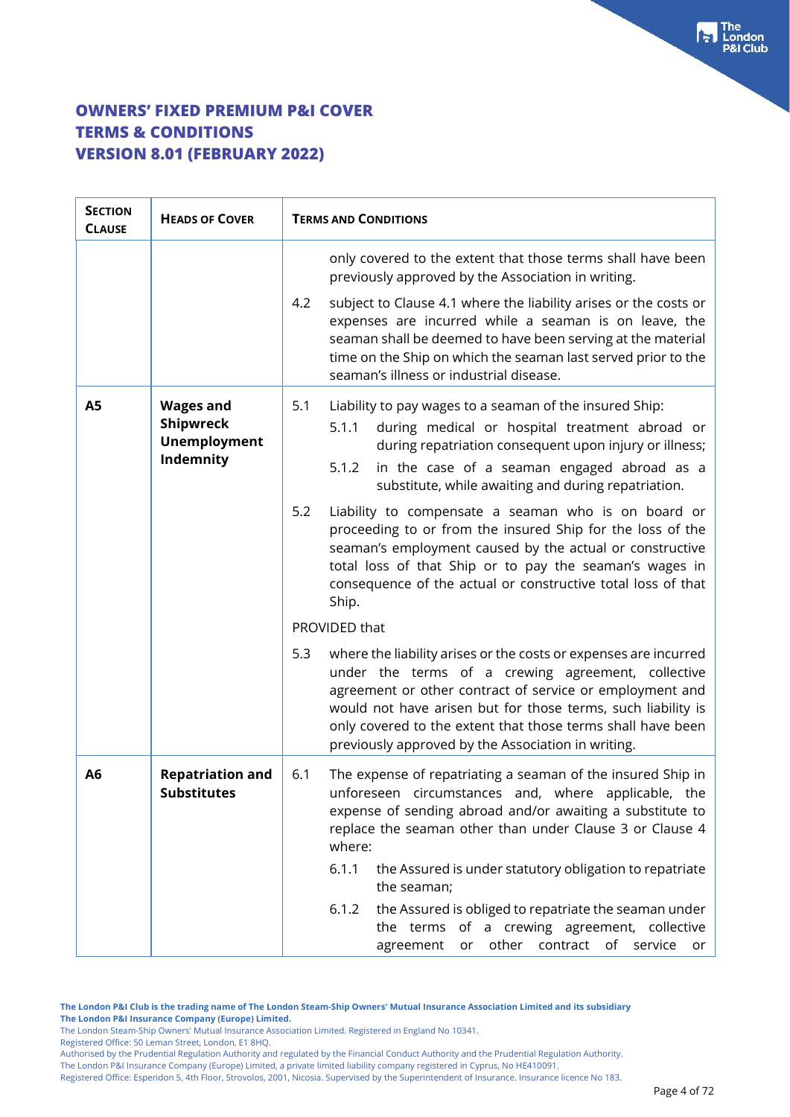| <b>SECTION</b><br><b>CLAUSE</b> | <b>HEADS OF COVER</b>                                             | <b>TERMS AND CONDITIONS</b>                                                                                                                                                                                                                                                                                                                                                    |
|---------------------------------|-------------------------------------------------------------------|--------------------------------------------------------------------------------------------------------------------------------------------------------------------------------------------------------------------------------------------------------------------------------------------------------------------------------------------------------------------------------|
|                                 |                                                                   | only covered to the extent that those terms shall have been<br>previously approved by the Association in writing.                                                                                                                                                                                                                                                              |
|                                 |                                                                   | 4.2<br>subject to Clause 4.1 where the liability arises or the costs or<br>expenses are incurred while a seaman is on leave, the<br>seaman shall be deemed to have been serving at the material<br>time on the Ship on which the seaman last served prior to the<br>seaman's illness or industrial disease.                                                                    |
| <b>A5</b>                       | <b>Wages and</b><br>Shipwreck<br><b>Unemployment</b><br>Indemnity | 5.1<br>Liability to pay wages to a seaman of the insured Ship:<br>5.1.1<br>during medical or hospital treatment abroad or<br>during repatriation consequent upon injury or illness;<br>in the case of a seaman engaged abroad as a<br>5.1.2<br>substitute, while awaiting and during repatriation.                                                                             |
|                                 |                                                                   | 5.2<br>Liability to compensate a seaman who is on board or<br>proceeding to or from the insured Ship for the loss of the<br>seaman's employment caused by the actual or constructive<br>total loss of that Ship or to pay the seaman's wages in<br>consequence of the actual or constructive total loss of that<br>Ship.                                                       |
|                                 |                                                                   | PROVIDED that                                                                                                                                                                                                                                                                                                                                                                  |
|                                 |                                                                   | 5.3<br>where the liability arises or the costs or expenses are incurred<br>under the terms of a crewing agreement, collective<br>agreement or other contract of service or employment and<br>would not have arisen but for those terms, such liability is<br>only covered to the extent that those terms shall have been<br>previously approved by the Association in writing. |
| A <sub>6</sub>                  | <b>Repatriation and</b><br><b>Substitutes</b>                     | The expense of repatriating a seaman of the insured Ship in<br>6.1<br>unforeseen circumstances and, where applicable, the<br>expense of sending abroad and/or awaiting a substitute to<br>replace the seaman other than under Clause 3 or Clause 4<br>where:                                                                                                                   |
|                                 |                                                                   | 6.1.1<br>the Assured is under statutory obligation to repatriate<br>the seaman;                                                                                                                                                                                                                                                                                                |
|                                 |                                                                   | the Assured is obliged to repatriate the seaman under<br>6.1.2<br>the terms of a crewing agreement, collective<br>other<br>contract of<br>agreement<br>service or<br>or                                                                                                                                                                                                        |

**The London P&I Club is the trading name of The London Steam-Ship Owners' Mutual Insurance Association Limited and its subsidiary The London P&I Insurance Company (Europe) Limited.**

The London Steam-Ship Owners' Mutual Insurance Association Limited. Registered in England No 10341.

Registered Office: 50 Leman Street, London, E1 8HQ.

Authorised by the Prudential Regulation Authority and regulated by the Financial Conduct Authority and the Prudential Regulation Authority. The London P&I Insurance Company (Europe) Limited, a private limited liability company registered in Cyprus, No HE410091.

Registered Office: Esperidon 5, 4th Floor, Strovolos, 2001, Nicosia. Supervised by the Superintendent of Insurance. Insurance licence No 183.

For The<br>P&I Club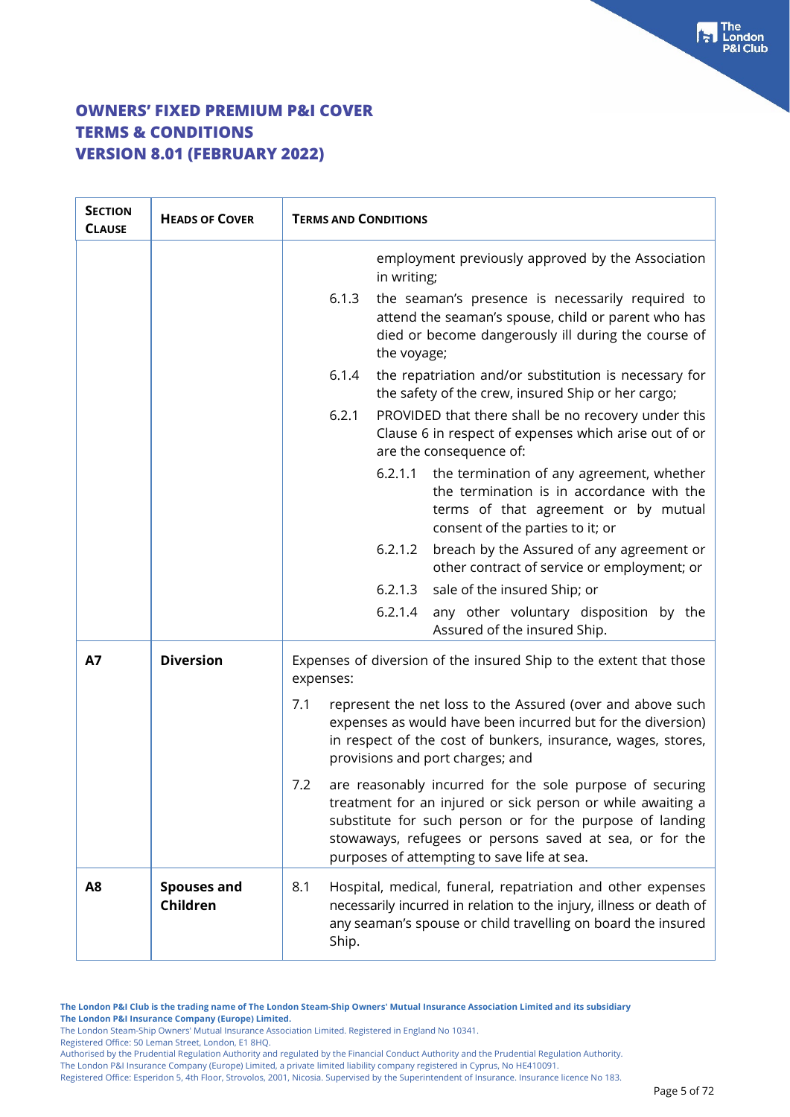| <b>SECTION</b><br><b>CLAUSE</b> | <b>HEADS OF COVER</b>          | <b>TERMS AND CONDITIONS</b>                                                                                                                                                                                                                                                                          |
|---------------------------------|--------------------------------|------------------------------------------------------------------------------------------------------------------------------------------------------------------------------------------------------------------------------------------------------------------------------------------------------|
|                                 |                                | employment previously approved by the Association<br>in writing;                                                                                                                                                                                                                                     |
|                                 |                                | 6.1.3<br>the seaman's presence is necessarily required to<br>attend the seaman's spouse, child or parent who has<br>died or become dangerously ill during the course of<br>the voyage;                                                                                                               |
|                                 |                                | 6.1.4<br>the repatriation and/or substitution is necessary for<br>the safety of the crew, insured Ship or her cargo;                                                                                                                                                                                 |
|                                 |                                | 6.2.1<br>PROVIDED that there shall be no recovery under this<br>Clause 6 in respect of expenses which arise out of or<br>are the consequence of:                                                                                                                                                     |
|                                 |                                | 6.2.1.1<br>the termination of any agreement, whether<br>the termination is in accordance with the<br>terms of that agreement or by mutual<br>consent of the parties to it; or                                                                                                                        |
|                                 |                                | 6.2.1.2<br>breach by the Assured of any agreement or<br>other contract of service or employment; or                                                                                                                                                                                                  |
|                                 |                                | sale of the insured Ship; or<br>6.2.1.3                                                                                                                                                                                                                                                              |
|                                 |                                | any other voluntary disposition by the<br>6.2.1.4<br>Assured of the insured Ship.                                                                                                                                                                                                                    |
| A7                              | <b>Diversion</b>               | Expenses of diversion of the insured Ship to the extent that those<br>expenses:                                                                                                                                                                                                                      |
|                                 |                                | represent the net loss to the Assured (over and above such<br>7.1<br>expenses as would have been incurred but for the diversion)<br>in respect of the cost of bunkers, insurance, wages, stores,<br>provisions and port charges; and                                                                 |
|                                 |                                | are reasonably incurred for the sole purpose of securing<br>7.2<br>treatment for an injured or sick person or while awaiting a<br>substitute for such person or for the purpose of landing<br>stowaways, refugees or persons saved at sea, or for the<br>purposes of attempting to save life at sea. |
| A8                              | <b>Spouses and</b><br>Children | Hospital, medical, funeral, repatriation and other expenses<br>8.1<br>necessarily incurred in relation to the injury, illness or death of<br>any seaman's spouse or child travelling on board the insured<br>Ship.                                                                                   |

**The London P&I Club is the trading name of The London Steam-Ship Owners' Mutual Insurance Association Limited and its subsidiary The London P&I Insurance Company (Europe) Limited.**

The London Steam-Ship Owners' Mutual Insurance Association Limited. Registered in England No 10341.

Registered Office: 50 Leman Street, London, E1 8HQ.

Authorised by the Prudential Regulation Authority and regulated by the Financial Conduct Authority and the Prudential Regulation Authority.

The London P&I Insurance Company (Europe) Limited, a private limited liability company registered in Cyprus, No HE410091. Registered Office: Esperidon 5, 4th Floor, Strovolos, 2001, Nicosia. Supervised by the Superintendent of Insurance. Insurance licence No 183. The<br>London **&I Club**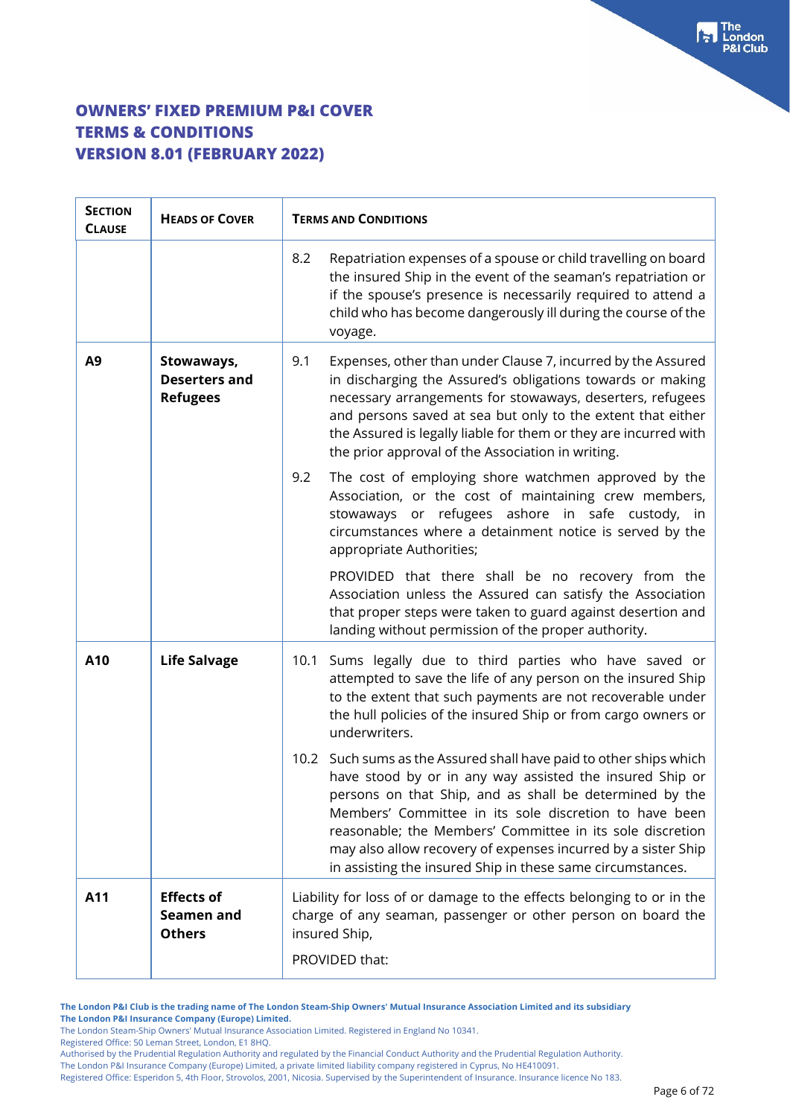| <b>SECTION</b><br><b>CLAUSE</b> | <b>HEADS OF COVER</b>                                 | <b>TERMS AND CONDITIONS</b>                                                                                                                                                                                                                                                                                                                                                                                                                     |
|---------------------------------|-------------------------------------------------------|-------------------------------------------------------------------------------------------------------------------------------------------------------------------------------------------------------------------------------------------------------------------------------------------------------------------------------------------------------------------------------------------------------------------------------------------------|
|                                 |                                                       | Repatriation expenses of a spouse or child travelling on board<br>8.2<br>the insured Ship in the event of the seaman's repatriation or<br>if the spouse's presence is necessarily required to attend a<br>child who has become dangerously ill during the course of the<br>voyage.                                                                                                                                                              |
| A <sub>9</sub>                  | Stowaways,<br><b>Deserters and</b><br><b>Refugees</b> | Expenses, other than under Clause 7, incurred by the Assured<br>9.1<br>in discharging the Assured's obligations towards or making<br>necessary arrangements for stowaways, deserters, refugees<br>and persons saved at sea but only to the extent that either<br>the Assured is legally liable for them or they are incurred with<br>the prior approval of the Association in writing.                                                          |
|                                 |                                                       | The cost of employing shore watchmen approved by the<br>9.2<br>Association, or the cost of maintaining crew members,<br>stowaways or refugees ashore in safe custody, in<br>circumstances where a detainment notice is served by the<br>appropriate Authorities;                                                                                                                                                                                |
|                                 |                                                       | PROVIDED that there shall be no recovery from the<br>Association unless the Assured can satisfy the Association<br>that proper steps were taken to guard against desertion and<br>landing without permission of the proper authority.                                                                                                                                                                                                           |
| A10                             | <b>Life Salvage</b>                                   | 10.1 Sums legally due to third parties who have saved or<br>attempted to save the life of any person on the insured Ship<br>to the extent that such payments are not recoverable under<br>the hull policies of the insured Ship or from cargo owners or<br>underwriters.                                                                                                                                                                        |
|                                 |                                                       | 10.2 Such sums as the Assured shall have paid to other ships which<br>have stood by or in any way assisted the insured Ship or<br>persons on that Ship, and as shall be determined by the<br>Members' Committee in its sole discretion to have been<br>reasonable; the Members' Committee in its sole discretion<br>may also allow recovery of expenses incurred by a sister Ship<br>in assisting the insured Ship in these same circumstances. |
| A11                             | <b>Effects of</b><br>Seamen and<br><b>Others</b>      | Liability for loss of or damage to the effects belonging to or in the<br>charge of any seaman, passenger or other person on board the<br>insured Ship,<br>PROVIDED that:                                                                                                                                                                                                                                                                        |

**The London P&I Club is the trading name of The London Steam-Ship Owners' Mutual Insurance Association Limited and its subsidiary The London P&I Insurance Company (Europe) Limited.**

The London Steam-Ship Owners' Mutual Insurance Association Limited. Registered in England No 10341.

Registered Office: 50 Leman Street, London, E1 8HQ.

The London P&I Insurance Company (Europe) Limited, a private limited liability company registered in Cyprus, No HE410091.

Registered Office: Esperidon 5, 4th Floor, Strovolos, 2001, Nicosia. Supervised by the Superintendent of Insurance. Insurance licence No 183.

Authorised by the Prudential Regulation Authority and regulated by the Financial Conduct Authority and the Prudential Regulation Authority.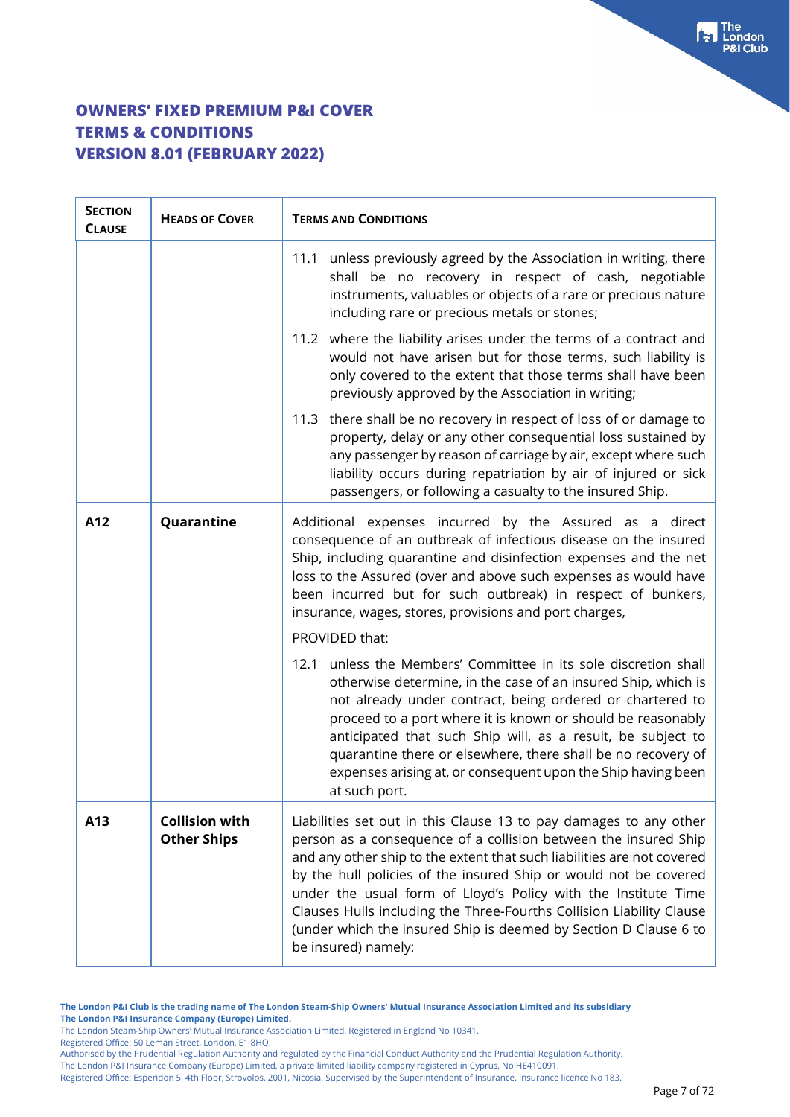| <b>SECTION</b><br><b>CLAUSE</b> | <b>HEADS OF COVER</b>                       | <b>TERMS AND CONDITIONS</b>                                                                                                                                                                                                                                                                                                                                                                                                                                                                                             |
|---------------------------------|---------------------------------------------|-------------------------------------------------------------------------------------------------------------------------------------------------------------------------------------------------------------------------------------------------------------------------------------------------------------------------------------------------------------------------------------------------------------------------------------------------------------------------------------------------------------------------|
|                                 |                                             | 11.1 unless previously agreed by the Association in writing, there<br>shall be no recovery in respect of cash, negotiable<br>instruments, valuables or objects of a rare or precious nature<br>including rare or precious metals or stones;                                                                                                                                                                                                                                                                             |
|                                 |                                             | 11.2 where the liability arises under the terms of a contract and<br>would not have arisen but for those terms, such liability is<br>only covered to the extent that those terms shall have been<br>previously approved by the Association in writing;                                                                                                                                                                                                                                                                  |
|                                 |                                             | 11.3 there shall be no recovery in respect of loss of or damage to<br>property, delay or any other consequential loss sustained by<br>any passenger by reason of carriage by air, except where such<br>liability occurs during repatriation by air of injured or sick<br>passengers, or following a casualty to the insured Ship.                                                                                                                                                                                       |
| A12                             | Quarantine                                  | Additional expenses incurred by the Assured as a direct<br>consequence of an outbreak of infectious disease on the insured<br>Ship, including quarantine and disinfection expenses and the net<br>loss to the Assured (over and above such expenses as would have<br>been incurred but for such outbreak) in respect of bunkers,<br>insurance, wages, stores, provisions and port charges,                                                                                                                              |
|                                 |                                             | PROVIDED that:                                                                                                                                                                                                                                                                                                                                                                                                                                                                                                          |
|                                 |                                             | unless the Members' Committee in its sole discretion shall<br>12.1<br>otherwise determine, in the case of an insured Ship, which is<br>not already under contract, being ordered or chartered to<br>proceed to a port where it is known or should be reasonably<br>anticipated that such Ship will, as a result, be subject to<br>quarantine there or elsewhere, there shall be no recovery of<br>expenses arising at, or consequent upon the Ship having been<br>at such port.                                         |
| A13                             | <b>Collision with</b><br><b>Other Ships</b> | Liabilities set out in this Clause 13 to pay damages to any other<br>person as a consequence of a collision between the insured Ship<br>and any other ship to the extent that such liabilities are not covered<br>by the hull policies of the insured Ship or would not be covered<br>under the usual form of Lloyd's Policy with the Institute Time<br>Clauses Hulls including the Three-Fourths Collision Liability Clause<br>(under which the insured Ship is deemed by Section D Clause 6 to<br>be insured) namely: |

The London Steam-Ship Owners' Mutual Insurance Association Limited. Registered in England No 10341.

Registered Office: 50 Leman Street, London, E1 8HQ.

Authorised by the Prudential Regulation Authority and regulated by the Financial Conduct Authority and the Prudential Regulation Authority. The London P&I Insurance Company (Europe) Limited, a private limited liability company registered in Cyprus, No HE410091.

Registered Office: Esperidon 5, 4th Floor, Strovolos, 2001, Nicosia. Supervised by the Superintendent of Insurance. Insurance licence No 183.

The<br>London **&I Club**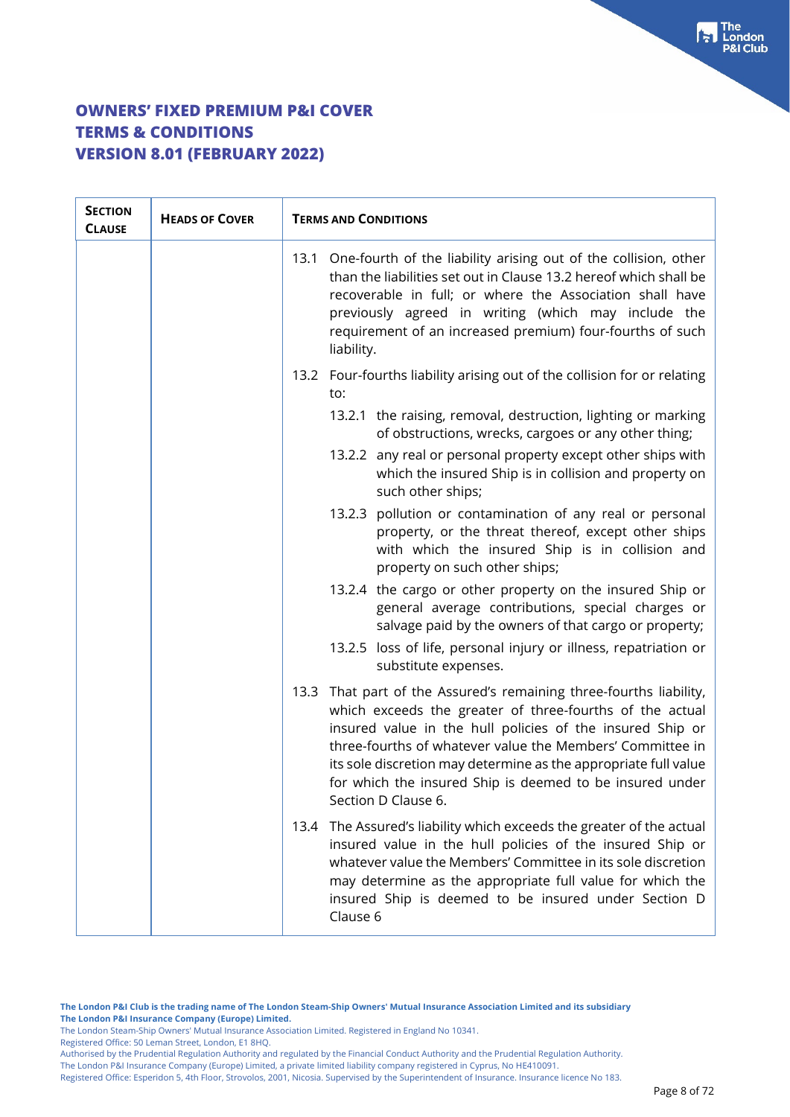| <b>SECTION</b><br><b>CLAUSE</b> | <b>HEADS OF COVER</b> | <b>TERMS AND CONDITIONS</b>                                                                                                                                                                                                                                                                                                                                                                                    |
|---------------------------------|-----------------------|----------------------------------------------------------------------------------------------------------------------------------------------------------------------------------------------------------------------------------------------------------------------------------------------------------------------------------------------------------------------------------------------------------------|
|                                 |                       | One-fourth of the liability arising out of the collision, other<br>13.1<br>than the liabilities set out in Clause 13.2 hereof which shall be<br>recoverable in full; or where the Association shall have<br>previously agreed in writing (which may include the<br>requirement of an increased premium) four-fourths of such<br>liability.                                                                     |
|                                 |                       | 13.2 Four-fourths liability arising out of the collision for or relating<br>to:                                                                                                                                                                                                                                                                                                                                |
|                                 |                       | 13.2.1 the raising, removal, destruction, lighting or marking<br>of obstructions, wrecks, cargoes or any other thing;                                                                                                                                                                                                                                                                                          |
|                                 |                       | 13.2.2 any real or personal property except other ships with<br>which the insured Ship is in collision and property on<br>such other ships;                                                                                                                                                                                                                                                                    |
|                                 |                       | 13.2.3 pollution or contamination of any real or personal<br>property, or the threat thereof, except other ships<br>with which the insured Ship is in collision and<br>property on such other ships;                                                                                                                                                                                                           |
|                                 |                       | 13.2.4 the cargo or other property on the insured Ship or<br>general average contributions, special charges or<br>salvage paid by the owners of that cargo or property;                                                                                                                                                                                                                                        |
|                                 |                       | 13.2.5 loss of life, personal injury or illness, repatriation or<br>substitute expenses.                                                                                                                                                                                                                                                                                                                       |
|                                 |                       | 13.3 That part of the Assured's remaining three-fourths liability,<br>which exceeds the greater of three-fourths of the actual<br>insured value in the hull policies of the insured Ship or<br>three-fourths of whatever value the Members' Committee in<br>its sole discretion may determine as the appropriate full value<br>for which the insured Ship is deemed to be insured under<br>Section D Clause 6. |
|                                 |                       | 13.4 The Assured's liability which exceeds the greater of the actual<br>insured value in the hull policies of the insured Ship or<br>whatever value the Members' Committee in its sole discretion<br>may determine as the appropriate full value for which the<br>insured Ship is deemed to be insured under Section D<br>Clause 6                                                                             |

**The London P&I Club is the trading name of The London Steam-Ship Owners' Mutual Insurance Association Limited and its subsidiary The London P&I Insurance Company (Europe) Limited.**

The London Steam-Ship Owners' Mutual Insurance Association Limited. Registered in England No 10341.

Registered Office: 50 Leman Street, London, E1 8HQ.

Authorised by the Prudential Regulation Authority and regulated by the Financial Conduct Authority and the Prudential Regulation Authority.

The London P&I Insurance Company (Europe) Limited, a private limited liability company registered in Cyprus, No HE410091.

Registered Office: Esperidon 5, 4th Floor, Strovolos, 2001, Nicosia. Supervised by the Superintendent of Insurance. Insurance licence No 183.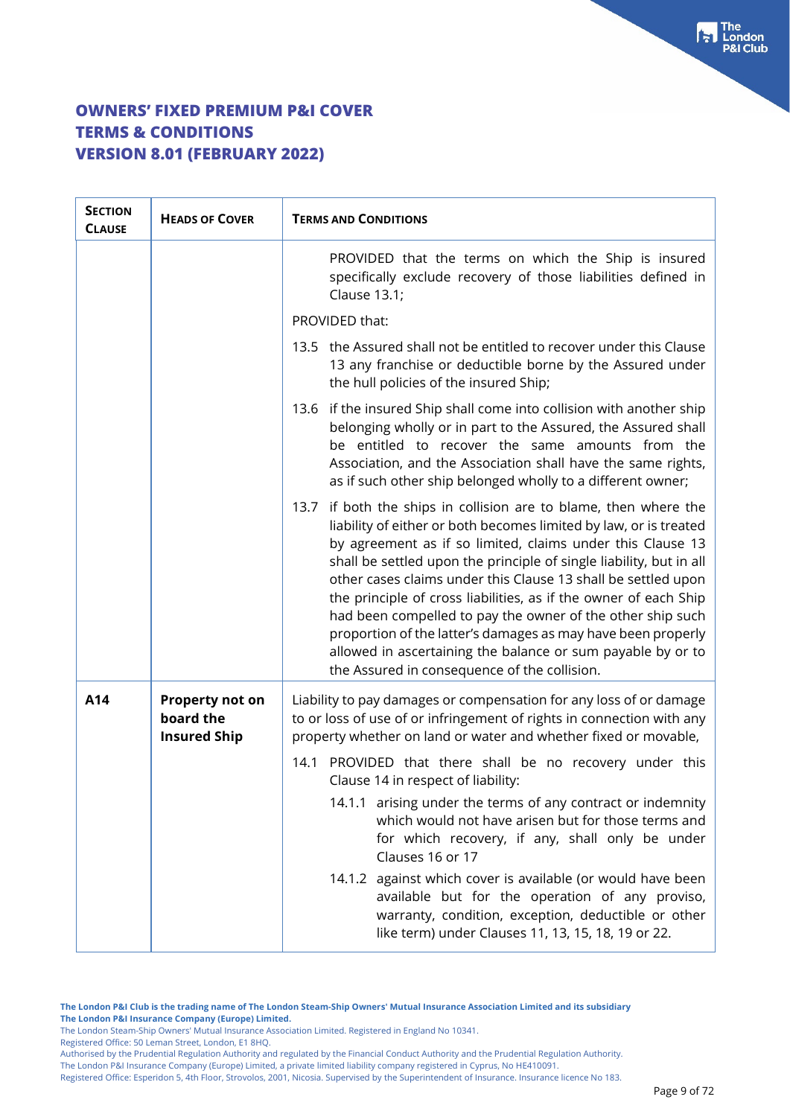| <b>SECTION</b><br><b>CLAUSE</b> | <b>HEADS OF COVER</b>                               | <b>TERMS AND CONDITIONS</b>                                                                                                                                                                                                                                                                                                                                                                                                                                                                                                                                                                                                                                  |
|---------------------------------|-----------------------------------------------------|--------------------------------------------------------------------------------------------------------------------------------------------------------------------------------------------------------------------------------------------------------------------------------------------------------------------------------------------------------------------------------------------------------------------------------------------------------------------------------------------------------------------------------------------------------------------------------------------------------------------------------------------------------------|
|                                 |                                                     | PROVIDED that the terms on which the Ship is insured<br>specifically exclude recovery of those liabilities defined in<br>Clause 13.1;                                                                                                                                                                                                                                                                                                                                                                                                                                                                                                                        |
|                                 |                                                     | PROVIDED that:                                                                                                                                                                                                                                                                                                                                                                                                                                                                                                                                                                                                                                               |
|                                 |                                                     | 13.5 the Assured shall not be entitled to recover under this Clause<br>13 any franchise or deductible borne by the Assured under<br>the hull policies of the insured Ship;                                                                                                                                                                                                                                                                                                                                                                                                                                                                                   |
|                                 |                                                     | 13.6 if the insured Ship shall come into collision with another ship<br>belonging wholly or in part to the Assured, the Assured shall<br>be entitled to recover the same amounts from the<br>Association, and the Association shall have the same rights,<br>as if such other ship belonged wholly to a different owner;                                                                                                                                                                                                                                                                                                                                     |
|                                 |                                                     | 13.7 if both the ships in collision are to blame, then where the<br>liability of either or both becomes limited by law, or is treated<br>by agreement as if so limited, claims under this Clause 13<br>shall be settled upon the principle of single liability, but in all<br>other cases claims under this Clause 13 shall be settled upon<br>the principle of cross liabilities, as if the owner of each Ship<br>had been compelled to pay the owner of the other ship such<br>proportion of the latter's damages as may have been properly<br>allowed in ascertaining the balance or sum payable by or to<br>the Assured in consequence of the collision. |
| A14                             | Property not on<br>board the<br><b>Insured Ship</b> | Liability to pay damages or compensation for any loss of or damage<br>to or loss of use of or infringement of rights in connection with any<br>property whether on land or water and whether fixed or movable,                                                                                                                                                                                                                                                                                                                                                                                                                                               |
|                                 |                                                     | PROVIDED that there shall be no recovery under this<br>14.1<br>Clause 14 in respect of liability:                                                                                                                                                                                                                                                                                                                                                                                                                                                                                                                                                            |
|                                 |                                                     | 14.1.1 arising under the terms of any contract or indemnity<br>which would not have arisen but for those terms and<br>for which recovery, if any, shall only be under<br>Clauses 16 or 17                                                                                                                                                                                                                                                                                                                                                                                                                                                                    |
|                                 |                                                     | 14.1.2 against which cover is available (or would have been<br>available but for the operation of any proviso,<br>warranty, condition, exception, deductible or other<br>like term) under Clauses 11, 13, 15, 18, 19 or 22.                                                                                                                                                                                                                                                                                                                                                                                                                                  |

**The London P&I Club is the trading name of The London Steam-Ship Owners' Mutual Insurance Association Limited and its subsidiary The London P&I Insurance Company (Europe) Limited.**

The London Steam-Ship Owners' Mutual Insurance Association Limited. Registered in England No 10341.

Registered Office: 50 Leman Street, London, E1 8HQ.

Authorised by the Prudential Regulation Authority and regulated by the Financial Conduct Authority and the Prudential Regulation Authority. The London P&I Insurance Company (Europe) Limited, a private limited liability company registered in Cyprus, No HE410091.

Registered Office: Esperidon 5, 4th Floor, Strovolos, 2001, Nicosia. Supervised by the Superintendent of Insurance. Insurance licence No 183.

 $\begin{bmatrix} \bullet \\ \bullet \end{bmatrix}$  The **&I Club**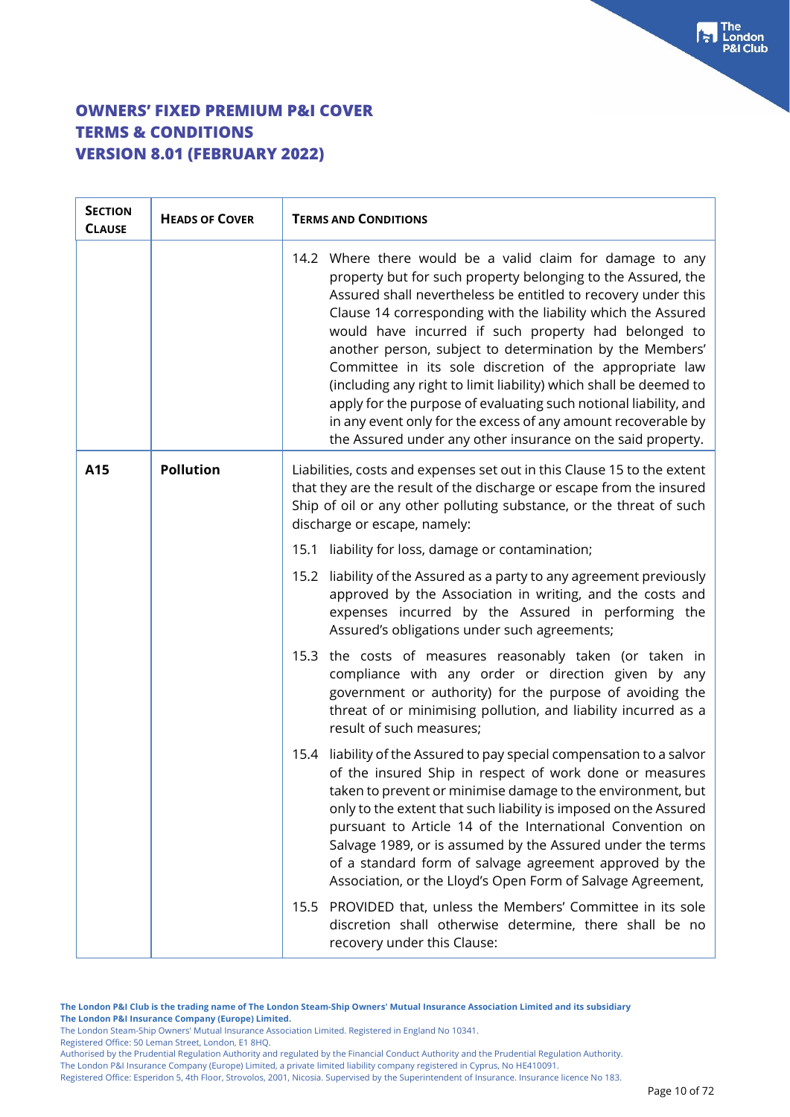| <b>SECTION</b><br><b>CLAUSE</b> | <b>HEADS OF COVER</b> | <b>TERMS AND CONDITIONS</b>                                                                                                                                                                                                                                                                                                                                                                                                                                                                                                                                                                                                                                                                                        |
|---------------------------------|-----------------------|--------------------------------------------------------------------------------------------------------------------------------------------------------------------------------------------------------------------------------------------------------------------------------------------------------------------------------------------------------------------------------------------------------------------------------------------------------------------------------------------------------------------------------------------------------------------------------------------------------------------------------------------------------------------------------------------------------------------|
|                                 |                       | 14.2 Where there would be a valid claim for damage to any<br>property but for such property belonging to the Assured, the<br>Assured shall nevertheless be entitled to recovery under this<br>Clause 14 corresponding with the liability which the Assured<br>would have incurred if such property had belonged to<br>another person, subject to determination by the Members'<br>Committee in its sole discretion of the appropriate law<br>(including any right to limit liability) which shall be deemed to<br>apply for the purpose of evaluating such notional liability, and<br>in any event only for the excess of any amount recoverable by<br>the Assured under any other insurance on the said property. |
| A15                             | <b>Pollution</b>      | Liabilities, costs and expenses set out in this Clause 15 to the extent<br>that they are the result of the discharge or escape from the insured<br>Ship of oil or any other polluting substance, or the threat of such<br>discharge or escape, namely:                                                                                                                                                                                                                                                                                                                                                                                                                                                             |
|                                 |                       | 15.1 liability for loss, damage or contamination;                                                                                                                                                                                                                                                                                                                                                                                                                                                                                                                                                                                                                                                                  |
|                                 |                       | liability of the Assured as a party to any agreement previously<br>15.2<br>approved by the Association in writing, and the costs and<br>expenses incurred by the Assured in performing the<br>Assured's obligations under such agreements;                                                                                                                                                                                                                                                                                                                                                                                                                                                                         |
|                                 |                       | the costs of measures reasonably taken (or taken in<br>15.3<br>compliance with any order or direction given by any<br>government or authority) for the purpose of avoiding the<br>threat of or minimising pollution, and liability incurred as a<br>result of such measures:                                                                                                                                                                                                                                                                                                                                                                                                                                       |
|                                 |                       | 15.4 liability of the Assured to pay special compensation to a salvor<br>of the insured Ship in respect of work done or measures<br>taken to prevent or minimise damage to the environment, but<br>only to the extent that such liability is imposed on the Assured<br>pursuant to Article 14 of the International Convention on<br>Salvage 1989, or is assumed by the Assured under the terms<br>of a standard form of salvage agreement approved by the<br>Association, or the Lloyd's Open Form of Salvage Agreement,                                                                                                                                                                                           |
|                                 |                       | PROVIDED that, unless the Members' Committee in its sole<br>15.5<br>discretion shall otherwise determine, there shall be no<br>recovery under this Clause:                                                                                                                                                                                                                                                                                                                                                                                                                                                                                                                                                         |

**The London P&I Club is the trading name of The London Steam-Ship Owners' Mutual Insurance Association Limited and its subsidiary The London P&I Insurance Company (Europe) Limited.**

The London Steam-Ship Owners' Mutual Insurance Association Limited. Registered in England No 10341.

Registered Office: 50 Leman Street, London, E1 8HQ.

Authorised by the Prudential Regulation Authority and regulated by the Financial Conduct Authority and the Prudential Regulation Authority. The London P&I Insurance Company (Europe) Limited, a private limited liability company registered in Cyprus, No HE410091.

Registered Office: Esperidon 5, 4th Floor, Strovolos, 2001, Nicosia. Supervised by the Superintendent of Insurance. Insurance licence No 183.

For The<br>P&I Club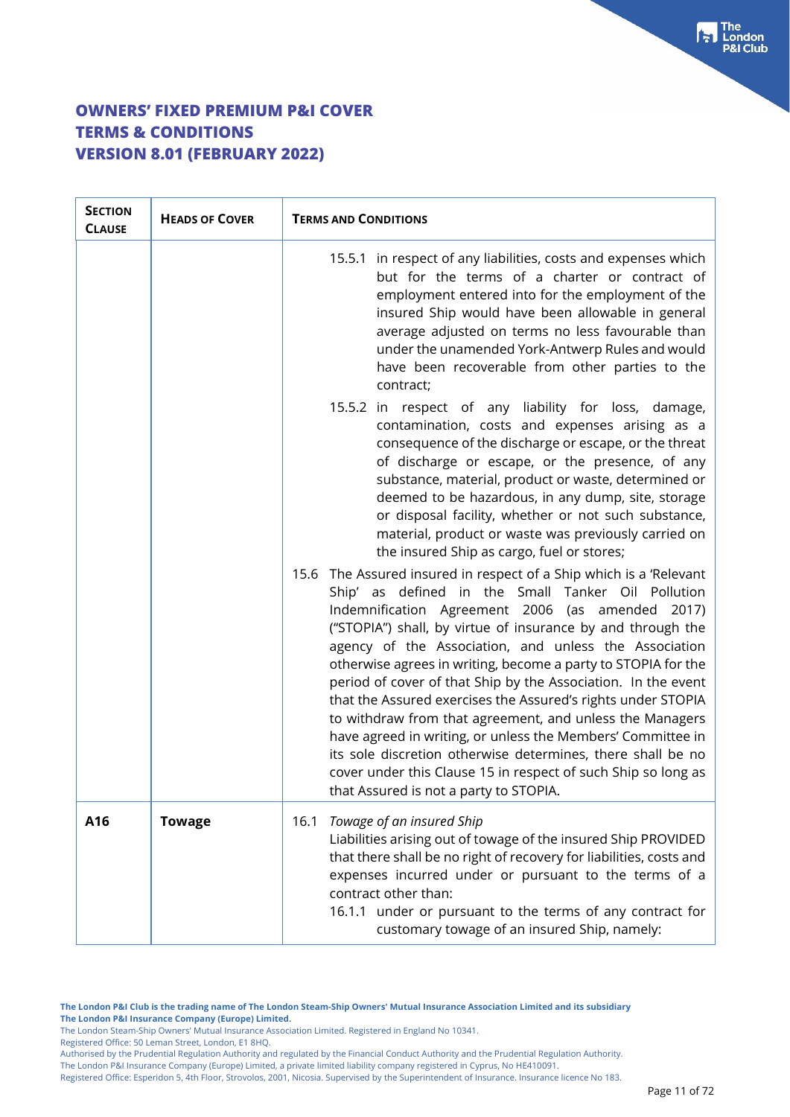| <b>SECTION</b><br><b>CLAUSE</b> | <b>HEADS OF COVER</b> | <b>TERMS AND CONDITIONS</b>                                                                                                                                                                                                                                                                                                                                                                                                                                                                                                                                                                                                                                                                                                                                                                                 |  |
|---------------------------------|-----------------------|-------------------------------------------------------------------------------------------------------------------------------------------------------------------------------------------------------------------------------------------------------------------------------------------------------------------------------------------------------------------------------------------------------------------------------------------------------------------------------------------------------------------------------------------------------------------------------------------------------------------------------------------------------------------------------------------------------------------------------------------------------------------------------------------------------------|--|
|                                 |                       | 15.5.1 in respect of any liabilities, costs and expenses which<br>but for the terms of a charter or contract of<br>employment entered into for the employment of the<br>insured Ship would have been allowable in general<br>average adjusted on terms no less favourable than<br>under the unamended York-Antwerp Rules and would<br>have been recoverable from other parties to the<br>contract;                                                                                                                                                                                                                                                                                                                                                                                                          |  |
|                                 |                       | 15.5.2 in respect of any liability for loss, damage,<br>contamination, costs and expenses arising as a<br>consequence of the discharge or escape, or the threat<br>of discharge or escape, or the presence, of any<br>substance, material, product or waste, determined or<br>deemed to be hazardous, in any dump, site, storage<br>or disposal facility, whether or not such substance,<br>material, product or waste was previously carried on<br>the insured Ship as cargo, fuel or stores;                                                                                                                                                                                                                                                                                                              |  |
|                                 |                       | 15.6 The Assured insured in respect of a Ship which is a 'Relevant<br>Ship' as defined in the Small Tanker Oil Pollution<br>Indemnification Agreement 2006 (as amended 2017)<br>("STOPIA") shall, by virtue of insurance by and through the<br>agency of the Association, and unless the Association<br>otherwise agrees in writing, become a party to STOPIA for the<br>period of cover of that Ship by the Association. In the event<br>that the Assured exercises the Assured's rights under STOPIA<br>to withdraw from that agreement, and unless the Managers<br>have agreed in writing, or unless the Members' Committee in<br>its sole discretion otherwise determines, there shall be no<br>cover under this Clause 15 in respect of such Ship so long as<br>that Assured is not a party to STOPIA. |  |
| A16                             | <b>Towage</b>         | Towage of an insured Ship<br>16.1<br>Liabilities arising out of towage of the insured Ship PROVIDED<br>that there shall be no right of recovery for liabilities, costs and<br>expenses incurred under or pursuant to the terms of a<br>contract other than:<br>16.1.1 under or pursuant to the terms of any contract for<br>customary towage of an insured Ship, namely:                                                                                                                                                                                                                                                                                                                                                                                                                                    |  |

**The London P&I Club is the trading name of The London Steam-Ship Owners' Mutual Insurance Association Limited and its subsidiary The London P&I Insurance Company (Europe) Limited.**

The London Steam-Ship Owners' Mutual Insurance Association Limited. Registered in England No 10341.

Registered Office: 50 Leman Street, London, E1 8HQ.

Authorised by the Prudential Regulation Authority and regulated by the Financial Conduct Authority and the Prudential Regulation Authority. The London P&I Insurance Company (Europe) Limited, a private limited liability company registered in Cyprus, No HE410091.

Registered Office: Esperidon 5, 4th Floor, Strovolos, 2001, Nicosia. Supervised by the Superintendent of Insurance. Insurance licence No 183.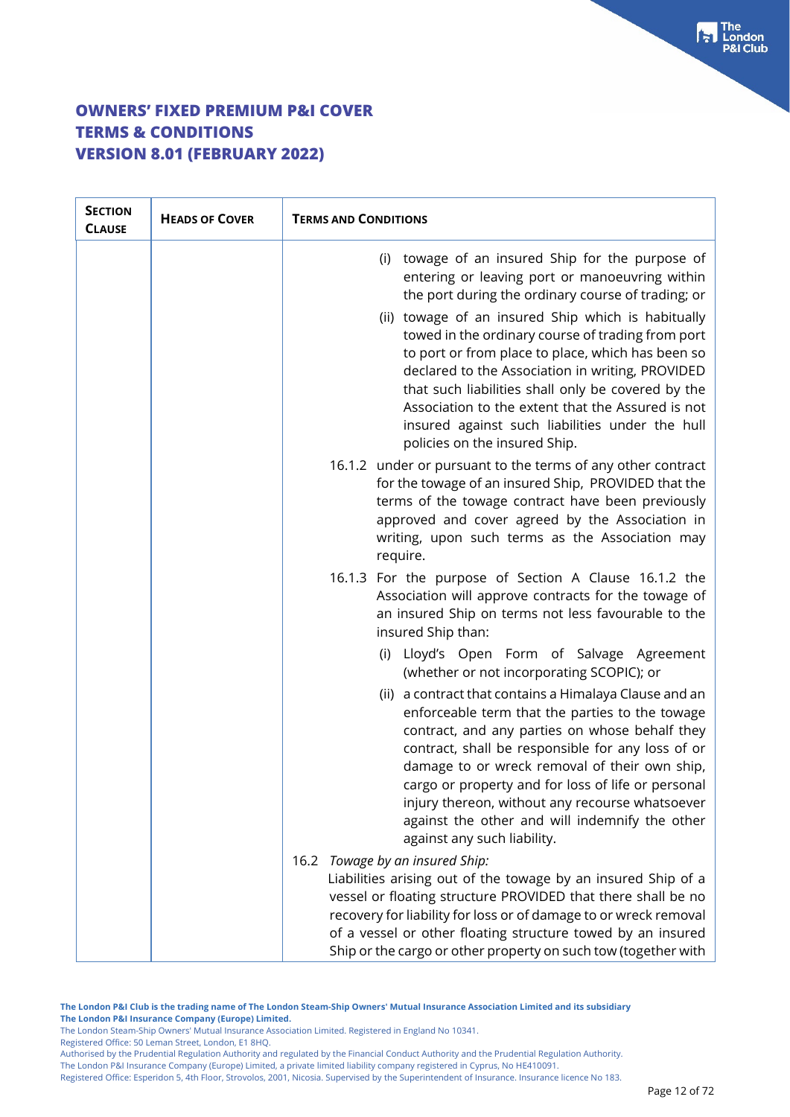| <b>SECTION</b><br><b>CLAUSE</b> | <b>HEADS OF COVER</b> | <b>TERMS AND CONDITIONS</b>                                                                                                                                                                                                                                                                                                                                                                                                                                                                                                                                                    |
|---------------------------------|-----------------------|--------------------------------------------------------------------------------------------------------------------------------------------------------------------------------------------------------------------------------------------------------------------------------------------------------------------------------------------------------------------------------------------------------------------------------------------------------------------------------------------------------------------------------------------------------------------------------|
|                                 |                       | towage of an insured Ship for the purpose of<br>(i)<br>entering or leaving port or manoeuvring within<br>the port during the ordinary course of trading; or<br>(ii) towage of an insured Ship which is habitually<br>towed in the ordinary course of trading from port<br>to port or from place to place, which has been so<br>declared to the Association in writing, PROVIDED<br>that such liabilities shall only be covered by the<br>Association to the extent that the Assured is not<br>insured against such liabilities under the hull<br>policies on the insured Ship. |
|                                 |                       | 16.1.2 under or pursuant to the terms of any other contract<br>for the towage of an insured Ship, PROVIDED that the<br>terms of the towage contract have been previously<br>approved and cover agreed by the Association in<br>writing, upon such terms as the Association may<br>require.                                                                                                                                                                                                                                                                                     |
|                                 |                       | 16.1.3 For the purpose of Section A Clause 16.1.2 the<br>Association will approve contracts for the towage of<br>an insured Ship on terms not less favourable to the<br>insured Ship than:                                                                                                                                                                                                                                                                                                                                                                                     |
|                                 |                       | (i) Lloyd's Open Form of Salvage Agreement<br>(whether or not incorporating SCOPIC); or                                                                                                                                                                                                                                                                                                                                                                                                                                                                                        |
|                                 |                       | (ii) a contract that contains a Himalaya Clause and an<br>enforceable term that the parties to the towage<br>contract, and any parties on whose behalf they<br>contract, shall be responsible for any loss of or<br>damage to or wreck removal of their own ship,<br>cargo or property and for loss of life or personal<br>injury thereon, without any recourse whatsoever<br>against the other and will indemnify the other<br>against any such liability.                                                                                                                    |
|                                 |                       | 16.2 Towage by an insured Ship:<br>Liabilities arising out of the towage by an insured Ship of a<br>vessel or floating structure PROVIDED that there shall be no<br>recovery for liability for loss or of damage to or wreck removal<br>of a vessel or other floating structure towed by an insured<br>Ship or the cargo or other property on such tow (together with                                                                                                                                                                                                          |

**The London P&I Club is the trading name of The London Steam-Ship Owners' Mutual Insurance Association Limited and its subsidiary The London P&I Insurance Company (Europe) Limited.**

The London Steam-Ship Owners' Mutual Insurance Association Limited. Registered in England No 10341.

Registered Office: 50 Leman Street, London, E1 8HQ.

Authorised by the Prudential Regulation Authority and regulated by the Financial Conduct Authority and the Prudential Regulation Authority. The London P&I Insurance Company (Europe) Limited, a private limited liability company registered in Cyprus, No HE410091.

Registered Office: Esperidon 5, 4th Floor, Strovolos, 2001, Nicosia. Supervised by the Superintendent of Insurance. Insurance licence No 183.

The<br>London **Club**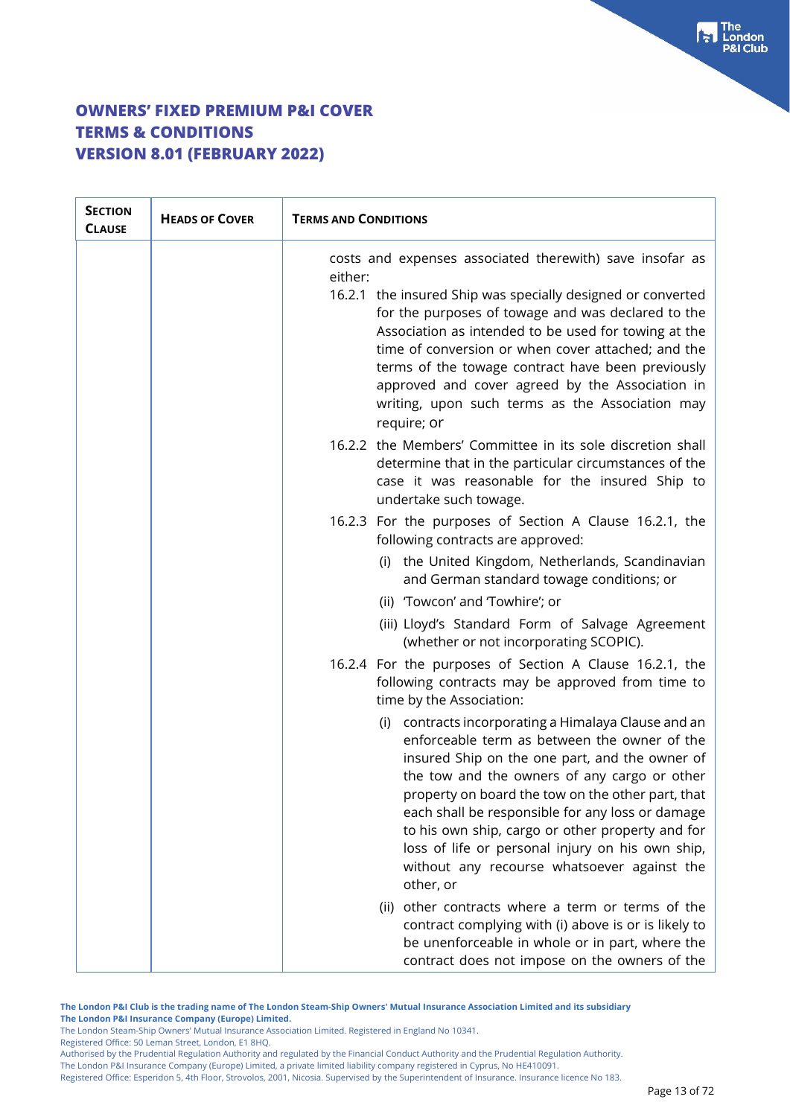| <b>SECTION</b><br><b>CLAUSE</b> | <b>HEADS OF COVER</b> | <b>TERMS AND CONDITIONS</b>                                                                                                                                                                                                                                                                                                                                                                                                                                                                                                                                                                                                    |
|---------------------------------|-----------------------|--------------------------------------------------------------------------------------------------------------------------------------------------------------------------------------------------------------------------------------------------------------------------------------------------------------------------------------------------------------------------------------------------------------------------------------------------------------------------------------------------------------------------------------------------------------------------------------------------------------------------------|
|                                 |                       | costs and expenses associated therewith) save insofar as<br>either:<br>16.2.1 the insured Ship was specially designed or converted<br>for the purposes of towage and was declared to the<br>Association as intended to be used for towing at the<br>time of conversion or when cover attached; and the<br>terms of the towage contract have been previously<br>approved and cover agreed by the Association in<br>writing, upon such terms as the Association may<br>require; or                                                                                                                                               |
|                                 |                       | 16.2.2 the Members' Committee in its sole discretion shall<br>determine that in the particular circumstances of the<br>case it was reasonable for the insured Ship to<br>undertake such towage.                                                                                                                                                                                                                                                                                                                                                                                                                                |
|                                 |                       | 16.2.3 For the purposes of Section A Clause 16.2.1, the<br>following contracts are approved:<br>(i) the United Kingdom, Netherlands, Scandinavian<br>and German standard towage conditions; or<br>(ii) 'Towcon' and 'Towhire'; or<br>(iii) Lloyd's Standard Form of Salvage Agreement<br>(whether or not incorporating SCOPIC).                                                                                                                                                                                                                                                                                                |
|                                 |                       | 16.2.4 For the purposes of Section A Clause 16.2.1, the<br>following contracts may be approved from time to<br>time by the Association:<br>(i) contracts incorporating a Himalaya Clause and an<br>enforceable term as between the owner of the<br>insured Ship on the one part, and the owner of<br>the tow and the owners of any cargo or other<br>property on board the tow on the other part, that<br>each shall be responsible for any loss or damage<br>to his own ship, cargo or other property and for<br>loss of life or personal injury on his own ship,<br>without any recourse whatsoever against the<br>other, or |
|                                 |                       | (ii) other contracts where a term or terms of the<br>contract complying with (i) above is or is likely to<br>be unenforceable in whole or in part, where the<br>contract does not impose on the owners of the                                                                                                                                                                                                                                                                                                                                                                                                                  |

**The London P&I Club is the trading name of The London Steam-Ship Owners' Mutual Insurance Association Limited and its subsidiary The London P&I Insurance Company (Europe) Limited.**

The London Steam-Ship Owners' Mutual Insurance Association Limited. Registered in England No 10341.

Registered Office: 50 Leman Street, London, E1 8HQ.

Authorised by the Prudential Regulation Authority and regulated by the Financial Conduct Authority and the Prudential Regulation Authority. The London P&I Insurance Company (Europe) Limited, a private limited liability company registered in Cyprus, No HE410091.

Registered Office: Esperidon 5, 4th Floor, Strovolos, 2001, Nicosia. Supervised by the Superintendent of Insurance. Insurance licence No 183.

 $\begin{bmatrix} \bullet \\ \bullet \end{bmatrix}$  The **Club**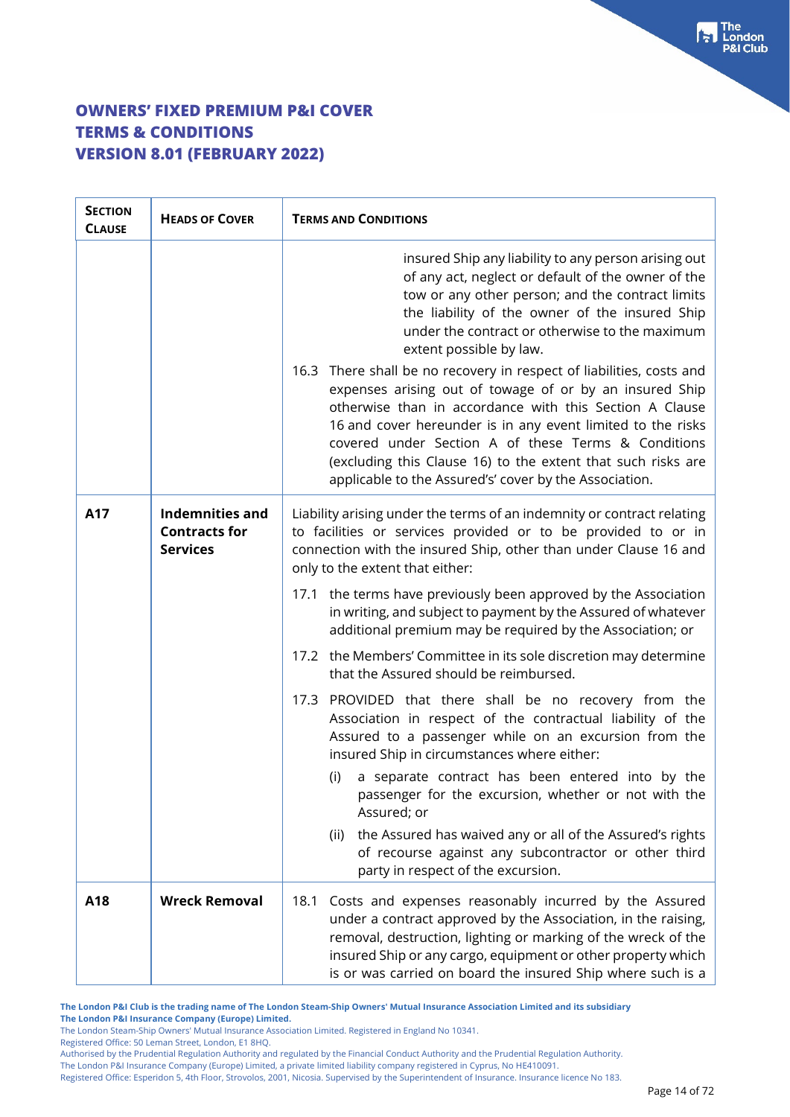| <b>SECTION</b><br><b>CLAUSE</b> | <b>HEADS OF COVER</b>                                             | <b>TERMS AND CONDITIONS</b>                                                                                                                                                                                                                                                                                                                                                                                                                |  |
|---------------------------------|-------------------------------------------------------------------|--------------------------------------------------------------------------------------------------------------------------------------------------------------------------------------------------------------------------------------------------------------------------------------------------------------------------------------------------------------------------------------------------------------------------------------------|--|
|                                 |                                                                   | insured Ship any liability to any person arising out<br>of any act, neglect or default of the owner of the<br>tow or any other person; and the contract limits<br>the liability of the owner of the insured Ship<br>under the contract or otherwise to the maximum<br>extent possible by law.                                                                                                                                              |  |
|                                 |                                                                   | 16.3 There shall be no recovery in respect of liabilities, costs and<br>expenses arising out of towage of or by an insured Ship<br>otherwise than in accordance with this Section A Clause<br>16 and cover hereunder is in any event limited to the risks<br>covered under Section A of these Terms & Conditions<br>(excluding this Clause 16) to the extent that such risks are<br>applicable to the Assured's' cover by the Association. |  |
| A17                             | <b>Indemnities and</b><br><b>Contracts for</b><br><b>Services</b> | Liability arising under the terms of an indemnity or contract relating<br>to facilities or services provided or to be provided to or in<br>connection with the insured Ship, other than under Clause 16 and<br>only to the extent that either:                                                                                                                                                                                             |  |
|                                 |                                                                   | the terms have previously been approved by the Association<br>17.1<br>in writing, and subject to payment by the Assured of whatever<br>additional premium may be required by the Association; or                                                                                                                                                                                                                                           |  |
|                                 |                                                                   | the Members' Committee in its sole discretion may determine<br>17.2<br>that the Assured should be reimbursed.                                                                                                                                                                                                                                                                                                                              |  |
|                                 |                                                                   | 17.3 PROVIDED that there shall be no recovery from the<br>Association in respect of the contractual liability of the<br>Assured to a passenger while on an excursion from the<br>insured Ship in circumstances where either:                                                                                                                                                                                                               |  |
|                                 |                                                                   | a separate contract has been entered into by the<br>(i)<br>passenger for the excursion, whether or not with the<br>Assured; or                                                                                                                                                                                                                                                                                                             |  |
|                                 |                                                                   | the Assured has waived any or all of the Assured's rights<br>(ii)<br>of recourse against any subcontractor or other third<br>party in respect of the excursion.                                                                                                                                                                                                                                                                            |  |
| A18                             | <b>Wreck Removal</b>                                              | Costs and expenses reasonably incurred by the Assured<br>18.1<br>under a contract approved by the Association, in the raising,<br>removal, destruction, lighting or marking of the wreck of the<br>insured Ship or any cargo, equipment or other property which<br>is or was carried on board the insured Ship where such is a                                                                                                             |  |

**The London P&I Club is the trading name of The London Steam-Ship Owners' Mutual Insurance Association Limited and its subsidiary The London P&I Insurance Company (Europe) Limited.**

The London Steam-Ship Owners' Mutual Insurance Association Limited. Registered in England No 10341.

Registered Office: 50 Leman Street, London, E1 8HQ.

Authorised by the Prudential Regulation Authority and regulated by the Financial Conduct Authority and the Prudential Regulation Authority.

The London P&I Insurance Company (Europe) Limited, a private limited liability company registered in Cyprus, No HE410091.

Registered Office: Esperidon 5, 4th Floor, Strovolos, 2001, Nicosia. Supervised by the Superintendent of Insurance. Insurance licence No 183.

The<br>London

**Club** 

tы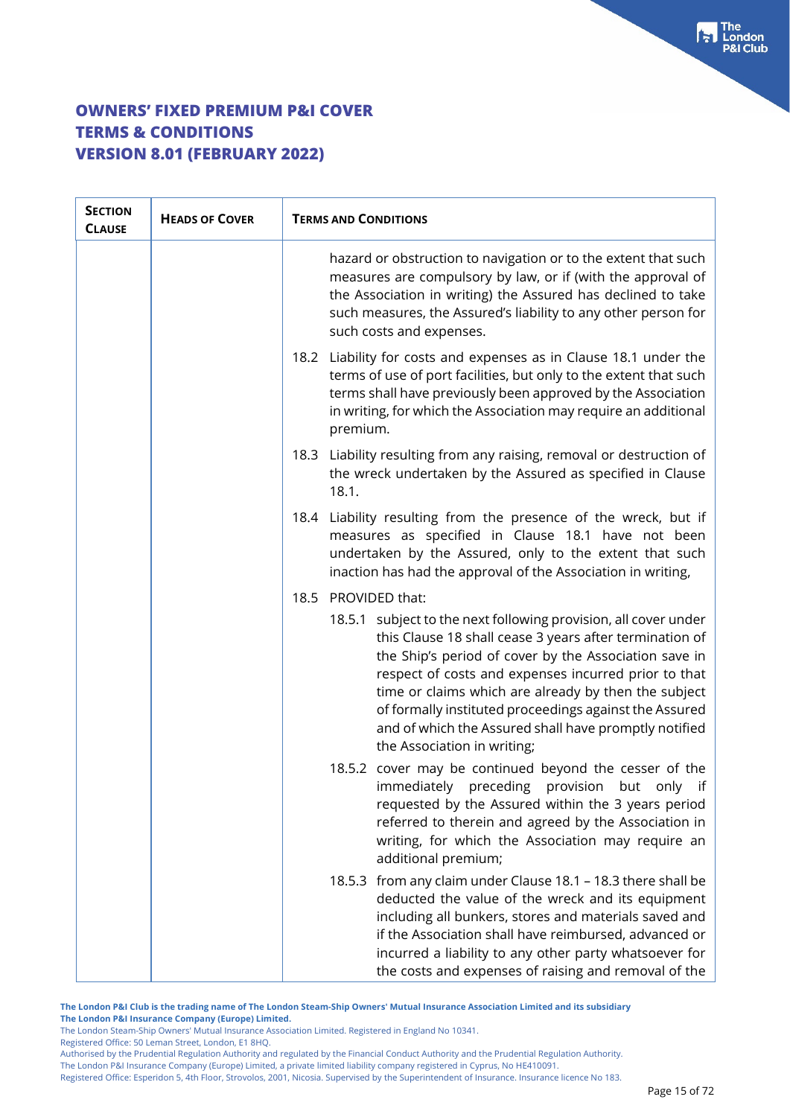| <b>SECTION</b><br><b>CLAUSE</b> | <b>HEADS OF COVER</b> | <b>TERMS AND CONDITIONS</b>                                                                                                                                                                                                                                                                                                                                                                                                                           |
|---------------------------------|-----------------------|-------------------------------------------------------------------------------------------------------------------------------------------------------------------------------------------------------------------------------------------------------------------------------------------------------------------------------------------------------------------------------------------------------------------------------------------------------|
|                                 |                       | hazard or obstruction to navigation or to the extent that such<br>measures are compulsory by law, or if (with the approval of<br>the Association in writing) the Assured has declined to take<br>such measures, the Assured's liability to any other person for<br>such costs and expenses.                                                                                                                                                           |
|                                 |                       | 18.2 Liability for costs and expenses as in Clause 18.1 under the<br>terms of use of port facilities, but only to the extent that such<br>terms shall have previously been approved by the Association<br>in writing, for which the Association may require an additional<br>premium.                                                                                                                                                                 |
|                                 |                       | Liability resulting from any raising, removal or destruction of<br>18.3<br>the wreck undertaken by the Assured as specified in Clause<br>18.1.                                                                                                                                                                                                                                                                                                        |
|                                 |                       | Liability resulting from the presence of the wreck, but if<br>18.4<br>measures as specified in Clause 18.1 have not been<br>undertaken by the Assured, only to the extent that such<br>inaction has had the approval of the Association in writing,                                                                                                                                                                                                   |
|                                 |                       | PROVIDED that:<br>18.5                                                                                                                                                                                                                                                                                                                                                                                                                                |
|                                 |                       | 18.5.1 subject to the next following provision, all cover under<br>this Clause 18 shall cease 3 years after termination of<br>the Ship's period of cover by the Association save in<br>respect of costs and expenses incurred prior to that<br>time or claims which are already by then the subject<br>of formally instituted proceedings against the Assured<br>and of which the Assured shall have promptly notified<br>the Association in writing; |
|                                 |                       | 18.5.2 cover may be continued beyond the cesser of the<br>immediately preceding<br>provision<br>but<br>only if<br>requested by the Assured within the 3 years period<br>referred to therein and agreed by the Association in<br>writing, for which the Association may require an<br>additional premium;                                                                                                                                              |
|                                 |                       | 18.5.3 from any claim under Clause 18.1 - 18.3 there shall be<br>deducted the value of the wreck and its equipment<br>including all bunkers, stores and materials saved and<br>if the Association shall have reimbursed, advanced or<br>incurred a liability to any other party whatsoever for<br>the costs and expenses of raising and removal of the                                                                                                |

**The London P&I Club is the trading name of The London Steam-Ship Owners' Mutual Insurance Association Limited and its subsidiary**

**The London P&I Insurance Company (Europe) Limited.**

The London Steam-Ship Owners' Mutual Insurance Association Limited. Registered in England No 10341.

Registered Office: 50 Leman Street, London, E1 8HQ.

Authorised by the Prudential Regulation Authority and regulated by the Financial Conduct Authority and the Prudential Regulation Authority. The London P&I Insurance Company (Europe) Limited, a private limited liability company registered in Cyprus, No HE410091.

Registered Office: Esperidon 5, 4th Floor, Strovolos, 2001, Nicosia. Supervised by the Superintendent of Insurance. Insurance licence No 183.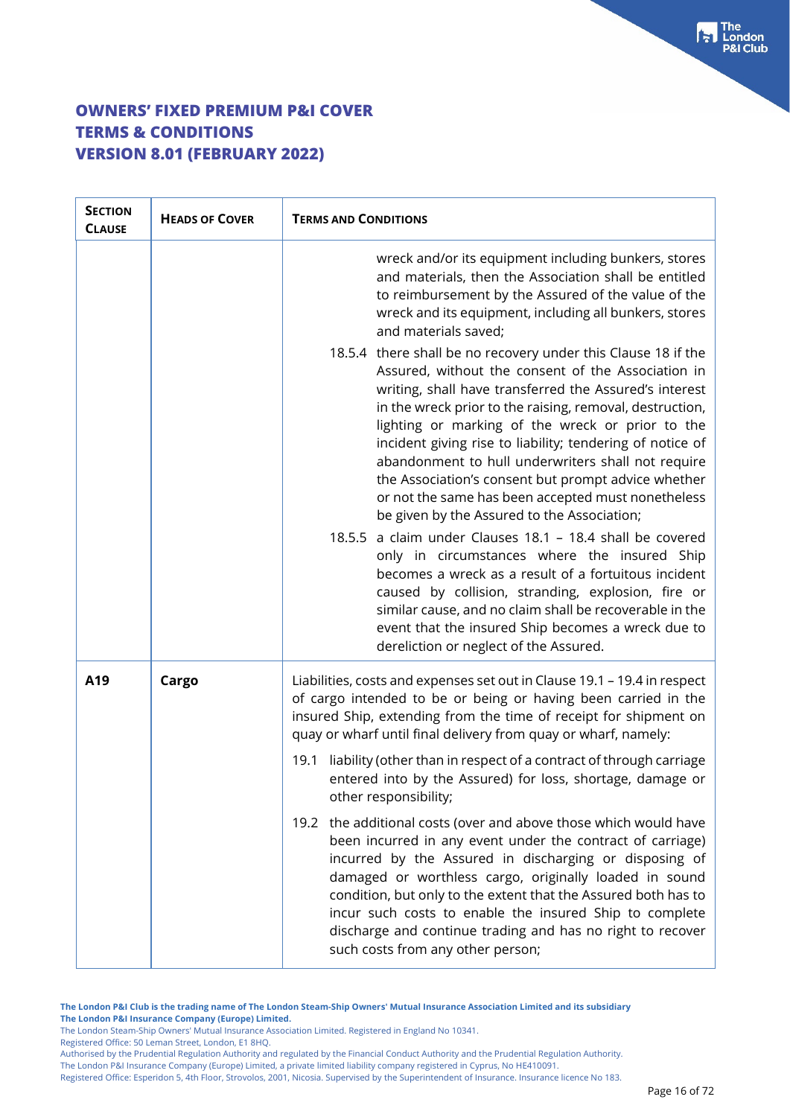| <b>SECTION</b><br><b>CLAUSE</b> | <b>HEADS OF COVER</b> | <b>TERMS AND CONDITIONS</b>                                                                                                                                                                                                                                                                                                                                                                                                                                                                                                                                                                                                               |  |
|---------------------------------|-----------------------|-------------------------------------------------------------------------------------------------------------------------------------------------------------------------------------------------------------------------------------------------------------------------------------------------------------------------------------------------------------------------------------------------------------------------------------------------------------------------------------------------------------------------------------------------------------------------------------------------------------------------------------------|--|
|                                 |                       | wreck and/or its equipment including bunkers, stores<br>and materials, then the Association shall be entitled<br>to reimbursement by the Assured of the value of the<br>wreck and its equipment, including all bunkers, stores<br>and materials saved;                                                                                                                                                                                                                                                                                                                                                                                    |  |
|                                 |                       | 18.5.4 there shall be no recovery under this Clause 18 if the<br>Assured, without the consent of the Association in<br>writing, shall have transferred the Assured's interest<br>in the wreck prior to the raising, removal, destruction,<br>lighting or marking of the wreck or prior to the<br>incident giving rise to liability; tendering of notice of<br>abandonment to hull underwriters shall not require<br>the Association's consent but prompt advice whether<br>or not the same has been accepted must nonetheless<br>be given by the Assured to the Association;<br>18.5.5 a claim under Clauses 18.1 - 18.4 shall be covered |  |
|                                 |                       | only in circumstances where the insured Ship<br>becomes a wreck as a result of a fortuitous incident<br>caused by collision, stranding, explosion, fire or<br>similar cause, and no claim shall be recoverable in the<br>event that the insured Ship becomes a wreck due to<br>dereliction or neglect of the Assured.                                                                                                                                                                                                                                                                                                                     |  |
| A19                             | Cargo                 | Liabilities, costs and expenses set out in Clause 19.1 - 19.4 in respect<br>of cargo intended to be or being or having been carried in the<br>insured Ship, extending from the time of receipt for shipment on<br>quay or wharf until final delivery from quay or wharf, namely:                                                                                                                                                                                                                                                                                                                                                          |  |
|                                 |                       | liability (other than in respect of a contract of through carriage<br>19.1<br>entered into by the Assured) for loss, shortage, damage or<br>other responsibility;                                                                                                                                                                                                                                                                                                                                                                                                                                                                         |  |
|                                 |                       | the additional costs (over and above those which would have<br>19.2<br>been incurred in any event under the contract of carriage)<br>incurred by the Assured in discharging or disposing of<br>damaged or worthless cargo, originally loaded in sound<br>condition, but only to the extent that the Assured both has to<br>incur such costs to enable the insured Ship to complete<br>discharge and continue trading and has no right to recover<br>such costs from any other person;                                                                                                                                                     |  |

**The London P&I Club is the trading name of The London Steam-Ship Owners' Mutual Insurance Association Limited and its subsidiary The London P&I Insurance Company (Europe) Limited.**

The London Steam-Ship Owners' Mutual Insurance Association Limited. Registered in England No 10341.

Registered Office: 50 Leman Street, London, E1 8HQ.

Authorised by the Prudential Regulation Authority and regulated by the Financial Conduct Authority and the Prudential Regulation Authority. The London P&I Insurance Company (Europe) Limited, a private limited liability company registered in Cyprus, No HE410091.

Registered Office: Esperidon 5, 4th Floor, Strovolos, 2001, Nicosia. Supervised by the Superintendent of Insurance. Insurance licence No 183.

The<br>London **Club**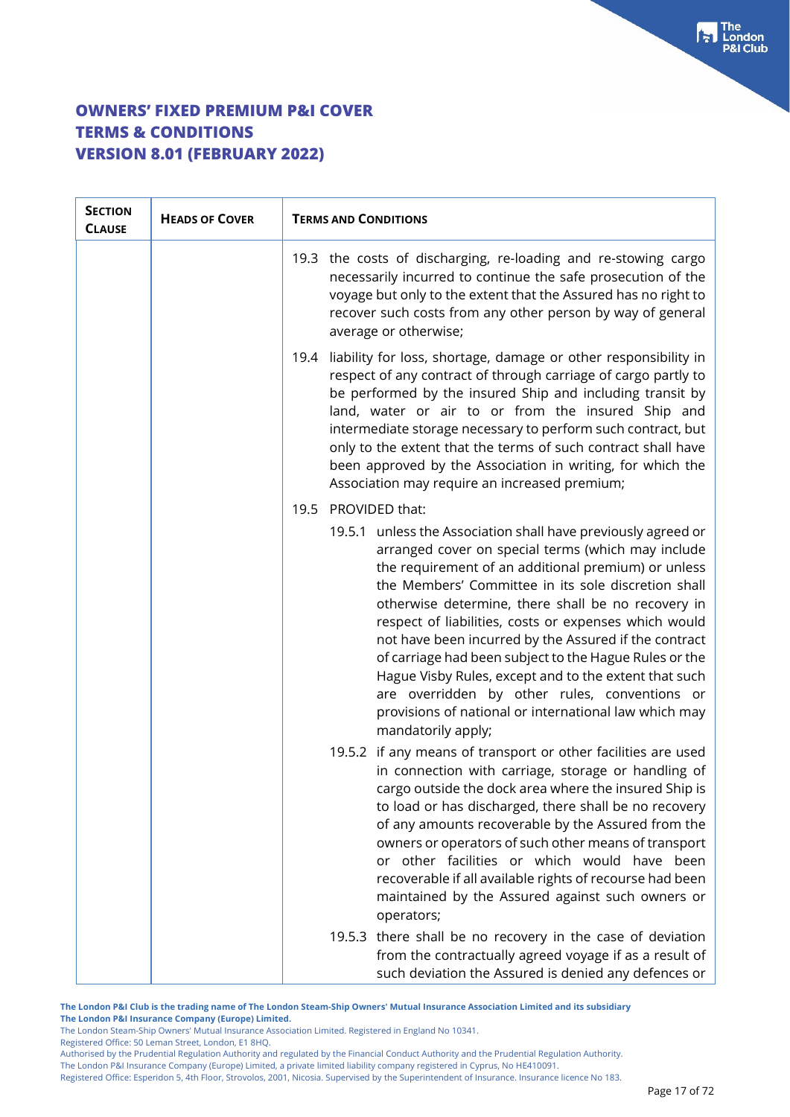| <b>SECTION</b><br><b>CLAUSE</b> | <b>HEADS OF COVER</b> | <b>TERMS AND CONDITIONS</b>                                                                                                                                                                                                                                                                                                                                                                                                                                                                                                                                                                                                                                  |
|---------------------------------|-----------------------|--------------------------------------------------------------------------------------------------------------------------------------------------------------------------------------------------------------------------------------------------------------------------------------------------------------------------------------------------------------------------------------------------------------------------------------------------------------------------------------------------------------------------------------------------------------------------------------------------------------------------------------------------------------|
|                                 |                       | 19.3 the costs of discharging, re-loading and re-stowing cargo<br>necessarily incurred to continue the safe prosecution of the<br>voyage but only to the extent that the Assured has no right to<br>recover such costs from any other person by way of general<br>average or otherwise;                                                                                                                                                                                                                                                                                                                                                                      |
|                                 |                       | liability for loss, shortage, damage or other responsibility in<br>19.4<br>respect of any contract of through carriage of cargo partly to<br>be performed by the insured Ship and including transit by<br>land, water or air to or from the insured Ship and<br>intermediate storage necessary to perform such contract, but<br>only to the extent that the terms of such contract shall have<br>been approved by the Association in writing, for which the<br>Association may require an increased premium;                                                                                                                                                 |
|                                 |                       | PROVIDED that:<br>19.5                                                                                                                                                                                                                                                                                                                                                                                                                                                                                                                                                                                                                                       |
|                                 |                       | 19.5.1 unless the Association shall have previously agreed or<br>arranged cover on special terms (which may include<br>the requirement of an additional premium) or unless<br>the Members' Committee in its sole discretion shall<br>otherwise determine, there shall be no recovery in<br>respect of liabilities, costs or expenses which would<br>not have been incurred by the Assured if the contract<br>of carriage had been subject to the Hague Rules or the<br>Hague Visby Rules, except and to the extent that such<br>are overridden by other rules, conventions or<br>provisions of national or international law which may<br>mandatorily apply; |
|                                 |                       | 19.5.2 if any means of transport or other facilities are used<br>in connection with carriage, storage or handling of<br>cargo outside the dock area where the insured Ship is<br>to load or has discharged, there shall be no recovery<br>of any amounts recoverable by the Assured from the<br>owners or operators of such other means of transport<br>or other facilities or which would have been<br>recoverable if all available rights of recourse had been<br>maintained by the Assured against such owners or<br>operators;                                                                                                                           |
|                                 |                       | 19.5.3 there shall be no recovery in the case of deviation<br>from the contractually agreed voyage if as a result of<br>such deviation the Assured is denied any defences or                                                                                                                                                                                                                                                                                                                                                                                                                                                                                 |

**The London P&I Club is the trading name of The London Steam-Ship Owners' Mutual Insurance Association Limited and its subsidiary The London P&I Insurance Company (Europe) Limited.**

The London Steam-Ship Owners' Mutual Insurance Association Limited. Registered in England No 10341.

Registered Office: 50 Leman Street, London, E1 8HQ.

Authorised by the Prudential Regulation Authority and regulated by the Financial Conduct Authority and the Prudential Regulation Authority. The London P&I Insurance Company (Europe) Limited, a private limited liability company registered in Cyprus, No HE410091.

Registered Office: Esperidon 5, 4th Floor, Strovolos, 2001, Nicosia. Supervised by the Superintendent of Insurance. Insurance licence No 183.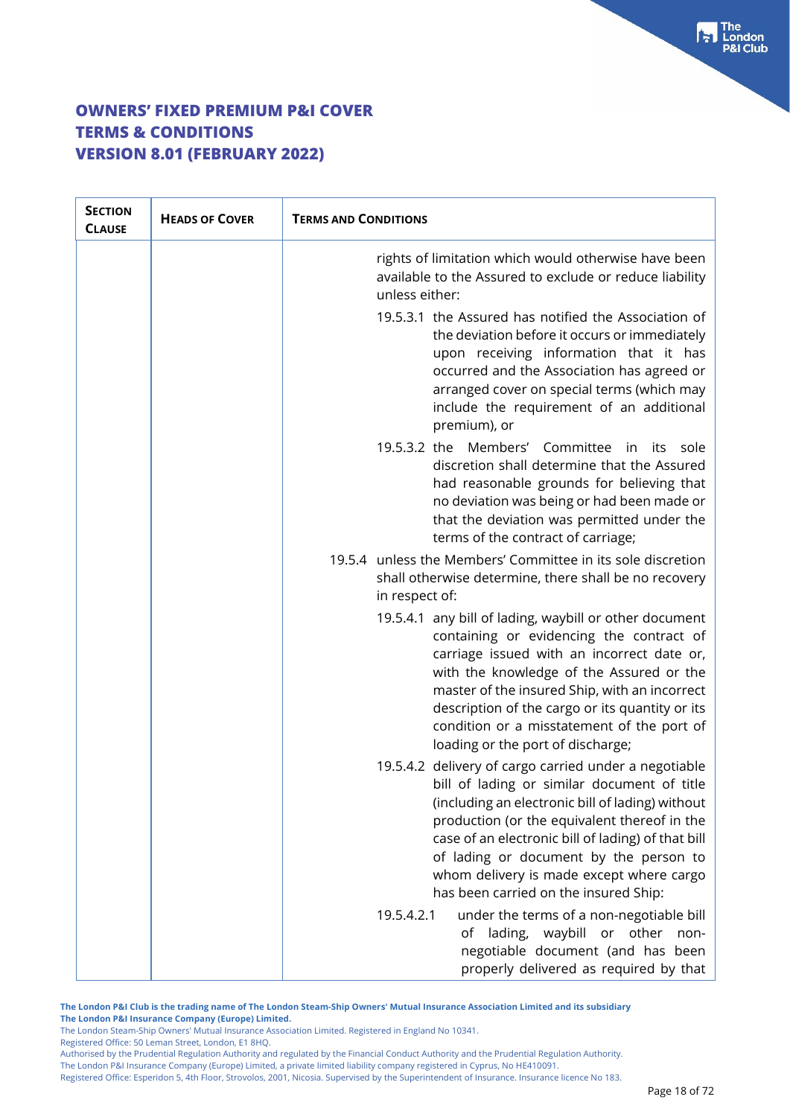| <b>SECTION</b><br><b>CLAUSE</b> | <b>HEADS OF COVER</b> | <b>TERMS AND CONDITIONS</b>                                                                                                                                                                                                                                                                                                                                                                   |
|---------------------------------|-----------------------|-----------------------------------------------------------------------------------------------------------------------------------------------------------------------------------------------------------------------------------------------------------------------------------------------------------------------------------------------------------------------------------------------|
|                                 |                       | rights of limitation which would otherwise have been<br>available to the Assured to exclude or reduce liability<br>unless either:                                                                                                                                                                                                                                                             |
|                                 |                       | 19.5.3.1 the Assured has notified the Association of<br>the deviation before it occurs or immediately<br>upon receiving information that it has<br>occurred and the Association has agreed or<br>arranged cover on special terms (which may<br>include the requirement of an additional<br>premium), or                                                                                       |
|                                 |                       | 19.5.3.2 the Members' Committee<br>in i<br>its sole<br>discretion shall determine that the Assured<br>had reasonable grounds for believing that<br>no deviation was being or had been made or<br>that the deviation was permitted under the<br>terms of the contract of carriage;                                                                                                             |
|                                 |                       | 19.5.4 unless the Members' Committee in its sole discretion<br>shall otherwise determine, there shall be no recovery<br>in respect of:                                                                                                                                                                                                                                                        |
|                                 |                       | 19.5.4.1 any bill of lading, waybill or other document<br>containing or evidencing the contract of<br>carriage issued with an incorrect date or,<br>with the knowledge of the Assured or the<br>master of the insured Ship, with an incorrect<br>description of the cargo or its quantity or its<br>condition or a misstatement of the port of<br>loading or the port of discharge;           |
|                                 |                       | 19.5.4.2 delivery of cargo carried under a negotiable<br>bill of lading or similar document of title<br>(including an electronic bill of lading) without<br>production (or the equivalent thereof in the<br>case of an electronic bill of lading) of that bill<br>of lading or document by the person to<br>whom delivery is made except where cargo<br>has been carried on the insured Ship: |
|                                 |                       | 19.5.4.2.1<br>under the terms of a non-negotiable bill<br>lading, waybill or other<br>non-<br>of<br>negotiable document (and has been<br>properly delivered as required by that                                                                                                                                                                                                               |

**The London P&I Club is the trading name of The London Steam-Ship Owners' Mutual Insurance Association Limited and its subsidiary The London P&I Insurance Company (Europe) Limited.**

The London Steam-Ship Owners' Mutual Insurance Association Limited. Registered in England No 10341.

Registered Office: 50 Leman Street, London, E1 8HQ.

Authorised by the Prudential Regulation Authority and regulated by the Financial Conduct Authority and the Prudential Regulation Authority. The London P&I Insurance Company (Europe) Limited, a private limited liability company registered in Cyprus, No HE410091.

Registered Office: Esperidon 5, 4th Floor, Strovolos, 2001, Nicosia. Supervised by the Superintendent of Insurance. Insurance licence No 183.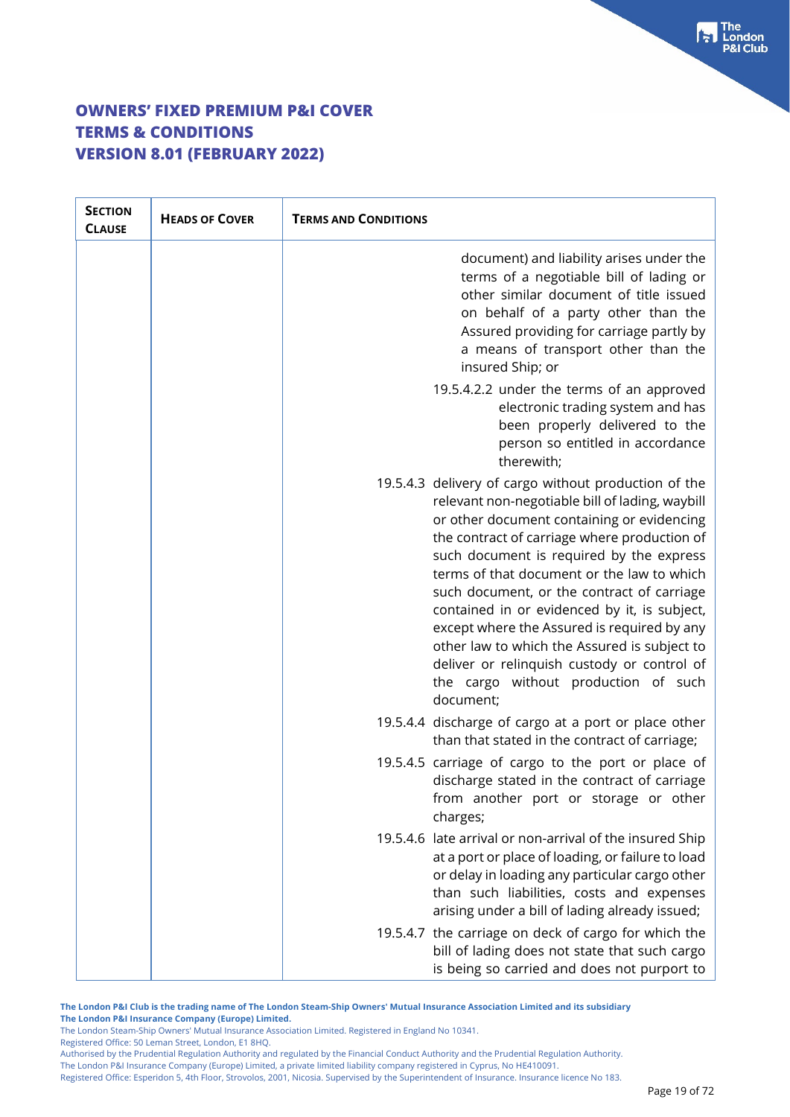| <b>SECTION</b><br><b>CLAUSE</b> | <b>HEADS OF COVER</b> | <b>TERMS AND CONDITIONS</b> |                                                                                                                                                                                                                                                                                                                                                                                                                                                                                                                                                                                                  |
|---------------------------------|-----------------------|-----------------------------|--------------------------------------------------------------------------------------------------------------------------------------------------------------------------------------------------------------------------------------------------------------------------------------------------------------------------------------------------------------------------------------------------------------------------------------------------------------------------------------------------------------------------------------------------------------------------------------------------|
|                                 |                       |                             | document) and liability arises under the<br>terms of a negotiable bill of lading or<br>other similar document of title issued<br>on behalf of a party other than the<br>Assured providing for carriage partly by<br>a means of transport other than the<br>insured Ship; or                                                                                                                                                                                                                                                                                                                      |
|                                 |                       |                             | 19.5.4.2.2 under the terms of an approved<br>electronic trading system and has<br>been properly delivered to the<br>person so entitled in accordance<br>therewith;                                                                                                                                                                                                                                                                                                                                                                                                                               |
|                                 |                       |                             | 19.5.4.3 delivery of cargo without production of the<br>relevant non-negotiable bill of lading, waybill<br>or other document containing or evidencing<br>the contract of carriage where production of<br>such document is required by the express<br>terms of that document or the law to which<br>such document, or the contract of carriage<br>contained in or evidenced by it, is subject,<br>except where the Assured is required by any<br>other law to which the Assured is subject to<br>deliver or relinquish custody or control of<br>the cargo without production of such<br>document; |
|                                 |                       |                             | 19.5.4.4 discharge of cargo at a port or place other<br>than that stated in the contract of carriage;                                                                                                                                                                                                                                                                                                                                                                                                                                                                                            |
|                                 |                       |                             | 19.5.4.5 carriage of cargo to the port or place of<br>discharge stated in the contract of carriage<br>from another port or storage or other<br>charges;                                                                                                                                                                                                                                                                                                                                                                                                                                          |
|                                 |                       |                             | 19.5.4.6 late arrival or non-arrival of the insured Ship<br>at a port or place of loading, or failure to load<br>or delay in loading any particular cargo other<br>than such liabilities, costs and expenses<br>arising under a bill of lading already issued;                                                                                                                                                                                                                                                                                                                                   |
|                                 |                       |                             | 19.5.4.7 the carriage on deck of cargo for which the<br>bill of lading does not state that such cargo<br>is being so carried and does not purport to                                                                                                                                                                                                                                                                                                                                                                                                                                             |

**The London P&I Club is the trading name of The London Steam-Ship Owners' Mutual Insurance Association Limited and its subsidiary The London P&I Insurance Company (Europe) Limited.**

The London Steam-Ship Owners' Mutual Insurance Association Limited. Registered in England No 10341.

Registered Office: 50 Leman Street, London, E1 8HQ.

Authorised by the Prudential Regulation Authority and regulated by the Financial Conduct Authority and the Prudential Regulation Authority. The London P&I Insurance Company (Europe) Limited, a private limited liability company registered in Cyprus, No HE410091.

Registered Office: Esperidon 5, 4th Floor, Strovolos, 2001, Nicosia. Supervised by the Superintendent of Insurance. Insurance licence No 183.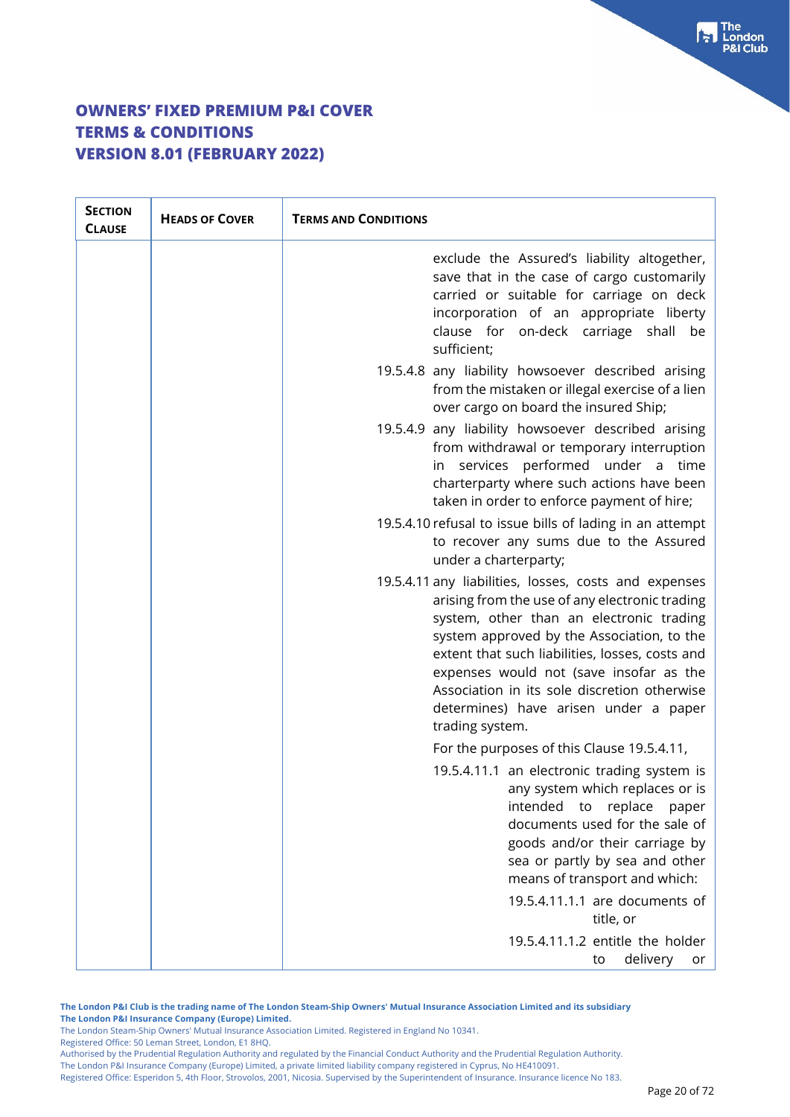| <b>SECTION</b><br><b>CLAUSE</b> | <b>HEADS OF COVER</b> | <b>TERMS AND CONDITIONS</b>                                                                                                                                                                                                                                                                                                                                                                                 |
|---------------------------------|-----------------------|-------------------------------------------------------------------------------------------------------------------------------------------------------------------------------------------------------------------------------------------------------------------------------------------------------------------------------------------------------------------------------------------------------------|
|                                 |                       | exclude the Assured's liability altogether,<br>save that in the case of cargo customarily<br>carried or suitable for carriage on deck<br>incorporation of an appropriate liberty<br>clause for on-deck carriage shall be<br>sufficient;                                                                                                                                                                     |
|                                 |                       | 19.5.4.8 any liability howsoever described arising<br>from the mistaken or illegal exercise of a lien<br>over cargo on board the insured Ship;                                                                                                                                                                                                                                                              |
|                                 |                       | 19.5.4.9 any liability howsoever described arising<br>from withdrawal or temporary interruption<br>in services performed under a time<br>charterparty where such actions have been<br>taken in order to enforce payment of hire;                                                                                                                                                                            |
|                                 |                       | 19.5.4.10 refusal to issue bills of lading in an attempt<br>to recover any sums due to the Assured<br>under a charterparty;                                                                                                                                                                                                                                                                                 |
|                                 |                       | 19.5.4.11 any liabilities, losses, costs and expenses<br>arising from the use of any electronic trading<br>system, other than an electronic trading<br>system approved by the Association, to the<br>extent that such liabilities, losses, costs and<br>expenses would not (save insofar as the<br>Association in its sole discretion otherwise<br>determines) have arisen under a paper<br>trading system. |
|                                 |                       | For the purposes of this Clause 19.5.4.11,                                                                                                                                                                                                                                                                                                                                                                  |
|                                 |                       | 19.5.4.11.1 an electronic trading system is<br>any system which replaces or is<br>intended<br>replace<br>to<br>paper<br>documents used for the sale of<br>goods and/or their carriage by<br>sea or partly by sea and other<br>means of transport and which:<br>19.5.4.11.1.1 are documents of                                                                                                               |
|                                 |                       | title, or                                                                                                                                                                                                                                                                                                                                                                                                   |
|                                 |                       | 19.5.4.11.1.2 entitle the holder<br>delivery<br>to<br>or                                                                                                                                                                                                                                                                                                                                                    |

**The London P&I Club is the trading name of The London Steam-Ship Owners' Mutual Insurance Association Limited and its subsidiary The London P&I Insurance Company (Europe) Limited.**

The London Steam-Ship Owners' Mutual Insurance Association Limited. Registered in England No 10341.

Registered Office: 50 Leman Street, London, E1 8HQ.

Authorised by the Prudential Regulation Authority and regulated by the Financial Conduct Authority and the Prudential Regulation Authority. The London P&I Insurance Company (Europe) Limited, a private limited liability company registered in Cyprus, No HE410091.

Registered Office: Esperidon 5, 4th Floor, Strovolos, 2001, Nicosia. Supervised by the Superintendent of Insurance. Insurance licence No 183.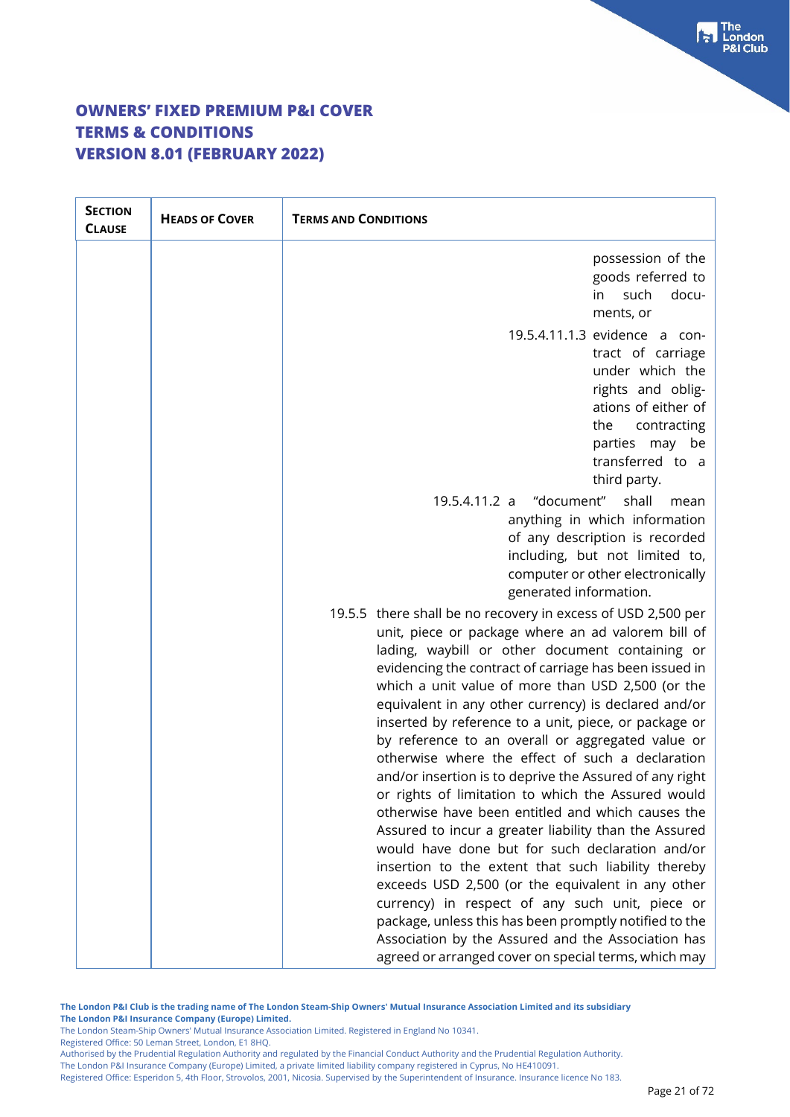| <b>SECTION</b><br><b>CLAUSE</b> | <b>HEADS OF COVER</b> | <b>TERMS AND CONDITIONS</b>                                                                                                                                                                                                                                                                                                                                                                                                                                                                                                                                                                                                                                                                                                                                                                                                                                                                                                                                                                                                                                                                                                             |
|---------------------------------|-----------------------|-----------------------------------------------------------------------------------------------------------------------------------------------------------------------------------------------------------------------------------------------------------------------------------------------------------------------------------------------------------------------------------------------------------------------------------------------------------------------------------------------------------------------------------------------------------------------------------------------------------------------------------------------------------------------------------------------------------------------------------------------------------------------------------------------------------------------------------------------------------------------------------------------------------------------------------------------------------------------------------------------------------------------------------------------------------------------------------------------------------------------------------------|
|                                 |                       | possession of the<br>goods referred to<br>in<br>such<br>docu-<br>ments, or                                                                                                                                                                                                                                                                                                                                                                                                                                                                                                                                                                                                                                                                                                                                                                                                                                                                                                                                                                                                                                                              |
|                                 |                       | 19.5.4.11.1.3 evidence a con-<br>tract of carriage<br>under which the<br>rights and oblig-<br>ations of either of<br>the<br>contracting<br>parties may be<br>transferred to a<br>third party.                                                                                                                                                                                                                                                                                                                                                                                                                                                                                                                                                                                                                                                                                                                                                                                                                                                                                                                                           |
|                                 |                       | 19.5.4.11.2 a "document" shall<br>mean<br>anything in which information<br>of any description is recorded<br>including, but not limited to,<br>computer or other electronically<br>generated information.                                                                                                                                                                                                                                                                                                                                                                                                                                                                                                                                                                                                                                                                                                                                                                                                                                                                                                                               |
|                                 |                       | 19.5.5 there shall be no recovery in excess of USD 2,500 per<br>unit, piece or package where an ad valorem bill of<br>lading, waybill or other document containing or<br>evidencing the contract of carriage has been issued in<br>which a unit value of more than USD 2,500 (or the<br>equivalent in any other currency) is declared and/or<br>inserted by reference to a unit, piece, or package or<br>by reference to an overall or aggregated value or<br>otherwise where the effect of such a declaration<br>and/or insertion is to deprive the Assured of any right<br>or rights of limitation to which the Assured would<br>otherwise have been entitled and which causes the<br>Assured to incur a greater liability than the Assured<br>would have done but for such declaration and/or<br>insertion to the extent that such liability thereby<br>exceeds USD 2,500 (or the equivalent in any other<br>currency) in respect of any such unit, piece or<br>package, unless this has been promptly notified to the<br>Association by the Assured and the Association has<br>agreed or arranged cover on special terms, which may |

**The London P&I Club is the trading name of The London Steam-Ship Owners' Mutual Insurance Association Limited and its subsidiary The London P&I Insurance Company (Europe) Limited.**

The London Steam-Ship Owners' Mutual Insurance Association Limited. Registered in England No 10341.

Registered Office: 50 Leman Street, London, E1 8HQ.

Authorised by the Prudential Regulation Authority and regulated by the Financial Conduct Authority and the Prudential Regulation Authority. The London P&I Insurance Company (Europe) Limited, a private limited liability company registered in Cyprus, No HE410091.

Registered Office: Esperidon 5, 4th Floor, Strovolos, 2001, Nicosia. Supervised by the Superintendent of Insurance. Insurance licence No 183.

 $\begin{bmatrix} \bullet \\ \bullet \end{bmatrix}$  The **8I Club**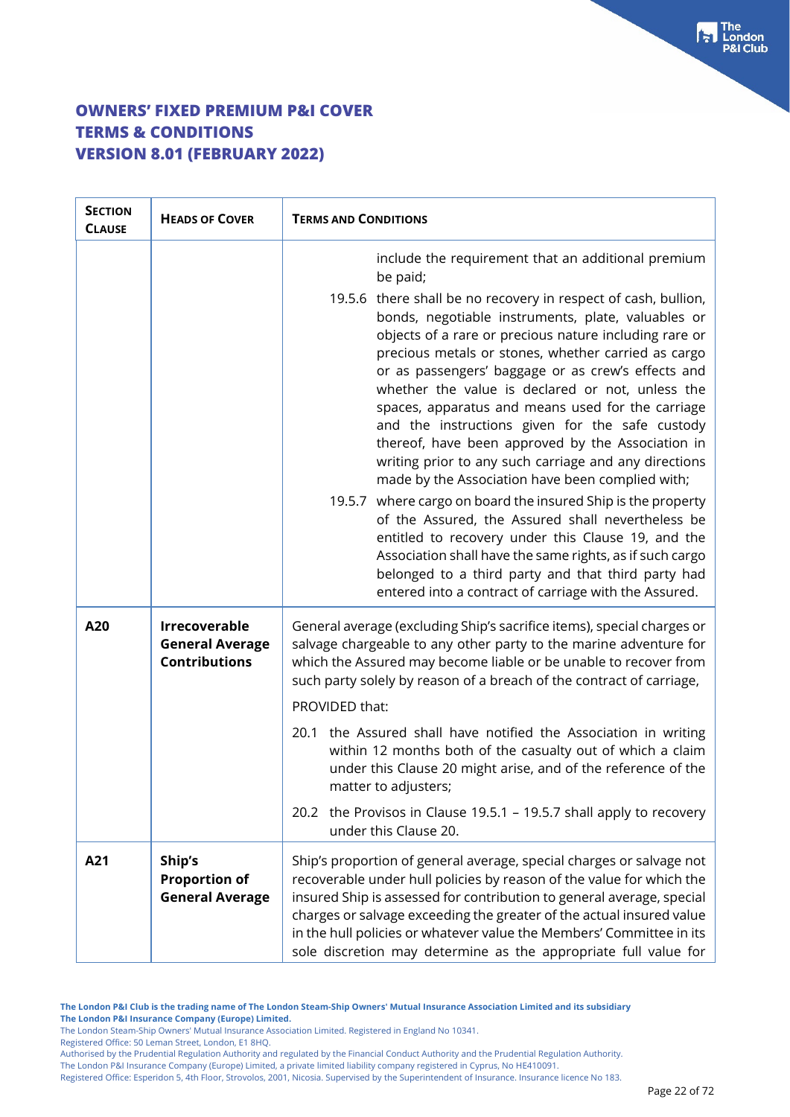| <b>SECTION</b><br><b>CLAUSE</b> | <b>HEADS OF COVER</b>                                                  | <b>TERMS AND CONDITIONS</b>                                                                                                                                                                                                                                                                                                                                                                                                                                                                                                                                                                                               |  |
|---------------------------------|------------------------------------------------------------------------|---------------------------------------------------------------------------------------------------------------------------------------------------------------------------------------------------------------------------------------------------------------------------------------------------------------------------------------------------------------------------------------------------------------------------------------------------------------------------------------------------------------------------------------------------------------------------------------------------------------------------|--|
|                                 |                                                                        | include the requirement that an additional premium<br>be paid;                                                                                                                                                                                                                                                                                                                                                                                                                                                                                                                                                            |  |
|                                 |                                                                        | 19.5.6 there shall be no recovery in respect of cash, bullion,<br>bonds, negotiable instruments, plate, valuables or<br>objects of a rare or precious nature including rare or<br>precious metals or stones, whether carried as cargo<br>or as passengers' baggage or as crew's effects and<br>whether the value is declared or not, unless the<br>spaces, apparatus and means used for the carriage<br>and the instructions given for the safe custody<br>thereof, have been approved by the Association in<br>writing prior to any such carriage and any directions<br>made by the Association have been complied with; |  |
|                                 |                                                                        | 19.5.7 where cargo on board the insured Ship is the property<br>of the Assured, the Assured shall nevertheless be<br>entitled to recovery under this Clause 19, and the<br>Association shall have the same rights, as if such cargo<br>belonged to a third party and that third party had<br>entered into a contract of carriage with the Assured.                                                                                                                                                                                                                                                                        |  |
| A20                             | <b>Irrecoverable</b><br><b>General Average</b><br><b>Contributions</b> | General average (excluding Ship's sacrifice items), special charges or<br>salvage chargeable to any other party to the marine adventure for<br>which the Assured may become liable or be unable to recover from<br>such party solely by reason of a breach of the contract of carriage,<br>PROVIDED that:                                                                                                                                                                                                                                                                                                                 |  |
|                                 |                                                                        | the Assured shall have notified the Association in writing<br>20.1<br>within 12 months both of the casualty out of which a claim<br>under this Clause 20 might arise, and of the reference of the<br>matter to adjusters;                                                                                                                                                                                                                                                                                                                                                                                                 |  |
|                                 |                                                                        | 20.2 the Provisos in Clause 19.5.1 - 19.5.7 shall apply to recovery<br>under this Clause 20.                                                                                                                                                                                                                                                                                                                                                                                                                                                                                                                              |  |
| A21                             | Ship's<br><b>Proportion of</b><br><b>General Average</b>               | Ship's proportion of general average, special charges or salvage not<br>recoverable under hull policies by reason of the value for which the<br>insured Ship is assessed for contribution to general average, special<br>charges or salvage exceeding the greater of the actual insured value<br>in the hull policies or whatever value the Members' Committee in its<br>sole discretion may determine as the appropriate full value for                                                                                                                                                                                  |  |

**The London P&I Club is the trading name of The London Steam-Ship Owners' Mutual Insurance Association Limited and its subsidiary The London P&I Insurance Company (Europe) Limited.**

The London Steam-Ship Owners' Mutual Insurance Association Limited. Registered in England No 10341.

Registered Office: 50 Leman Street, London, E1 8HQ.

Authorised by the Prudential Regulation Authority and regulated by the Financial Conduct Authority and the Prudential Regulation Authority.

The London P&I Insurance Company (Europe) Limited, a private limited liability company registered in Cyprus, No HE410091.

Registered Office: Esperidon 5, 4th Floor, Strovolos, 2001, Nicosia. Supervised by the Superintendent of Insurance. Insurance licence No 183.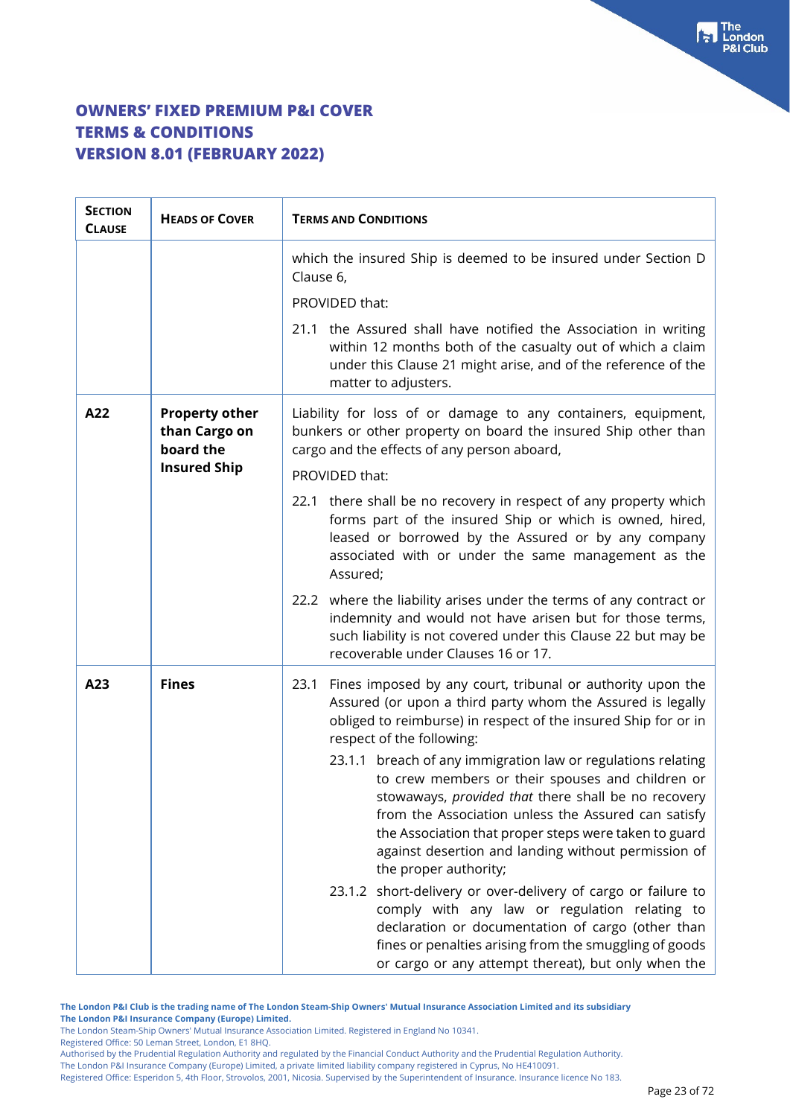| <b>SECTION</b><br><b>CLAUSE</b> | <b>HEADS OF COVER</b>                                                      | <b>TERMS AND CONDITIONS</b>                                                                                                                                                                                                                                                                                                                                             |  |
|---------------------------------|----------------------------------------------------------------------------|-------------------------------------------------------------------------------------------------------------------------------------------------------------------------------------------------------------------------------------------------------------------------------------------------------------------------------------------------------------------------|--|
|                                 |                                                                            | which the insured Ship is deemed to be insured under Section D<br>Clause 6,                                                                                                                                                                                                                                                                                             |  |
|                                 |                                                                            | PROVIDED that:                                                                                                                                                                                                                                                                                                                                                          |  |
|                                 |                                                                            | 21.1 the Assured shall have notified the Association in writing<br>within 12 months both of the casualty out of which a claim<br>under this Clause 21 might arise, and of the reference of the<br>matter to adjusters.                                                                                                                                                  |  |
| A22                             | <b>Property other</b><br>than Cargo on<br>board the<br><b>Insured Ship</b> | Liability for loss of or damage to any containers, equipment,<br>bunkers or other property on board the insured Ship other than<br>cargo and the effects of any person aboard,                                                                                                                                                                                          |  |
|                                 |                                                                            | PROVIDED that:                                                                                                                                                                                                                                                                                                                                                          |  |
|                                 |                                                                            | 22.1 there shall be no recovery in respect of any property which<br>forms part of the insured Ship or which is owned, hired,<br>leased or borrowed by the Assured or by any company<br>associated with or under the same management as the<br>Assured;                                                                                                                  |  |
|                                 |                                                                            | 22.2 where the liability arises under the terms of any contract or<br>indemnity and would not have arisen but for those terms,<br>such liability is not covered under this Clause 22 but may be<br>recoverable under Clauses 16 or 17.                                                                                                                                  |  |
| A23                             | <b>Fines</b>                                                               | Fines imposed by any court, tribunal or authority upon the<br>23.1<br>Assured (or upon a third party whom the Assured is legally<br>obliged to reimburse) in respect of the insured Ship for or in<br>respect of the following:                                                                                                                                         |  |
|                                 |                                                                            | 23.1.1 breach of any immigration law or regulations relating<br>to crew members or their spouses and children or<br>stowaways, provided that there shall be no recovery<br>from the Association unless the Assured can satisfy<br>the Association that proper steps were taken to guard<br>against desertion and landing without permission of<br>the proper authority; |  |
|                                 |                                                                            | 23.1.2 short-delivery or over-delivery of cargo or failure to<br>comply with any law or regulation relating to<br>declaration or documentation of cargo (other than<br>fines or penalties arising from the smuggling of goods<br>or cargo or any attempt thereat), but only when the                                                                                    |  |

**The London P&I Club is the trading name of The London Steam-Ship Owners' Mutual Insurance Association Limited and its subsidiary**

**The London P&I Insurance Company (Europe) Limited.** The London Steam-Ship Owners' Mutual Insurance Association Limited. Registered in England No 10341.

Registered Office: 50 Leman Street, London, E1 8HQ.

Authorised by the Prudential Regulation Authority and regulated by the Financial Conduct Authority and the Prudential Regulation Authority. The London P&I Insurance Company (Europe) Limited, a private limited liability company registered in Cyprus, No HE410091.

Registered Office: Esperidon 5, 4th Floor, Strovolos, 2001, Nicosia. Supervised by the Superintendent of Insurance. Insurance licence No 183.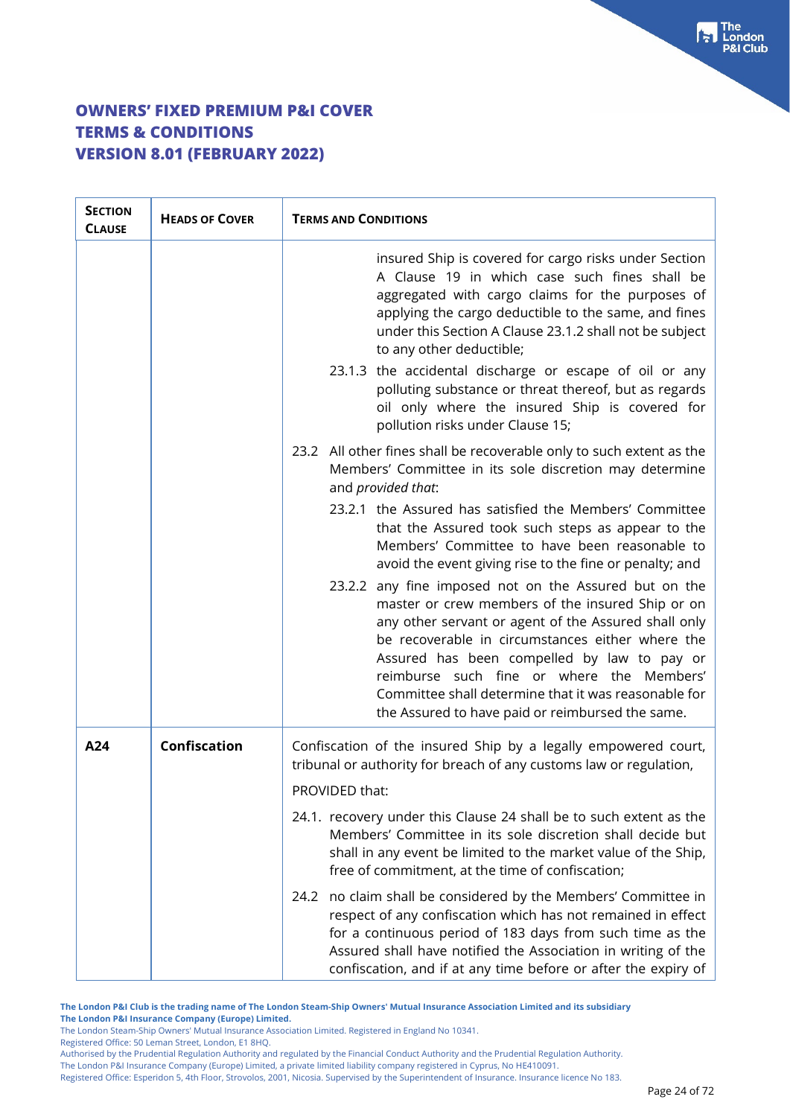| <b>SECTION</b><br><b>CLAUSE</b> | <b>HEADS OF COVER</b> | <b>TERMS AND CONDITIONS</b>                                                                                                                                                                                                                                                                                                                                                                                                                                                                                                                                                                                                                               |  |
|---------------------------------|-----------------------|-----------------------------------------------------------------------------------------------------------------------------------------------------------------------------------------------------------------------------------------------------------------------------------------------------------------------------------------------------------------------------------------------------------------------------------------------------------------------------------------------------------------------------------------------------------------------------------------------------------------------------------------------------------|--|
|                                 |                       | insured Ship is covered for cargo risks under Section<br>A Clause 19 in which case such fines shall be<br>aggregated with cargo claims for the purposes of<br>applying the cargo deductible to the same, and fines<br>under this Section A Clause 23.1.2 shall not be subject<br>to any other deductible;<br>23.1.3 the accidental discharge or escape of oil or any<br>polluting substance or threat thereof, but as regards<br>oil only where the insured Ship is covered for<br>pollution risks under Clause 15;                                                                                                                                       |  |
|                                 |                       | 23.2 All other fines shall be recoverable only to such extent as the<br>Members' Committee in its sole discretion may determine<br>and provided that:                                                                                                                                                                                                                                                                                                                                                                                                                                                                                                     |  |
|                                 |                       | 23.2.1 the Assured has satisfied the Members' Committee<br>that the Assured took such steps as appear to the<br>Members' Committee to have been reasonable to<br>avoid the event giving rise to the fine or penalty; and<br>23.2.2 any fine imposed not on the Assured but on the<br>master or crew members of the insured Ship or on<br>any other servant or agent of the Assured shall only<br>be recoverable in circumstances either where the<br>Assured has been compelled by law to pay or<br>reimburse such fine or where the Members'<br>Committee shall determine that it was reasonable for<br>the Assured to have paid or reimbursed the same. |  |
| A24                             | <b>Confiscation</b>   | Confiscation of the insured Ship by a legally empowered court,<br>tribunal or authority for breach of any customs law or regulation,                                                                                                                                                                                                                                                                                                                                                                                                                                                                                                                      |  |
|                                 |                       | PROVIDED that:                                                                                                                                                                                                                                                                                                                                                                                                                                                                                                                                                                                                                                            |  |
|                                 |                       | 24.1. recovery under this Clause 24 shall be to such extent as the<br>Members' Committee in its sole discretion shall decide but<br>shall in any event be limited to the market value of the Ship,<br>free of commitment, at the time of confiscation;                                                                                                                                                                                                                                                                                                                                                                                                    |  |
|                                 |                       | no claim shall be considered by the Members' Committee in<br>24.2<br>respect of any confiscation which has not remained in effect<br>for a continuous period of 183 days from such time as the<br>Assured shall have notified the Association in writing of the<br>confiscation, and if at any time before or after the expiry of                                                                                                                                                                                                                                                                                                                         |  |

**The London P&I Club is the trading name of The London Steam-Ship Owners' Mutual Insurance Association Limited and its subsidiary The London P&I Insurance Company (Europe) Limited.**

The London Steam-Ship Owners' Mutual Insurance Association Limited. Registered in England No 10341.

Registered Office: 50 Leman Street, London, E1 8HQ.

Authorised by the Prudential Regulation Authority and regulated by the Financial Conduct Authority and the Prudential Regulation Authority.

The London P&I Insurance Company (Europe) Limited, a private limited liability company registered in Cyprus, No HE410091.

Registered Office: Esperidon 5, 4th Floor, Strovolos, 2001, Nicosia. Supervised by the Superintendent of Insurance. Insurance licence No 183.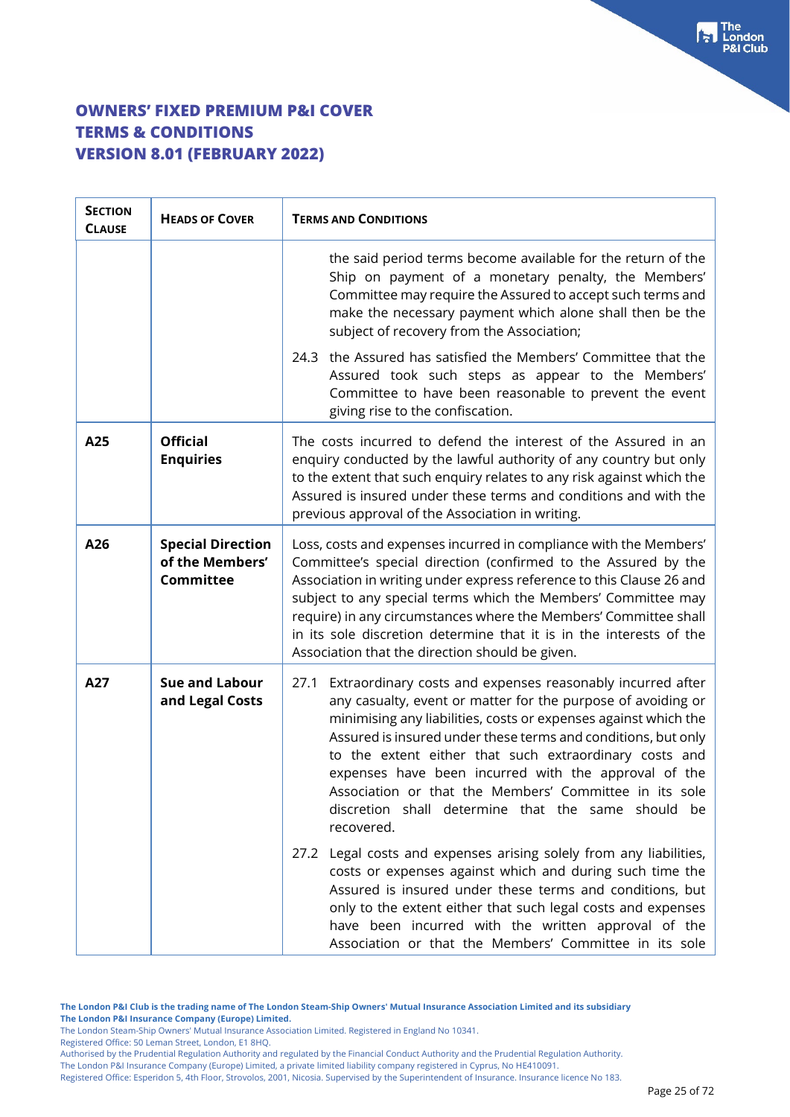| <b>SECTION</b><br><b>CLAUSE</b> | <b>HEADS OF COVER</b>                                           | <b>TERMS AND CONDITIONS</b>                                                                                                                                                                                                                                                                                                                                                                                                                                                                                            |  |
|---------------------------------|-----------------------------------------------------------------|------------------------------------------------------------------------------------------------------------------------------------------------------------------------------------------------------------------------------------------------------------------------------------------------------------------------------------------------------------------------------------------------------------------------------------------------------------------------------------------------------------------------|--|
|                                 |                                                                 | the said period terms become available for the return of the<br>Ship on payment of a monetary penalty, the Members'<br>Committee may require the Assured to accept such terms and<br>make the necessary payment which alone shall then be the<br>subject of recovery from the Association;                                                                                                                                                                                                                             |  |
|                                 |                                                                 | the Assured has satisfied the Members' Committee that the<br>24.3<br>Assured took such steps as appear to the Members'<br>Committee to have been reasonable to prevent the event<br>giving rise to the confiscation.                                                                                                                                                                                                                                                                                                   |  |
| A25                             | <b>Official</b><br><b>Enquiries</b>                             | The costs incurred to defend the interest of the Assured in an<br>enquiry conducted by the lawful authority of any country but only<br>to the extent that such enquiry relates to any risk against which the<br>Assured is insured under these terms and conditions and with the<br>previous approval of the Association in writing.                                                                                                                                                                                   |  |
| A26                             | <b>Special Direction</b><br>of the Members'<br><b>Committee</b> | Loss, costs and expenses incurred in compliance with the Members'<br>Committee's special direction (confirmed to the Assured by the<br>Association in writing under express reference to this Clause 26 and<br>subject to any special terms which the Members' Committee may<br>require) in any circumstances where the Members' Committee shall<br>in its sole discretion determine that it is in the interests of the<br>Association that the direction should be given.                                             |  |
| A27                             | <b>Sue and Labour</b><br>and Legal Costs                        | 27.1<br>Extraordinary costs and expenses reasonably incurred after<br>any casualty, event or matter for the purpose of avoiding or<br>minimising any liabilities, costs or expenses against which the<br>Assured is insured under these terms and conditions, but only<br>to the extent either that such extraordinary costs and<br>expenses have been incurred with the approval of the<br>Association or that the Members' Committee in its sole<br>discretion shall determine that the same should be<br>recovered. |  |
|                                 |                                                                 | Legal costs and expenses arising solely from any liabilities,<br>27.2<br>costs or expenses against which and during such time the<br>Assured is insured under these terms and conditions, but<br>only to the extent either that such legal costs and expenses<br>have been incurred with the written approval of the<br>Association or that the Members' Committee in its sole                                                                                                                                         |  |

The London Steam-Ship Owners' Mutual Insurance Association Limited. Registered in England No 10341.

Registered Office: 50 Leman Street, London, E1 8HQ.

Authorised by the Prudential Regulation Authority and regulated by the Financial Conduct Authority and the Prudential Regulation Authority. The London P&I Insurance Company (Europe) Limited, a private limited liability company registered in Cyprus, No HE410091.

Registered Office: Esperidon 5, 4th Floor, Strovolos, 2001, Nicosia. Supervised by the Superintendent of Insurance. Insurance licence No 183.

For The<br>P&I Club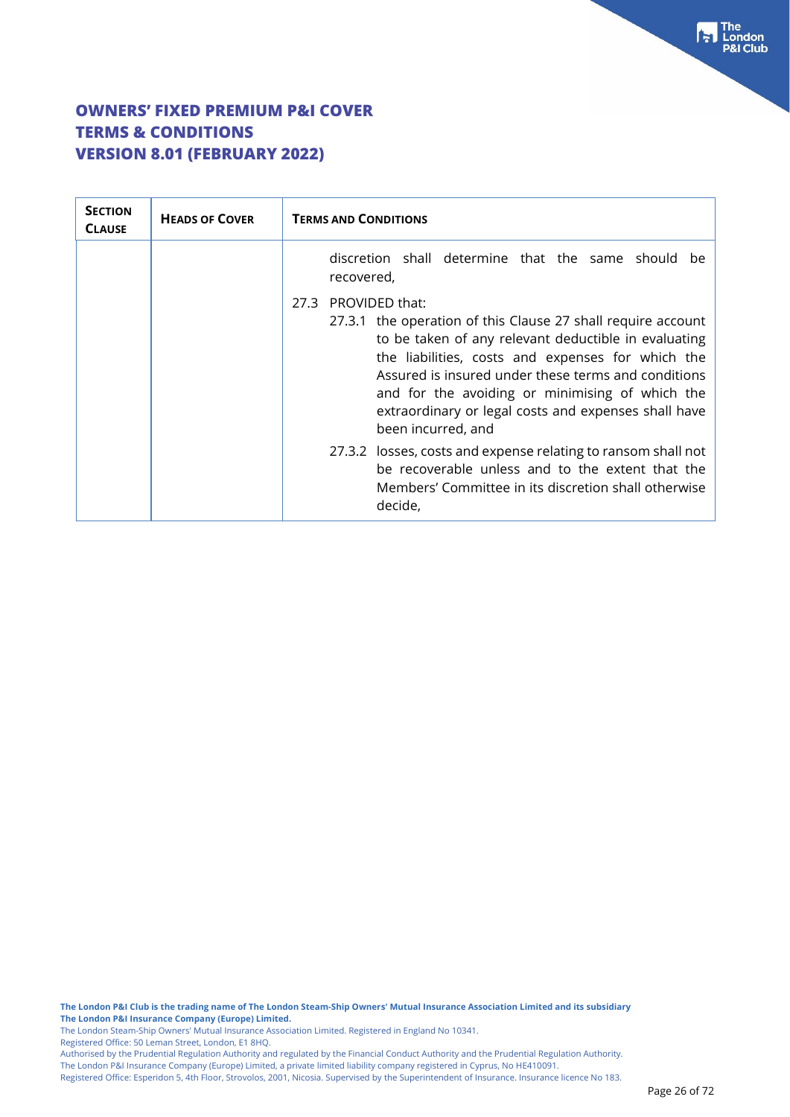| <b>SECTION</b><br><b>CLAUSE</b> | <b>HEADS OF COVER</b> | <b>TERMS AND CONDITIONS</b>                                                                                                                                                                                                                                                                                                                                                                 |  |
|---------------------------------|-----------------------|---------------------------------------------------------------------------------------------------------------------------------------------------------------------------------------------------------------------------------------------------------------------------------------------------------------------------------------------------------------------------------------------|--|
|                                 |                       | discretion shall determine that the same should be<br>recovered,                                                                                                                                                                                                                                                                                                                            |  |
|                                 |                       | PROVIDED that:<br>27.3<br>27.3.1 the operation of this Clause 27 shall require account<br>to be taken of any relevant deductible in evaluating<br>the liabilities, costs and expenses for which the<br>Assured is insured under these terms and conditions<br>and for the avoiding or minimising of which the<br>extraordinary or legal costs and expenses shall have<br>been incurred, and |  |
|                                 |                       | 27.3.2 losses, costs and expense relating to ransom shall not<br>be recoverable unless and to the extent that the<br>Members' Committee in its discretion shall otherwise<br>decide,                                                                                                                                                                                                        |  |

**The London P&I Club is the trading name of The London Steam-Ship Owners' Mutual Insurance Association Limited and its subsidiary The London P&I Insurance Company (Europe) Limited.**

The London Steam-Ship Owners' Mutual Insurance Association Limited. Registered in England No 10341.

Registered Office: 50 Leman Street, London, E1 8HQ.

Authorised by the Prudential Regulation Authority and regulated by the Financial Conduct Authority and the Prudential Regulation Authority. The London P&I Insurance Company (Europe) Limited, a private limited liability company registered in Cyprus, No HE410091.

Registered Office: Esperidon 5, 4th Floor, Strovolos, 2001, Nicosia. Supervised by the Superintendent of Insurance. Insurance licence No 183.

The<br>London **Club**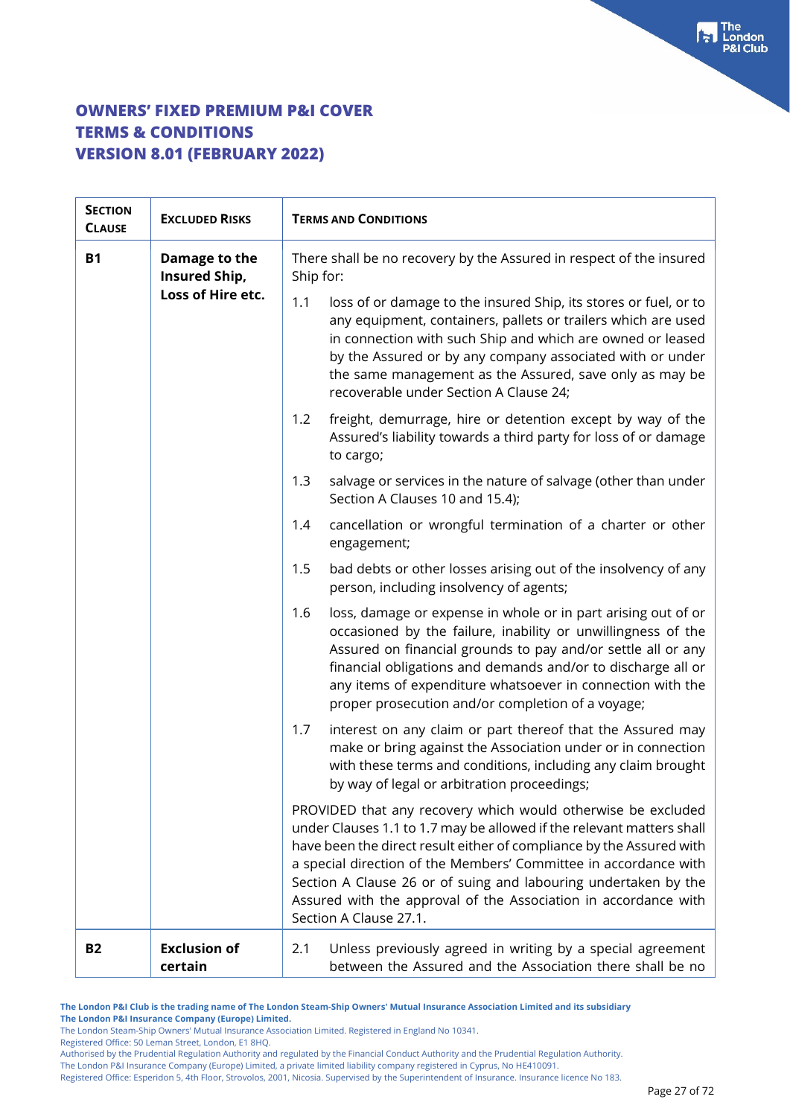| <b>SECTION</b><br><b>CLAUSE</b> | <b>EXCLUDED RISKS</b>                               | <b>TERMS AND CONDITIONS</b>                                                                                                                                                                                                                                                                                                                                                                                                                       |  |  |
|---------------------------------|-----------------------------------------------------|---------------------------------------------------------------------------------------------------------------------------------------------------------------------------------------------------------------------------------------------------------------------------------------------------------------------------------------------------------------------------------------------------------------------------------------------------|--|--|
| <b>B1</b>                       | Damage to the<br>Insured Ship,<br>Loss of Hire etc. | There shall be no recovery by the Assured in respect of the insured<br>Ship for:                                                                                                                                                                                                                                                                                                                                                                  |  |  |
|                                 |                                                     | loss of or damage to the insured Ship, its stores or fuel, or to<br>1.1<br>any equipment, containers, pallets or trailers which are used<br>in connection with such Ship and which are owned or leased<br>by the Assured or by any company associated with or under<br>the same management as the Assured, save only as may be<br>recoverable under Section A Clause 24;                                                                          |  |  |
|                                 |                                                     | freight, demurrage, hire or detention except by way of the<br>1.2<br>Assured's liability towards a third party for loss of or damage<br>to cargo;                                                                                                                                                                                                                                                                                                 |  |  |
|                                 |                                                     | salvage or services in the nature of salvage (other than under<br>1.3<br>Section A Clauses 10 and 15.4);                                                                                                                                                                                                                                                                                                                                          |  |  |
|                                 |                                                     | 1.4<br>cancellation or wrongful termination of a charter or other<br>engagement;                                                                                                                                                                                                                                                                                                                                                                  |  |  |
|                                 |                                                     | bad debts or other losses arising out of the insolvency of any<br>1.5<br>person, including insolvency of agents;                                                                                                                                                                                                                                                                                                                                  |  |  |
|                                 |                                                     | loss, damage or expense in whole or in part arising out of or<br>1.6<br>occasioned by the failure, inability or unwillingness of the<br>Assured on financial grounds to pay and/or settle all or any<br>financial obligations and demands and/or to discharge all or<br>any items of expenditure whatsoever in connection with the<br>proper prosecution and/or completion of a voyage;                                                           |  |  |
|                                 |                                                     | 1.7<br>interest on any claim or part thereof that the Assured may<br>make or bring against the Association under or in connection<br>with these terms and conditions, including any claim brought<br>by way of legal or arbitration proceedings;                                                                                                                                                                                                  |  |  |
|                                 |                                                     | PROVIDED that any recovery which would otherwise be excluded<br>under Clauses 1.1 to 1.7 may be allowed if the relevant matters shall<br>have been the direct result either of compliance by the Assured with<br>a special direction of the Members' Committee in accordance with<br>Section A Clause 26 or of suing and labouring undertaken by the<br>Assured with the approval of the Association in accordance with<br>Section A Clause 27.1. |  |  |
| <b>B2</b>                       | <b>Exclusion of</b><br>certain                      | Unless previously agreed in writing by a special agreement<br>2.1<br>between the Assured and the Association there shall be no                                                                                                                                                                                                                                                                                                                    |  |  |

**The London P&I Club is the trading name of The London Steam-Ship Owners' Mutual Insurance Association Limited and its subsidiary The London P&I Insurance Company (Europe) Limited.**

The London Steam-Ship Owners' Mutual Insurance Association Limited. Registered in England No 10341.

Registered Office: 50 Leman Street, London, E1 8HQ.

Authorised by the Prudential Regulation Authority and regulated by the Financial Conduct Authority and the Prudential Regulation Authority.

The London P&I Insurance Company (Europe) Limited, a private limited liability company registered in Cyprus, No HE410091.

Registered Office: Esperidon 5, 4th Floor, Strovolos, 2001, Nicosia. Supervised by the Superintendent of Insurance. Insurance licence No 183.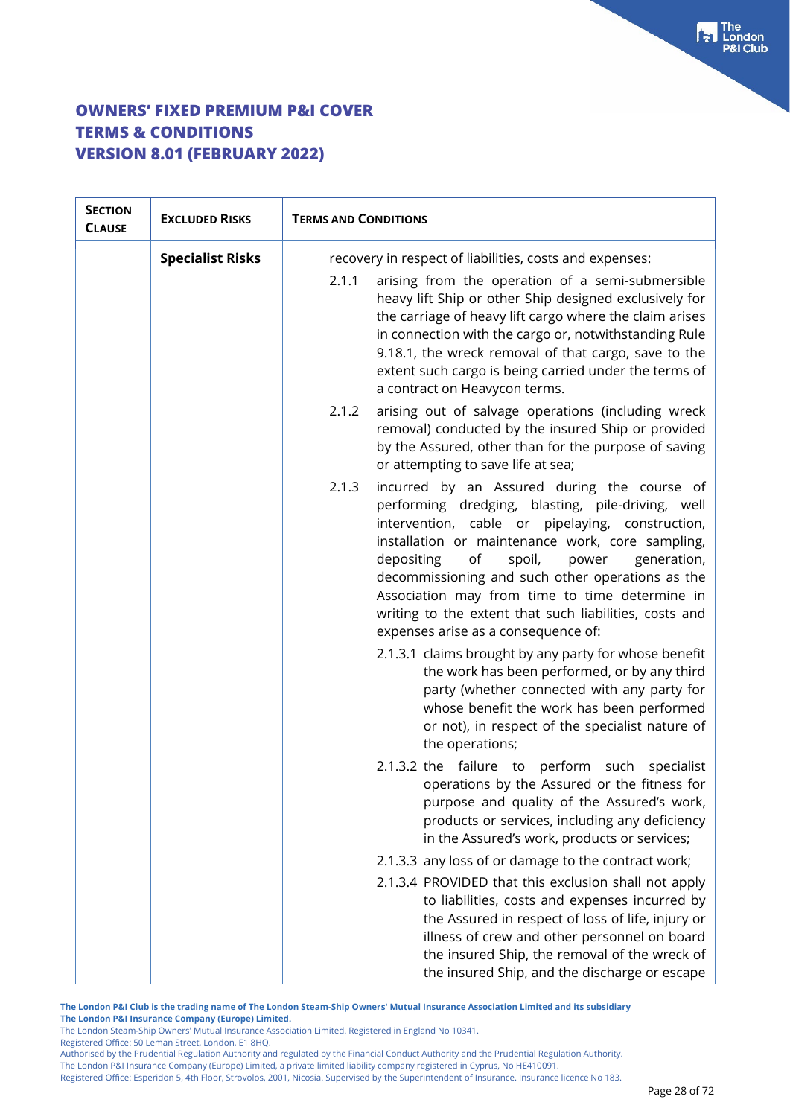| <b>SECTION</b><br><b>CLAUSE</b> | <b>EXCLUDED RISKS</b>   | <b>TERMS AND CONDITIONS</b>                                                                                                                                                                                                                                                                                                                                                                                                                                                    |  |
|---------------------------------|-------------------------|--------------------------------------------------------------------------------------------------------------------------------------------------------------------------------------------------------------------------------------------------------------------------------------------------------------------------------------------------------------------------------------------------------------------------------------------------------------------------------|--|
|                                 | <b>Specialist Risks</b> | recovery in respect of liabilities, costs and expenses:                                                                                                                                                                                                                                                                                                                                                                                                                        |  |
|                                 |                         | 2.1.1<br>arising from the operation of a semi-submersible<br>heavy lift Ship or other Ship designed exclusively for<br>the carriage of heavy lift cargo where the claim arises<br>in connection with the cargo or, notwithstanding Rule<br>9.18.1, the wreck removal of that cargo, save to the<br>extent such cargo is being carried under the terms of<br>a contract on Heavycon terms.                                                                                      |  |
|                                 |                         | 2.1.2<br>arising out of salvage operations (including wreck<br>removal) conducted by the insured Ship or provided<br>by the Assured, other than for the purpose of saving<br>or attempting to save life at sea;                                                                                                                                                                                                                                                                |  |
|                                 |                         | 2.1.3<br>incurred by an Assured during the course of<br>performing dredging, blasting, pile-driving, well<br>intervention, cable or pipelaying, construction,<br>installation or maintenance work, core sampling,<br>spoil,<br>depositing<br>of<br>power<br>generation,<br>decommissioning and such other operations as the<br>Association may from time to time determine in<br>writing to the extent that such liabilities, costs and<br>expenses arise as a consequence of: |  |
|                                 |                         | 2.1.3.1 claims brought by any party for whose benefit<br>the work has been performed, or by any third<br>party (whether connected with any party for<br>whose benefit the work has been performed<br>or not), in respect of the specialist nature of<br>the operations;                                                                                                                                                                                                        |  |
|                                 |                         | 2.1.3.2 the failure to perform such specialist<br>operations by the Assured or the fitness for<br>purpose and quality of the Assured's work,<br>products or services, including any deficiency<br>in the Assured's work, products or services;                                                                                                                                                                                                                                 |  |
|                                 |                         | 2.1.3.3 any loss of or damage to the contract work;                                                                                                                                                                                                                                                                                                                                                                                                                            |  |
|                                 |                         | 2.1.3.4 PROVIDED that this exclusion shall not apply<br>to liabilities, costs and expenses incurred by<br>the Assured in respect of loss of life, injury or<br>illness of crew and other personnel on board<br>the insured Ship, the removal of the wreck of<br>the insured Ship, and the discharge or escape                                                                                                                                                                  |  |

**The London P&I Club is the trading name of The London Steam-Ship Owners' Mutual Insurance Association Limited and its subsidiary The London P&I Insurance Company (Europe) Limited.**

The London Steam-Ship Owners' Mutual Insurance Association Limited. Registered in England No 10341.

Registered Office: 50 Leman Street, London, E1 8HQ.

Authorised by the Prudential Regulation Authority and regulated by the Financial Conduct Authority and the Prudential Regulation Authority. The London P&I Insurance Company (Europe) Limited, a private limited liability company registered in Cyprus, No HE410091.

Registered Office: Esperidon 5, 4th Floor, Strovolos, 2001, Nicosia. Supervised by the Superintendent of Insurance. Insurance licence No 183.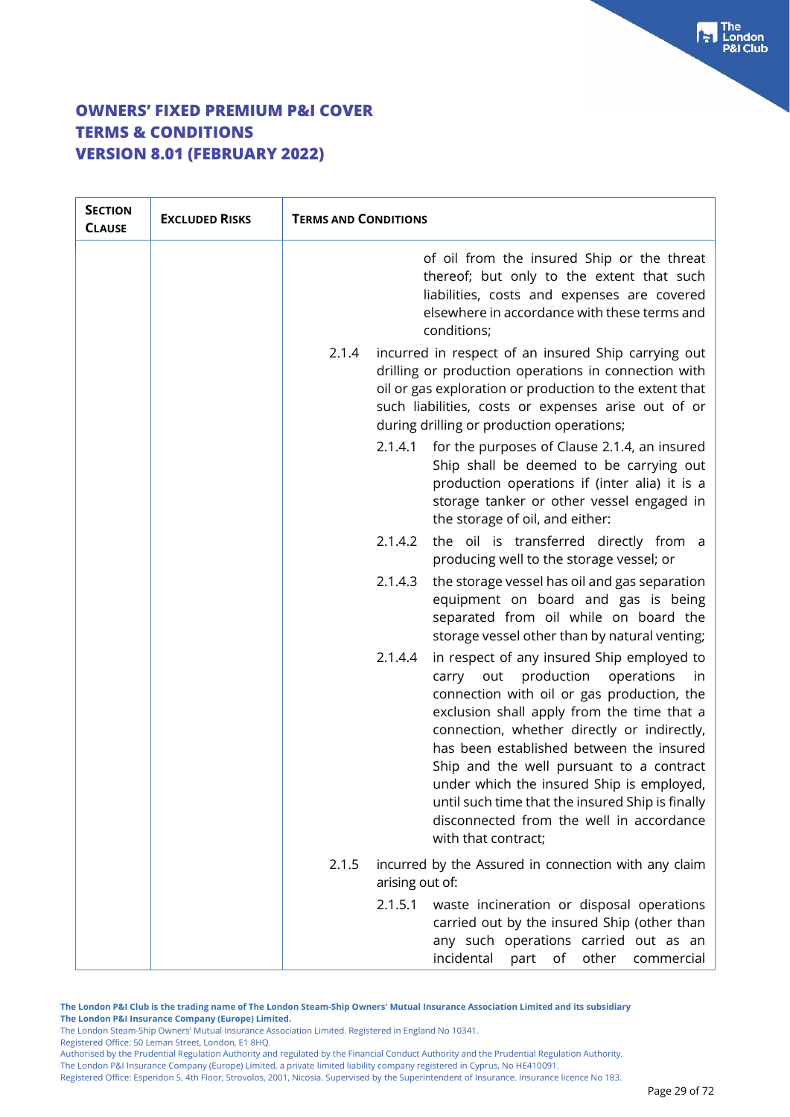| <b>SECTION</b><br><b>CLAUSE</b> | <b>EXCLUDED RISKS</b> | <b>TERMS AND CONDITIONS</b>                                                                                                                                                                                                                                                                                                                                                                                                                                                                                  |                                                                                                                                                                                                       |
|---------------------------------|-----------------------|--------------------------------------------------------------------------------------------------------------------------------------------------------------------------------------------------------------------------------------------------------------------------------------------------------------------------------------------------------------------------------------------------------------------------------------------------------------------------------------------------------------|-------------------------------------------------------------------------------------------------------------------------------------------------------------------------------------------------------|
|                                 |                       |                                                                                                                                                                                                                                                                                                                                                                                                                                                                                                              | of oil from the insured Ship or the threat<br>thereof; but only to the extent that such<br>liabilities, costs and expenses are covered<br>elsewhere in accordance with these terms and<br>conditions; |
|                                 |                       | 2.1.4<br>incurred in respect of an insured Ship carrying out<br>drilling or production operations in connection with<br>oil or gas exploration or production to the extent that<br>such liabilities, costs or expenses arise out of or<br>during drilling or production operations;                                                                                                                                                                                                                          |                                                                                                                                                                                                       |
|                                 |                       | 2.1.4.1<br>for the purposes of Clause 2.1.4, an insured<br>Ship shall be deemed to be carrying out<br>production operations if (inter alia) it is a<br>storage tanker or other vessel engaged in<br>the storage of oil, and either:                                                                                                                                                                                                                                                                          |                                                                                                                                                                                                       |
|                                 |                       | 2.1.4.2<br>the oil is transferred directly from a<br>producing well to the storage vessel; or                                                                                                                                                                                                                                                                                                                                                                                                                |                                                                                                                                                                                                       |
|                                 |                       | 2.1.4.3<br>the storage vessel has oil and gas separation<br>equipment on board and gas is being<br>separated from oil while on board the<br>storage vessel other than by natural venting;                                                                                                                                                                                                                                                                                                                    |                                                                                                                                                                                                       |
|                                 |                       | in respect of any insured Ship employed to<br>2.1.4.4<br>out production<br>operations<br>carry<br>in.<br>connection with oil or gas production, the<br>exclusion shall apply from the time that a<br>connection, whether directly or indirectly,<br>has been established between the insured<br>Ship and the well pursuant to a contract<br>under which the insured Ship is employed,<br>until such time that the insured Ship is finally<br>disconnected from the well in accordance<br>with that contract; |                                                                                                                                                                                                       |
|                                 |                       | incurred by the Assured in connection with any claim<br>2.1.5<br>arising out of:                                                                                                                                                                                                                                                                                                                                                                                                                             |                                                                                                                                                                                                       |
|                                 |                       | 2.1.5.1<br>waste incineration or disposal operations<br>carried out by the insured Ship (other than<br>any such operations carried out as an<br>incidental part<br>of<br>other<br>commercial                                                                                                                                                                                                                                                                                                                 |                                                                                                                                                                                                       |

**The London P&I Club is the trading name of The London Steam-Ship Owners' Mutual Insurance Association Limited and its subsidiary The London P&I Insurance Company (Europe) Limited.**

The London Steam-Ship Owners' Mutual Insurance Association Limited. Registered in England No 10341.

Registered Office: 50 Leman Street, London, E1 8HQ.

Authorised by the Prudential Regulation Authority and regulated by the Financial Conduct Authority and the Prudential Regulation Authority. The London P&I Insurance Company (Europe) Limited, a private limited liability company registered in Cyprus, No HE410091.

Registered Office: Esperidon 5, 4th Floor, Strovolos, 2001, Nicosia. Supervised by the Superintendent of Insurance. Insurance licence No 183.

The<br>London **8I Club**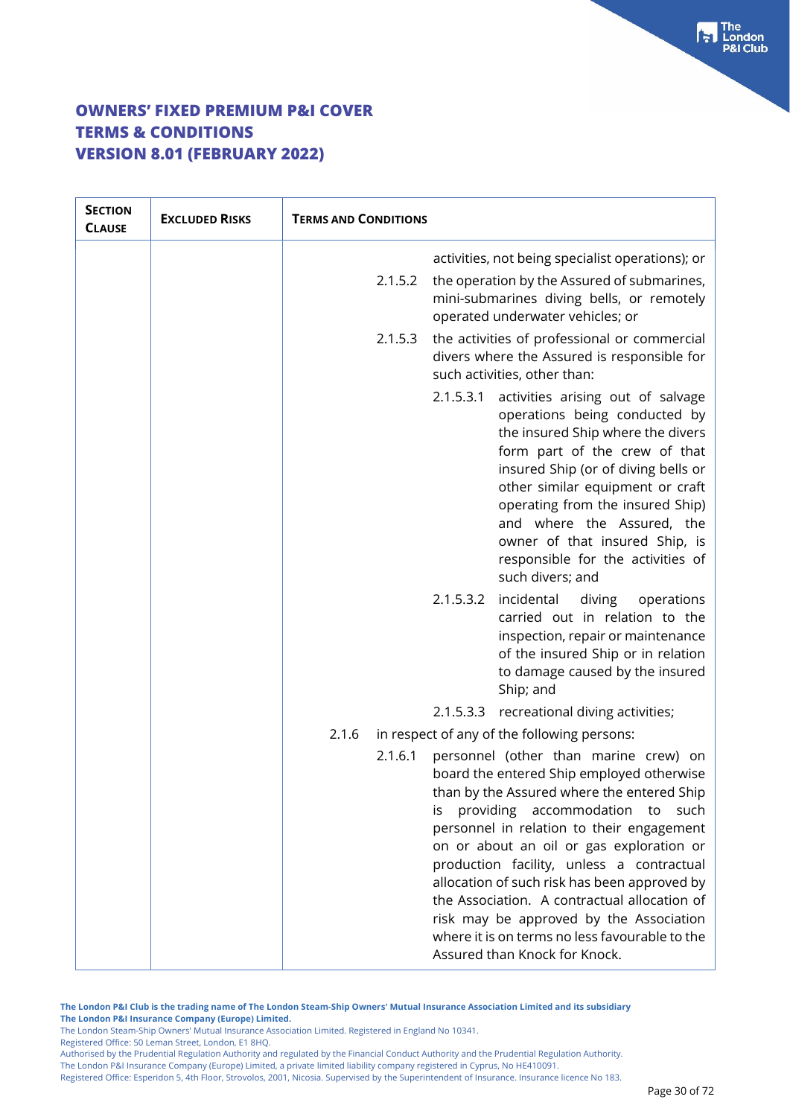| <b>SECTION</b><br><b>CLAUSE</b> | <b>EXCLUDED RISKS</b> | <b>TERMS AND CONDITIONS</b> |           |                                                                                                                                                                                                                                                                                                                                                                                                                                                                                                                                            |
|---------------------------------|-----------------------|-----------------------------|-----------|--------------------------------------------------------------------------------------------------------------------------------------------------------------------------------------------------------------------------------------------------------------------------------------------------------------------------------------------------------------------------------------------------------------------------------------------------------------------------------------------------------------------------------------------|
|                                 |                       |                             |           | activities, not being specialist operations); or                                                                                                                                                                                                                                                                                                                                                                                                                                                                                           |
|                                 |                       | 2.1.5.2                     |           | the operation by the Assured of submarines,<br>mini-submarines diving bells, or remotely<br>operated underwater vehicles; or                                                                                                                                                                                                                                                                                                                                                                                                               |
|                                 |                       | 2.1.5.3                     |           | the activities of professional or commercial<br>divers where the Assured is responsible for<br>such activities, other than:                                                                                                                                                                                                                                                                                                                                                                                                                |
|                                 |                       |                             | 2.1.5.3.1 | activities arising out of salvage<br>operations being conducted by<br>the insured Ship where the divers<br>form part of the crew of that<br>insured Ship (or of diving bells or<br>other similar equipment or craft<br>operating from the insured Ship)<br>and where the Assured, the<br>owner of that insured Ship, is<br>responsible for the activities of<br>such divers; and                                                                                                                                                           |
|                                 |                       |                             | 2.1.5.3.2 | incidental<br>diving<br>operations<br>carried out in relation to the<br>inspection, repair or maintenance<br>of the insured Ship or in relation<br>to damage caused by the insured<br>Ship; and                                                                                                                                                                                                                                                                                                                                            |
|                                 |                       |                             |           | 2.1.5.3.3 recreational diving activities;                                                                                                                                                                                                                                                                                                                                                                                                                                                                                                  |
|                                 |                       | 2.1.6                       |           | in respect of any of the following persons:                                                                                                                                                                                                                                                                                                                                                                                                                                                                                                |
|                                 |                       | 2.1.6.1                     | IS        | personnel (other than marine crew) on<br>board the entered Ship employed otherwise<br>than by the Assured where the entered Ship<br>providing accommodation to<br>such<br>personnel in relation to their engagement<br>on or about an oil or gas exploration or<br>production facility, unless a contractual<br>allocation of such risk has been approved by<br>the Association. A contractual allocation of<br>risk may be approved by the Association<br>where it is on terms no less favourable to the<br>Assured than Knock for Knock. |

**The London P&I Club is the trading name of The London Steam-Ship Owners' Mutual Insurance Association Limited and its subsidiary The London P&I Insurance Company (Europe) Limited.**

The London Steam-Ship Owners' Mutual Insurance Association Limited. Registered in England No 10341.

Registered Office: 50 Leman Street, London, E1 8HQ.

Authorised by the Prudential Regulation Authority and regulated by the Financial Conduct Authority and the Prudential Regulation Authority. The London P&I Insurance Company (Europe) Limited, a private limited liability company registered in Cyprus, No HE410091.

Registered Office: Esperidon 5, 4th Floor, Strovolos, 2001, Nicosia. Supervised by the Superintendent of Insurance. Insurance licence No 183.

The<br>London **Club**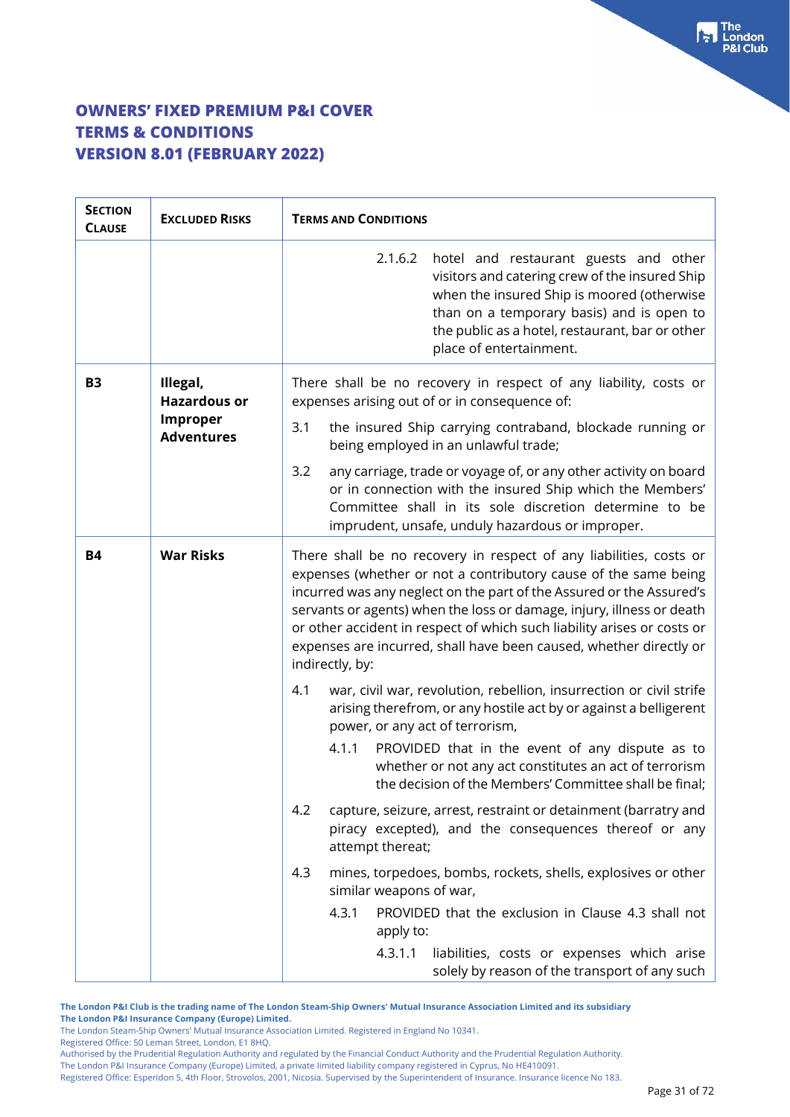| <b>SECTION</b><br><b>CLAUSE</b> | <b>EXCLUDED RISKS</b>                | <b>TERMS AND CONDITIONS</b>                                                                                                                                                                                                                                                                                                                                                                                                                                |  |  |
|---------------------------------|--------------------------------------|------------------------------------------------------------------------------------------------------------------------------------------------------------------------------------------------------------------------------------------------------------------------------------------------------------------------------------------------------------------------------------------------------------------------------------------------------------|--|--|
|                                 |                                      | 2.1.6.2<br>hotel and restaurant guests and other<br>visitors and catering crew of the insured Ship<br>when the insured Ship is moored (otherwise<br>than on a temporary basis) and is open to<br>the public as a hotel, restaurant, bar or other<br>place of entertainment.                                                                                                                                                                                |  |  |
| <b>B3</b>                       | Illegal,<br><b>Hazardous or</b>      | There shall be no recovery in respect of any liability, costs or<br>expenses arising out of or in consequence of:                                                                                                                                                                                                                                                                                                                                          |  |  |
|                                 | <b>Improper</b><br><b>Adventures</b> | 3.1<br>the insured Ship carrying contraband, blockade running or<br>being employed in an unlawful trade;                                                                                                                                                                                                                                                                                                                                                   |  |  |
|                                 |                                      | any carriage, trade or voyage of, or any other activity on board<br>3.2<br>or in connection with the insured Ship which the Members'<br>Committee shall in its sole discretion determine to be<br>imprudent, unsafe, unduly hazardous or improper.                                                                                                                                                                                                         |  |  |
| <b>B4</b>                       | <b>War Risks</b>                     | There shall be no recovery in respect of any liabilities, costs or<br>expenses (whether or not a contributory cause of the same being<br>incurred was any neglect on the part of the Assured or the Assured's<br>servants or agents) when the loss or damage, injury, illness or death<br>or other accident in respect of which such liability arises or costs or<br>expenses are incurred, shall have been caused, whether directly or<br>indirectly, by: |  |  |
|                                 |                                      | war, civil war, revolution, rebellion, insurrection or civil strife<br>4.1<br>arising therefrom, or any hostile act by or against a belligerent<br>power, or any act of terrorism,                                                                                                                                                                                                                                                                         |  |  |
|                                 |                                      | PROVIDED that in the event of any dispute as to<br>4.1.1<br>whether or not any act constitutes an act of terrorism<br>the decision of the Members' Committee shall be final;                                                                                                                                                                                                                                                                               |  |  |
|                                 |                                      | 4.2<br>capture, seizure, arrest, restraint or detainment (barratry and<br>piracy excepted), and the consequences thereof or any<br>attempt thereat;                                                                                                                                                                                                                                                                                                        |  |  |
|                                 |                                      | 4.3<br>mines, torpedoes, bombs, rockets, shells, explosives or other<br>similar weapons of war,                                                                                                                                                                                                                                                                                                                                                            |  |  |
|                                 |                                      | PROVIDED that the exclusion in Clause 4.3 shall not<br>4.3.1<br>apply to:                                                                                                                                                                                                                                                                                                                                                                                  |  |  |
|                                 |                                      | 4.3.1.1<br>liabilities, costs or expenses which arise<br>solely by reason of the transport of any such                                                                                                                                                                                                                                                                                                                                                     |  |  |

**The London P&I Club is the trading name of The London Steam-Ship Owners' Mutual Insurance Association Limited and its subsidiary**

**The London P&I Insurance Company (Europe) Limited.**

Registered Office: 50 Leman Street, London, E1 8HQ.

Authorised by the Prudential Regulation Authority and regulated by the Financial Conduct Authority and the Prudential Regulation Authority. The London P&I Insurance Company (Europe) Limited, a private limited liability company registered in Cyprus, No HE410091.

The London Steam-Ship Owners' Mutual Insurance Association Limited. Registered in England No 10341.

Registered Office: Esperidon 5, 4th Floor, Strovolos, 2001, Nicosia. Supervised by the Superintendent of Insurance. Insurance licence No 183.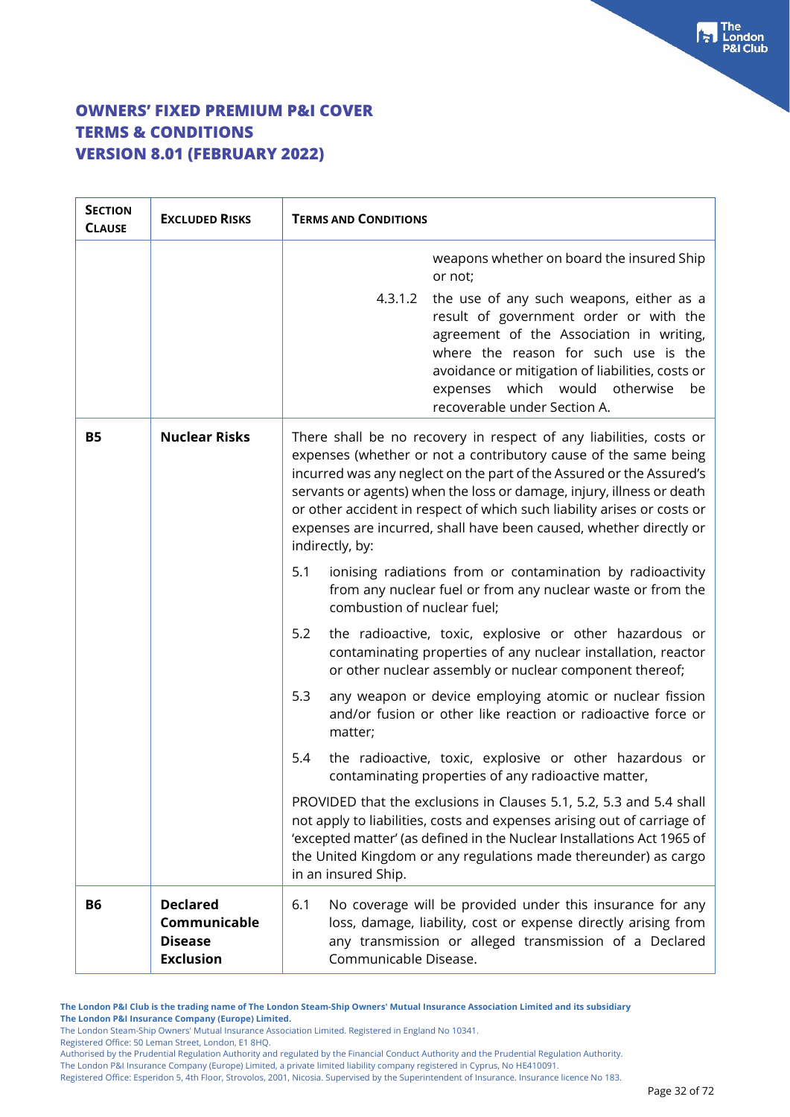| <b>SECTION</b><br><b>CLAUSE</b> | <b>EXCLUDED RISKS</b>                                                 | <b>TERMS AND CONDITIONS</b>                                                                                                                                                                                                                                                                                                                                                                                                                                |  |
|---------------------------------|-----------------------------------------------------------------------|------------------------------------------------------------------------------------------------------------------------------------------------------------------------------------------------------------------------------------------------------------------------------------------------------------------------------------------------------------------------------------------------------------------------------------------------------------|--|
|                                 |                                                                       | weapons whether on board the insured Ship<br>or not;                                                                                                                                                                                                                                                                                                                                                                                                       |  |
|                                 |                                                                       | 4.3.1.2 the use of any such weapons, either as a<br>result of government order or with the<br>agreement of the Association in writing,<br>where the reason for such use is the<br>avoidance or mitigation of liabilities, costs or<br>expenses which would otherwise<br>be<br>recoverable under Section A.                                                                                                                                                 |  |
| <b>B5</b>                       | <b>Nuclear Risks</b>                                                  | There shall be no recovery in respect of any liabilities, costs or<br>expenses (whether or not a contributory cause of the same being<br>incurred was any neglect on the part of the Assured or the Assured's<br>servants or agents) when the loss or damage, injury, illness or death<br>or other accident in respect of which such liability arises or costs or<br>expenses are incurred, shall have been caused, whether directly or<br>indirectly, by: |  |
|                                 |                                                                       | ionising radiations from or contamination by radioactivity<br>5.1<br>from any nuclear fuel or from any nuclear waste or from the<br>combustion of nuclear fuel;                                                                                                                                                                                                                                                                                            |  |
|                                 |                                                                       | 5.2<br>the radioactive, toxic, explosive or other hazardous or<br>contaminating properties of any nuclear installation, reactor<br>or other nuclear assembly or nuclear component thereof;                                                                                                                                                                                                                                                                 |  |
|                                 |                                                                       | 5.3<br>any weapon or device employing atomic or nuclear fission<br>and/or fusion or other like reaction or radioactive force or<br>matter;                                                                                                                                                                                                                                                                                                                 |  |
|                                 |                                                                       | the radioactive, toxic, explosive or other hazardous or<br>5.4<br>contaminating properties of any radioactive matter,                                                                                                                                                                                                                                                                                                                                      |  |
|                                 |                                                                       | PROVIDED that the exclusions in Clauses 5.1, 5.2, 5.3 and 5.4 shall<br>not apply to liabilities, costs and expenses arising out of carriage of<br>'excepted matter' (as defined in the Nuclear Installations Act 1965 of<br>the United Kingdom or any regulations made thereunder) as cargo<br>in an insured Ship.                                                                                                                                         |  |
| <b>B6</b>                       | <b>Declared</b><br>Communicable<br><b>Disease</b><br><b>Exclusion</b> | No coverage will be provided under this insurance for any<br>6.1<br>loss, damage, liability, cost or expense directly arising from<br>any transmission or alleged transmission of a Declared<br>Communicable Disease.                                                                                                                                                                                                                                      |  |

**The London P&I Club is the trading name of The London Steam-Ship Owners' Mutual Insurance Association Limited and its subsidiary The London P&I Insurance Company (Europe) Limited.**

The London Steam-Ship Owners' Mutual Insurance Association Limited. Registered in England No 10341.

Registered Office: 50 Leman Street, London, E1 8HQ.

Authorised by the Prudential Regulation Authority and regulated by the Financial Conduct Authority and the Prudential Regulation Authority.

The London P&I Insurance Company (Europe) Limited, a private limited liability company registered in Cyprus, No HE410091.

Registered Office: Esperidon 5, 4th Floor, Strovolos, 2001, Nicosia. Supervised by the Superintendent of Insurance. Insurance licence No 183.

The<br>London

**Club** 

tы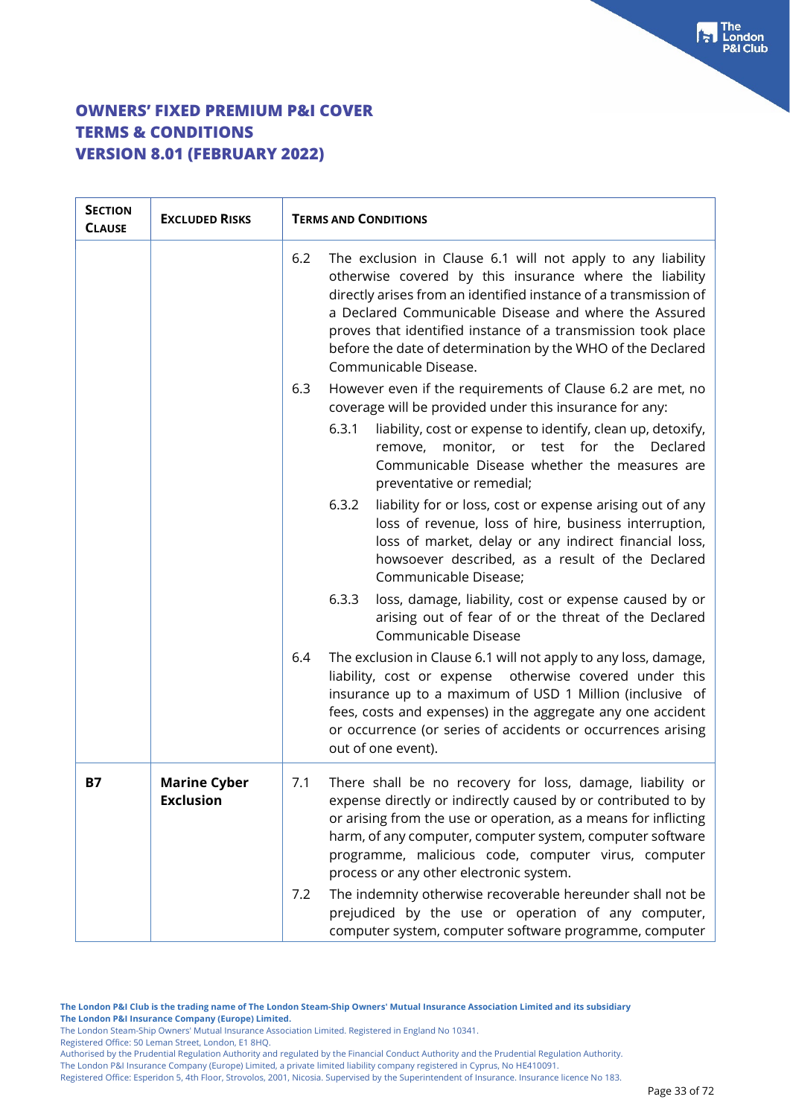| <b>SECTION</b><br><b>CLAUSE</b> | <b>EXCLUDED RISKS</b>                   | <b>TERMS AND CONDITIONS</b>                                                                                                                                                                                                                                                                                                                                                                                        |  |
|---------------------------------|-----------------------------------------|--------------------------------------------------------------------------------------------------------------------------------------------------------------------------------------------------------------------------------------------------------------------------------------------------------------------------------------------------------------------------------------------------------------------|--|
|                                 |                                         | 6.2<br>The exclusion in Clause 6.1 will not apply to any liability<br>otherwise covered by this insurance where the liability<br>directly arises from an identified instance of a transmission of<br>a Declared Communicable Disease and where the Assured<br>proves that identified instance of a transmission took place<br>before the date of determination by the WHO of the Declared<br>Communicable Disease. |  |
|                                 |                                         | 6.3<br>However even if the requirements of Clause 6.2 are met, no<br>coverage will be provided under this insurance for any:                                                                                                                                                                                                                                                                                       |  |
|                                 |                                         | 6.3.1<br>liability, cost or expense to identify, clean up, detoxify,<br>remove, monitor, or test for the Declared<br>Communicable Disease whether the measures are<br>preventative or remedial;                                                                                                                                                                                                                    |  |
|                                 |                                         | 6.3.2<br>liability for or loss, cost or expense arising out of any<br>loss of revenue, loss of hire, business interruption,<br>loss of market, delay or any indirect financial loss,<br>howsoever described, as a result of the Declared<br>Communicable Disease;                                                                                                                                                  |  |
|                                 |                                         | loss, damage, liability, cost or expense caused by or<br>6.3.3<br>arising out of fear of or the threat of the Declared<br>Communicable Disease                                                                                                                                                                                                                                                                     |  |
|                                 |                                         | The exclusion in Clause 6.1 will not apply to any loss, damage,<br>6.4<br>otherwise covered under this<br>liability, cost or expense<br>insurance up to a maximum of USD 1 Million (inclusive of<br>fees, costs and expenses) in the aggregate any one accident<br>or occurrence (or series of accidents or occurrences arising<br>out of one event).                                                              |  |
| B7                              | <b>Marine Cyber</b><br><b>Exclusion</b> | There shall be no recovery for loss, damage, liability or<br>7.1<br>expense directly or indirectly caused by or contributed to by<br>or arising from the use or operation, as a means for inflicting<br>harm, of any computer, computer system, computer software<br>programme, malicious code, computer virus, computer<br>process or any other electronic system.                                                |  |
|                                 |                                         | The indemnity otherwise recoverable hereunder shall not be<br>7.2<br>prejudiced by the use or operation of any computer,<br>computer system, computer software programme, computer                                                                                                                                                                                                                                 |  |

The London Steam-Ship Owners' Mutual Insurance Association Limited. Registered in England No 10341.

Registered Office: 50 Leman Street, London, E1 8HQ.

The London P&I Insurance Company (Europe) Limited, a private limited liability company registered in Cyprus, No HE410091. Registered Office: Esperidon 5, 4th Floor, Strovolos, 2001, Nicosia. Supervised by the Superintendent of Insurance. Insurance licence No 183. For The<br>P&I Club

Authorised by the Prudential Regulation Authority and regulated by the Financial Conduct Authority and the Prudential Regulation Authority.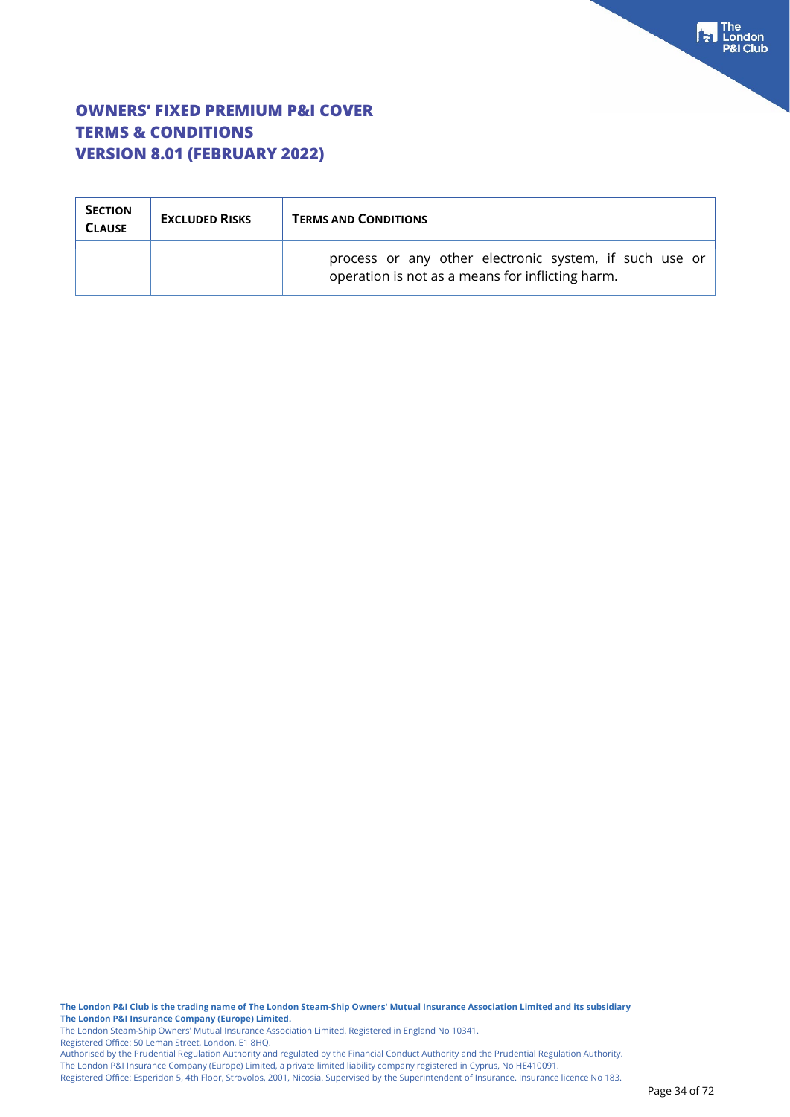| <b>SECTION</b><br><b>CLAUSE</b> | <b>EXCLUDED RISKS</b> | <b>TERMS AND CONDITIONS</b>                                                                                |  |
|---------------------------------|-----------------------|------------------------------------------------------------------------------------------------------------|--|
|                                 |                       | process or any other electronic system, if such use or<br>operation is not as a means for inflicting harm. |  |

**The London P&I Club is the trading name of The London Steam-Ship Owners' Mutual Insurance Association Limited and its subsidiary The London P&I Insurance Company (Europe) Limited.**

The London Steam-Ship Owners' Mutual Insurance Association Limited. Registered in England No 10341.

Registered Office: 50 Leman Street, London, E1 8HQ.

Authorised by the Prudential Regulation Authority and regulated by the Financial Conduct Authority and the Prudential Regulation Authority. The London P&I Insurance Company (Europe) Limited, a private limited liability company registered in Cyprus, No HE410091.

Registered Office: Esperidon 5, 4th Floor, Strovolos, 2001, Nicosia. Supervised by the Superintendent of Insurance. Insurance licence No 183.

For The<br>P&I Club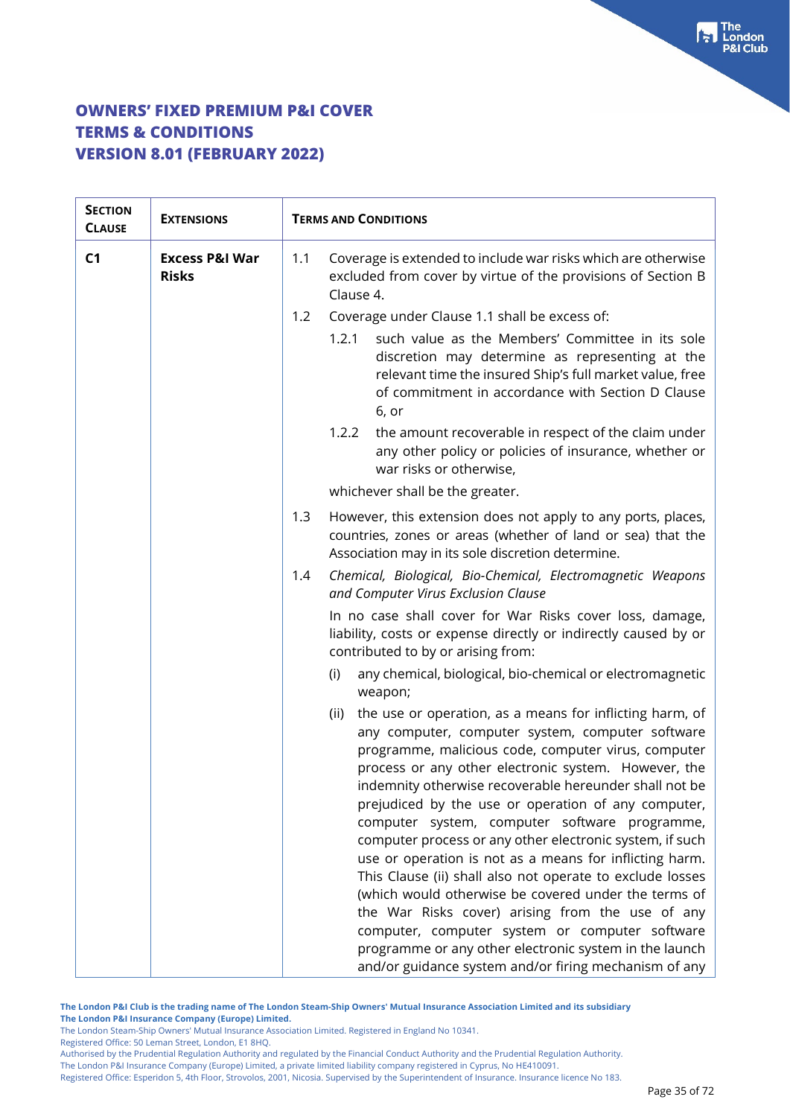| <b>SECTION</b><br><b>CLAUSE</b> | <b>EXTENSIONS</b>                         | <b>TERMS AND CONDITIONS</b>                                                                                                                                                                                                                                                                                                                                                                                                                                                                                                                                                                                                                                                                                                                                                                                                                                                |  |
|---------------------------------|-------------------------------------------|----------------------------------------------------------------------------------------------------------------------------------------------------------------------------------------------------------------------------------------------------------------------------------------------------------------------------------------------------------------------------------------------------------------------------------------------------------------------------------------------------------------------------------------------------------------------------------------------------------------------------------------------------------------------------------------------------------------------------------------------------------------------------------------------------------------------------------------------------------------------------|--|
| C <sub>1</sub>                  | <b>Excess P&amp;I War</b><br><b>Risks</b> | 1.1<br>Coverage is extended to include war risks which are otherwise<br>excluded from cover by virtue of the provisions of Section B<br>Clause 4.                                                                                                                                                                                                                                                                                                                                                                                                                                                                                                                                                                                                                                                                                                                          |  |
|                                 |                                           | Coverage under Clause 1.1 shall be excess of:<br>1.2                                                                                                                                                                                                                                                                                                                                                                                                                                                                                                                                                                                                                                                                                                                                                                                                                       |  |
|                                 |                                           | such value as the Members' Committee in its sole<br>1.2.1<br>discretion may determine as representing at the<br>relevant time the insured Ship's full market value, free<br>of commitment in accordance with Section D Clause<br>6, or                                                                                                                                                                                                                                                                                                                                                                                                                                                                                                                                                                                                                                     |  |
|                                 |                                           | 1.2.2<br>the amount recoverable in respect of the claim under<br>any other policy or policies of insurance, whether or<br>war risks or otherwise,                                                                                                                                                                                                                                                                                                                                                                                                                                                                                                                                                                                                                                                                                                                          |  |
|                                 |                                           | whichever shall be the greater.                                                                                                                                                                                                                                                                                                                                                                                                                                                                                                                                                                                                                                                                                                                                                                                                                                            |  |
|                                 |                                           | However, this extension does not apply to any ports, places,<br>1.3<br>countries, zones or areas (whether of land or sea) that the<br>Association may in its sole discretion determine.                                                                                                                                                                                                                                                                                                                                                                                                                                                                                                                                                                                                                                                                                    |  |
|                                 |                                           | Chemical, Biological, Bio-Chemical, Electromagnetic Weapons<br>1.4<br>and Computer Virus Exclusion Clause                                                                                                                                                                                                                                                                                                                                                                                                                                                                                                                                                                                                                                                                                                                                                                  |  |
|                                 |                                           | In no case shall cover for War Risks cover loss, damage,<br>liability, costs or expense directly or indirectly caused by or<br>contributed to by or arising from:                                                                                                                                                                                                                                                                                                                                                                                                                                                                                                                                                                                                                                                                                                          |  |
|                                 |                                           | any chemical, biological, bio-chemical or electromagnetic<br>(i)<br>weapon;                                                                                                                                                                                                                                                                                                                                                                                                                                                                                                                                                                                                                                                                                                                                                                                                |  |
|                                 |                                           | the use or operation, as a means for inflicting harm, of<br>(ii)<br>any computer, computer system, computer software<br>programme, malicious code, computer virus, computer<br>process or any other electronic system. However, the<br>indemnity otherwise recoverable hereunder shall not be<br>prejudiced by the use or operation of any computer,<br>computer system, computer software programme,<br>computer process or any other electronic system, if such<br>use or operation is not as a means for inflicting harm.<br>This Clause (ii) shall also not operate to exclude losses<br>(which would otherwise be covered under the terms of<br>the War Risks cover) arising from the use of any<br>computer, computer system or computer software<br>programme or any other electronic system in the launch<br>and/or guidance system and/or firing mechanism of any |  |

**The London P&I Club is the trading name of The London Steam-Ship Owners' Mutual Insurance Association Limited and its subsidiary**

**The London P&I Insurance Company (Europe) Limited.**

The London Steam-Ship Owners' Mutual Insurance Association Limited. Registered in England No 10341.

Registered Office: 50 Leman Street, London, E1 8HQ.

Authorised by the Prudential Regulation Authority and regulated by the Financial Conduct Authority and the Prudential Regulation Authority. The London P&I Insurance Company (Europe) Limited, a private limited liability company registered in Cyprus, No HE410091.

Registered Office: Esperidon 5, 4th Floor, Strovolos, 2001, Nicosia. Supervised by the Superintendent of Insurance. Insurance licence No 183.

 $\begin{bmatrix} 1 \\ 2 \end{bmatrix}$  The London **8I Club**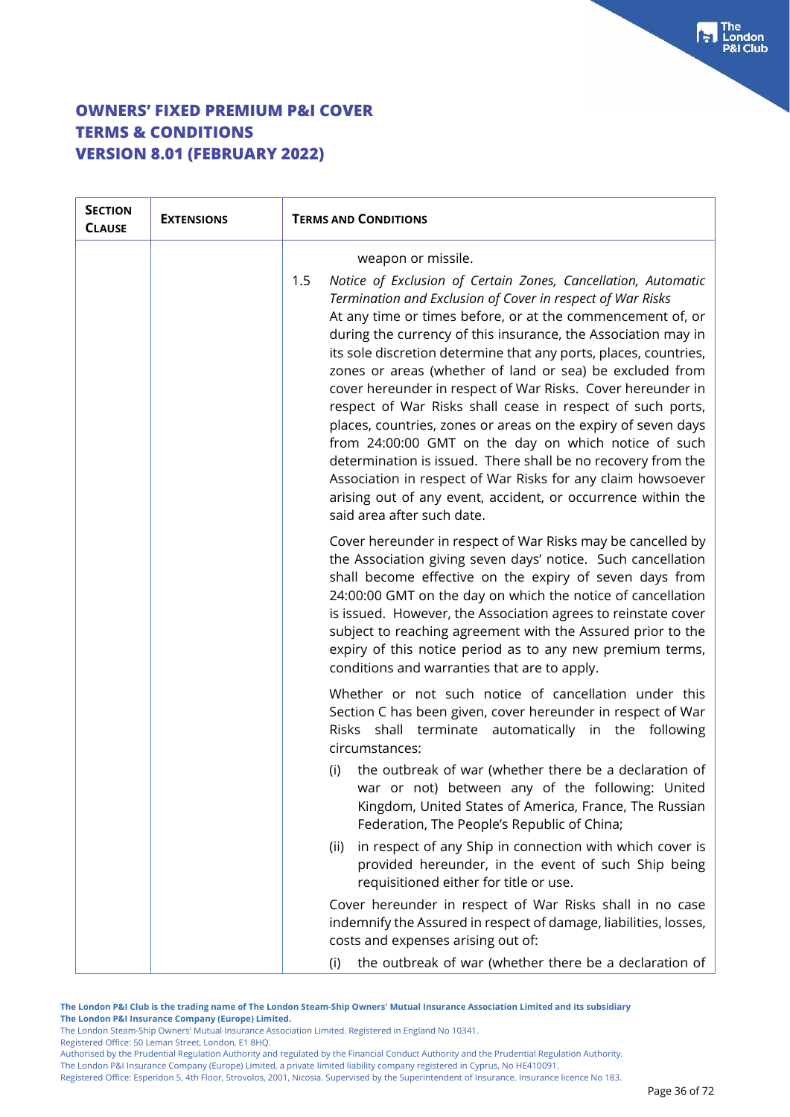| <b>SECTION</b><br><b>CLAUSE</b> | <b>EXTENSIONS</b> | <b>TERMS AND CONDITIONS</b>                                                                                                                                                                                                                                                                                                                                                                                                                                                                                                                                                                                                                                                                                                                                                                                                                                                          |
|---------------------------------|-------------------|--------------------------------------------------------------------------------------------------------------------------------------------------------------------------------------------------------------------------------------------------------------------------------------------------------------------------------------------------------------------------------------------------------------------------------------------------------------------------------------------------------------------------------------------------------------------------------------------------------------------------------------------------------------------------------------------------------------------------------------------------------------------------------------------------------------------------------------------------------------------------------------|
|                                 |                   | weapon or missile.                                                                                                                                                                                                                                                                                                                                                                                                                                                                                                                                                                                                                                                                                                                                                                                                                                                                   |
|                                 |                   | 1.5<br>Notice of Exclusion of Certain Zones, Cancellation, Automatic<br>Termination and Exclusion of Cover in respect of War Risks<br>At any time or times before, or at the commencement of, or<br>during the currency of this insurance, the Association may in<br>its sole discretion determine that any ports, places, countries,<br>zones or areas (whether of land or sea) be excluded from<br>cover hereunder in respect of War Risks. Cover hereunder in<br>respect of War Risks shall cease in respect of such ports,<br>places, countries, zones or areas on the expiry of seven days<br>from 24:00:00 GMT on the day on which notice of such<br>determination is issued. There shall be no recovery from the<br>Association in respect of War Risks for any claim howsoever<br>arising out of any event, accident, or occurrence within the<br>said area after such date. |
|                                 |                   | Cover hereunder in respect of War Risks may be cancelled by<br>the Association giving seven days' notice. Such cancellation<br>shall become effective on the expiry of seven days from<br>24:00:00 GMT on the day on which the notice of cancellation<br>is issued. However, the Association agrees to reinstate cover<br>subject to reaching agreement with the Assured prior to the<br>expiry of this notice period as to any new premium terms,<br>conditions and warranties that are to apply.                                                                                                                                                                                                                                                                                                                                                                                   |
|                                 |                   | Whether or not such notice of cancellation under this<br>Section C has been given, cover hereunder in respect of War<br>Risks shall terminate automatically in the following<br>circumstances:                                                                                                                                                                                                                                                                                                                                                                                                                                                                                                                                                                                                                                                                                       |
|                                 |                   | the outbreak of war (whether there be a declaration of<br>(i)<br>war or not) between any of the following: United<br>Kingdom, United States of America, France, The Russian<br>Federation, The People's Republic of China;                                                                                                                                                                                                                                                                                                                                                                                                                                                                                                                                                                                                                                                           |
|                                 |                   | in respect of any Ship in connection with which cover is<br>(ii)<br>provided hereunder, in the event of such Ship being<br>requisitioned either for title or use.                                                                                                                                                                                                                                                                                                                                                                                                                                                                                                                                                                                                                                                                                                                    |
|                                 |                   | Cover hereunder in respect of War Risks shall in no case<br>indemnify the Assured in respect of damage, liabilities, losses,<br>costs and expenses arising out of:                                                                                                                                                                                                                                                                                                                                                                                                                                                                                                                                                                                                                                                                                                                   |
|                                 |                   | the outbreak of war (whether there be a declaration of<br>(i)                                                                                                                                                                                                                                                                                                                                                                                                                                                                                                                                                                                                                                                                                                                                                                                                                        |

**The London P&I Club is the trading name of The London Steam-Ship Owners' Mutual Insurance Association Limited and its subsidiary The London P&I Insurance Company (Europe) Limited.**

The London Steam-Ship Owners' Mutual Insurance Association Limited. Registered in England No 10341.

Registered Office: 50 Leman Street, London, E1 8HQ.

Authorised by the Prudential Regulation Authority and regulated by the Financial Conduct Authority and the Prudential Regulation Authority. The London P&I Insurance Company (Europe) Limited, a private limited liability company registered in Cyprus, No HE410091.

Registered Office: Esperidon 5, 4th Floor, Strovolos, 2001, Nicosia. Supervised by the Superintendent of Insurance. Insurance licence No 183.

Fraction<br>P&I Club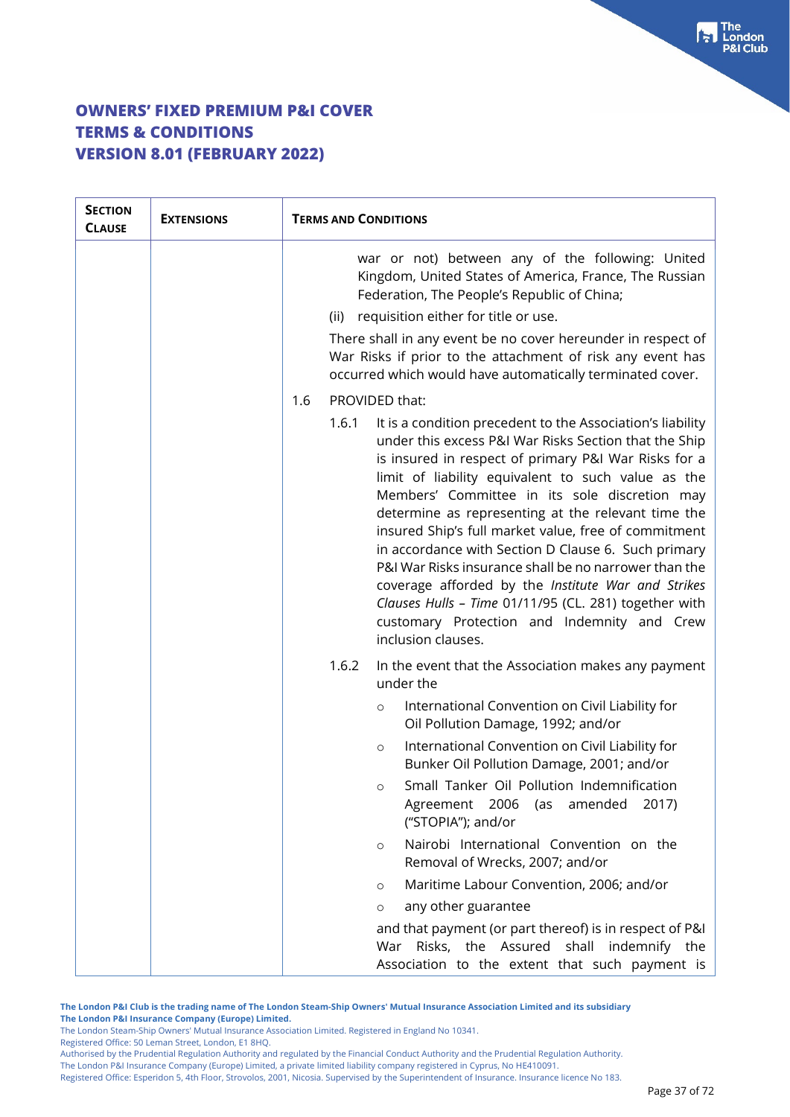| <b>SECTION</b><br><b>CLAUSE</b> | <b>EXTENSIONS</b> | <b>TERMS AND CONDITIONS</b>                                                                                                                                                                                                                                                                                                                                                                                                                                                                                                                                                                                                                                                                                   |
|---------------------------------|-------------------|---------------------------------------------------------------------------------------------------------------------------------------------------------------------------------------------------------------------------------------------------------------------------------------------------------------------------------------------------------------------------------------------------------------------------------------------------------------------------------------------------------------------------------------------------------------------------------------------------------------------------------------------------------------------------------------------------------------|
|                                 |                   | war or not) between any of the following: United<br>Kingdom, United States of America, France, The Russian<br>Federation, The People's Republic of China;<br>(ii) requisition either for title or use.<br>There shall in any event be no cover hereunder in respect of<br>War Risks if prior to the attachment of risk any event has<br>occurred which would have automatically terminated cover.                                                                                                                                                                                                                                                                                                             |
|                                 |                   | PROVIDED that:<br>1.6                                                                                                                                                                                                                                                                                                                                                                                                                                                                                                                                                                                                                                                                                         |
|                                 |                   | 1.6.1<br>It is a condition precedent to the Association's liability<br>under this excess P&I War Risks Section that the Ship<br>is insured in respect of primary P&I War Risks for a<br>limit of liability equivalent to such value as the<br>Members' Committee in its sole discretion may<br>determine as representing at the relevant time the<br>insured Ship's full market value, free of commitment<br>in accordance with Section D Clause 6. Such primary<br>P&I War Risks insurance shall be no narrower than the<br>coverage afforded by the Institute War and Strikes<br>Clauses Hulls - Time 01/11/95 (CL. 281) together with<br>customary Protection and Indemnity and Crew<br>inclusion clauses. |
|                                 |                   | 1.6.2<br>In the event that the Association makes any payment<br>under the                                                                                                                                                                                                                                                                                                                                                                                                                                                                                                                                                                                                                                     |
|                                 |                   | International Convention on Civil Liability for<br>$\circ$<br>Oil Pollution Damage, 1992; and/or                                                                                                                                                                                                                                                                                                                                                                                                                                                                                                                                                                                                              |
|                                 |                   | International Convention on Civil Liability for<br>$\circ$<br>Bunker Oil Pollution Damage, 2001; and/or                                                                                                                                                                                                                                                                                                                                                                                                                                                                                                                                                                                                       |
|                                 |                   | Small Tanker Oil Pollution Indemnification<br>$\circ$<br>Agreement 2006<br>amended<br>2017)<br>(as<br>("STOPIA"); and/or                                                                                                                                                                                                                                                                                                                                                                                                                                                                                                                                                                                      |
|                                 |                   | Nairobi International Convention on the<br>$\circ$<br>Removal of Wrecks, 2007; and/or                                                                                                                                                                                                                                                                                                                                                                                                                                                                                                                                                                                                                         |
|                                 |                   | Maritime Labour Convention, 2006; and/or<br>$\circ$                                                                                                                                                                                                                                                                                                                                                                                                                                                                                                                                                                                                                                                           |
|                                 |                   | any other guarantee<br>$\circ$                                                                                                                                                                                                                                                                                                                                                                                                                                                                                                                                                                                                                                                                                |
|                                 |                   | and that payment (or part thereof) is in respect of P&I<br>War Risks, the Assured shall indemnify the<br>Association to the extent that such payment is                                                                                                                                                                                                                                                                                                                                                                                                                                                                                                                                                       |

**The London P&I Club is the trading name of The London Steam-Ship Owners' Mutual Insurance Association Limited and its subsidiary The London P&I Insurance Company (Europe) Limited.**

The London Steam-Ship Owners' Mutual Insurance Association Limited. Registered in England No 10341.

Registered Office: 50 Leman Street, London, E1 8HQ.

Authorised by the Prudential Regulation Authority and regulated by the Financial Conduct Authority and the Prudential Regulation Authority. The London P&I Insurance Company (Europe) Limited, a private limited liability company registered in Cyprus, No HE410091.

Registered Office: Esperidon 5, 4th Floor, Strovolos, 2001, Nicosia. Supervised by the Superintendent of Insurance. Insurance licence No 183.

 $\begin{bmatrix} \bullet \\ \bullet \end{bmatrix}$  The **8I Club**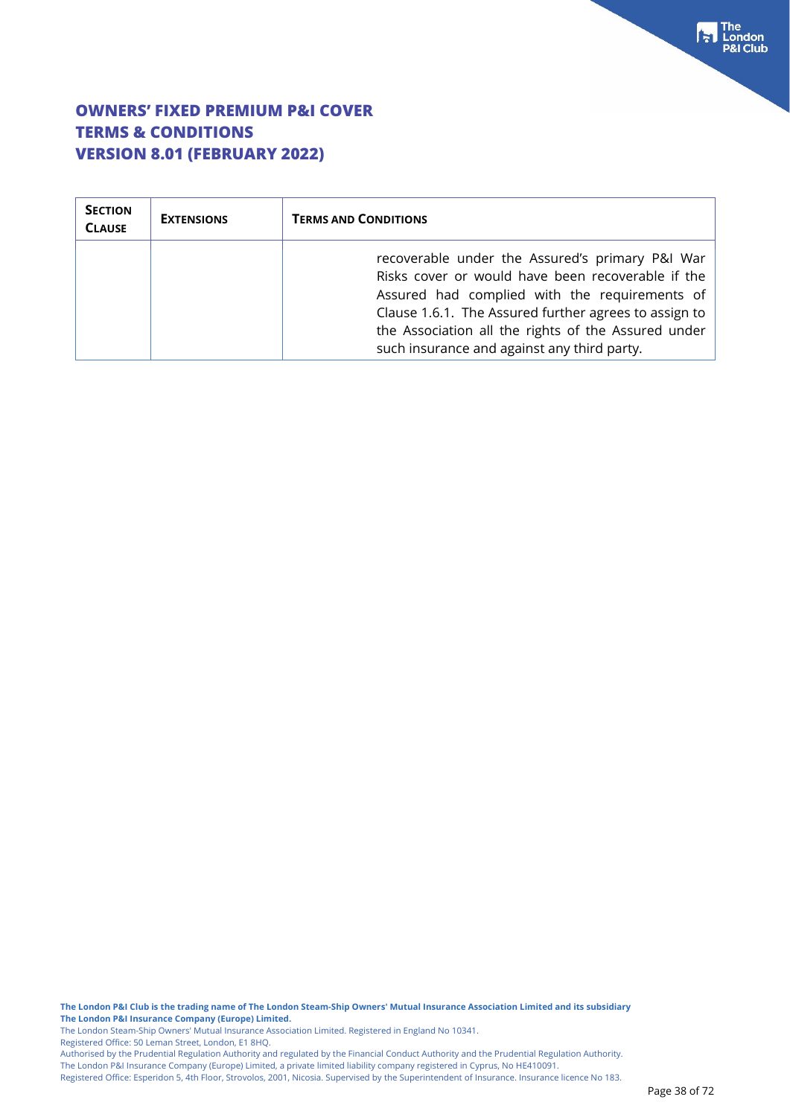| <b>SECTION</b><br><b>CLAUSE</b> | <b>EXTENSIONS</b> | <b>TERMS AND CONDITIONS</b>                                                                                                                                                                                                                                                                                          |
|---------------------------------|-------------------|----------------------------------------------------------------------------------------------------------------------------------------------------------------------------------------------------------------------------------------------------------------------------------------------------------------------|
|                                 |                   | recoverable under the Assured's primary P&I War<br>Risks cover or would have been recoverable if the<br>Assured had complied with the requirements of<br>Clause 1.6.1. The Assured further agrees to assign to<br>the Association all the rights of the Assured under<br>such insurance and against any third party. |

**The London P&I Club is the trading name of The London Steam-Ship Owners' Mutual Insurance Association Limited and its subsidiary The London P&I Insurance Company (Europe) Limited.**

The London Steam-Ship Owners' Mutual Insurance Association Limited. Registered in England No 10341.

Registered Office: 50 Leman Street, London, E1 8HQ.

Authorised by the Prudential Regulation Authority and regulated by the Financial Conduct Authority and the Prudential Regulation Authority. The London P&I Insurance Company (Europe) Limited, a private limited liability company registered in Cyprus, No HE410091.

Registered Office: Esperidon 5, 4th Floor, Strovolos, 2001, Nicosia. Supervised by the Superintendent of Insurance. Insurance licence No 183.

The<br> **Following**<br>
P&I Club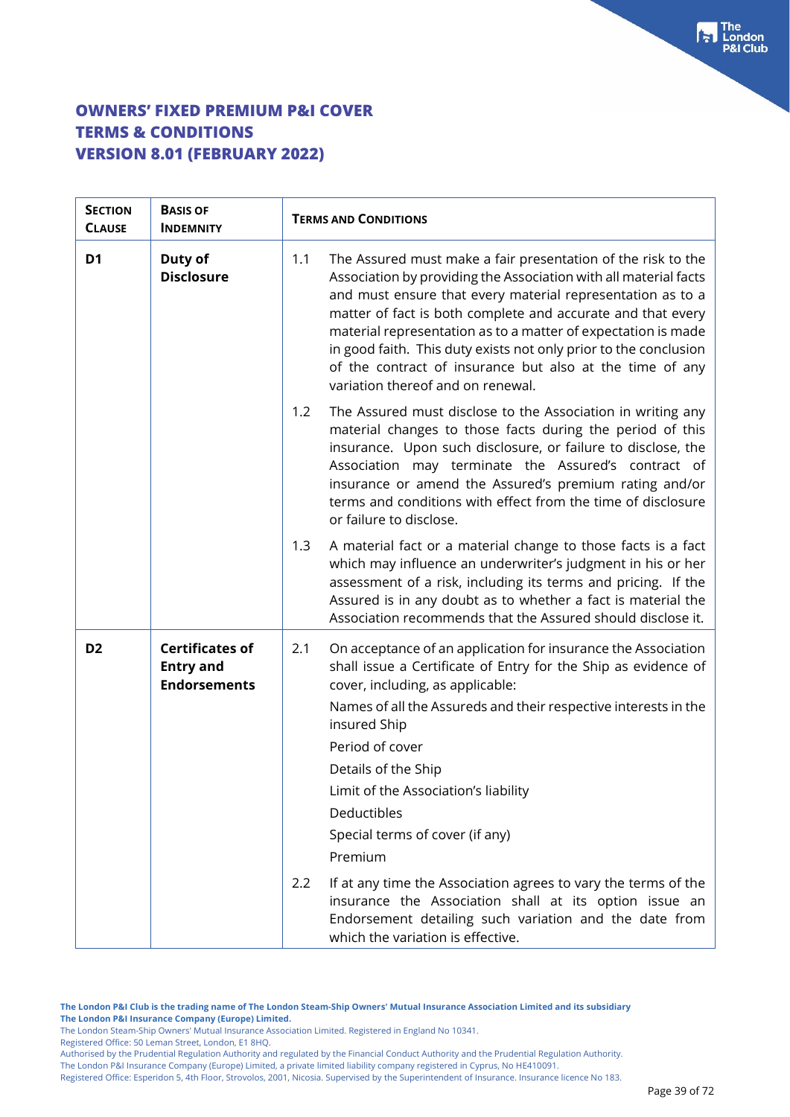| <b>SECTION</b><br><b>CLAUSE</b> | <b>BASIS OF</b><br><b>INDEMNITY</b>                               | <b>TERMS AND CONDITIONS</b>                                                                                                                                                                                                                                                                                                                                                                                                                                                                                |
|---------------------------------|-------------------------------------------------------------------|------------------------------------------------------------------------------------------------------------------------------------------------------------------------------------------------------------------------------------------------------------------------------------------------------------------------------------------------------------------------------------------------------------------------------------------------------------------------------------------------------------|
| D <sub>1</sub>                  | Duty of<br><b>Disclosure</b>                                      | The Assured must make a fair presentation of the risk to the<br>1.1<br>Association by providing the Association with all material facts<br>and must ensure that every material representation as to a<br>matter of fact is both complete and accurate and that every<br>material representation as to a matter of expectation is made<br>in good faith. This duty exists not only prior to the conclusion<br>of the contract of insurance but also at the time of any<br>variation thereof and on renewal. |
|                                 |                                                                   | 1.2<br>The Assured must disclose to the Association in writing any<br>material changes to those facts during the period of this<br>insurance. Upon such disclosure, or failure to disclose, the<br>Association may terminate the Assured's contract of<br>insurance or amend the Assured's premium rating and/or<br>terms and conditions with effect from the time of disclosure<br>or failure to disclose.                                                                                                |
|                                 |                                                                   | 1.3<br>A material fact or a material change to those facts is a fact<br>which may influence an underwriter's judgment in his or her<br>assessment of a risk, including its terms and pricing. If the<br>Assured is in any doubt as to whether a fact is material the<br>Association recommends that the Assured should disclose it.                                                                                                                                                                        |
| D <sub>2</sub>                  | <b>Certificates of</b><br><b>Entry and</b><br><b>Endorsements</b> | On acceptance of an application for insurance the Association<br>2.1<br>shall issue a Certificate of Entry for the Ship as evidence of<br>cover, including, as applicable:<br>Names of all the Assureds and their respective interests in the<br>insured Ship<br>Period of cover<br>Details of the Ship<br>Limit of the Association's liability<br>Deductibles<br>Special terms of cover (if any)<br>Premium                                                                                               |
|                                 |                                                                   | 2.2<br>If at any time the Association agrees to vary the terms of the<br>insurance the Association shall at its option issue an<br>Endorsement detailing such variation and the date from<br>which the variation is effective.                                                                                                                                                                                                                                                                             |

**The London P&I Club is the trading name of The London Steam-Ship Owners' Mutual Insurance Association Limited and its subsidiary The London P&I Insurance Company (Europe) Limited.**

The London Steam-Ship Owners' Mutual Insurance Association Limited. Registered in England No 10341.

Registered Office: 50 Leman Street, London, E1 8HQ.

Authorised by the Prudential Regulation Authority and regulated by the Financial Conduct Authority and the Prudential Regulation Authority.

The London P&I Insurance Company (Europe) Limited, a private limited liability company registered in Cyprus, No HE410091.

Registered Office: Esperidon 5, 4th Floor, Strovolos, 2001, Nicosia. Supervised by the Superintendent of Insurance. Insurance licence No 183.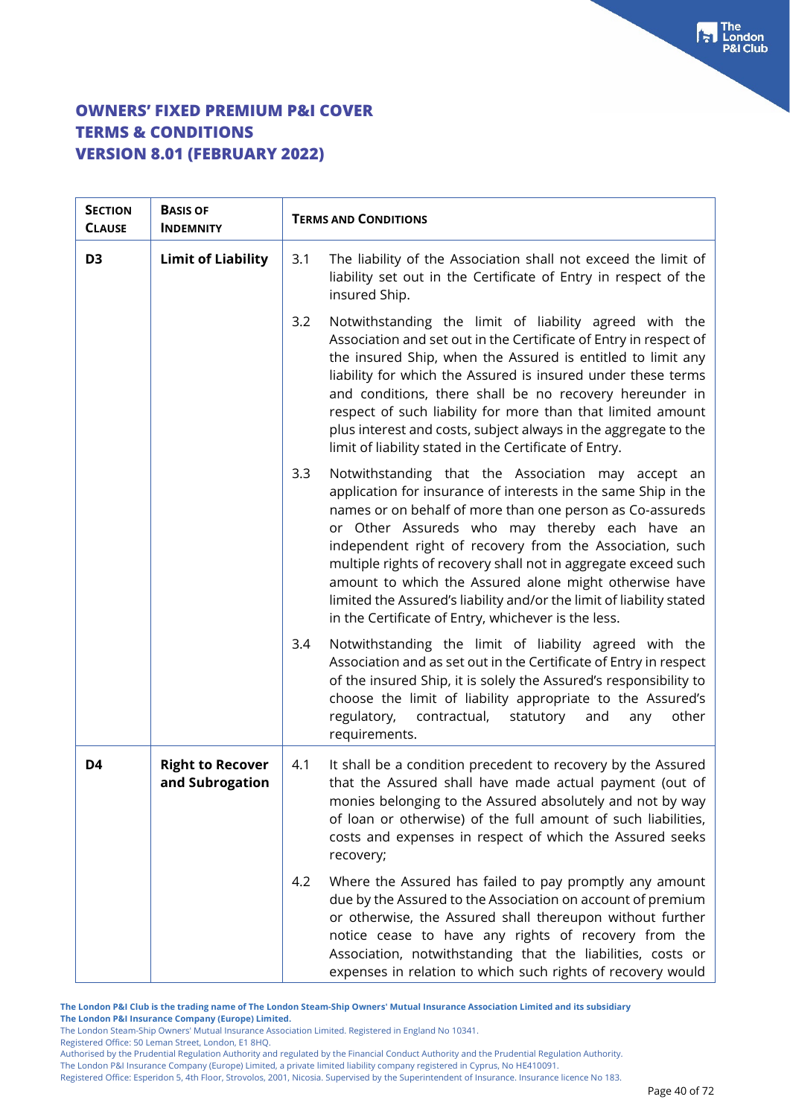| <b>SECTION</b><br><b>CLAUSE</b> | <b>BASIS OF</b><br><b>INDEMNITY</b>        | <b>TERMS AND CONDITIONS</b>                                                                                                                                                                                                                                                                                                                                                                                                                                                                                                                                       |
|---------------------------------|--------------------------------------------|-------------------------------------------------------------------------------------------------------------------------------------------------------------------------------------------------------------------------------------------------------------------------------------------------------------------------------------------------------------------------------------------------------------------------------------------------------------------------------------------------------------------------------------------------------------------|
| D <sub>3</sub>                  | <b>Limit of Liability</b>                  | The liability of the Association shall not exceed the limit of<br>3.1<br>liability set out in the Certificate of Entry in respect of the<br>insured Ship.                                                                                                                                                                                                                                                                                                                                                                                                         |
|                                 |                                            | Notwithstanding the limit of liability agreed with the<br>3.2<br>Association and set out in the Certificate of Entry in respect of<br>the insured Ship, when the Assured is entitled to limit any<br>liability for which the Assured is insured under these terms<br>and conditions, there shall be no recovery hereunder in<br>respect of such liability for more than that limited amount<br>plus interest and costs, subject always in the aggregate to the<br>limit of liability stated in the Certificate of Entry.                                          |
|                                 |                                            | 3.3<br>Notwithstanding that the Association may accept an<br>application for insurance of interests in the same Ship in the<br>names or on behalf of more than one person as Co-assureds<br>or Other Assureds who may thereby each have an<br>independent right of recovery from the Association, such<br>multiple rights of recovery shall not in aggregate exceed such<br>amount to which the Assured alone might otherwise have<br>limited the Assured's liability and/or the limit of liability stated<br>in the Certificate of Entry, whichever is the less. |
|                                 |                                            | Notwithstanding the limit of liability agreed with the<br>3.4<br>Association and as set out in the Certificate of Entry in respect<br>of the insured Ship, it is solely the Assured's responsibility to<br>choose the limit of liability appropriate to the Assured's<br>regulatory,<br>contractual,<br>statutory<br>other<br>and<br>any<br>requirements.                                                                                                                                                                                                         |
| D4                              | <b>Right to Recover</b><br>and Subrogation | It shall be a condition precedent to recovery by the Assured<br>4.1<br>that the Assured shall have made actual payment (out of<br>monies belonging to the Assured absolutely and not by way<br>of loan or otherwise) of the full amount of such liabilities,<br>costs and expenses in respect of which the Assured seeks<br>recovery;                                                                                                                                                                                                                             |
|                                 |                                            | Where the Assured has failed to pay promptly any amount<br>4.2<br>due by the Assured to the Association on account of premium<br>or otherwise, the Assured shall thereupon without further<br>notice cease to have any rights of recovery from the<br>Association, notwithstanding that the liabilities, costs or<br>expenses in relation to which such rights of recovery would                                                                                                                                                                                  |

**The London P&I Club is the trading name of The London Steam-Ship Owners' Mutual Insurance Association Limited and its subsidiary The London P&I Insurance Company (Europe) Limited.**

The London Steam-Ship Owners' Mutual Insurance Association Limited. Registered in England No 10341.

Registered Office: 50 Leman Street, London, E1 8HQ.

Authorised by the Prudential Regulation Authority and regulated by the Financial Conduct Authority and the Prudential Regulation Authority.

The London P&I Insurance Company (Europe) Limited, a private limited liability company registered in Cyprus, No HE410091.

Registered Office: Esperidon 5, 4th Floor, Strovolos, 2001, Nicosia. Supervised by the Superintendent of Insurance. Insurance licence No 183.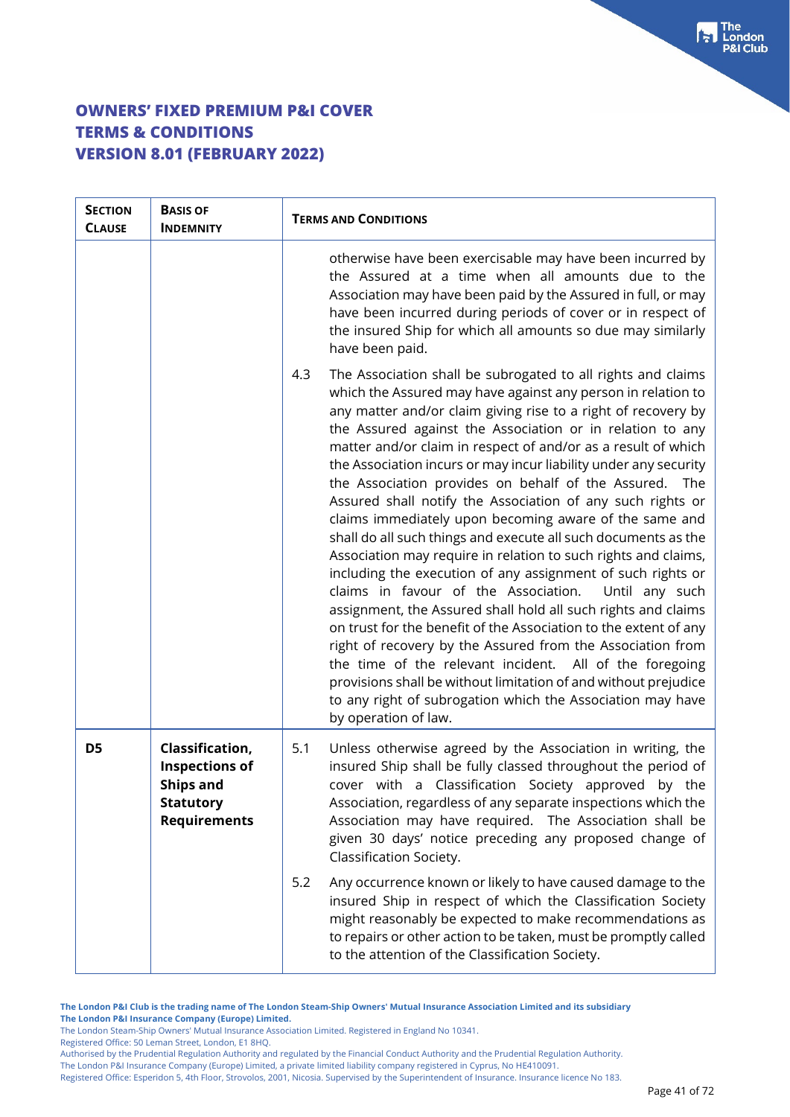| <b>SECTION</b><br><b>CLAUSE</b> | <b>BASIS OF</b><br><b>INDEMNITY</b>                                                                     | <b>TERMS AND CONDITIONS</b>                                                                                                                                                                                                                                                                                                                                                                                                                                                                                                                                                                                                                                                                                                                                                                                                                                                                                                                                                                                                                                                                                                                                                                                                                                                  |
|---------------------------------|---------------------------------------------------------------------------------------------------------|------------------------------------------------------------------------------------------------------------------------------------------------------------------------------------------------------------------------------------------------------------------------------------------------------------------------------------------------------------------------------------------------------------------------------------------------------------------------------------------------------------------------------------------------------------------------------------------------------------------------------------------------------------------------------------------------------------------------------------------------------------------------------------------------------------------------------------------------------------------------------------------------------------------------------------------------------------------------------------------------------------------------------------------------------------------------------------------------------------------------------------------------------------------------------------------------------------------------------------------------------------------------------|
|                                 |                                                                                                         | otherwise have been exercisable may have been incurred by<br>the Assured at a time when all amounts due to the<br>Association may have been paid by the Assured in full, or may<br>have been incurred during periods of cover or in respect of<br>the insured Ship for which all amounts so due may similarly<br>have been paid.                                                                                                                                                                                                                                                                                                                                                                                                                                                                                                                                                                                                                                                                                                                                                                                                                                                                                                                                             |
|                                 |                                                                                                         | 4.3<br>The Association shall be subrogated to all rights and claims<br>which the Assured may have against any person in relation to<br>any matter and/or claim giving rise to a right of recovery by<br>the Assured against the Association or in relation to any<br>matter and/or claim in respect of and/or as a result of which<br>the Association incurs or may incur liability under any security<br>the Association provides on behalf of the Assured. The<br>Assured shall notify the Association of any such rights or<br>claims immediately upon becoming aware of the same and<br>shall do all such things and execute all such documents as the<br>Association may require in relation to such rights and claims,<br>including the execution of any assignment of such rights or<br>claims in favour of the Association.<br>Until any such<br>assignment, the Assured shall hold all such rights and claims<br>on trust for the benefit of the Association to the extent of any<br>right of recovery by the Assured from the Association from<br>the time of the relevant incident. All of the foregoing<br>provisions shall be without limitation of and without prejudice<br>to any right of subrogation which the Association may have<br>by operation of law. |
| D <sub>5</sub>                  | Classification,<br><b>Inspections of</b><br><b>Ships and</b><br><b>Statutory</b><br><b>Requirements</b> | Unless otherwise agreed by the Association in writing, the<br>5.1<br>insured Ship shall be fully classed throughout the period of<br>cover with a Classification Society approved by the<br>Association, regardless of any separate inspections which the<br>Association may have required. The Association shall be<br>given 30 days' notice preceding any proposed change of<br>Classification Society.                                                                                                                                                                                                                                                                                                                                                                                                                                                                                                                                                                                                                                                                                                                                                                                                                                                                    |
|                                 |                                                                                                         | 5.2<br>Any occurrence known or likely to have caused damage to the<br>insured Ship in respect of which the Classification Society<br>might reasonably be expected to make recommendations as<br>to repairs or other action to be taken, must be promptly called<br>to the attention of the Classification Society.                                                                                                                                                                                                                                                                                                                                                                                                                                                                                                                                                                                                                                                                                                                                                                                                                                                                                                                                                           |

**The London P&I Club is the trading name of The London Steam-Ship Owners' Mutual Insurance Association Limited and its subsidiary The London P&I Insurance Company (Europe) Limited.**

The London Steam-Ship Owners' Mutual Insurance Association Limited. Registered in England No 10341.

Registered Office: 50 Leman Street, London, E1 8HQ.

Authorised by the Prudential Regulation Authority and regulated by the Financial Conduct Authority and the Prudential Regulation Authority. The London P&I Insurance Company (Europe) Limited, a private limited liability company registered in Cyprus, No HE410091.

Registered Office: Esperidon 5, 4th Floor, Strovolos, 2001, Nicosia. Supervised by the Superintendent of Insurance. Insurance licence No 183.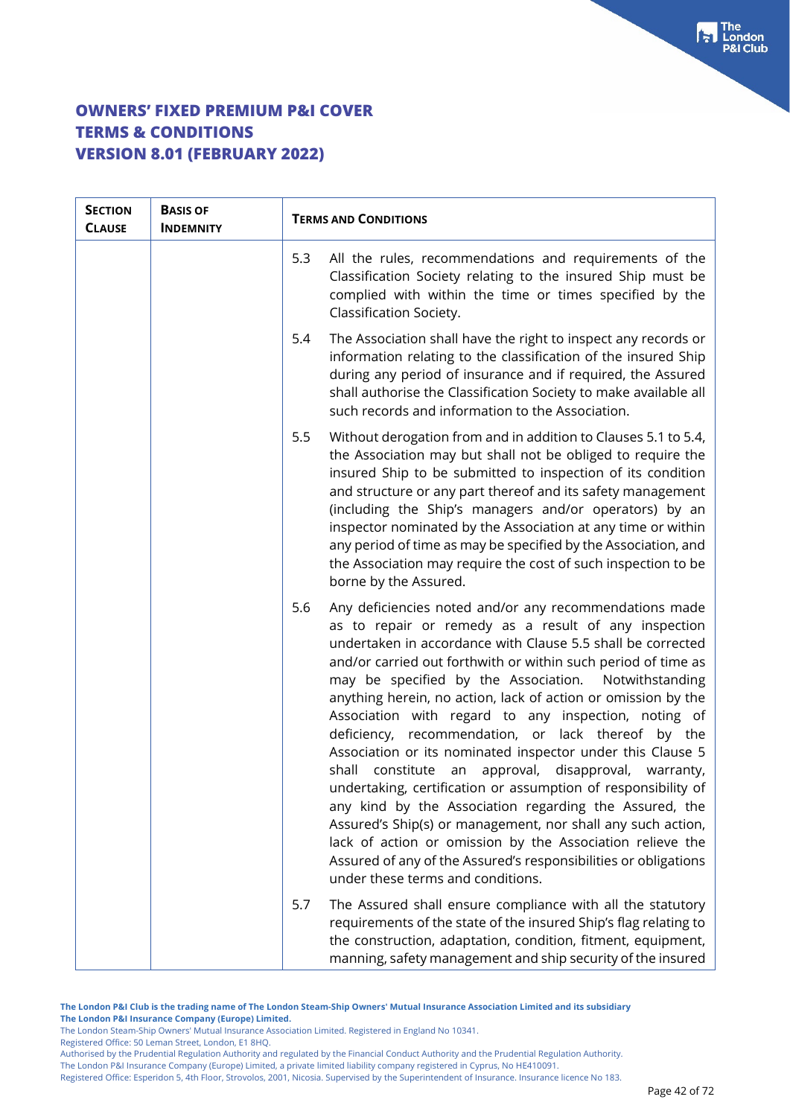| <b>SECTION</b><br><b>CLAUSE</b> | <b>BASIS OF</b><br><b>INDEMNITY</b> | <b>TERMS AND CONDITIONS</b>                                                                                                                                                                                                                                                                                                                                                                                                                                                                                                                                                                                                                                                                                                                                                                                                                                                                                                                                                             |
|---------------------------------|-------------------------------------|-----------------------------------------------------------------------------------------------------------------------------------------------------------------------------------------------------------------------------------------------------------------------------------------------------------------------------------------------------------------------------------------------------------------------------------------------------------------------------------------------------------------------------------------------------------------------------------------------------------------------------------------------------------------------------------------------------------------------------------------------------------------------------------------------------------------------------------------------------------------------------------------------------------------------------------------------------------------------------------------|
|                                 |                                     | 5.3<br>All the rules, recommendations and requirements of the<br>Classification Society relating to the insured Ship must be<br>complied with within the time or times specified by the<br>Classification Society.                                                                                                                                                                                                                                                                                                                                                                                                                                                                                                                                                                                                                                                                                                                                                                      |
|                                 |                                     | The Association shall have the right to inspect any records or<br>5.4<br>information relating to the classification of the insured Ship<br>during any period of insurance and if required, the Assured<br>shall authorise the Classification Society to make available all<br>such records and information to the Association.                                                                                                                                                                                                                                                                                                                                                                                                                                                                                                                                                                                                                                                          |
|                                 |                                     | Without derogation from and in addition to Clauses 5.1 to 5.4,<br>5.5<br>the Association may but shall not be obliged to require the<br>insured Ship to be submitted to inspection of its condition<br>and structure or any part thereof and its safety management<br>(including the Ship's managers and/or operators) by an<br>inspector nominated by the Association at any time or within<br>any period of time as may be specified by the Association, and<br>the Association may require the cost of such inspection to be<br>borne by the Assured.                                                                                                                                                                                                                                                                                                                                                                                                                                |
|                                 |                                     | Any deficiencies noted and/or any recommendations made<br>5.6<br>as to repair or remedy as a result of any inspection<br>undertaken in accordance with Clause 5.5 shall be corrected<br>and/or carried out forthwith or within such period of time as<br>may be specified by the Association. Notwithstanding<br>anything herein, no action, lack of action or omission by the<br>Association with regard to any inspection, noting of<br>deficiency, recommendation, or lack thereof by the<br>Association or its nominated inspector under this Clause 5<br>constitute an<br>approval, disapproval, warranty,<br>shall<br>undertaking, certification or assumption of responsibility of<br>any kind by the Association regarding the Assured, the<br>Assured's Ship(s) or management, nor shall any such action,<br>lack of action or omission by the Association relieve the<br>Assured of any of the Assured's responsibilities or obligations<br>under these terms and conditions. |
|                                 |                                     | The Assured shall ensure compliance with all the statutory<br>5.7<br>requirements of the state of the insured Ship's flag relating to<br>the construction, adaptation, condition, fitment, equipment,<br>manning, safety management and ship security of the insured                                                                                                                                                                                                                                                                                                                                                                                                                                                                                                                                                                                                                                                                                                                    |

**The London P&I Club is the trading name of The London Steam-Ship Owners' Mutual Insurance Association Limited and its subsidiary The London P&I Insurance Company (Europe) Limited.**

Registered Office: 50 Leman Street, London, E1 8HQ.

Authorised by the Prudential Regulation Authority and regulated by the Financial Conduct Authority and the Prudential Regulation Authority. The London P&I Insurance Company (Europe) Limited, a private limited liability company registered in Cyprus, No HE410091.

Registered Office: Esperidon 5, 4th Floor, Strovolos, 2001, Nicosia. Supervised by the Superintendent of Insurance. Insurance licence No 183.

The London Steam-Ship Owners' Mutual Insurance Association Limited. Registered in England No 10341.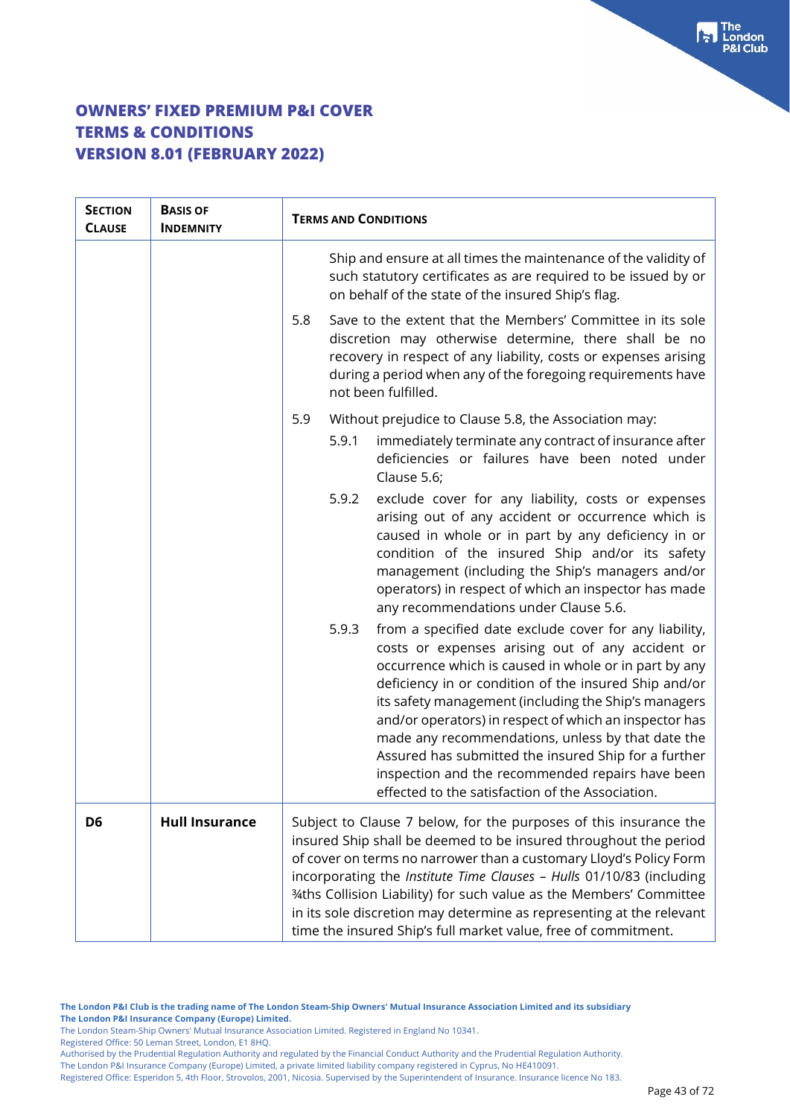| <b>SECTION</b><br><b>CLAUSE</b> | <b>BASIS OF</b><br><b>INDEMNITY</b> | <b>TERMS AND CONDITIONS</b>                                                                                                                                                                                                                                                                                                                                                                                                                                                                                                                                                  |
|---------------------------------|-------------------------------------|------------------------------------------------------------------------------------------------------------------------------------------------------------------------------------------------------------------------------------------------------------------------------------------------------------------------------------------------------------------------------------------------------------------------------------------------------------------------------------------------------------------------------------------------------------------------------|
|                                 |                                     | Ship and ensure at all times the maintenance of the validity of<br>such statutory certificates as are required to be issued by or<br>on behalf of the state of the insured Ship's flag.                                                                                                                                                                                                                                                                                                                                                                                      |
|                                 |                                     | Save to the extent that the Members' Committee in its sole<br>5.8<br>discretion may otherwise determine, there shall be no<br>recovery in respect of any liability, costs or expenses arising<br>during a period when any of the foregoing requirements have<br>not been fulfilled.                                                                                                                                                                                                                                                                                          |
|                                 |                                     | 5.9<br>Without prejudice to Clause 5.8, the Association may:<br>5.9.1<br>immediately terminate any contract of insurance after                                                                                                                                                                                                                                                                                                                                                                                                                                               |
|                                 |                                     | deficiencies or failures have been noted under<br>Clause 5.6;                                                                                                                                                                                                                                                                                                                                                                                                                                                                                                                |
|                                 |                                     | 5.9.2<br>exclude cover for any liability, costs or expenses<br>arising out of any accident or occurrence which is<br>caused in whole or in part by any deficiency in or<br>condition of the insured Ship and/or its safety<br>management (including the Ship's managers and/or<br>operators) in respect of which an inspector has made<br>any recommendations under Clause 5.6.                                                                                                                                                                                              |
|                                 |                                     | 5.9.3<br>from a specified date exclude cover for any liability,<br>costs or expenses arising out of any accident or<br>occurrence which is caused in whole or in part by any<br>deficiency in or condition of the insured Ship and/or<br>its safety management (including the Ship's managers<br>and/or operators) in respect of which an inspector has<br>made any recommendations, unless by that date the<br>Assured has submitted the insured Ship for a further<br>inspection and the recommended repairs have been<br>effected to the satisfaction of the Association. |
| D <sub>6</sub>                  | <b>Hull Insurance</b>               | Subject to Clause 7 below, for the purposes of this insurance the<br>insured Ship shall be deemed to be insured throughout the period<br>of cover on terms no narrower than a customary Lloyd's Policy Form<br>incorporating the Institute Time Clauses - Hulls 01/10/83 (including<br>34ths Collision Liability) for such value as the Members' Committee<br>in its sole discretion may determine as representing at the relevant<br>time the insured Ship's full market value, free of commitment.                                                                         |

Registered Office: 50 Leman Street, London, E1 8HQ.

Authorised by the Prudential Regulation Authority and regulated by the Financial Conduct Authority and the Prudential Regulation Authority. The London P&I Insurance Company (Europe) Limited, a private limited liability company registered in Cyprus, No HE410091.

Registered Office: Esperidon 5, 4th Floor, Strovolos, 2001, Nicosia. Supervised by the Superintendent of Insurance. Insurance licence No 183.

The London Steam-Ship Owners' Mutual Insurance Association Limited. Registered in England No 10341.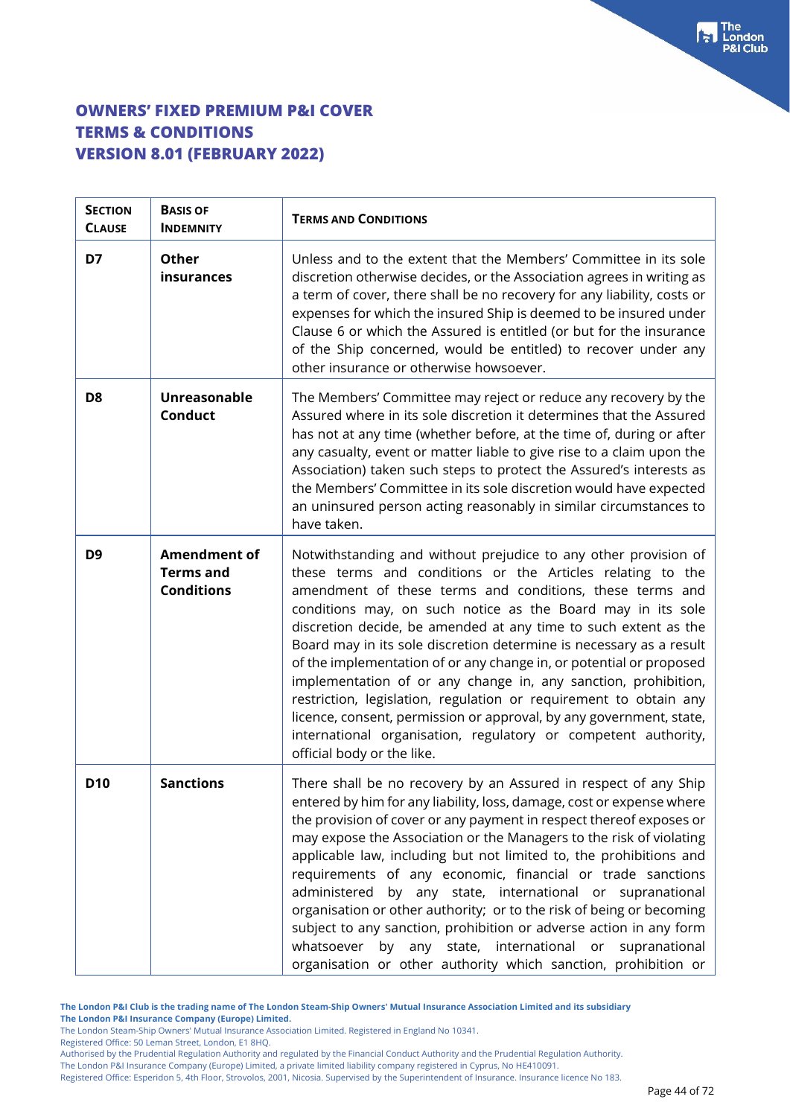| <b>SECTION</b><br><b>CLAUSE</b> | <b>BASIS OF</b><br><b>INDEMNITY</b>                          | <b>TERMS AND CONDITIONS</b>                                                                                                                                                                                                                                                                                                                                                                                                                                                                                                                                                                                                                                                                                                                                                             |
|---------------------------------|--------------------------------------------------------------|-----------------------------------------------------------------------------------------------------------------------------------------------------------------------------------------------------------------------------------------------------------------------------------------------------------------------------------------------------------------------------------------------------------------------------------------------------------------------------------------------------------------------------------------------------------------------------------------------------------------------------------------------------------------------------------------------------------------------------------------------------------------------------------------|
| D7                              | <b>Other</b><br>insurances                                   | Unless and to the extent that the Members' Committee in its sole<br>discretion otherwise decides, or the Association agrees in writing as<br>a term of cover, there shall be no recovery for any liability, costs or<br>expenses for which the insured Ship is deemed to be insured under<br>Clause 6 or which the Assured is entitled (or but for the insurance<br>of the Ship concerned, would be entitled) to recover under any<br>other insurance or otherwise howsoever.                                                                                                                                                                                                                                                                                                           |
| D <sub>8</sub>                  | <b>Unreasonable</b><br><b>Conduct</b>                        | The Members' Committee may reject or reduce any recovery by the<br>Assured where in its sole discretion it determines that the Assured<br>has not at any time (whether before, at the time of, during or after<br>any casualty, event or matter liable to give rise to a claim upon the<br>Association) taken such steps to protect the Assured's interests as<br>the Members' Committee in its sole discretion would have expected<br>an uninsured person acting reasonably in similar circumstances to<br>have taken.                                                                                                                                                                                                                                                                 |
| D <sub>9</sub>                  | <b>Amendment of</b><br><b>Terms and</b><br><b>Conditions</b> | Notwithstanding and without prejudice to any other provision of<br>these terms and conditions or the Articles relating to the<br>amendment of these terms and conditions, these terms and<br>conditions may, on such notice as the Board may in its sole<br>discretion decide, be amended at any time to such extent as the<br>Board may in its sole discretion determine is necessary as a result<br>of the implementation of or any change in, or potential or proposed<br>implementation of or any change in, any sanction, prohibition,<br>restriction, legislation, regulation or requirement to obtain any<br>licence, consent, permission or approval, by any government, state,<br>international organisation, regulatory or competent authority,<br>official body or the like. |
| <b>D10</b>                      | <b>Sanctions</b>                                             | There shall be no recovery by an Assured in respect of any Ship<br>entered by him for any liability, loss, damage, cost or expense where<br>the provision of cover or any payment in respect thereof exposes or<br>may expose the Association or the Managers to the risk of violating<br>applicable law, including but not limited to, the prohibitions and<br>requirements of any economic, financial or trade sanctions<br>administered by any state, international or supranational<br>organisation or other authority; or to the risk of being or becoming<br>subject to any sanction, prohibition or adverse action in any form<br>whatsoever by any state, international or supranational<br>organisation or other authority which sanction, prohibition or                      |

**The London P&I Club is the trading name of The London Steam-Ship Owners' Mutual Insurance Association Limited and its subsidiary**

- **The London P&I Insurance Company (Europe) Limited.**
- The London Steam-Ship Owners' Mutual Insurance Association Limited. Registered in England No 10341.

Registered Office: 50 Leman Street, London, E1 8HQ.

Authorised by the Prudential Regulation Authority and regulated by the Financial Conduct Authority and the Prudential Regulation Authority. The London P&I Insurance Company (Europe) Limited, a private limited liability company registered in Cyprus, No HE410091.

Registered Office: Esperidon 5, 4th Floor, Strovolos, 2001, Nicosia. Supervised by the Superintendent of Insurance. Insurance licence No 183.

 $\begin{bmatrix} 1 \\ 2 \end{bmatrix}$  The London **881 Club**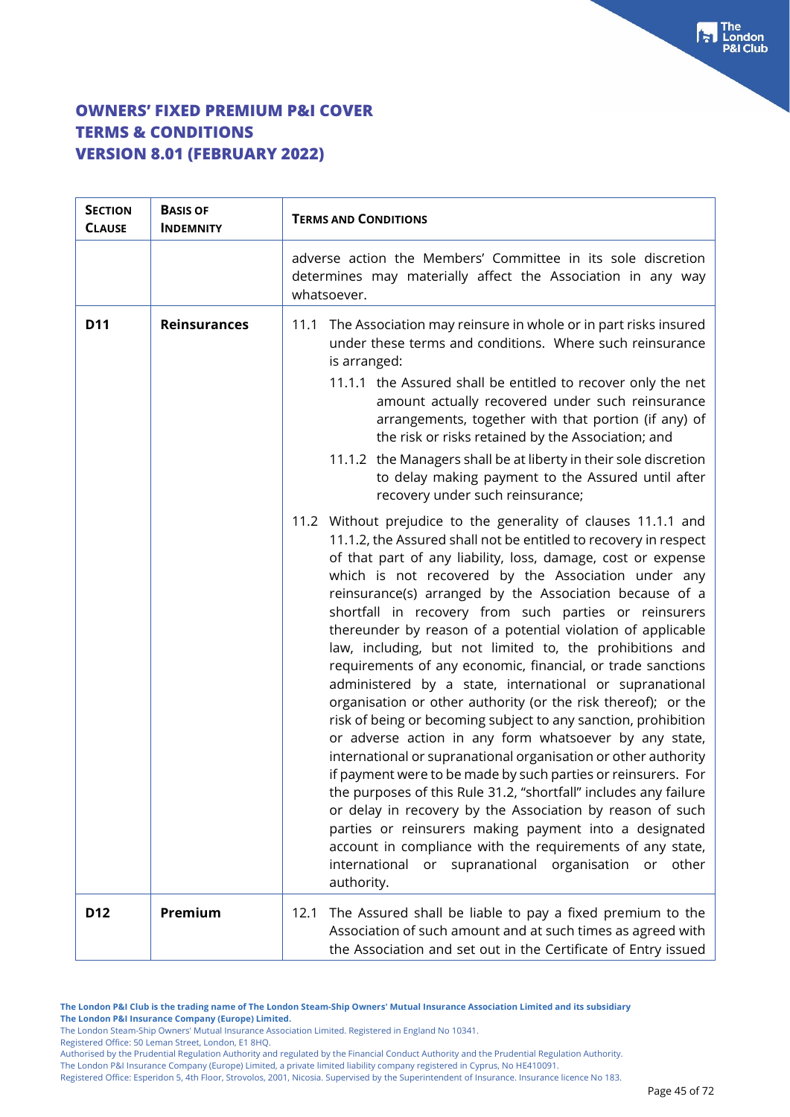| <b>SECTION</b><br><b>CLAUSE</b> | <b>BASIS OF</b><br><b>INDEMNITY</b> | <b>TERMS AND CONDITIONS</b>                                                                                                                                                                                                                                                                                                                                                                                                                                                                                                                                                                                                                                                                                                                                                                                                                                                                                                                                                                                                                                                                                                                                                                                                                                                                      |
|---------------------------------|-------------------------------------|--------------------------------------------------------------------------------------------------------------------------------------------------------------------------------------------------------------------------------------------------------------------------------------------------------------------------------------------------------------------------------------------------------------------------------------------------------------------------------------------------------------------------------------------------------------------------------------------------------------------------------------------------------------------------------------------------------------------------------------------------------------------------------------------------------------------------------------------------------------------------------------------------------------------------------------------------------------------------------------------------------------------------------------------------------------------------------------------------------------------------------------------------------------------------------------------------------------------------------------------------------------------------------------------------|
|                                 |                                     | adverse action the Members' Committee in its sole discretion<br>determines may materially affect the Association in any way<br>whatsoever.                                                                                                                                                                                                                                                                                                                                                                                                                                                                                                                                                                                                                                                                                                                                                                                                                                                                                                                                                                                                                                                                                                                                                       |
| <b>D11</b>                      | <b>Reinsurances</b>                 | 11.1 The Association may reinsure in whole or in part risks insured<br>under these terms and conditions. Where such reinsurance<br>is arranged:<br>11.1.1 the Assured shall be entitled to recover only the net<br>amount actually recovered under such reinsurance<br>arrangements, together with that portion (if any) of<br>the risk or risks retained by the Association; and<br>11.1.2 the Managers shall be at liberty in their sole discretion<br>to delay making payment to the Assured until after<br>recovery under such reinsurance;                                                                                                                                                                                                                                                                                                                                                                                                                                                                                                                                                                                                                                                                                                                                                  |
|                                 |                                     | 11.2 Without prejudice to the generality of clauses 11.1.1 and<br>11.1.2, the Assured shall not be entitled to recovery in respect<br>of that part of any liability, loss, damage, cost or expense<br>which is not recovered by the Association under any<br>reinsurance(s) arranged by the Association because of a<br>shortfall in recovery from such parties or reinsurers<br>thereunder by reason of a potential violation of applicable<br>law, including, but not limited to, the prohibitions and<br>requirements of any economic, financial, or trade sanctions<br>administered by a state, international or supranational<br>organisation or other authority (or the risk thereof); or the<br>risk of being or becoming subject to any sanction, prohibition<br>or adverse action in any form whatsoever by any state,<br>international or supranational organisation or other authority<br>if payment were to be made by such parties or reinsurers. For<br>the purposes of this Rule 31.2, "shortfall" includes any failure<br>or delay in recovery by the Association by reason of such<br>parties or reinsurers making payment into a designated<br>account in compliance with the requirements of any state,<br>international or supranational organisation or other<br>authority. |
| D <sub>12</sub>                 | Premium                             | The Assured shall be liable to pay a fixed premium to the<br>12.1<br>Association of such amount and at such times as agreed with<br>the Association and set out in the Certificate of Entry issued                                                                                                                                                                                                                                                                                                                                                                                                                                                                                                                                                                                                                                                                                                                                                                                                                                                                                                                                                                                                                                                                                               |

**The London P&I Club is the trading name of The London Steam-Ship Owners' Mutual Insurance Association Limited and its subsidiary The London P&I Insurance Company (Europe) Limited.**

The London Steam-Ship Owners' Mutual Insurance Association Limited. Registered in England No 10341.

Registered Office: 50 Leman Street, London, E1 8HQ.

Authorised by the Prudential Regulation Authority and regulated by the Financial Conduct Authority and the Prudential Regulation Authority.

The London P&I Insurance Company (Europe) Limited, a private limited liability company registered in Cyprus, No HE410091.

Registered Office: Esperidon 5, 4th Floor, Strovolos, 2001, Nicosia. Supervised by the Superintendent of Insurance. Insurance licence No 183.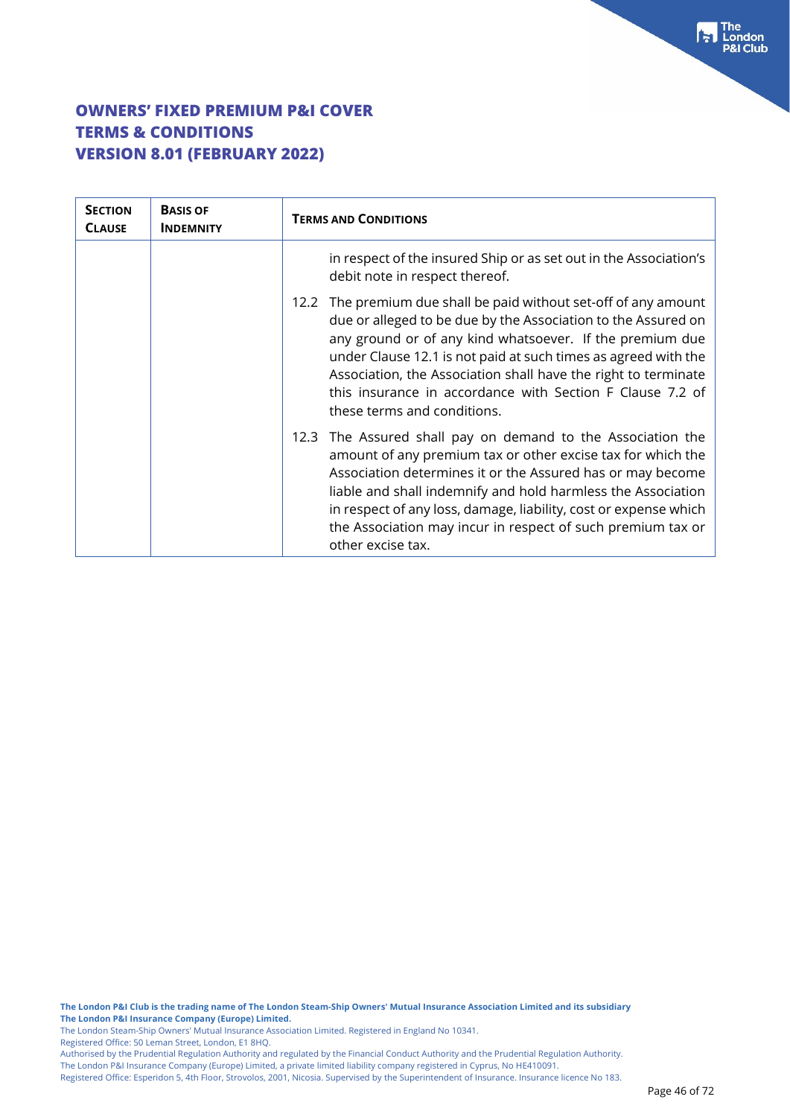| <b>SECTION</b><br><b>CLAUSE</b> | <b>BASIS OF</b><br><b>INDEMNITY</b> | <b>TERMS AND CONDITIONS</b>                                                                                                                                                                                                                                                                                                                                                                                                      |
|---------------------------------|-------------------------------------|----------------------------------------------------------------------------------------------------------------------------------------------------------------------------------------------------------------------------------------------------------------------------------------------------------------------------------------------------------------------------------------------------------------------------------|
|                                 |                                     | in respect of the insured Ship or as set out in the Association's<br>debit note in respect thereof.                                                                                                                                                                                                                                                                                                                              |
|                                 |                                     | The premium due shall be paid without set-off of any amount<br>12.2<br>due or alleged to be due by the Association to the Assured on<br>any ground or of any kind whatsoever. If the premium due<br>under Clause 12.1 is not paid at such times as agreed with the<br>Association, the Association shall have the right to terminate<br>this insurance in accordance with Section F Clause 7.2 of<br>these terms and conditions. |
|                                 |                                     | 12.3 The Assured shall pay on demand to the Association the<br>amount of any premium tax or other excise tax for which the<br>Association determines it or the Assured has or may become<br>liable and shall indemnify and hold harmless the Association<br>in respect of any loss, damage, liability, cost or expense which<br>the Association may incur in respect of such premium tax or<br>other excise tax.                 |

**The London P&I Club is the trading name of The London Steam-Ship Owners' Mutual Insurance Association Limited and its subsidiary The London P&I Insurance Company (Europe) Limited.**

The London Steam-Ship Owners' Mutual Insurance Association Limited. Registered in England No 10341.

Registered Office: 50 Leman Street, London, E1 8HQ.

Authorised by the Prudential Regulation Authority and regulated by the Financial Conduct Authority and the Prudential Regulation Authority.

The London P&I Insurance Company (Europe) Limited, a private limited liability company registered in Cyprus, No HE410091.

Registered Office: Esperidon 5, 4th Floor, Strovolos, 2001, Nicosia. Supervised by the Superintendent of Insurance. Insurance licence No 183.

The<br> **F** London<br>
P&I Club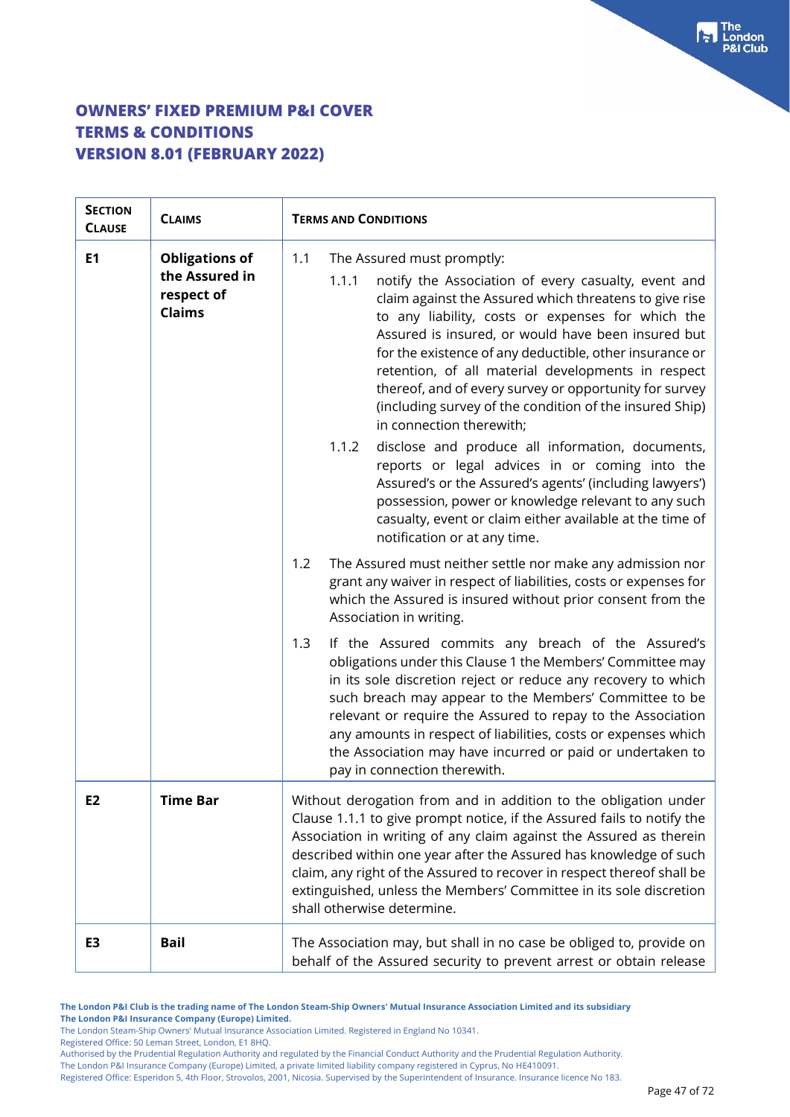| <b>SECTION</b><br><b>CLAUSE</b> | <b>CLAIMS</b>                                                          | <b>TERMS AND CONDITIONS</b>                                                                                                                                                                                                                                                                                                                                                                                                                                                                                                                                                                                                                                                                                                                                                                                                                                           |  |
|---------------------------------|------------------------------------------------------------------------|-----------------------------------------------------------------------------------------------------------------------------------------------------------------------------------------------------------------------------------------------------------------------------------------------------------------------------------------------------------------------------------------------------------------------------------------------------------------------------------------------------------------------------------------------------------------------------------------------------------------------------------------------------------------------------------------------------------------------------------------------------------------------------------------------------------------------------------------------------------------------|--|
| E1                              | <b>Obligations of</b><br>the Assured in<br>respect of<br><b>Claims</b> | 1.1<br>The Assured must promptly:<br>notify the Association of every casualty, event and<br>1.1.1<br>claim against the Assured which threatens to give rise<br>to any liability, costs or expenses for which the<br>Assured is insured, or would have been insured but<br>for the existence of any deductible, other insurance or<br>retention, of all material developments in respect<br>thereof, and of every survey or opportunity for survey<br>(including survey of the condition of the insured Ship)<br>in connection therewith;<br>1.1.2<br>disclose and produce all information, documents,<br>reports or legal advices in or coming into the<br>Assured's or the Assured's agents' (including lawyers')<br>possession, power or knowledge relevant to any such<br>casualty, event or claim either available at the time of<br>notification or at any time. |  |
|                                 |                                                                        | 1.2<br>The Assured must neither settle nor make any admission nor<br>grant any waiver in respect of liabilities, costs or expenses for<br>which the Assured is insured without prior consent from the<br>Association in writing.                                                                                                                                                                                                                                                                                                                                                                                                                                                                                                                                                                                                                                      |  |
|                                 |                                                                        | 1.3<br>If the Assured commits any breach of the Assured's<br>obligations under this Clause 1 the Members' Committee may<br>in its sole discretion reject or reduce any recovery to which<br>such breach may appear to the Members' Committee to be<br>relevant or require the Assured to repay to the Association<br>any amounts in respect of liabilities, costs or expenses which<br>the Association may have incurred or paid or undertaken to<br>pay in connection therewith.                                                                                                                                                                                                                                                                                                                                                                                     |  |
| E <sub>2</sub>                  | <b>Time Bar</b>                                                        | Without derogation from and in addition to the obligation under<br>Clause 1.1.1 to give prompt notice, if the Assured fails to notify the<br>Association in writing of any claim against the Assured as therein<br>described within one year after the Assured has knowledge of such<br>claim, any right of the Assured to recover in respect thereof shall be<br>extinguished, unless the Members' Committee in its sole discretion<br>shall otherwise determine.                                                                                                                                                                                                                                                                                                                                                                                                    |  |
| E3                              | <b>Bail</b>                                                            | The Association may, but shall in no case be obliged to, provide on<br>behalf of the Assured security to prevent arrest or obtain release                                                                                                                                                                                                                                                                                                                                                                                                                                                                                                                                                                                                                                                                                                                             |  |

**The London P&I Club is the trading name of The London Steam-Ship Owners' Mutual Insurance Association Limited and its subsidiary The London P&I Insurance Company (Europe) Limited.**

The London Steam-Ship Owners' Mutual Insurance Association Limited. Registered in England No 10341.

Registered Office: 50 Leman Street, London, E1 8HQ.

Authorised by the Prudential Regulation Authority and regulated by the Financial Conduct Authority and the Prudential Regulation Authority.

The London P&I Insurance Company (Europe) Limited, a private limited liability company registered in Cyprus, No HE410091.

Registered Office: Esperidon 5, 4th Floor, Strovolos, 2001, Nicosia. Supervised by the Superintendent of Insurance. Insurance licence No 183.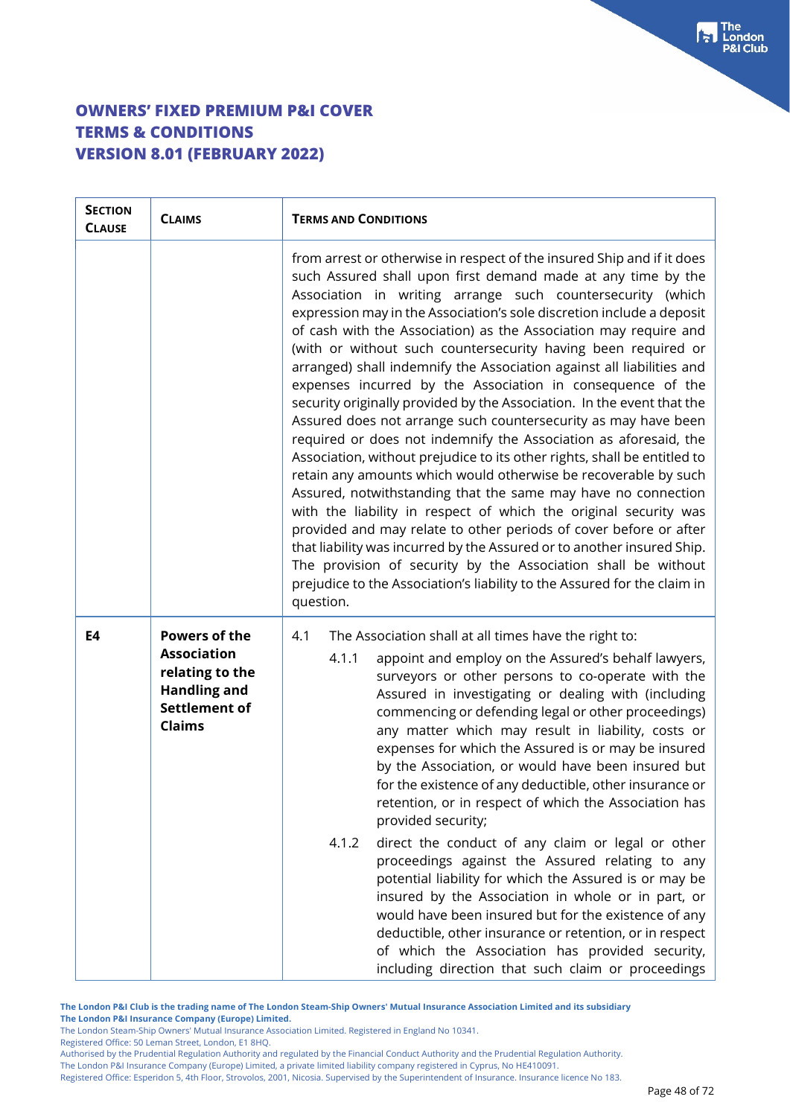| <b>SECTION</b><br><b>CLAUSE</b> | <b>CLAIMS</b>                                                                                                                 | <b>TERMS AND CONDITIONS</b>                                                                                                                                                                                                                                                                                                                                                                                                                                                                                                                                                                                                                                                                                                                                                                                                                                                                                                                                                                                                                                                                                                                                                                                                                                                                                                                                            |  |  |
|---------------------------------|-------------------------------------------------------------------------------------------------------------------------------|------------------------------------------------------------------------------------------------------------------------------------------------------------------------------------------------------------------------------------------------------------------------------------------------------------------------------------------------------------------------------------------------------------------------------------------------------------------------------------------------------------------------------------------------------------------------------------------------------------------------------------------------------------------------------------------------------------------------------------------------------------------------------------------------------------------------------------------------------------------------------------------------------------------------------------------------------------------------------------------------------------------------------------------------------------------------------------------------------------------------------------------------------------------------------------------------------------------------------------------------------------------------------------------------------------------------------------------------------------------------|--|--|
|                                 |                                                                                                                               | from arrest or otherwise in respect of the insured Ship and if it does<br>such Assured shall upon first demand made at any time by the<br>Association in writing arrange such countersecurity (which<br>expression may in the Association's sole discretion include a deposit<br>of cash with the Association) as the Association may require and<br>(with or without such countersecurity having been required or<br>arranged) shall indemnify the Association against all liabilities and<br>expenses incurred by the Association in consequence of the<br>security originally provided by the Association. In the event that the<br>Assured does not arrange such countersecurity as may have been<br>required or does not indemnify the Association as aforesaid, the<br>Association, without prejudice to its other rights, shall be entitled to<br>retain any amounts which would otherwise be recoverable by such<br>Assured, notwithstanding that the same may have no connection<br>with the liability in respect of which the original security was<br>provided and may relate to other periods of cover before or after<br>that liability was incurred by the Assured or to another insured Ship.<br>The provision of security by the Association shall be without<br>prejudice to the Association's liability to the Assured for the claim in<br>question. |  |  |
| E4                              | <b>Powers of the</b><br><b>Association</b><br>relating to the<br><b>Handling and</b><br><b>Settlement of</b><br><b>Claims</b> | 4.1<br>The Association shall at all times have the right to:<br>4.1.1<br>appoint and employ on the Assured's behalf lawyers,<br>surveyors or other persons to co-operate with the<br>Assured in investigating or dealing with (including<br>commencing or defending legal or other proceedings)<br>any matter which may result in liability, costs or<br>expenses for which the Assured is or may be insured<br>by the Association, or would have been insured but<br>for the existence of any deductible, other insurance or<br>retention, or in respect of which the Association has<br>provided security;<br>direct the conduct of any claim or legal or other<br>4.1.2<br>proceedings against the Assured relating to any<br>potential liability for which the Assured is or may be<br>insured by the Association in whole or in part, or<br>would have been insured but for the existence of any<br>deductible, other insurance or retention, or in respect<br>of which the Association has provided security,<br>including direction that such claim or proceedings                                                                                                                                                                                                                                                                                              |  |  |

**The London P&I Club is the trading name of The London Steam-Ship Owners' Mutual Insurance Association Limited and its subsidiary**

**The London P&I Insurance Company (Europe) Limited.**

The London Steam-Ship Owners' Mutual Insurance Association Limited. Registered in England No 10341.

Registered Office: 50 Leman Street, London, E1 8HQ.

Authorised by the Prudential Regulation Authority and regulated by the Financial Conduct Authority and the Prudential Regulation Authority. The London P&I Insurance Company (Europe) Limited, a private limited liability company registered in Cyprus, No HE410091.

Registered Office: Esperidon 5, 4th Floor, Strovolos, 2001, Nicosia. Supervised by the Superintendent of Insurance. Insurance licence No 183.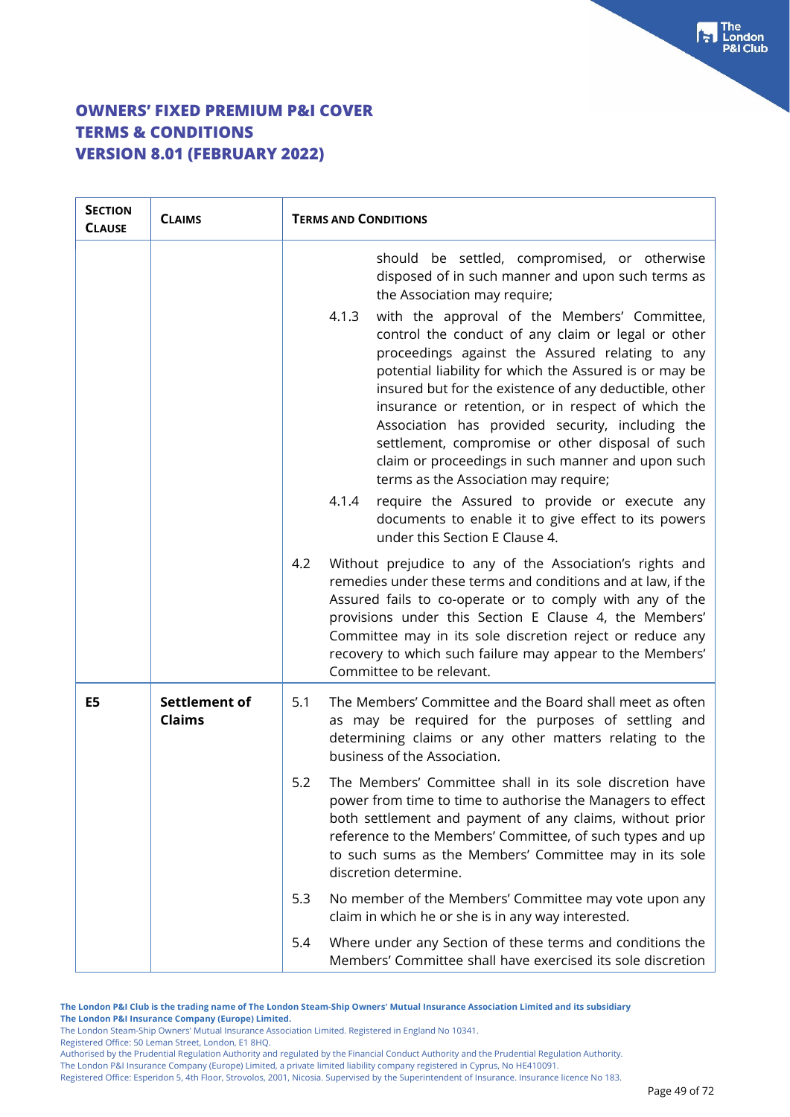| <b>SECTION</b><br><b>CLAUSE</b> | <b>CLAIMS</b>                  | <b>TERMS AND CONDITIONS</b>                                                                                                                                                                                                                                                                                                                                                                                                                                                                                                                                                                                                                                                         |
|---------------------------------|--------------------------------|-------------------------------------------------------------------------------------------------------------------------------------------------------------------------------------------------------------------------------------------------------------------------------------------------------------------------------------------------------------------------------------------------------------------------------------------------------------------------------------------------------------------------------------------------------------------------------------------------------------------------------------------------------------------------------------|
|                                 |                                | should be settled, compromised, or otherwise<br>disposed of in such manner and upon such terms as<br>the Association may require;<br>4.1.3<br>with the approval of the Members' Committee,<br>control the conduct of any claim or legal or other<br>proceedings against the Assured relating to any<br>potential liability for which the Assured is or may be<br>insured but for the existence of any deductible, other<br>insurance or retention, or in respect of which the<br>Association has provided security, including the<br>settlement, compromise or other disposal of such<br>claim or proceedings in such manner and upon such<br>terms as the Association may require; |
|                                 |                                | require the Assured to provide or execute any<br>4.1.4<br>documents to enable it to give effect to its powers<br>under this Section E Clause 4.                                                                                                                                                                                                                                                                                                                                                                                                                                                                                                                                     |
|                                 |                                | Without prejudice to any of the Association's rights and<br>4.2<br>remedies under these terms and conditions and at law, if the<br>Assured fails to co-operate or to comply with any of the<br>provisions under this Section E Clause 4, the Members'<br>Committee may in its sole discretion reject or reduce any<br>recovery to which such failure may appear to the Members'<br>Committee to be relevant.                                                                                                                                                                                                                                                                        |
| E5                              | Settlement of<br><b>Claims</b> | The Members' Committee and the Board shall meet as often<br>5.1<br>as may be required for the purposes of settling and<br>determining claims or any other matters relating to the<br>business of the Association.                                                                                                                                                                                                                                                                                                                                                                                                                                                                   |
|                                 |                                | 5.2<br>The Members' Committee shall in its sole discretion have<br>power from time to time to authorise the Managers to effect<br>both settlement and payment of any claims, without prior<br>reference to the Members' Committee, of such types and up<br>to such sums as the Members' Committee may in its sole<br>discretion determine.                                                                                                                                                                                                                                                                                                                                          |
|                                 |                                | 5.3<br>No member of the Members' Committee may vote upon any<br>claim in which he or she is in any way interested.                                                                                                                                                                                                                                                                                                                                                                                                                                                                                                                                                                  |
|                                 |                                | 5.4<br>Where under any Section of these terms and conditions the<br>Members' Committee shall have exercised its sole discretion                                                                                                                                                                                                                                                                                                                                                                                                                                                                                                                                                     |

**The London P&I Club is the trading name of The London Steam-Ship Owners' Mutual Insurance Association Limited and its subsidiary The London P&I Insurance Company (Europe) Limited.**

The London Steam-Ship Owners' Mutual Insurance Association Limited. Registered in England No 10341.

Registered Office: 50 Leman Street, London, E1 8HQ.

Authorised by the Prudential Regulation Authority and regulated by the Financial Conduct Authority and the Prudential Regulation Authority.

The London P&I Insurance Company (Europe) Limited, a private limited liability company registered in Cyprus, No HE410091.

Registered Office: Esperidon 5, 4th Floor, Strovolos, 2001, Nicosia. Supervised by the Superintendent of Insurance. Insurance licence No 183.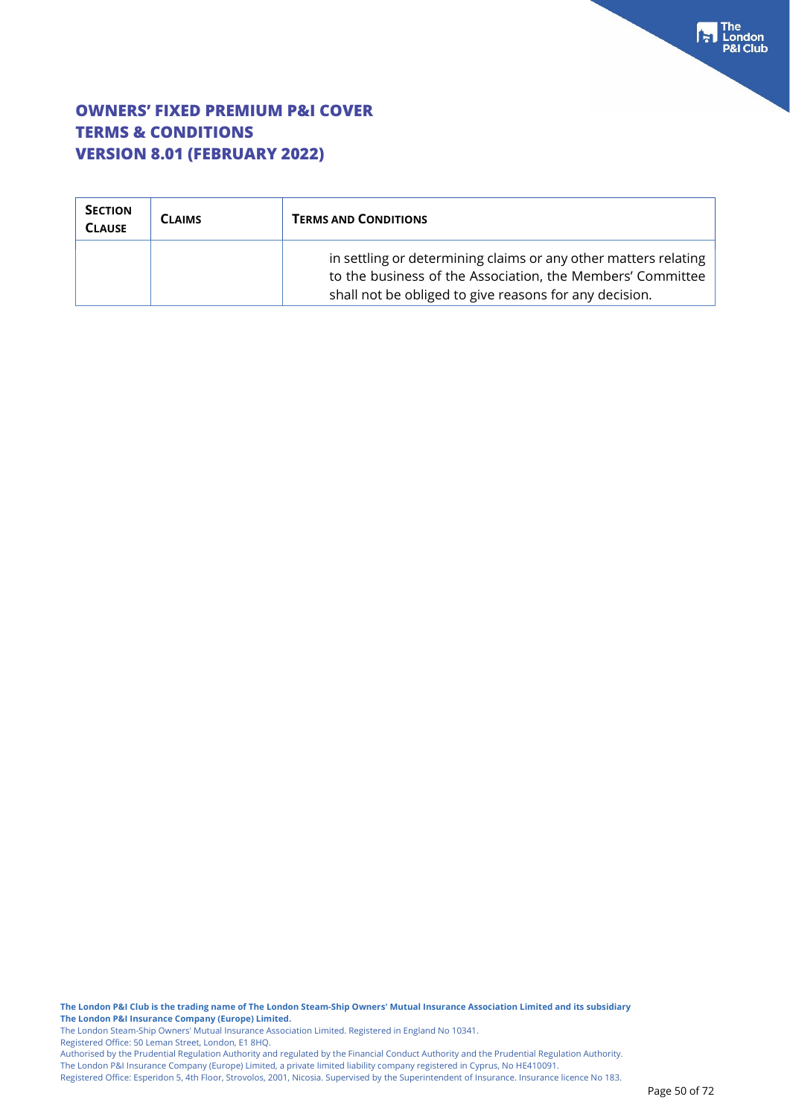| <b>SECTION</b><br><b>CLAUSE</b> | <b>CLAIMS</b> | <b>TERMS AND CONDITIONS</b>                                                                                                                                                             |  |
|---------------------------------|---------------|-----------------------------------------------------------------------------------------------------------------------------------------------------------------------------------------|--|
|                                 |               | in settling or determining claims or any other matters relating<br>to the business of the Association, the Members' Committee<br>shall not be obliged to give reasons for any decision. |  |

**The London P&I Club is the trading name of The London Steam-Ship Owners' Mutual Insurance Association Limited and its subsidiary The London P&I Insurance Company (Europe) Limited.**

The London Steam-Ship Owners' Mutual Insurance Association Limited. Registered in England No 10341.

Registered Office: 50 Leman Street, London, E1 8HQ.

Authorised by the Prudential Regulation Authority and regulated by the Financial Conduct Authority and the Prudential Regulation Authority. The London P&I Insurance Company (Europe) Limited, a private limited liability company registered in Cyprus, No HE410091.

Registered Office: Esperidon 5, 4th Floor, Strovolos, 2001, Nicosia. Supervised by the Superintendent of Insurance. Insurance licence No 183.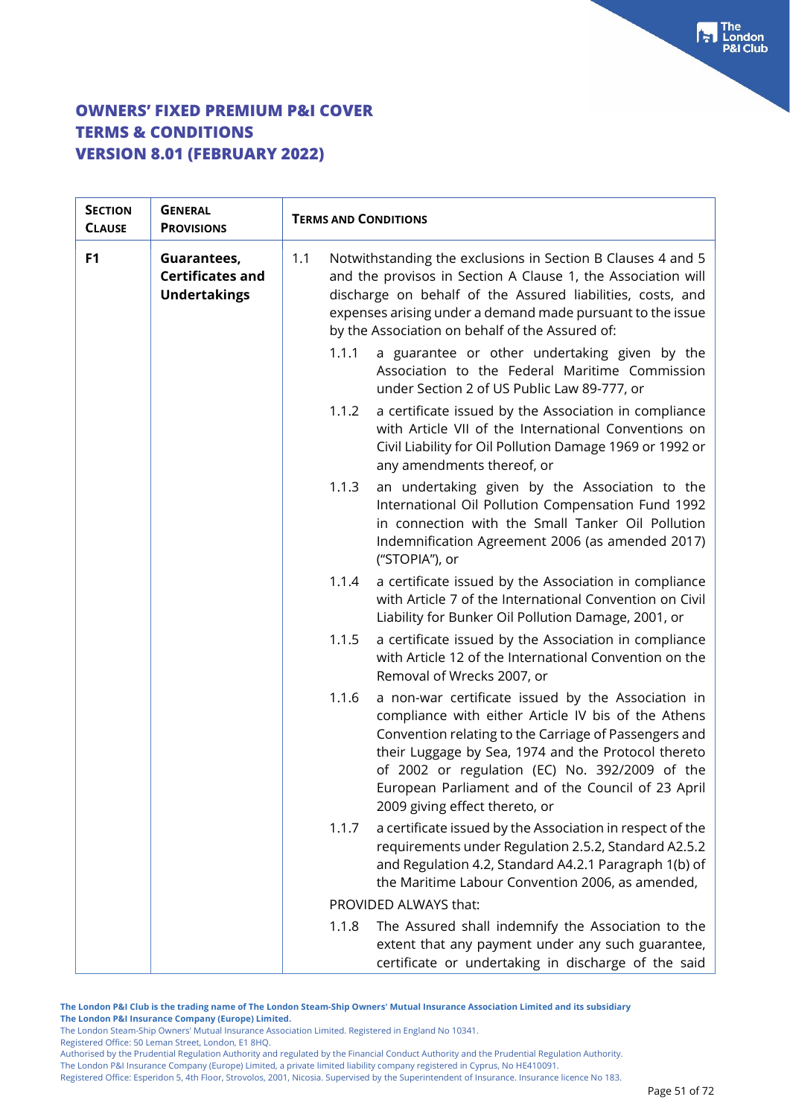| <b>SECTION</b><br><b>CLAUSE</b> | <b>GENERAL</b><br><b>PROVISIONS</b>                           | <b>TERMS AND CONDITIONS</b>                                                                                                                                                                                                                                                                                       |                                                                                                                                                                                                                                                                                                                                   |
|---------------------------------|---------------------------------------------------------------|-------------------------------------------------------------------------------------------------------------------------------------------------------------------------------------------------------------------------------------------------------------------------------------------------------------------|-----------------------------------------------------------------------------------------------------------------------------------------------------------------------------------------------------------------------------------------------------------------------------------------------------------------------------------|
| F1                              | Guarantees,<br><b>Certificates and</b><br><b>Undertakings</b> | Notwithstanding the exclusions in Section B Clauses 4 and 5<br>1.1<br>and the provisos in Section A Clause 1, the Association will<br>discharge on behalf of the Assured liabilities, costs, and<br>expenses arising under a demand made pursuant to the issue<br>by the Association on behalf of the Assured of: |                                                                                                                                                                                                                                                                                                                                   |
|                                 |                                                               | 1.1.1<br>under Section 2 of US Public Law 89-777, or                                                                                                                                                                                                                                                              | a guarantee or other undertaking given by the<br>Association to the Federal Maritime Commission                                                                                                                                                                                                                                   |
|                                 |                                                               | 1.1.2<br>any amendments thereof, or                                                                                                                                                                                                                                                                               | a certificate issued by the Association in compliance<br>with Article VII of the International Conventions on<br>Civil Liability for Oil Pollution Damage 1969 or 1992 or                                                                                                                                                         |
|                                 |                                                               | 1.1.3<br>("STOPIA"), or                                                                                                                                                                                                                                                                                           | an undertaking given by the Association to the<br>International Oil Pollution Compensation Fund 1992<br>in connection with the Small Tanker Oil Pollution<br>Indemnification Agreement 2006 (as amended 2017)                                                                                                                     |
|                                 |                                                               | 1.1.4<br>Liability for Bunker Oil Pollution Damage, 2001, or                                                                                                                                                                                                                                                      | a certificate issued by the Association in compliance<br>with Article 7 of the International Convention on Civil                                                                                                                                                                                                                  |
|                                 |                                                               | 1.1.5<br>Removal of Wrecks 2007, or                                                                                                                                                                                                                                                                               | a certificate issued by the Association in compliance<br>with Article 12 of the International Convention on the                                                                                                                                                                                                                   |
|                                 |                                                               | 1.1.6<br>2009 giving effect thereto, or                                                                                                                                                                                                                                                                           | a non-war certificate issued by the Association in<br>compliance with either Article IV bis of the Athens<br>Convention relating to the Carriage of Passengers and<br>their Luggage by Sea, 1974 and the Protocol thereto<br>of 2002 or regulation (EC) No. 392/2009 of the<br>European Parliament and of the Council of 23 April |
|                                 |                                                               | 1.1.7<br>the Maritime Labour Convention 2006, as amended,                                                                                                                                                                                                                                                         | a certificate issued by the Association in respect of the<br>requirements under Regulation 2.5.2, Standard A2.5.2<br>and Regulation 4.2, Standard A4.2.1 Paragraph 1(b) of                                                                                                                                                        |
|                                 |                                                               | PROVIDED ALWAYS that:                                                                                                                                                                                                                                                                                             |                                                                                                                                                                                                                                                                                                                                   |
|                                 |                                                               | 1.1.8                                                                                                                                                                                                                                                                                                             | The Assured shall indemnify the Association to the<br>extent that any payment under any such guarantee,<br>certificate or undertaking in discharge of the said                                                                                                                                                                    |

**The London P&I Club is the trading name of The London Steam-Ship Owners' Mutual Insurance Association Limited and its subsidiary The London P&I Insurance Company (Europe) Limited.**

The London Steam-Ship Owners' Mutual Insurance Association Limited. Registered in England No 10341.

Registered Office: 50 Leman Street, London, E1 8HQ.

Authorised by the Prudential Regulation Authority and regulated by the Financial Conduct Authority and the Prudential Regulation Authority. The London P&I Insurance Company (Europe) Limited, a private limited liability company registered in Cyprus, No HE410091.

Registered Office: Esperidon 5, 4th Floor, Strovolos, 2001, Nicosia. Supervised by the Superintendent of Insurance. Insurance licence No 183.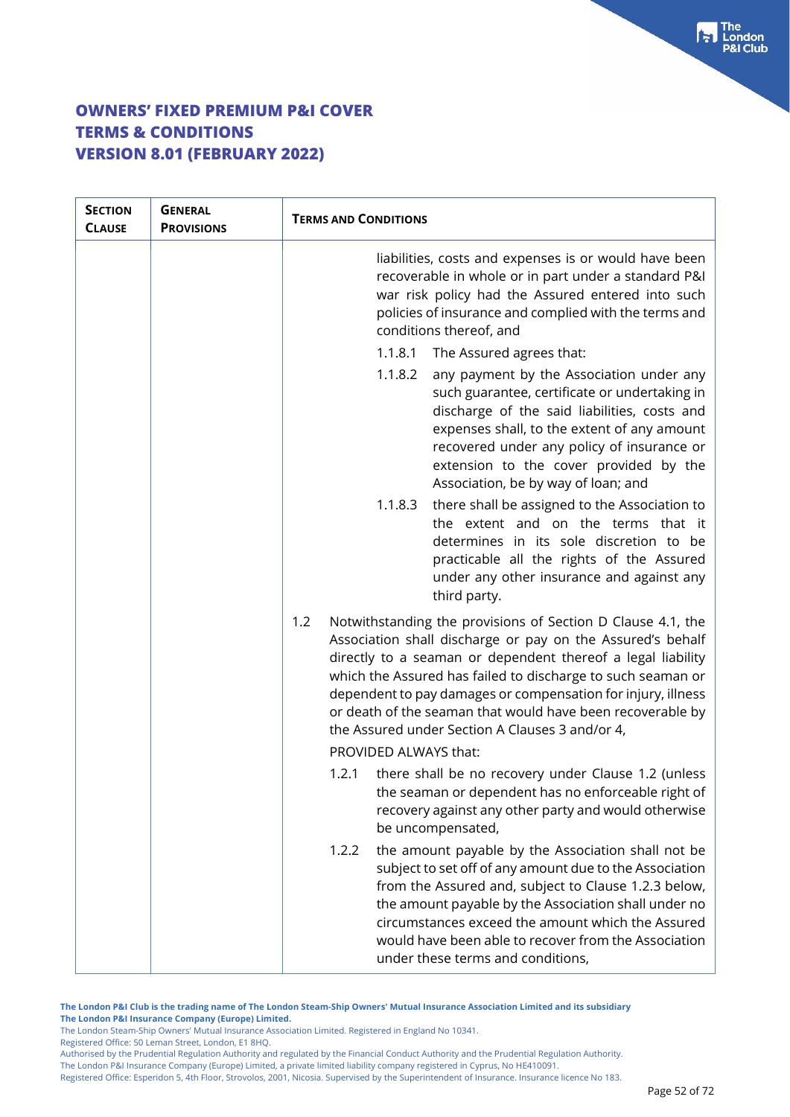| <b>SECTION</b><br><b>CLAUSE</b> | <b>GENERAL</b><br><b>PROVISIONS</b> | <b>TERMS AND CONDITIONS</b>                                                                                                                                                                                                                                                                                                                                                                                                                     |  |
|---------------------------------|-------------------------------------|-------------------------------------------------------------------------------------------------------------------------------------------------------------------------------------------------------------------------------------------------------------------------------------------------------------------------------------------------------------------------------------------------------------------------------------------------|--|
|                                 |                                     | liabilities, costs and expenses is or would have been<br>recoverable in whole or in part under a standard P&I<br>war risk policy had the Assured entered into such<br>policies of insurance and complied with the terms and<br>conditions thereof, and                                                                                                                                                                                          |  |
|                                 |                                     | 1.1.8.1<br>The Assured agrees that:                                                                                                                                                                                                                                                                                                                                                                                                             |  |
|                                 |                                     | 1.1.8.2<br>any payment by the Association under any<br>such guarantee, certificate or undertaking in<br>discharge of the said liabilities, costs and<br>expenses shall, to the extent of any amount<br>recovered under any policy of insurance or<br>extension to the cover provided by the<br>Association, be by way of loan; and                                                                                                              |  |
|                                 |                                     | there shall be assigned to the Association to<br>1.1.8.3<br>the extent and on the terms that it<br>determines in its sole discretion to be<br>practicable all the rights of the Assured<br>under any other insurance and against any<br>third party.                                                                                                                                                                                            |  |
|                                 |                                     | Notwithstanding the provisions of Section D Clause 4.1, the<br>1.2<br>Association shall discharge or pay on the Assured's behalf<br>directly to a seaman or dependent thereof a legal liability<br>which the Assured has failed to discharge to such seaman or<br>dependent to pay damages or compensation for injury, illness<br>or death of the seaman that would have been recoverable by<br>the Assured under Section A Clauses 3 and/or 4, |  |
|                                 |                                     | PROVIDED ALWAYS that:                                                                                                                                                                                                                                                                                                                                                                                                                           |  |
|                                 |                                     | there shall be no recovery under Clause 1.2 (unless<br>1.2.1<br>the seaman or dependent has no enforceable right of<br>recovery against any other party and would otherwise<br>be uncompensated,                                                                                                                                                                                                                                                |  |
|                                 |                                     | the amount payable by the Association shall not be<br>1.2.2<br>subject to set off of any amount due to the Association<br>from the Assured and, subject to Clause 1.2.3 below,<br>the amount payable by the Association shall under no<br>circumstances exceed the amount which the Assured<br>would have been able to recover from the Association<br>under these terms and conditions,                                                        |  |

Authorised by the Prudential Regulation Authority and regulated by the Financial Conduct Authority and the Prudential Regulation Authority. The London P&I Insurance Company (Europe) Limited, a private limited liability company registered in Cyprus, No HE410091.

Registered Office: Esperidon 5, 4th Floor, Strovolos, 2001, Nicosia. Supervised by the Superintendent of Insurance. Insurance licence No 183.

 $\begin{bmatrix} \bullet \\ \bullet \end{bmatrix}$  The **Club** 

The London Steam-Ship Owners' Mutual Insurance Association Limited. Registered in England No 10341.

Registered Office: 50 Leman Street, London, E1 8HQ.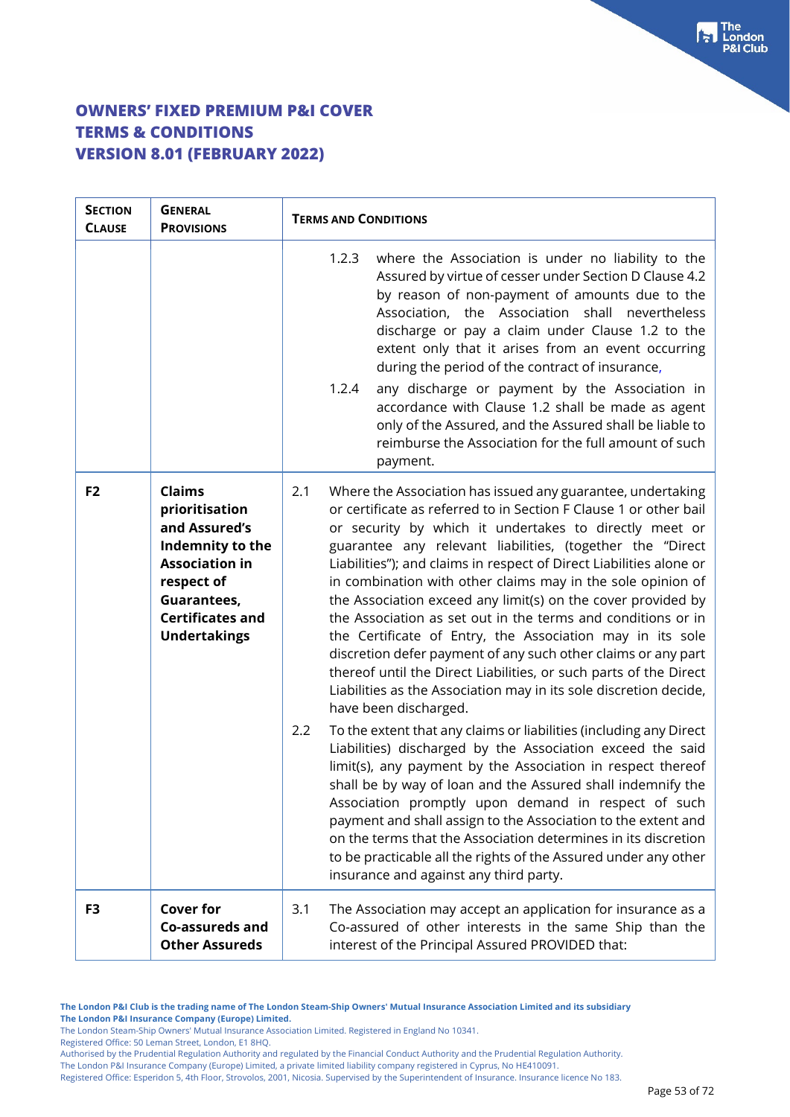| <b>SECTION</b><br><b>CLAUSE</b> | <b>GENERAL</b><br><b>PROVISIONS</b>                                                                                                                                          | <b>TERMS AND CONDITIONS</b>                                                                                                                                                                                                                                                                                                                                                                                                                                                                                                                                                                                                                                                                                                                                                                                                           |                                                                                                                                                                                                                                                                                                                                                                                                                                                                                                                                                                                                                       |
|---------------------------------|------------------------------------------------------------------------------------------------------------------------------------------------------------------------------|---------------------------------------------------------------------------------------------------------------------------------------------------------------------------------------------------------------------------------------------------------------------------------------------------------------------------------------------------------------------------------------------------------------------------------------------------------------------------------------------------------------------------------------------------------------------------------------------------------------------------------------------------------------------------------------------------------------------------------------------------------------------------------------------------------------------------------------|-----------------------------------------------------------------------------------------------------------------------------------------------------------------------------------------------------------------------------------------------------------------------------------------------------------------------------------------------------------------------------------------------------------------------------------------------------------------------------------------------------------------------------------------------------------------------------------------------------------------------|
|                                 |                                                                                                                                                                              | 1.2.3<br>1.2.4                                                                                                                                                                                                                                                                                                                                                                                                                                                                                                                                                                                                                                                                                                                                                                                                                        | where the Association is under no liability to the<br>Assured by virtue of cesser under Section D Clause 4.2<br>by reason of non-payment of amounts due to the<br>Association, the Association shall nevertheless<br>discharge or pay a claim under Clause 1.2 to the<br>extent only that it arises from an event occurring<br>during the period of the contract of insurance,<br>any discharge or payment by the Association in<br>accordance with Clause 1.2 shall be made as agent<br>only of the Assured, and the Assured shall be liable to<br>reimburse the Association for the full amount of such<br>payment. |
| F <sub>2</sub>                  | <b>Claims</b><br>prioritisation<br>and Assured's<br>Indemnity to the<br><b>Association in</b><br>respect of<br>Guarantees,<br><b>Certificates and</b><br><b>Undertakings</b> | 2.1<br>Where the Association has issued any guarantee, undertaking<br>or certificate as referred to in Section F Clause 1 or other bail<br>or security by which it undertakes to directly meet or<br>guarantee any relevant liabilities, (together the "Direct<br>Liabilities"); and claims in respect of Direct Liabilities alone or<br>in combination with other claims may in the sole opinion of<br>the Association exceed any limit(s) on the cover provided by<br>the Association as set out in the terms and conditions or in<br>the Certificate of Entry, the Association may in its sole<br>discretion defer payment of any such other claims or any part<br>thereof until the Direct Liabilities, or such parts of the Direct<br>Liabilities as the Association may in its sole discretion decide,<br>have been discharged. |                                                                                                                                                                                                                                                                                                                                                                                                                                                                                                                                                                                                                       |
|                                 |                                                                                                                                                                              | 2.2                                                                                                                                                                                                                                                                                                                                                                                                                                                                                                                                                                                                                                                                                                                                                                                                                                   | To the extent that any claims or liabilities (including any Direct<br>Liabilities) discharged by the Association exceed the said<br>limit(s), any payment by the Association in respect thereof<br>shall be by way of loan and the Assured shall indemnify the<br>Association promptly upon demand in respect of such<br>payment and shall assign to the Association to the extent and<br>on the terms that the Association determines in its discretion<br>to be practicable all the rights of the Assured under any other<br>insurance and against any third party.                                                 |
| F3                              | <b>Cover for</b><br>Co-assureds and<br><b>Other Assureds</b>                                                                                                                 | 3.1                                                                                                                                                                                                                                                                                                                                                                                                                                                                                                                                                                                                                                                                                                                                                                                                                                   | The Association may accept an application for insurance as a<br>Co-assured of other interests in the same Ship than the<br>interest of the Principal Assured PROVIDED that:                                                                                                                                                                                                                                                                                                                                                                                                                                           |

Registered Office: 50 Leman Street, London, E1 8HQ.

The London P&I Insurance Company (Europe) Limited, a private limited liability company registered in Cyprus, No HE410091. Registered Office: Esperidon 5, 4th Floor, Strovolos, 2001, Nicosia. Supervised by the Superintendent of Insurance. Insurance licence No 183.

The London Steam-Ship Owners' Mutual Insurance Association Limited. Registered in England No 10341.

Authorised by the Prudential Regulation Authority and regulated by the Financial Conduct Authority and the Prudential Regulation Authority.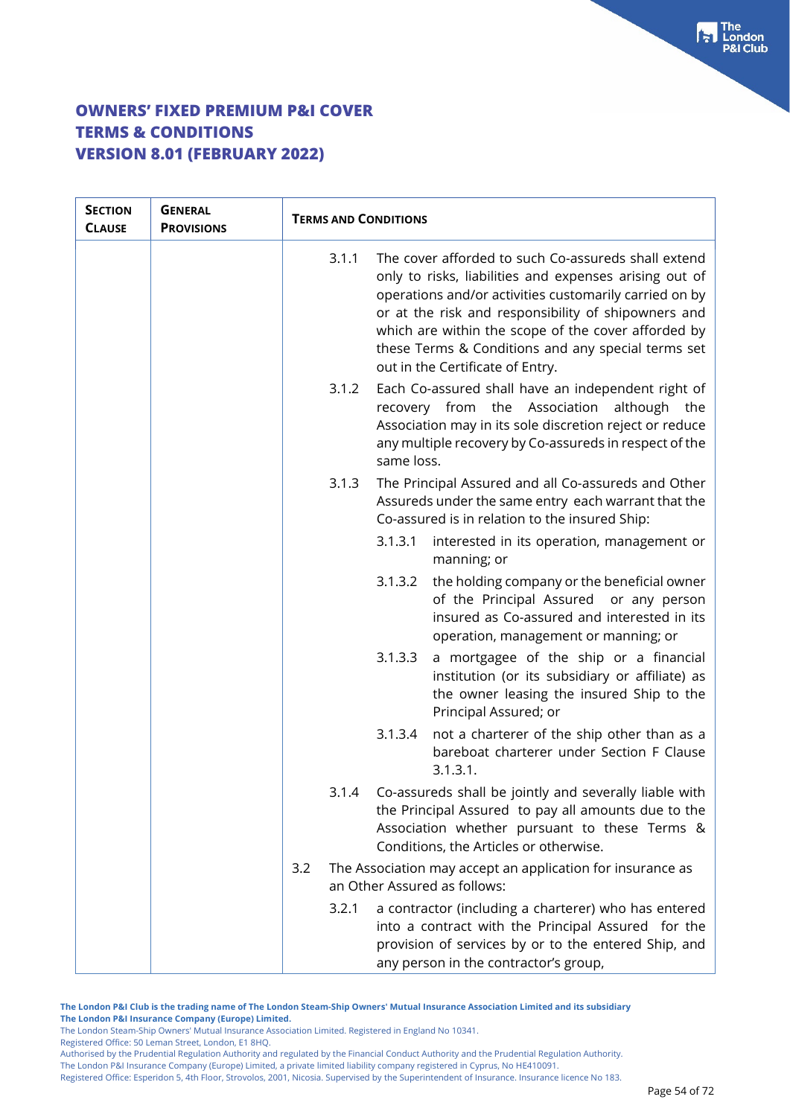| <b>SECTION</b><br><b>CLAUSE</b> | <b>GENERAL</b><br><b>PROVISIONS</b> | <b>TERMS AND CONDITIONS</b> |            |                                                                                                                                                                                                                                                                                                                                                                                 |
|---------------------------------|-------------------------------------|-----------------------------|------------|---------------------------------------------------------------------------------------------------------------------------------------------------------------------------------------------------------------------------------------------------------------------------------------------------------------------------------------------------------------------------------|
|                                 |                                     | 3.1.1                       |            | The cover afforded to such Co-assureds shall extend<br>only to risks, liabilities and expenses arising out of<br>operations and/or activities customarily carried on by<br>or at the risk and responsibility of shipowners and<br>which are within the scope of the cover afforded by<br>these Terms & Conditions and any special terms set<br>out in the Certificate of Entry. |
|                                 |                                     | 3.1.2                       | same loss. | Each Co-assured shall have an independent right of<br>recovery from<br>the Association<br>although the<br>Association may in its sole discretion reject or reduce<br>any multiple recovery by Co-assureds in respect of the                                                                                                                                                     |
|                                 |                                     | 3.1.3                       |            | The Principal Assured and all Co-assureds and Other<br>Assureds under the same entry each warrant that the<br>Co-assured is in relation to the insured Ship:                                                                                                                                                                                                                    |
|                                 |                                     |                             | 3.1.3.1    | interested in its operation, management or<br>manning; or                                                                                                                                                                                                                                                                                                                       |
|                                 |                                     |                             | 3.1.3.2    | the holding company or the beneficial owner<br>of the Principal Assured<br>or any person<br>insured as Co-assured and interested in its<br>operation, management or manning; or                                                                                                                                                                                                 |
|                                 |                                     |                             | 3.1.3.3    | a mortgagee of the ship or a financial<br>institution (or its subsidiary or affiliate) as<br>the owner leasing the insured Ship to the<br>Principal Assured; or                                                                                                                                                                                                                 |
|                                 |                                     |                             | 3.1.3.4    | not a charterer of the ship other than as a<br>bareboat charterer under Section F Clause<br>3.1.3.1.                                                                                                                                                                                                                                                                            |
|                                 |                                     |                             |            | 3.1.4 Co-assureds shall be jointly and severally liable with<br>the Principal Assured to pay all amounts due to the<br>Association whether pursuant to these Terms &<br>Conditions, the Articles or otherwise.                                                                                                                                                                  |
|                                 |                                     | 3.2                         |            | The Association may accept an application for insurance as<br>an Other Assured as follows:                                                                                                                                                                                                                                                                                      |
|                                 |                                     | 3.2.1                       |            | a contractor (including a charterer) who has entered<br>into a contract with the Principal Assured for the<br>provision of services by or to the entered Ship, and<br>any person in the contractor's group,                                                                                                                                                                     |

**The London P&I Club is the trading name of The London Steam-Ship Owners' Mutual Insurance Association Limited and its subsidiary The London P&I Insurance Company (Europe) Limited.**

The London Steam-Ship Owners' Mutual Insurance Association Limited. Registered in England No 10341.

Registered Office: 50 Leman Street, London, E1 8HQ.

Authorised by the Prudential Regulation Authority and regulated by the Financial Conduct Authority and the Prudential Regulation Authority. The London P&I Insurance Company (Europe) Limited, a private limited liability company registered in Cyprus, No HE410091.

Registered Office: Esperidon 5, 4th Floor, Strovolos, 2001, Nicosia. Supervised by the Superintendent of Insurance. Insurance licence No 183.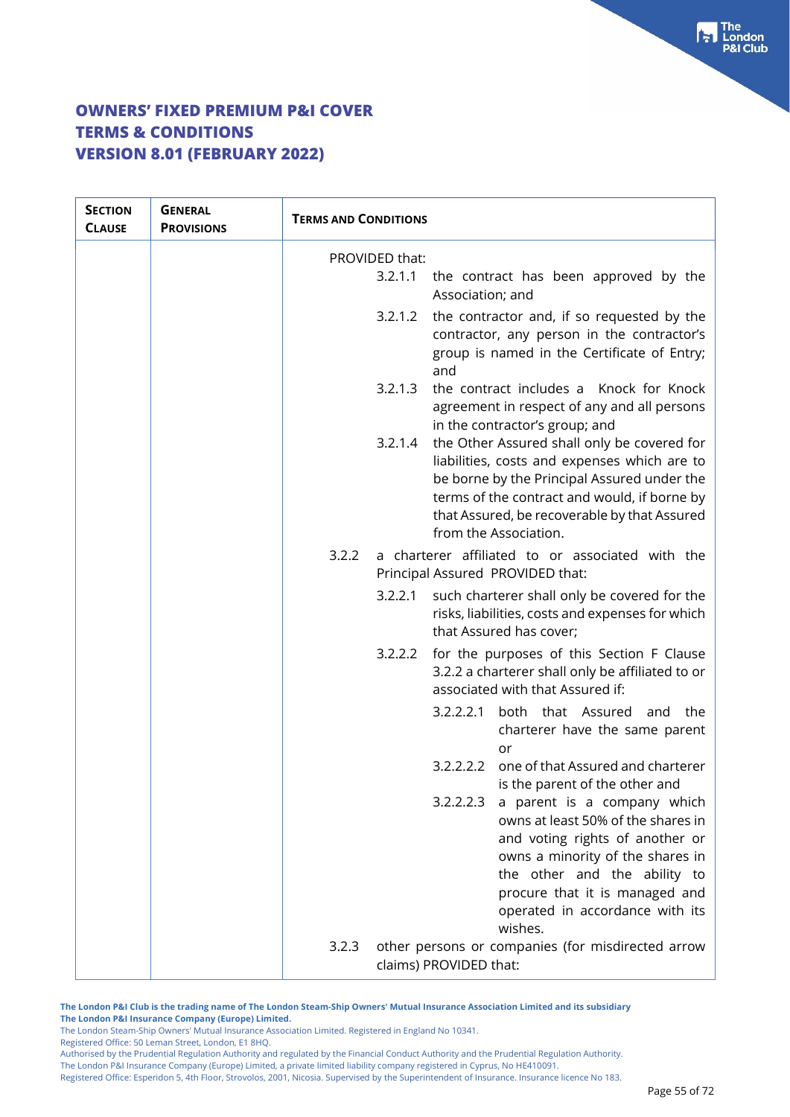| <b>SECTION</b><br><b>CLAUSE</b> | <b>GENERAL</b><br><b>PROVISIONS</b> | <b>TERMS AND CONDITIONS</b> |                                                                                                                                                                                                                                                                       |
|---------------------------------|-------------------------------------|-----------------------------|-----------------------------------------------------------------------------------------------------------------------------------------------------------------------------------------------------------------------------------------------------------------------|
|                                 |                                     | PROVIDED that:              |                                                                                                                                                                                                                                                                       |
|                                 |                                     | 3.2.1.1                     | the contract has been approved by the<br>Association; and                                                                                                                                                                                                             |
|                                 |                                     | 3.2.1.2                     | the contractor and, if so requested by the<br>contractor, any person in the contractor's<br>group is named in the Certificate of Entry;<br>and                                                                                                                        |
|                                 |                                     | 3.2.1.3                     | the contract includes a Knock for Knock<br>agreement in respect of any and all persons<br>in the contractor's group; and                                                                                                                                              |
|                                 |                                     | 3.2.1.4                     | the Other Assured shall only be covered for<br>liabilities, costs and expenses which are to<br>be borne by the Principal Assured under the<br>terms of the contract and would, if borne by<br>that Assured, be recoverable by that Assured<br>from the Association.   |
|                                 |                                     | 3.2.2                       | a charterer affiliated to or associated with the<br>Principal Assured PROVIDED that:                                                                                                                                                                                  |
|                                 |                                     | 3.2.2.1                     | such charterer shall only be covered for the<br>risks, liabilities, costs and expenses for which<br>that Assured has cover;                                                                                                                                           |
|                                 |                                     | 3.2.2.2                     | for the purposes of this Section F Clause<br>3.2.2 a charterer shall only be affiliated to or<br>associated with that Assured if:                                                                                                                                     |
|                                 |                                     |                             | 3.2.2.2.1<br>both that Assured and the<br>charterer have the same parent<br>or                                                                                                                                                                                        |
|                                 |                                     |                             | one of that Assured and charterer<br>3.2.2.2.2<br>is the parent of the other and                                                                                                                                                                                      |
|                                 |                                     |                             | 3.2.2.2.3<br>a parent is a company which<br>owns at least 50% of the shares in<br>and voting rights of another or<br>owns a minority of the shares in<br>the other and the ability to<br>procure that it is managed and<br>operated in accordance with its<br>wishes. |
|                                 |                                     | 3.2.3                       | other persons or companies (for misdirected arrow<br>claims) PROVIDED that:                                                                                                                                                                                           |

**The London P&I Club is the trading name of The London Steam-Ship Owners' Mutual Insurance Association Limited and its subsidiary The London P&I Insurance Company (Europe) Limited.**

The London Steam-Ship Owners' Mutual Insurance Association Limited. Registered in England No 10341.

Registered Office: 50 Leman Street, London, E1 8HQ.

Authorised by the Prudential Regulation Authority and regulated by the Financial Conduct Authority and the Prudential Regulation Authority. The London P&I Insurance Company (Europe) Limited, a private limited liability company registered in Cyprus, No HE410091.

Registered Office: Esperidon 5, 4th Floor, Strovolos, 2001, Nicosia. Supervised by the Superintendent of Insurance. Insurance licence No 183.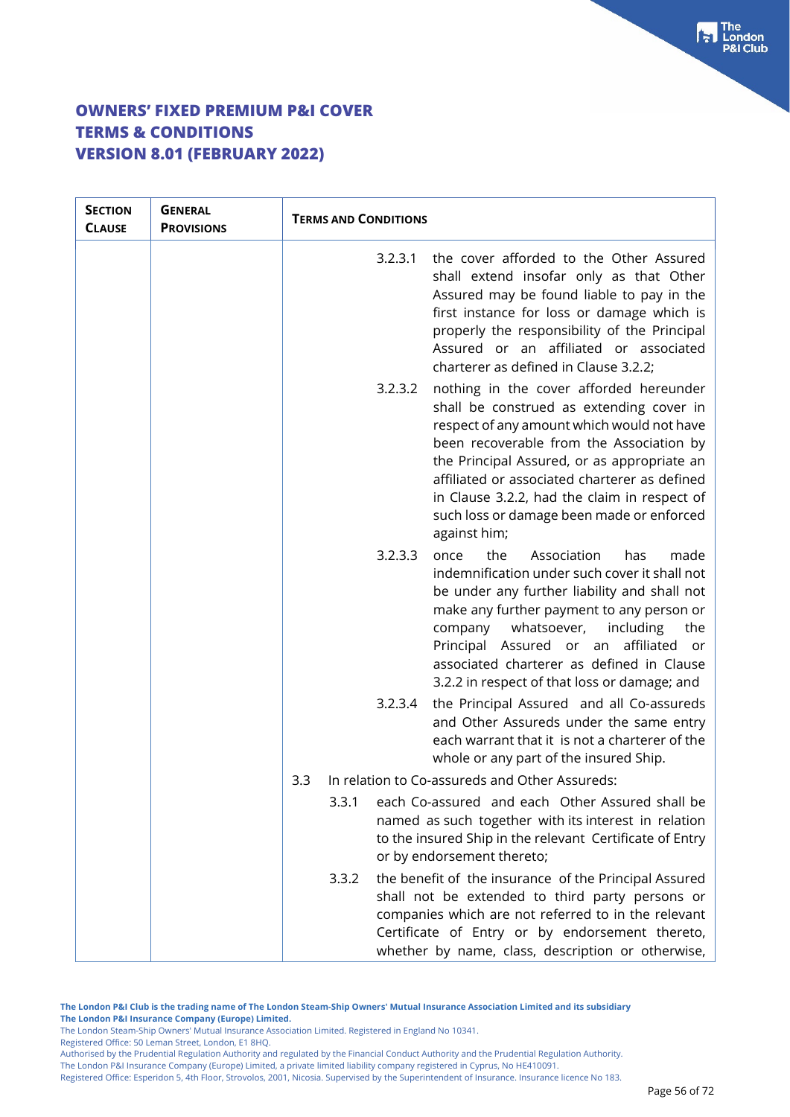| <b>SECTION</b><br><b>CLAUSE</b> | <b>GENERAL</b><br><b>PROVISIONS</b> | <b>TERMS AND CONDITIONS</b>                                                                                                                                                                                                                                                                                                                                                                           |
|---------------------------------|-------------------------------------|-------------------------------------------------------------------------------------------------------------------------------------------------------------------------------------------------------------------------------------------------------------------------------------------------------------------------------------------------------------------------------------------------------|
|                                 |                                     | the cover afforded to the Other Assured<br>3.2.3.1<br>shall extend insofar only as that Other<br>Assured may be found liable to pay in the<br>first instance for loss or damage which is<br>properly the responsibility of the Principal<br>Assured or an affiliated or associated<br>charterer as defined in Clause 3.2.2;                                                                           |
|                                 |                                     | 3.2.3.2<br>nothing in the cover afforded hereunder<br>shall be construed as extending cover in<br>respect of any amount which would not have<br>been recoverable from the Association by<br>the Principal Assured, or as appropriate an<br>affiliated or associated charterer as defined<br>in Clause 3.2.2, had the claim in respect of<br>such loss or damage been made or enforced<br>against him; |
|                                 |                                     | the<br>3.2.3.3<br>Association<br>once<br>has<br>made<br>indemnification under such cover it shall not<br>be under any further liability and shall not<br>make any further payment to any person or<br>whatsoever,<br>including<br>the<br>company<br>affiliated<br>Principal Assured or an<br>or<br>associated charterer as defined in Clause<br>3.2.2 in respect of that loss or damage; and          |
|                                 |                                     | the Principal Assured and all Co-assureds<br>3.2.3.4<br>and Other Assureds under the same entry<br>each warrant that it is not a charterer of the<br>whole or any part of the insured Ship.                                                                                                                                                                                                           |
|                                 |                                     | In relation to Co-assureds and Other Assureds:<br>3.3                                                                                                                                                                                                                                                                                                                                                 |
|                                 |                                     | each Co-assured and each Other Assured shall be<br>3.3.1<br>named as such together with its interest in relation<br>to the insured Ship in the relevant Certificate of Entry<br>or by endorsement thereto;                                                                                                                                                                                            |
|                                 |                                     | 3.3.2<br>the benefit of the insurance of the Principal Assured<br>shall not be extended to third party persons or<br>companies which are not referred to in the relevant<br>Certificate of Entry or by endorsement thereto,<br>whether by name, class, description or otherwise,                                                                                                                      |

**The London P&I Club is the trading name of The London Steam-Ship Owners' Mutual Insurance Association Limited and its subsidiary The London P&I Insurance Company (Europe) Limited.**

The London Steam-Ship Owners' Mutual Insurance Association Limited. Registered in England No 10341.

Registered Office: 50 Leman Street, London, E1 8HQ.

Authorised by the Prudential Regulation Authority and regulated by the Financial Conduct Authority and the Prudential Regulation Authority. The London P&I Insurance Company (Europe) Limited, a private limited liability company registered in Cyprus, No HE410091.

Registered Office: Esperidon 5, 4th Floor, Strovolos, 2001, Nicosia. Supervised by the Superintendent of Insurance. Insurance licence No 183.

 $\begin{bmatrix} \bullet \\ \bullet \end{bmatrix}$  The **Club**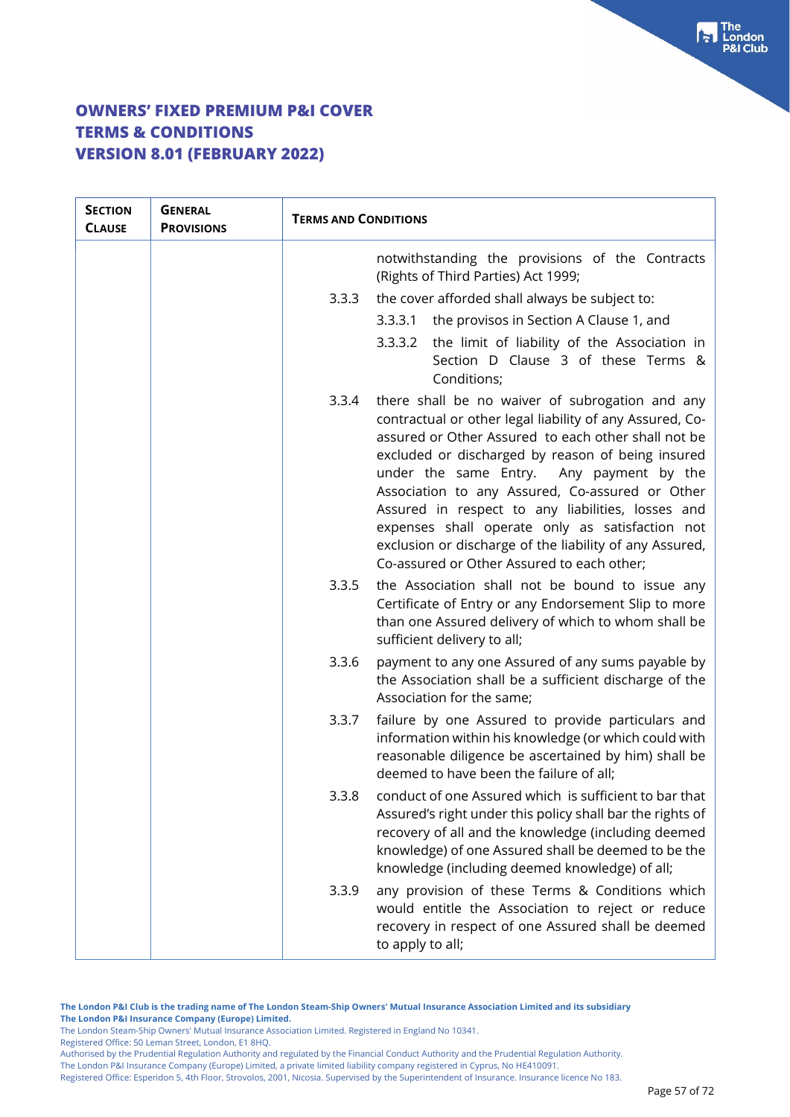| <b>SECTION</b><br><b>CLAUSE</b> | <b>GENERAL</b><br><b>PROVISIONS</b> | <b>TERMS AND CONDITIONS</b> |                                                                                                                                                                                                                                                                                                                                                                                                                                                                                                                                         |
|---------------------------------|-------------------------------------|-----------------------------|-----------------------------------------------------------------------------------------------------------------------------------------------------------------------------------------------------------------------------------------------------------------------------------------------------------------------------------------------------------------------------------------------------------------------------------------------------------------------------------------------------------------------------------------|
|                                 |                                     |                             | notwithstanding the provisions of the Contracts<br>(Rights of Third Parties) Act 1999;                                                                                                                                                                                                                                                                                                                                                                                                                                                  |
|                                 |                                     | 3.3.3                       | the cover afforded shall always be subject to:                                                                                                                                                                                                                                                                                                                                                                                                                                                                                          |
|                                 |                                     |                             | 3.3.3.1 the provisos in Section A Clause 1, and                                                                                                                                                                                                                                                                                                                                                                                                                                                                                         |
|                                 |                                     |                             | the limit of liability of the Association in<br>3.3.3.2<br>Section D Clause 3 of these Terms &<br>Conditions;                                                                                                                                                                                                                                                                                                                                                                                                                           |
|                                 |                                     | 3.3.4                       | there shall be no waiver of subrogation and any<br>contractual or other legal liability of any Assured, Co-<br>assured or Other Assured to each other shall not be<br>excluded or discharged by reason of being insured<br>under the same Entry. Any payment by the<br>Association to any Assured, Co-assured or Other<br>Assured in respect to any liabilities, losses and<br>expenses shall operate only as satisfaction not<br>exclusion or discharge of the liability of any Assured,<br>Co-assured or Other Assured to each other; |
|                                 |                                     | 3.3.5                       | the Association shall not be bound to issue any<br>Certificate of Entry or any Endorsement Slip to more<br>than one Assured delivery of which to whom shall be<br>sufficient delivery to all;                                                                                                                                                                                                                                                                                                                                           |
|                                 |                                     | 3.3.6                       | payment to any one Assured of any sums payable by<br>the Association shall be a sufficient discharge of the<br>Association for the same;                                                                                                                                                                                                                                                                                                                                                                                                |
|                                 |                                     | 3.3.7                       | failure by one Assured to provide particulars and<br>information within his knowledge (or which could with<br>reasonable diligence be ascertained by him) shall be<br>deemed to have been the failure of all;                                                                                                                                                                                                                                                                                                                           |
|                                 |                                     | 3.3.8                       | conduct of one Assured which is sufficient to bar that<br>Assured's right under this policy shall bar the rights of<br>recovery of all and the knowledge (including deemed<br>knowledge) of one Assured shall be deemed to be the<br>knowledge (including deemed knowledge) of all;                                                                                                                                                                                                                                                     |
|                                 |                                     | 3.3.9                       | any provision of these Terms & Conditions which<br>would entitle the Association to reject or reduce<br>recovery in respect of one Assured shall be deemed<br>to apply to all;                                                                                                                                                                                                                                                                                                                                                          |

**The London P&I Club is the trading name of The London Steam-Ship Owners' Mutual Insurance Association Limited and its subsidiary The London P&I Insurance Company (Europe) Limited.**

The London Steam-Ship Owners' Mutual Insurance Association Limited. Registered in England No 10341.

Registered Office: 50 Leman Street, London, E1 8HQ.

Authorised by the Prudential Regulation Authority and regulated by the Financial Conduct Authority and the Prudential Regulation Authority. The London P&I Insurance Company (Europe) Limited, a private limited liability company registered in Cyprus, No HE410091.

Registered Office: Esperidon 5, 4th Floor, Strovolos, 2001, Nicosia. Supervised by the Superintendent of Insurance. Insurance licence No 183.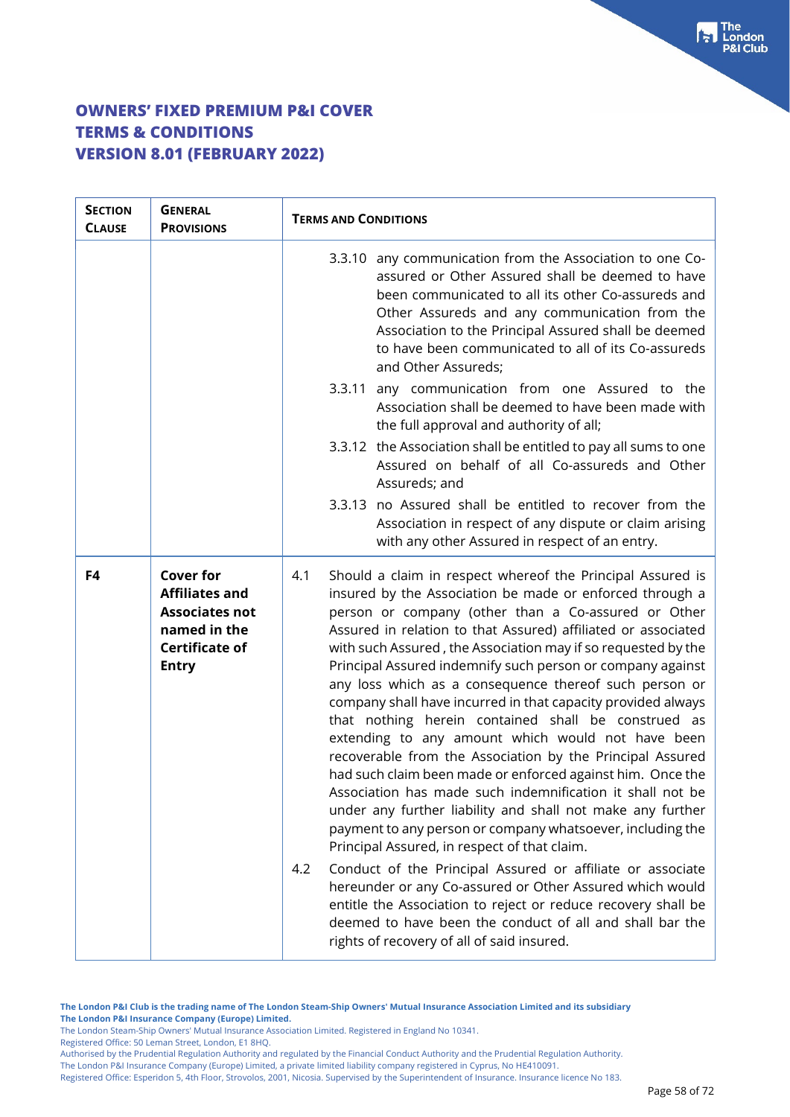| <b>SECTION</b><br><b>CLAUSE</b> | <b>GENERAL</b><br><b>PROVISIONS</b>                                                                                         | <b>TERMS AND CONDITIONS</b>                                                                                                                                                                                                                                                                                                                                                                                                                                                                                                                                                                                                                                                                                                                                                                                                                                                                                                                                                                                                                                         |
|---------------------------------|-----------------------------------------------------------------------------------------------------------------------------|---------------------------------------------------------------------------------------------------------------------------------------------------------------------------------------------------------------------------------------------------------------------------------------------------------------------------------------------------------------------------------------------------------------------------------------------------------------------------------------------------------------------------------------------------------------------------------------------------------------------------------------------------------------------------------------------------------------------------------------------------------------------------------------------------------------------------------------------------------------------------------------------------------------------------------------------------------------------------------------------------------------------------------------------------------------------|
|                                 |                                                                                                                             | 3.3.10 any communication from the Association to one Co-<br>assured or Other Assured shall be deemed to have<br>been communicated to all its other Co-assureds and<br>Other Assureds and any communication from the<br>Association to the Principal Assured shall be deemed<br>to have been communicated to all of its Co-assureds<br>and Other Assureds;                                                                                                                                                                                                                                                                                                                                                                                                                                                                                                                                                                                                                                                                                                           |
|                                 |                                                                                                                             | 3.3.11 any communication from one Assured to the<br>Association shall be deemed to have been made with<br>the full approval and authority of all;                                                                                                                                                                                                                                                                                                                                                                                                                                                                                                                                                                                                                                                                                                                                                                                                                                                                                                                   |
|                                 |                                                                                                                             | 3.3.12 the Association shall be entitled to pay all sums to one<br>Assured on behalf of all Co-assureds and Other<br>Assureds; and                                                                                                                                                                                                                                                                                                                                                                                                                                                                                                                                                                                                                                                                                                                                                                                                                                                                                                                                  |
|                                 |                                                                                                                             | 3.3.13 no Assured shall be entitled to recover from the<br>Association in respect of any dispute or claim arising<br>with any other Assured in respect of an entry.                                                                                                                                                                                                                                                                                                                                                                                                                                                                                                                                                                                                                                                                                                                                                                                                                                                                                                 |
| F4                              | <b>Cover for</b><br><b>Affiliates and</b><br><b>Associates not</b><br>named in the<br><b>Certificate of</b><br><b>Entry</b> | Should a claim in respect whereof the Principal Assured is<br>4.1<br>insured by the Association be made or enforced through a<br>person or company (other than a Co-assured or Other<br>Assured in relation to that Assured) affiliated or associated<br>with such Assured, the Association may if so requested by the<br>Principal Assured indemnify such person or company against<br>any loss which as a consequence thereof such person or<br>company shall have incurred in that capacity provided always<br>that nothing herein contained shall be construed as<br>extending to any amount which would not have been<br>recoverable from the Association by the Principal Assured<br>had such claim been made or enforced against him. Once the<br>Association has made such indemnification it shall not be<br>under any further liability and shall not make any further<br>payment to any person or company whatsoever, including the<br>Principal Assured, in respect of that claim.<br>Conduct of the Principal Assured or affiliate or associate<br>4.2 |
|                                 |                                                                                                                             | hereunder or any Co-assured or Other Assured which would<br>entitle the Association to reject or reduce recovery shall be<br>deemed to have been the conduct of all and shall bar the<br>rights of recovery of all of said insured.                                                                                                                                                                                                                                                                                                                                                                                                                                                                                                                                                                                                                                                                                                                                                                                                                                 |

**The London P&I Club is the trading name of The London Steam-Ship Owners' Mutual Insurance Association Limited and its subsidiary The London P&I Insurance Company (Europe) Limited.**

The London Steam-Ship Owners' Mutual Insurance Association Limited. Registered in England No 10341.

Registered Office: 50 Leman Street, London, E1 8HQ.

Authorised by the Prudential Regulation Authority and regulated by the Financial Conduct Authority and the Prudential Regulation Authority. The London P&I Insurance Company (Europe) Limited, a private limited liability company registered in Cyprus, No HE410091.

Registered Office: Esperidon 5, 4th Floor, Strovolos, 2001, Nicosia. Supervised by the Superintendent of Insurance. Insurance licence No 183.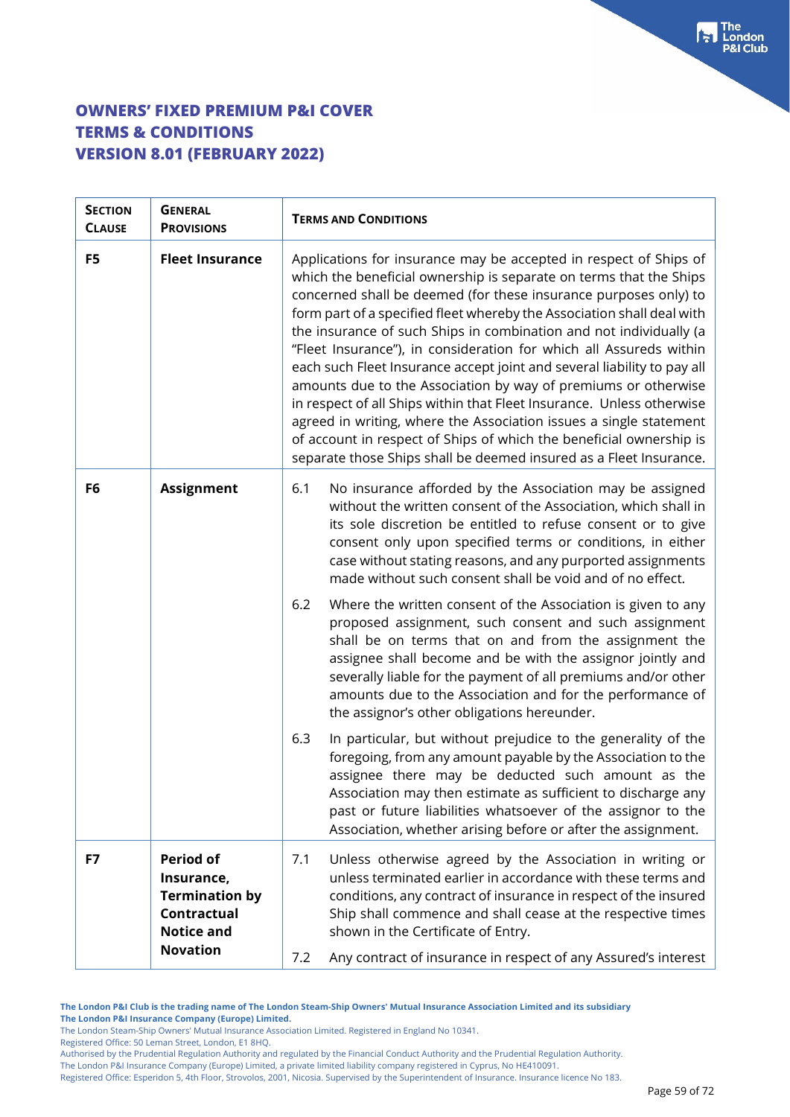| <b>SECTION</b><br><b>CLAUSE</b> | <b>GENERAL</b><br><b>PROVISIONS</b>                                                         | <b>TERMS AND CONDITIONS</b>                                                                                                                                                                                                                                                                                                                                                                                                                                                                                                                                                                                                                                                                                                                                                                                                                                                |  |  |
|---------------------------------|---------------------------------------------------------------------------------------------|----------------------------------------------------------------------------------------------------------------------------------------------------------------------------------------------------------------------------------------------------------------------------------------------------------------------------------------------------------------------------------------------------------------------------------------------------------------------------------------------------------------------------------------------------------------------------------------------------------------------------------------------------------------------------------------------------------------------------------------------------------------------------------------------------------------------------------------------------------------------------|--|--|
| F5                              | <b>Fleet Insurance</b>                                                                      | Applications for insurance may be accepted in respect of Ships of<br>which the beneficial ownership is separate on terms that the Ships<br>concerned shall be deemed (for these insurance purposes only) to<br>form part of a specified fleet whereby the Association shall deal with<br>the insurance of such Ships in combination and not individually (a<br>"Fleet Insurance"), in consideration for which all Assureds within<br>each such Fleet Insurance accept joint and several liability to pay all<br>amounts due to the Association by way of premiums or otherwise<br>in respect of all Ships within that Fleet Insurance. Unless otherwise<br>agreed in writing, where the Association issues a single statement<br>of account in respect of Ships of which the beneficial ownership is<br>separate those Ships shall be deemed insured as a Fleet Insurance. |  |  |
| F6                              | <b>Assignment</b>                                                                           | No insurance afforded by the Association may be assigned<br>6.1<br>without the written consent of the Association, which shall in<br>its sole discretion be entitled to refuse consent or to give<br>consent only upon specified terms or conditions, in either<br>case without stating reasons, and any purported assignments<br>made without such consent shall be void and of no effect.                                                                                                                                                                                                                                                                                                                                                                                                                                                                                |  |  |
|                                 |                                                                                             | 6.2<br>Where the written consent of the Association is given to any<br>proposed assignment, such consent and such assignment<br>shall be on terms that on and from the assignment the<br>assignee shall become and be with the assignor jointly and<br>severally liable for the payment of all premiums and/or other<br>amounts due to the Association and for the performance of<br>the assignor's other obligations hereunder.                                                                                                                                                                                                                                                                                                                                                                                                                                           |  |  |
|                                 |                                                                                             | 6.3<br>In particular, but without prejudice to the generality of the<br>foregoing, from any amount payable by the Association to the<br>assignee there may be deducted such amount as the<br>Association may then estimate as sufficient to discharge any<br>past or future liabilities whatsoever of the assignor to the<br>Association, whether arising before or after the assignment.                                                                                                                                                                                                                                                                                                                                                                                                                                                                                  |  |  |
| F7                              | <b>Period of</b><br>Insurance,<br><b>Termination by</b><br>Contractual<br><b>Notice and</b> | Unless otherwise agreed by the Association in writing or<br>7.1<br>unless terminated earlier in accordance with these terms and<br>conditions, any contract of insurance in respect of the insured<br>Ship shall commence and shall cease at the respective times<br>shown in the Certificate of Entry.                                                                                                                                                                                                                                                                                                                                                                                                                                                                                                                                                                    |  |  |
|                                 | <b>Novation</b>                                                                             | Any contract of insurance in respect of any Assured's interest<br>7.2                                                                                                                                                                                                                                                                                                                                                                                                                                                                                                                                                                                                                                                                                                                                                                                                      |  |  |

**The London P&I Club is the trading name of The London Steam-Ship Owners' Mutual Insurance Association Limited and its subsidiary The London P&I Insurance Company (Europe) Limited.**

The London Steam-Ship Owners' Mutual Insurance Association Limited. Registered in England No 10341.

Registered Office: 50 Leman Street, London, E1 8HQ.

Authorised by the Prudential Regulation Authority and regulated by the Financial Conduct Authority and the Prudential Regulation Authority.

The London P&I Insurance Company (Europe) Limited, a private limited liability company registered in Cyprus, No HE410091.

Registered Office: Esperidon 5, 4th Floor, Strovolos, 2001, Nicosia. Supervised by the Superintendent of Insurance. Insurance licence No 183.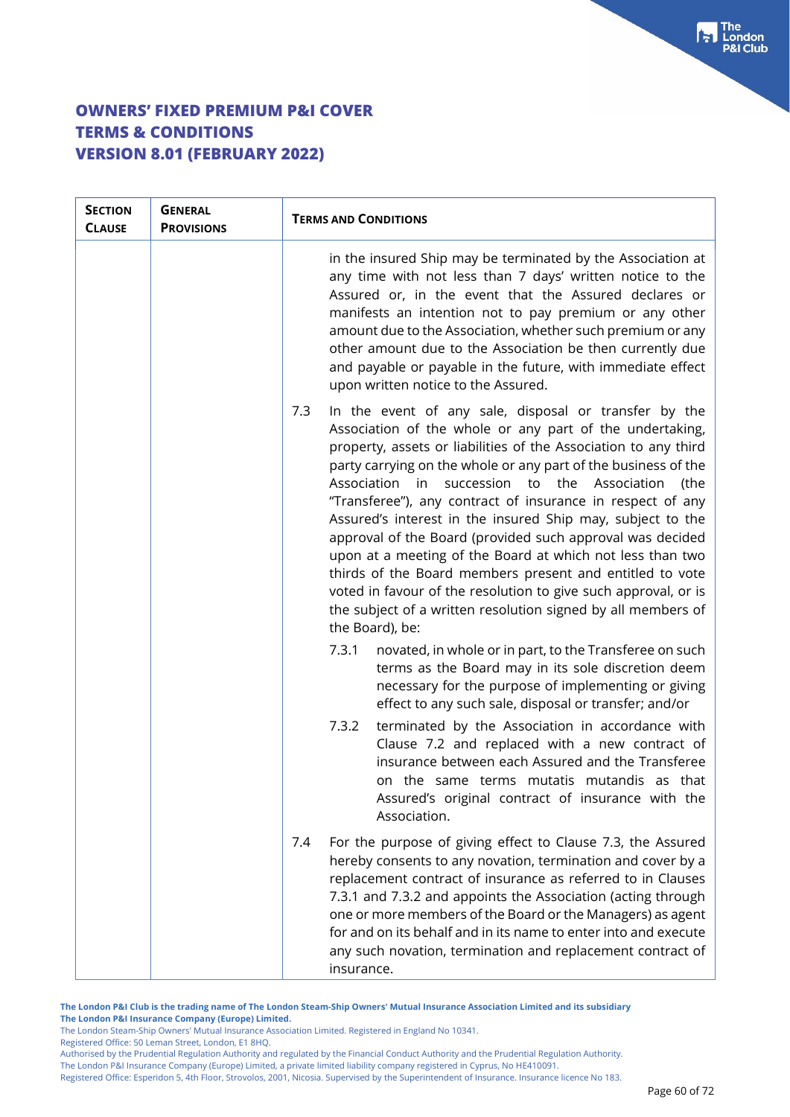| <b>SECTION</b><br><b>CLAUSE</b> | <b>GENERAL</b><br><b>PROVISIONS</b> | <b>TERMS AND CONDITIONS</b>                                                                                                                                                                                                                                                                                                                                                                                                                                                                                                                                                                                                                                                                                                                                                                                                                                                                                                                                                                                                                                                                                                                                                                                                                                                              |  |
|---------------------------------|-------------------------------------|------------------------------------------------------------------------------------------------------------------------------------------------------------------------------------------------------------------------------------------------------------------------------------------------------------------------------------------------------------------------------------------------------------------------------------------------------------------------------------------------------------------------------------------------------------------------------------------------------------------------------------------------------------------------------------------------------------------------------------------------------------------------------------------------------------------------------------------------------------------------------------------------------------------------------------------------------------------------------------------------------------------------------------------------------------------------------------------------------------------------------------------------------------------------------------------------------------------------------------------------------------------------------------------|--|
|                                 |                                     | in the insured Ship may be terminated by the Association at<br>any time with not less than 7 days' written notice to the<br>Assured or, in the event that the Assured declares or<br>manifests an intention not to pay premium or any other<br>amount due to the Association, whether such premium or any<br>other amount due to the Association be then currently due<br>and payable or payable in the future, with immediate effect<br>upon written notice to the Assured.<br>In the event of any sale, disposal or transfer by the<br>7.3<br>Association of the whole or any part of the undertaking,<br>property, assets or liabilities of the Association to any third<br>party carrying on the whole or any part of the business of the<br>succession to the<br>Association<br>in in<br>Association<br>the)<br>"Transferee"), any contract of insurance in respect of any<br>Assured's interest in the insured Ship may, subject to the<br>approval of the Board (provided such approval was decided<br>upon at a meeting of the Board at which not less than two<br>thirds of the Board members present and entitled to vote<br>voted in favour of the resolution to give such approval, or is<br>the subject of a written resolution signed by all members of<br>the Board), be: |  |
|                                 |                                     |                                                                                                                                                                                                                                                                                                                                                                                                                                                                                                                                                                                                                                                                                                                                                                                                                                                                                                                                                                                                                                                                                                                                                                                                                                                                                          |  |
|                                 |                                     | 7.3.1<br>novated, in whole or in part, to the Transferee on such<br>terms as the Board may in its sole discretion deem<br>necessary for the purpose of implementing or giving<br>effect to any such sale, disposal or transfer; and/or<br>terminated by the Association in accordance with<br>7.3.2<br>Clause 7.2 and replaced with a new contract of<br>insurance between each Assured and the Transferee<br>on the same terms mutatis mutandis as that<br>Assured's original contract of insurance with the<br>Association.                                                                                                                                                                                                                                                                                                                                                                                                                                                                                                                                                                                                                                                                                                                                                            |  |
|                                 |                                     | For the purpose of giving effect to Clause 7.3, the Assured<br>7.4<br>hereby consents to any novation, termination and cover by a<br>replacement contract of insurance as referred to in Clauses<br>7.3.1 and 7.3.2 and appoints the Association (acting through<br>one or more members of the Board or the Managers) as agent<br>for and on its behalf and in its name to enter into and execute<br>any such novation, termination and replacement contract of<br>insurance.                                                                                                                                                                                                                                                                                                                                                                                                                                                                                                                                                                                                                                                                                                                                                                                                            |  |

**The London P&I Club is the trading name of The London Steam-Ship Owners' Mutual Insurance Association Limited and its subsidiary The London P&I Insurance Company (Europe) Limited.**

The London Steam-Ship Owners' Mutual Insurance Association Limited. Registered in England No 10341.

Registered Office: 50 Leman Street, London, E1 8HQ.

Authorised by the Prudential Regulation Authority and regulated by the Financial Conduct Authority and the Prudential Regulation Authority. The London P&I Insurance Company (Europe) Limited, a private limited liability company registered in Cyprus, No HE410091.

Registered Office: Esperidon 5, 4th Floor, Strovolos, 2001, Nicosia. Supervised by the Superintendent of Insurance. Insurance licence No 183.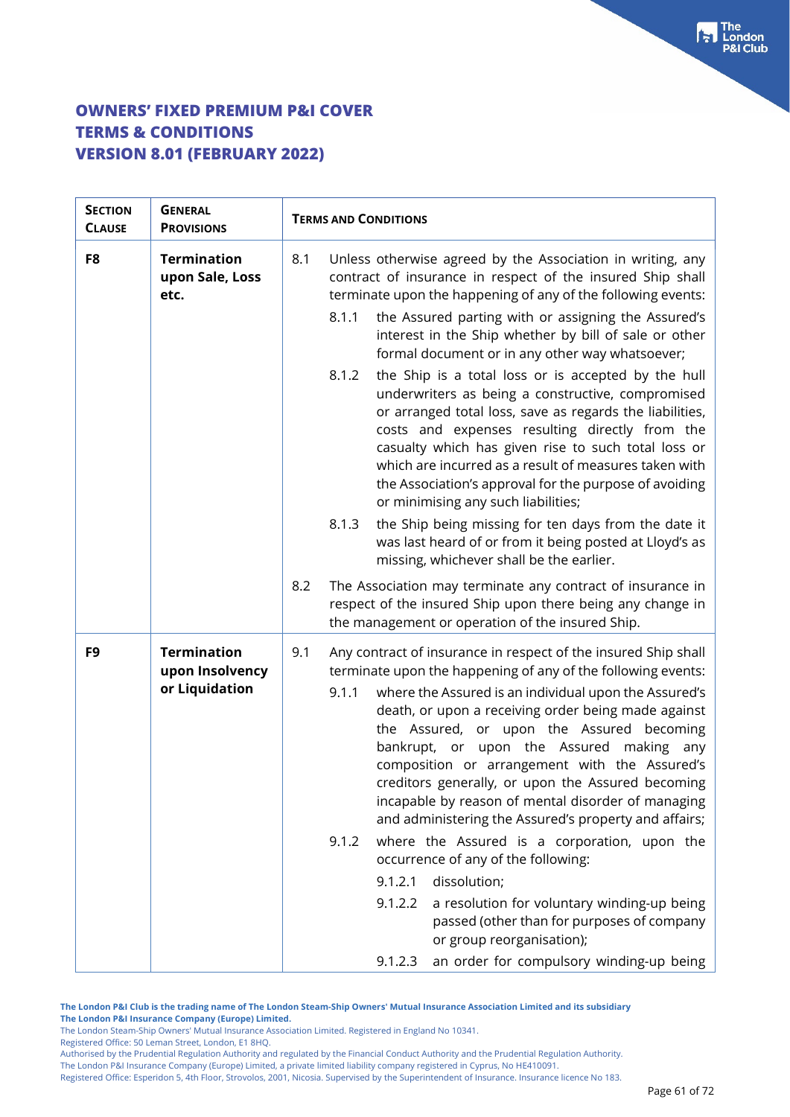| <b>SECTION</b><br><b>CLAUSE</b> | <b>GENERAL</b><br><b>PROVISIONS</b>                     |     | <b>TERMS AND CONDITIONS</b>                                                                                                                                                                                                                                                                                                                                                                                                                                                                                                                                           |  |
|---------------------------------|---------------------------------------------------------|-----|-----------------------------------------------------------------------------------------------------------------------------------------------------------------------------------------------------------------------------------------------------------------------------------------------------------------------------------------------------------------------------------------------------------------------------------------------------------------------------------------------------------------------------------------------------------------------|--|
| F8                              | <b>Termination</b><br>upon Sale, Loss<br>etc.           | 8.1 | Unless otherwise agreed by the Association in writing, any<br>contract of insurance in respect of the insured Ship shall<br>terminate upon the happening of any of the following events:<br>8.1.1<br>the Assured parting with or assigning the Assured's<br>interest in the Ship whether by bill of sale or other<br>formal document or in any other way whatsoever;                                                                                                                                                                                                  |  |
|                                 |                                                         |     | the Ship is a total loss or is accepted by the hull<br>8.1.2<br>underwriters as being a constructive, compromised<br>or arranged total loss, save as regards the liabilities,<br>costs and expenses resulting directly from the<br>casualty which has given rise to such total loss or<br>which are incurred as a result of measures taken with<br>the Association's approval for the purpose of avoiding<br>or minimising any such liabilities;                                                                                                                      |  |
|                                 |                                                         |     | the Ship being missing for ten days from the date it<br>8.1.3<br>was last heard of or from it being posted at Lloyd's as<br>missing, whichever shall be the earlier.                                                                                                                                                                                                                                                                                                                                                                                                  |  |
|                                 |                                                         | 8.2 | The Association may terminate any contract of insurance in<br>respect of the insured Ship upon there being any change in<br>the management or operation of the insured Ship.                                                                                                                                                                                                                                                                                                                                                                                          |  |
| F9                              | <b>Termination</b><br>upon Insolvency<br>or Liquidation | 9.1 | Any contract of insurance in respect of the insured Ship shall<br>terminate upon the happening of any of the following events:<br>where the Assured is an individual upon the Assured's<br>9.1.1<br>death, or upon a receiving order being made against<br>the Assured, or upon the Assured becoming<br>bankrupt, or upon the Assured making any<br>composition or arrangement with the Assured's<br>creditors generally, or upon the Assured becoming<br>incapable by reason of mental disorder of managing<br>and administering the Assured's property and affairs; |  |
|                                 |                                                         |     | where the Assured is a corporation, upon the<br>9.1.2<br>occurrence of any of the following:<br>dissolution;<br>9.1.2.1                                                                                                                                                                                                                                                                                                                                                                                                                                               |  |
|                                 |                                                         |     | 9.1.2.2<br>a resolution for voluntary winding-up being<br>passed (other than for purposes of company<br>or group reorganisation);                                                                                                                                                                                                                                                                                                                                                                                                                                     |  |
|                                 |                                                         |     | an order for compulsory winding-up being<br>9.1.2.3                                                                                                                                                                                                                                                                                                                                                                                                                                                                                                                   |  |

**The London P&I Club is the trading name of The London Steam-Ship Owners' Mutual Insurance Association Limited and its subsidiary The London P&I Insurance Company (Europe) Limited.**

The London Steam-Ship Owners' Mutual Insurance Association Limited. Registered in England No 10341.

Registered Office: 50 Leman Street, London, E1 8HQ.

Authorised by the Prudential Regulation Authority and regulated by the Financial Conduct Authority and the Prudential Regulation Authority. The London P&I Insurance Company (Europe) Limited, a private limited liability company registered in Cyprus, No HE410091.

Registered Office: Esperidon 5, 4th Floor, Strovolos, 2001, Nicosia. Supervised by the Superintendent of Insurance. Insurance licence No 183.

 $\begin{bmatrix} 1 \\ 2 \end{bmatrix}$  The London **8I Club**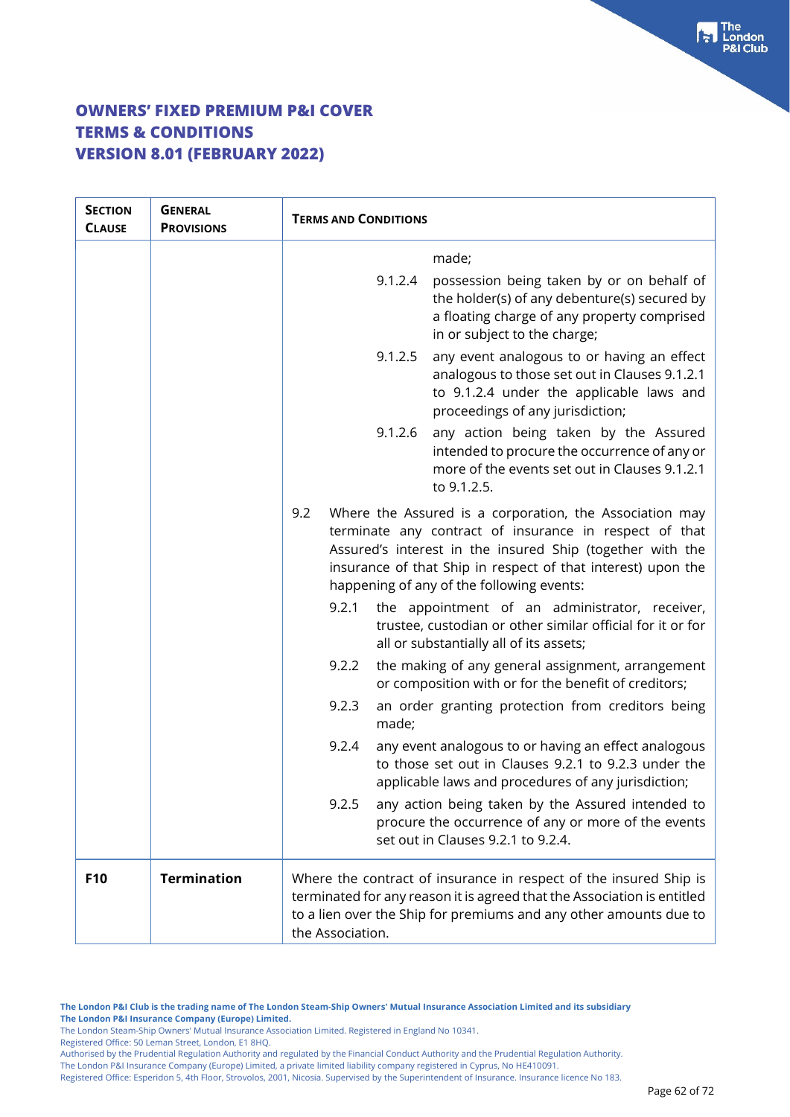| <b>SECTION</b><br><b>CLAUSE</b> | <b>GENERAL</b><br><b>PROVISIONS</b> | <b>TERMS AND CONDITIONS</b>                                                                                                                                                                                                                                                                        |  |
|---------------------------------|-------------------------------------|----------------------------------------------------------------------------------------------------------------------------------------------------------------------------------------------------------------------------------------------------------------------------------------------------|--|
|                                 |                                     | made;                                                                                                                                                                                                                                                                                              |  |
|                                 |                                     | possession being taken by or on behalf of<br>9.1.2.4<br>the holder(s) of any debenture(s) secured by<br>a floating charge of any property comprised<br>in or subject to the charge;                                                                                                                |  |
|                                 |                                     | any event analogous to or having an effect<br>9.1.2.5<br>analogous to those set out in Clauses 9.1.2.1<br>to 9.1.2.4 under the applicable laws and<br>proceedings of any jurisdiction;                                                                                                             |  |
|                                 |                                     | 9.1.2.6<br>any action being taken by the Assured<br>intended to procure the occurrence of any or<br>more of the events set out in Clauses 9.1.2.1<br>to 9.1.2.5.                                                                                                                                   |  |
|                                 |                                     | 9.2<br>Where the Assured is a corporation, the Association may<br>terminate any contract of insurance in respect of that<br>Assured's interest in the insured Ship (together with the<br>insurance of that Ship in respect of that interest) upon the<br>happening of any of the following events: |  |
|                                 |                                     | 9.2.1<br>the appointment of an administrator, receiver,<br>trustee, custodian or other similar official for it or for<br>all or substantially all of its assets;                                                                                                                                   |  |
|                                 |                                     | the making of any general assignment, arrangement<br>9.2.2<br>or composition with or for the benefit of creditors;                                                                                                                                                                                 |  |
|                                 |                                     | 9.2.3<br>an order granting protection from creditors being<br>made;                                                                                                                                                                                                                                |  |
|                                 |                                     | 9.2.4<br>any event analogous to or having an effect analogous<br>to those set out in Clauses 9.2.1 to 9.2.3 under the<br>applicable laws and procedures of any jurisdiction;                                                                                                                       |  |
|                                 |                                     | 9.2.5<br>any action being taken by the Assured intended to<br>procure the occurrence of any or more of the events<br>set out in Clauses 9.2.1 to 9.2.4.                                                                                                                                            |  |
| F <sub>10</sub>                 | <b>Termination</b>                  | Where the contract of insurance in respect of the insured Ship is<br>terminated for any reason it is agreed that the Association is entitled<br>to a lien over the Ship for premiums and any other amounts due to<br>the Association.                                                              |  |

**The London P&I Club is the trading name of The London Steam-Ship Owners' Mutual Insurance Association Limited and its subsidiary The London P&I Insurance Company (Europe) Limited.**

The London Steam-Ship Owners' Mutual Insurance Association Limited. Registered in England No 10341.

Registered Office: 50 Leman Street, London, E1 8HQ.

Authorised by the Prudential Regulation Authority and regulated by the Financial Conduct Authority and the Prudential Regulation Authority.

The London P&I Insurance Company (Europe) Limited, a private limited liability company registered in Cyprus, No HE410091.

Registered Office: Esperidon 5, 4th Floor, Strovolos, 2001, Nicosia. Supervised by the Superintendent of Insurance. Insurance licence No 183.

Fraction<br>P&I Club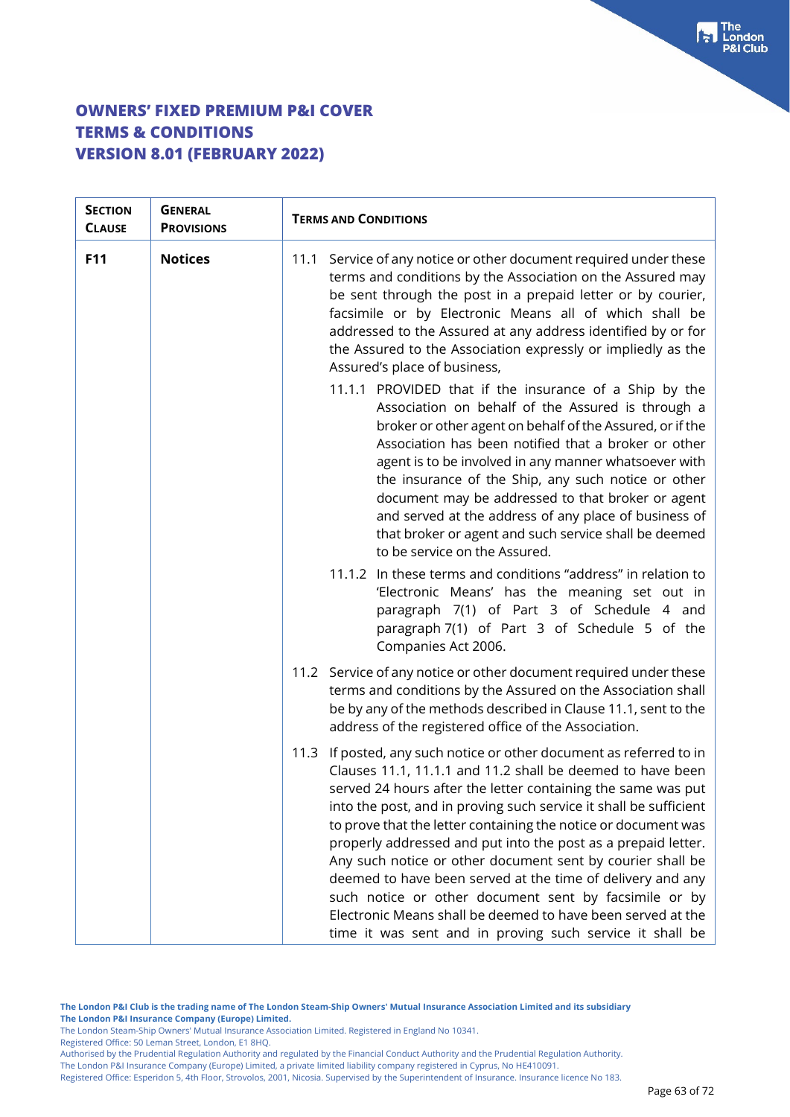| <b>SECTION</b><br><b>CLAUSE</b> | <b>GENERAL</b><br><b>PROVISIONS</b> | <b>TERMS AND CONDITIONS</b>                                                                                                                                                                                                                                                                                                                                                                                                                                                                                                                                                                                                                                                                                                                                                                                                                                                                                                                                                          |
|---------------------------------|-------------------------------------|--------------------------------------------------------------------------------------------------------------------------------------------------------------------------------------------------------------------------------------------------------------------------------------------------------------------------------------------------------------------------------------------------------------------------------------------------------------------------------------------------------------------------------------------------------------------------------------------------------------------------------------------------------------------------------------------------------------------------------------------------------------------------------------------------------------------------------------------------------------------------------------------------------------------------------------------------------------------------------------|
| F11                             | <b>Notices</b>                      | 11.1 Service of any notice or other document required under these<br>terms and conditions by the Association on the Assured may<br>be sent through the post in a prepaid letter or by courier,<br>facsimile or by Electronic Means all of which shall be<br>addressed to the Assured at any address identified by or for<br>the Assured to the Association expressly or impliedly as the<br>Assured's place of business,<br>11.1.1 PROVIDED that if the insurance of a Ship by the<br>Association on behalf of the Assured is through a<br>broker or other agent on behalf of the Assured, or if the<br>Association has been notified that a broker or other<br>agent is to be involved in any manner whatsoever with<br>the insurance of the Ship, any such notice or other<br>document may be addressed to that broker or agent<br>and served at the address of any place of business of<br>that broker or agent and such service shall be deemed<br>to be service on the Assured. |
|                                 |                                     | 11.1.2 In these terms and conditions "address" in relation to<br>'Electronic Means' has the meaning set out in<br>paragraph 7(1) of Part 3 of Schedule 4 and<br>paragraph 7(1) of Part 3 of Schedule 5 of the<br>Companies Act 2006.                                                                                                                                                                                                                                                                                                                                                                                                                                                                                                                                                                                                                                                                                                                                                 |
|                                 |                                     | 11.2 Service of any notice or other document required under these<br>terms and conditions by the Assured on the Association shall<br>be by any of the methods described in Clause 11.1, sent to the<br>address of the registered office of the Association.                                                                                                                                                                                                                                                                                                                                                                                                                                                                                                                                                                                                                                                                                                                          |
|                                 |                                     | 11.3 If posted, any such notice or other document as referred to in<br>Clauses 11.1, 11.1.1 and 11.2 shall be deemed to have been<br>served 24 hours after the letter containing the same was put<br>into the post, and in proving such service it shall be sufficient<br>to prove that the letter containing the notice or document was<br>properly addressed and put into the post as a prepaid letter.<br>Any such notice or other document sent by courier shall be<br>deemed to have been served at the time of delivery and any<br>such notice or other document sent by facsimile or by<br>Electronic Means shall be deemed to have been served at the<br>time it was sent and in proving such service it shall be                                                                                                                                                                                                                                                            |

Registered Office: 50 Leman Street, London, E1 8HQ.

The London P&I Insurance Company (Europe) Limited, a private limited liability company registered in Cyprus, No HE410091. Registered Office: Esperidon 5, 4th Floor, Strovolos, 2001, Nicosia. Supervised by the Superintendent of Insurance. Insurance licence No 183.  $\begin{bmatrix} \bullet \\ \bullet \end{bmatrix}$  The **&I Club** 

The London Steam-Ship Owners' Mutual Insurance Association Limited. Registered in England No 10341.

Authorised by the Prudential Regulation Authority and regulated by the Financial Conduct Authority and the Prudential Regulation Authority.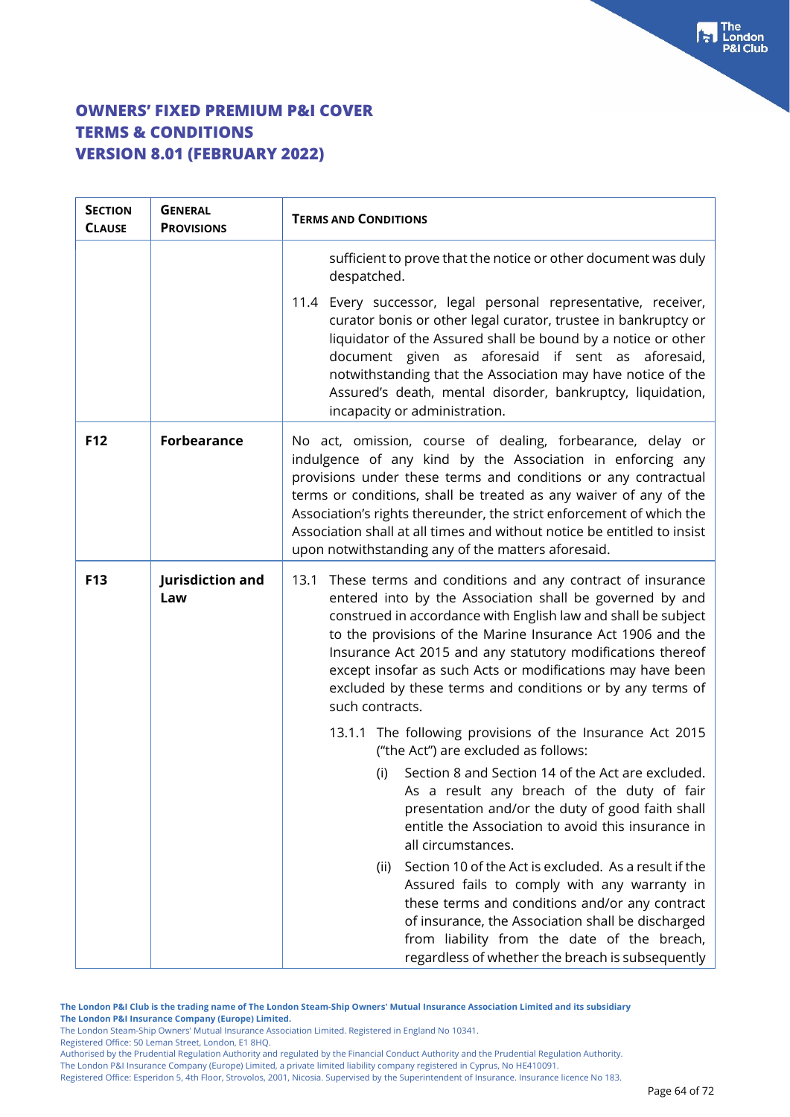| <b>SECTION</b><br><b>CLAUSE</b> | <b>GENERAL</b><br><b>PROVISIONS</b> | <b>TERMS AND CONDITIONS</b>                                                                                                                                                                                                                                                                                                                                                                                                                                              |  |  |
|---------------------------------|-------------------------------------|--------------------------------------------------------------------------------------------------------------------------------------------------------------------------------------------------------------------------------------------------------------------------------------------------------------------------------------------------------------------------------------------------------------------------------------------------------------------------|--|--|
|                                 |                                     | sufficient to prove that the notice or other document was duly<br>despatched.                                                                                                                                                                                                                                                                                                                                                                                            |  |  |
|                                 |                                     | 11.4 Every successor, legal personal representative, receiver,<br>curator bonis or other legal curator, trustee in bankruptcy or<br>liquidator of the Assured shall be bound by a notice or other<br>document given as aforesaid if sent as aforesaid,<br>notwithstanding that the Association may have notice of the<br>Assured's death, mental disorder, bankruptcy, liquidation,<br>incapacity or administration.                                                     |  |  |
| F12                             | <b>Forbearance</b>                  | No act, omission, course of dealing, forbearance, delay or<br>indulgence of any kind by the Association in enforcing any<br>provisions under these terms and conditions or any contractual<br>terms or conditions, shall be treated as any waiver of any of the<br>Association's rights thereunder, the strict enforcement of which the<br>Association shall at all times and without notice be entitled to insist<br>upon notwithstanding any of the matters aforesaid. |  |  |
| F13                             | Jurisdiction and<br>Law             | 13.1 These terms and conditions and any contract of insurance<br>entered into by the Association shall be governed by and<br>construed in accordance with English law and shall be subject<br>to the provisions of the Marine Insurance Act 1906 and the<br>Insurance Act 2015 and any statutory modifications thereof<br>except insofar as such Acts or modifications may have been<br>excluded by these terms and conditions or by any terms of<br>such contracts.     |  |  |
|                                 |                                     | 13.1.1 The following provisions of the Insurance Act 2015<br>("the Act") are excluded as follows:                                                                                                                                                                                                                                                                                                                                                                        |  |  |
|                                 |                                     | Section 8 and Section 14 of the Act are excluded.<br>(i)<br>As a result any breach of the duty of fair<br>presentation and/or the duty of good faith shall<br>entitle the Association to avoid this insurance in<br>all circumstances.                                                                                                                                                                                                                                   |  |  |
|                                 |                                     | Section 10 of the Act is excluded. As a result if the<br>(ii)<br>Assured fails to comply with any warranty in<br>these terms and conditions and/or any contract<br>of insurance, the Association shall be discharged<br>from liability from the date of the breach,<br>regardless of whether the breach is subsequently                                                                                                                                                  |  |  |

**The London P&I Club is the trading name of The London Steam-Ship Owners' Mutual Insurance Association Limited and its subsidiary The London P&I Insurance Company (Europe) Limited.**

The London Steam-Ship Owners' Mutual Insurance Association Limited. Registered in England No 10341.

Registered Office: 50 Leman Street, London, E1 8HQ.

Authorised by the Prudential Regulation Authority and regulated by the Financial Conduct Authority and the Prudential Regulation Authority. The London P&I Insurance Company (Europe) Limited, a private limited liability company registered in Cyprus, No HE410091.

Registered Office: Esperidon 5, 4th Floor, Strovolos, 2001, Nicosia. Supervised by the Superintendent of Insurance. Insurance licence No 183.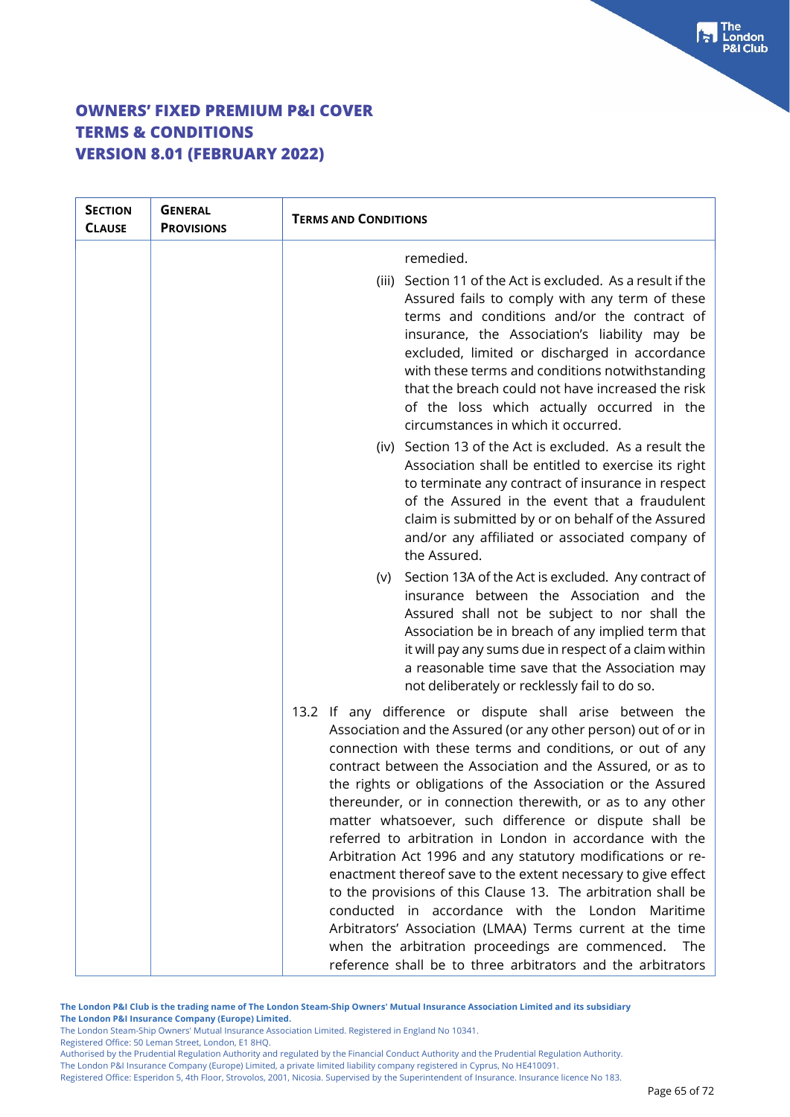| <b>SECTION</b><br><b>CLAUSE</b> | <b>GENERAL</b><br><b>PROVISIONS</b> | <b>TERMS AND CONDITIONS</b>                                                                                                                                                                                                                                                                                                                                                                                                                                                                                                                                                                                                                                                                                                                                                                                                                                                                                                                          |  |
|---------------------------------|-------------------------------------|------------------------------------------------------------------------------------------------------------------------------------------------------------------------------------------------------------------------------------------------------------------------------------------------------------------------------------------------------------------------------------------------------------------------------------------------------------------------------------------------------------------------------------------------------------------------------------------------------------------------------------------------------------------------------------------------------------------------------------------------------------------------------------------------------------------------------------------------------------------------------------------------------------------------------------------------------|--|
|                                 |                                     | remedied.                                                                                                                                                                                                                                                                                                                                                                                                                                                                                                                                                                                                                                                                                                                                                                                                                                                                                                                                            |  |
|                                 |                                     | (iii) Section 11 of the Act is excluded. As a result if the<br>Assured fails to comply with any term of these<br>terms and conditions and/or the contract of<br>insurance, the Association's liability may be<br>excluded, limited or discharged in accordance<br>with these terms and conditions notwithstanding<br>that the breach could not have increased the risk<br>of the loss which actually occurred in the<br>circumstances in which it occurred.                                                                                                                                                                                                                                                                                                                                                                                                                                                                                          |  |
|                                 |                                     | (iv) Section 13 of the Act is excluded. As a result the<br>Association shall be entitled to exercise its right<br>to terminate any contract of insurance in respect<br>of the Assured in the event that a fraudulent<br>claim is submitted by or on behalf of the Assured<br>and/or any affiliated or associated company of<br>the Assured.                                                                                                                                                                                                                                                                                                                                                                                                                                                                                                                                                                                                          |  |
|                                 |                                     | (v) Section 13A of the Act is excluded. Any contract of<br>insurance between the Association and the<br>Assured shall not be subject to nor shall the<br>Association be in breach of any implied term that<br>it will pay any sums due in respect of a claim within<br>a reasonable time save that the Association may<br>not deliberately or recklessly fail to do so.                                                                                                                                                                                                                                                                                                                                                                                                                                                                                                                                                                              |  |
|                                 |                                     | 13.2 If any difference or dispute shall arise between the<br>Association and the Assured (or any other person) out of or in<br>connection with these terms and conditions, or out of any<br>contract between the Association and the Assured, or as to<br>the rights or obligations of the Association or the Assured<br>thereunder, or in connection therewith, or as to any other<br>matter whatsoever, such difference or dispute shall be<br>referred to arbitration in London in accordance with the<br>Arbitration Act 1996 and any statutory modifications or re-<br>enactment thereof save to the extent necessary to give effect<br>to the provisions of this Clause 13. The arbitration shall be<br>conducted in accordance with the London Maritime<br>Arbitrators' Association (LMAA) Terms current at the time<br>when the arbitration proceedings are commenced.<br>The<br>reference shall be to three arbitrators and the arbitrators |  |

**The London P&I Club is the trading name of The London Steam-Ship Owners' Mutual Insurance Association Limited and its subsidiary**

**The London P&I Insurance Company (Europe) Limited.** The London Steam-Ship Owners' Mutual Insurance Association Limited. Registered in England No 10341.

Registered Office: 50 Leman Street, London, E1 8HQ.

Authorised by the Prudential Regulation Authority and regulated by the Financial Conduct Authority and the Prudential Regulation Authority. The London P&I Insurance Company (Europe) Limited, a private limited liability company registered in Cyprus, No HE410091.

Registered Office: Esperidon 5, 4th Floor, Strovolos, 2001, Nicosia. Supervised by the Superintendent of Insurance. Insurance licence No 183.

 $\begin{bmatrix} \bullet \\ \bullet \end{bmatrix}$  The **8I Club**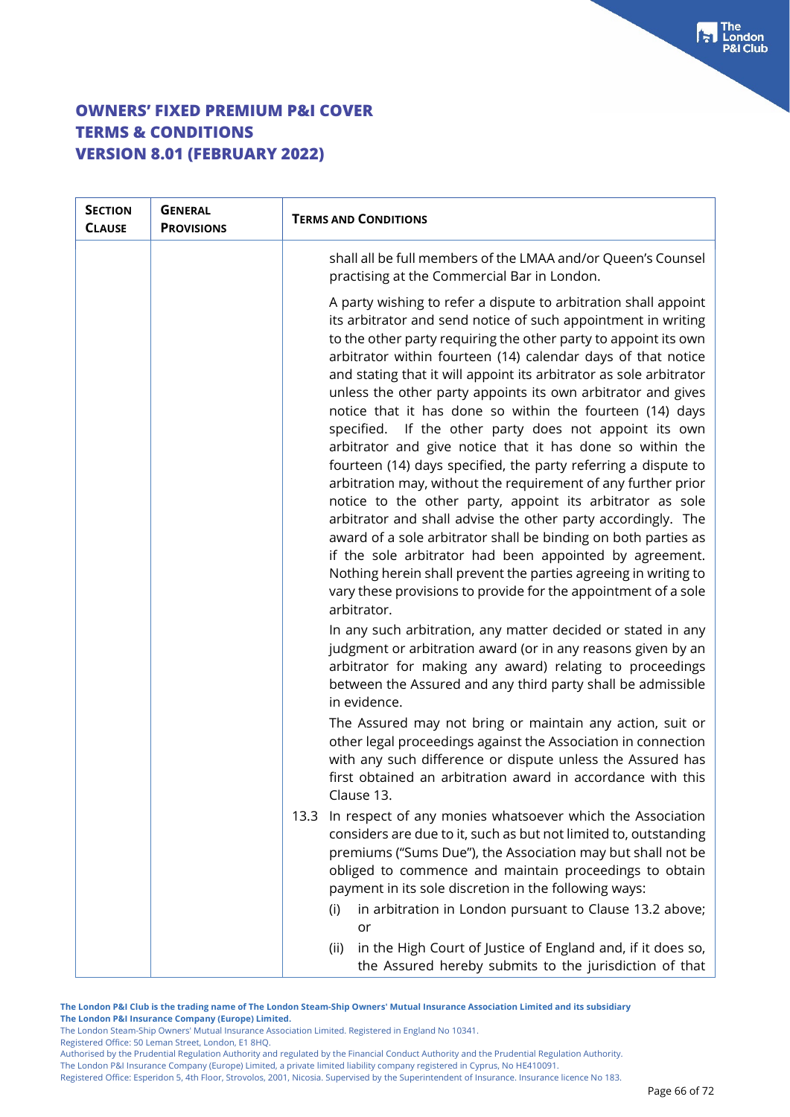| <b>SECTION</b><br><b>CLAUSE</b> | <b>GENERAL</b><br><b>PROVISIONS</b> | <b>TERMS AND CONDITIONS</b>                                                                                                                                                                                                                                                                                                                                                                                                                                                                                                                                                                                                                                                                                                                                                                                                                                                                                                                                                                                                                                                                                                                   |  |  |
|---------------------------------|-------------------------------------|-----------------------------------------------------------------------------------------------------------------------------------------------------------------------------------------------------------------------------------------------------------------------------------------------------------------------------------------------------------------------------------------------------------------------------------------------------------------------------------------------------------------------------------------------------------------------------------------------------------------------------------------------------------------------------------------------------------------------------------------------------------------------------------------------------------------------------------------------------------------------------------------------------------------------------------------------------------------------------------------------------------------------------------------------------------------------------------------------------------------------------------------------|--|--|
|                                 |                                     | shall all be full members of the LMAA and/or Queen's Counsel<br>practising at the Commercial Bar in London.                                                                                                                                                                                                                                                                                                                                                                                                                                                                                                                                                                                                                                                                                                                                                                                                                                                                                                                                                                                                                                   |  |  |
|                                 |                                     | A party wishing to refer a dispute to arbitration shall appoint<br>its arbitrator and send notice of such appointment in writing<br>to the other party requiring the other party to appoint its own<br>arbitrator within fourteen (14) calendar days of that notice<br>and stating that it will appoint its arbitrator as sole arbitrator<br>unless the other party appoints its own arbitrator and gives<br>notice that it has done so within the fourteen (14) days<br>specified. If the other party does not appoint its own<br>arbitrator and give notice that it has done so within the<br>fourteen (14) days specified, the party referring a dispute to<br>arbitration may, without the requirement of any further prior<br>notice to the other party, appoint its arbitrator as sole<br>arbitrator and shall advise the other party accordingly. The<br>award of a sole arbitrator shall be binding on both parties as<br>if the sole arbitrator had been appointed by agreement.<br>Nothing herein shall prevent the parties agreeing in writing to<br>vary these provisions to provide for the appointment of a sole<br>arbitrator. |  |  |
|                                 |                                     | In any such arbitration, any matter decided or stated in any<br>judgment or arbitration award (or in any reasons given by an<br>arbitrator for making any award) relating to proceedings<br>between the Assured and any third party shall be admissible<br>in evidence.                                                                                                                                                                                                                                                                                                                                                                                                                                                                                                                                                                                                                                                                                                                                                                                                                                                                       |  |  |
|                                 |                                     | The Assured may not bring or maintain any action, suit or<br>other legal proceedings against the Association in connection<br>with any such difference or dispute unless the Assured has<br>first obtained an arbitration award in accordance with this<br>Clause 13.                                                                                                                                                                                                                                                                                                                                                                                                                                                                                                                                                                                                                                                                                                                                                                                                                                                                         |  |  |
|                                 |                                     | In respect of any monies whatsoever which the Association<br>13.3<br>considers are due to it, such as but not limited to, outstanding<br>premiums ("Sums Due"), the Association may but shall not be<br>obliged to commence and maintain proceedings to obtain<br>payment in its sole discretion in the following ways:                                                                                                                                                                                                                                                                                                                                                                                                                                                                                                                                                                                                                                                                                                                                                                                                                       |  |  |
|                                 |                                     | (i)<br>in arbitration in London pursuant to Clause 13.2 above;<br>or                                                                                                                                                                                                                                                                                                                                                                                                                                                                                                                                                                                                                                                                                                                                                                                                                                                                                                                                                                                                                                                                          |  |  |
|                                 |                                     | in the High Court of Justice of England and, if it does so,<br>(ii)<br>the Assured hereby submits to the jurisdiction of that                                                                                                                                                                                                                                                                                                                                                                                                                                                                                                                                                                                                                                                                                                                                                                                                                                                                                                                                                                                                                 |  |  |

**The London P&I Club is the trading name of The London Steam-Ship Owners' Mutual Insurance Association Limited and its subsidiary The London P&I Insurance Company (Europe) Limited.**

The London Steam-Ship Owners' Mutual Insurance Association Limited. Registered in England No 10341.

Registered Office: 50 Leman Street, London, E1 8HQ.

Authorised by the Prudential Regulation Authority and regulated by the Financial Conduct Authority and the Prudential Regulation Authority. The London P&I Insurance Company (Europe) Limited, a private limited liability company registered in Cyprus, No HE410091.

Registered Office: Esperidon 5, 4th Floor, Strovolos, 2001, Nicosia. Supervised by the Superintendent of Insurance. Insurance licence No 183.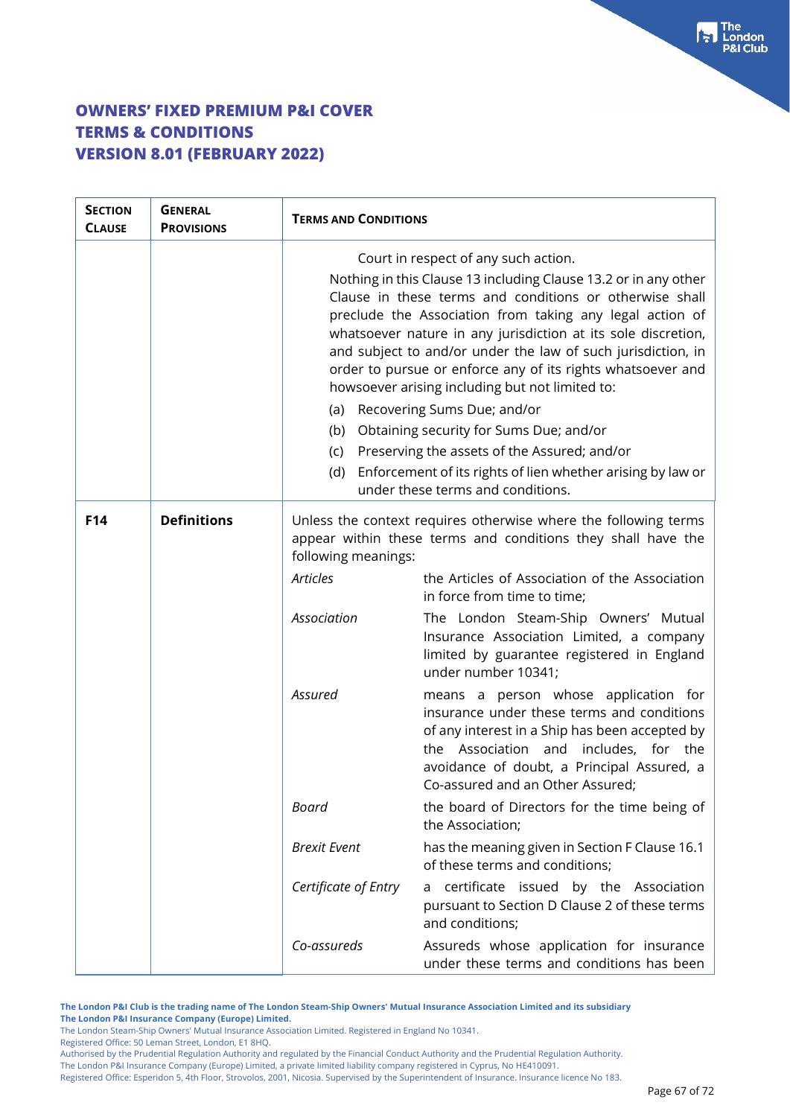| <b>SECTION</b><br><b>CLAUSE</b> | <b>GENERAL</b><br><b>PROVISIONS</b> | <b>TERMS AND CONDITIONS</b>                                                                                                                                                                                                                                                                                                                                                                                                                                                                                                                                                                                                                                                                      |                                                                                                                                                                                                                                                                 |
|---------------------------------|-------------------------------------|--------------------------------------------------------------------------------------------------------------------------------------------------------------------------------------------------------------------------------------------------------------------------------------------------------------------------------------------------------------------------------------------------------------------------------------------------------------------------------------------------------------------------------------------------------------------------------------------------------------------------------------------------------------------------------------------------|-----------------------------------------------------------------------------------------------------------------------------------------------------------------------------------------------------------------------------------------------------------------|
|                                 |                                     | Court in respect of any such action.<br>Nothing in this Clause 13 including Clause 13.2 or in any other<br>Clause in these terms and conditions or otherwise shall<br>preclude the Association from taking any legal action of<br>whatsoever nature in any jurisdiction at its sole discretion,<br>and subject to and/or under the law of such jurisdiction, in<br>order to pursue or enforce any of its rights whatsoever and<br>howsoever arising including but not limited to:<br>(a) Recovering Sums Due; and/or<br>(b) Obtaining security for Sums Due; and/or<br>Preserving the assets of the Assured; and/or<br>(c)<br>Enforcement of its rights of lien whether arising by law or<br>(d) |                                                                                                                                                                                                                                                                 |
| F <sub>14</sub>                 | <b>Definitions</b>                  | under these terms and conditions.<br>Unless the context requires otherwise where the following terms<br>appear within these terms and conditions they shall have the<br>following meanings:                                                                                                                                                                                                                                                                                                                                                                                                                                                                                                      |                                                                                                                                                                                                                                                                 |
|                                 |                                     | <b>Articles</b>                                                                                                                                                                                                                                                                                                                                                                                                                                                                                                                                                                                                                                                                                  | the Articles of Association of the Association<br>in force from time to time;                                                                                                                                                                                   |
|                                 |                                     | Association                                                                                                                                                                                                                                                                                                                                                                                                                                                                                                                                                                                                                                                                                      | The London Steam-Ship Owners' Mutual<br>Insurance Association Limited, a company<br>limited by guarantee registered in England<br>under number 10341;                                                                                                           |
|                                 |                                     | Assured                                                                                                                                                                                                                                                                                                                                                                                                                                                                                                                                                                                                                                                                                          | means a person whose application for<br>insurance under these terms and conditions<br>of any interest in a Ship has been accepted by<br>the Association and includes, for the<br>avoidance of doubt, a Principal Assured, a<br>Co-assured and an Other Assured; |
|                                 |                                     | Board                                                                                                                                                                                                                                                                                                                                                                                                                                                                                                                                                                                                                                                                                            | the board of Directors for the time being of<br>the Association;                                                                                                                                                                                                |
|                                 |                                     | <b>Brexit Event</b>                                                                                                                                                                                                                                                                                                                                                                                                                                                                                                                                                                                                                                                                              | has the meaning given in Section F Clause 16.1<br>of these terms and conditions;                                                                                                                                                                                |
|                                 |                                     | Certificate of Entry                                                                                                                                                                                                                                                                                                                                                                                                                                                                                                                                                                                                                                                                             | certificate issued by the Association<br>a<br>pursuant to Section D Clause 2 of these terms<br>and conditions;                                                                                                                                                  |
|                                 |                                     | Co-assureds                                                                                                                                                                                                                                                                                                                                                                                                                                                                                                                                                                                                                                                                                      | Assureds whose application for insurance<br>under these terms and conditions has been                                                                                                                                                                           |

**The London P&I Club is the trading name of The London Steam-Ship Owners' Mutual Insurance Association Limited and its subsidiary The London P&I Insurance Company (Europe) Limited.**

The London Steam-Ship Owners' Mutual Insurance Association Limited. Registered in England No 10341.

Registered Office: 50 Leman Street, London, E1 8HQ.

Authorised by the Prudential Regulation Authority and regulated by the Financial Conduct Authority and the Prudential Regulation Authority. The London P&I Insurance Company (Europe) Limited, a private limited liability company registered in Cyprus, No HE410091.

Registered Office: Esperidon 5, 4th Floor, Strovolos, 2001, Nicosia. Supervised by the Superintendent of Insurance. Insurance licence No 183.

 $\begin{bmatrix} 1 \\ 2 \end{bmatrix}$  The London **P&I Club**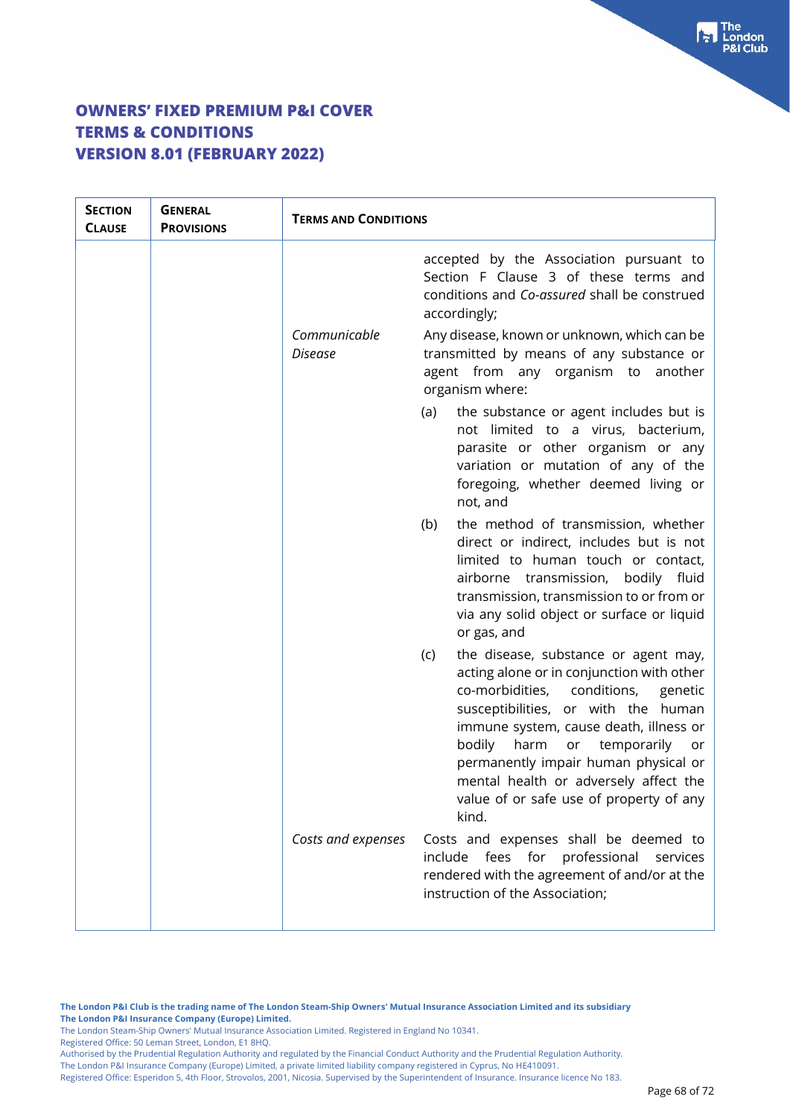| <b>SECTION</b><br><b>CLAUSE</b> | <b>GENERAL</b><br><b>PROVISIONS</b> | <b>TERMS AND CONDITIONS</b> |                                                                                                                                                                                                                                                                                                                                                                                                    |
|---------------------------------|-------------------------------------|-----------------------------|----------------------------------------------------------------------------------------------------------------------------------------------------------------------------------------------------------------------------------------------------------------------------------------------------------------------------------------------------------------------------------------------------|
|                                 |                                     |                             | accepted by the Association pursuant to<br>Section F Clause 3 of these terms and<br>conditions and Co-assured shall be construed<br>accordingly;                                                                                                                                                                                                                                                   |
|                                 |                                     | Communicable<br>Disease     | Any disease, known or unknown, which can be<br>transmitted by means of any substance or<br>agent from any organism to another<br>organism where:                                                                                                                                                                                                                                                   |
|                                 |                                     |                             | the substance or agent includes but is<br>(a)<br>not limited to a virus, bacterium,<br>parasite or other organism or any<br>variation or mutation of any of the<br>foregoing, whether deemed living or<br>not, and                                                                                                                                                                                 |
|                                 |                                     |                             | the method of transmission, whether<br>(b)<br>direct or indirect, includes but is not<br>limited to human touch or contact,<br>airborne transmission, bodily fluid<br>transmission, transmission to or from or<br>via any solid object or surface or liquid<br>or gas, and                                                                                                                         |
|                                 |                                     |                             | the disease, substance or agent may,<br>(c)<br>acting alone or in conjunction with other<br>co-morbidities,<br>conditions,<br>genetic<br>susceptibilities, or with the human<br>immune system, cause death, illness or<br>bodily<br>harm<br>or temporarily or<br>permanently impair human physical or<br>mental health or adversely affect the<br>value of or safe use of property of any<br>kind. |
|                                 |                                     | Costs and expenses          | Costs and expenses shall be deemed to<br>include fees for professional<br>services<br>rendered with the agreement of and/or at the<br>instruction of the Association;                                                                                                                                                                                                                              |

The London Steam-Ship Owners' Mutual Insurance Association Limited. Registered in England No 10341.

Registered Office: 50 Leman Street, London, E1 8HQ.

Authorised by the Prudential Regulation Authority and regulated by the Financial Conduct Authority and the Prudential Regulation Authority.

The London P&I Insurance Company (Europe) Limited, a private limited liability company registered in Cyprus, No HE410091. Registered Office: Esperidon 5, 4th Floor, Strovolos, 2001, Nicosia. Supervised by the Superintendent of Insurance. Insurance licence No 183.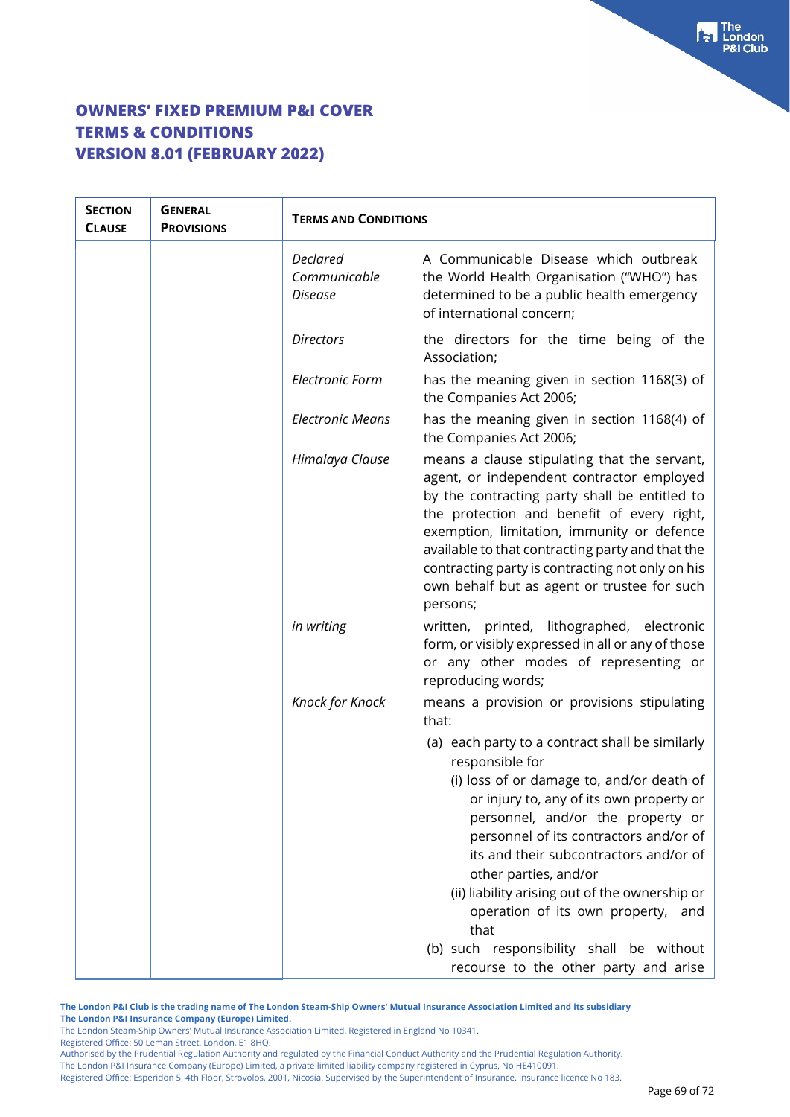| <b>SECTION</b><br><b>CLAUSE</b> | <b>GENERAL</b><br><b>PROVISIONS</b> | <b>TERMS AND CONDITIONS</b>                |                                                                                                                                                                                                                                                                                                                                                                                                                                                                       |
|---------------------------------|-------------------------------------|--------------------------------------------|-----------------------------------------------------------------------------------------------------------------------------------------------------------------------------------------------------------------------------------------------------------------------------------------------------------------------------------------------------------------------------------------------------------------------------------------------------------------------|
|                                 |                                     | <b>Declared</b><br>Communicable<br>Disease | A Communicable Disease which outbreak<br>the World Health Organisation ("WHO") has<br>determined to be a public health emergency<br>of international concern;                                                                                                                                                                                                                                                                                                         |
|                                 |                                     | <b>Directors</b>                           | the directors for the time being of the<br>Association;                                                                                                                                                                                                                                                                                                                                                                                                               |
|                                 |                                     | <b>Electronic Form</b>                     | has the meaning given in section 1168(3) of<br>the Companies Act 2006;                                                                                                                                                                                                                                                                                                                                                                                                |
|                                 |                                     | <b>Electronic Means</b>                    | has the meaning given in section 1168(4) of<br>the Companies Act 2006;                                                                                                                                                                                                                                                                                                                                                                                                |
|                                 |                                     | Himalaya Clause                            | means a clause stipulating that the servant,<br>agent, or independent contractor employed<br>by the contracting party shall be entitled to<br>the protection and benefit of every right,<br>exemption, limitation, immunity or defence<br>available to that contracting party and that the<br>contracting party is contracting not only on his<br>own behalf but as agent or trustee for such<br>persons;                                                             |
|                                 |                                     | in writing                                 | written, printed, lithographed, electronic<br>form, or visibly expressed in all or any of those<br>or any other modes of representing or<br>reproducing words;                                                                                                                                                                                                                                                                                                        |
|                                 |                                     | Knock for Knock                            | means a provision or provisions stipulating<br>that:<br>(a) each party to a contract shall be similarly<br>responsible for<br>(i) loss of or damage to, and/or death of<br>or injury to, any of its own property or<br>personnel, and/or the property or<br>personnel of its contractors and/or of<br>its and their subcontractors and/or of<br>other parties, and/or<br>(ii) liability arising out of the ownership or<br>operation of its own property, and<br>that |
|                                 |                                     |                                            | (b) such responsibility shall be without<br>recourse to the other party and arise                                                                                                                                                                                                                                                                                                                                                                                     |

**The London P&I Club is the trading name of The London Steam-Ship Owners' Mutual Insurance Association Limited and its subsidiary The London P&I Insurance Company (Europe) Limited.**

The London Steam-Ship Owners' Mutual Insurance Association Limited. Registered in England No 10341.

Registered Office: 50 Leman Street, London, E1 8HQ.

Authorised by the Prudential Regulation Authority and regulated by the Financial Conduct Authority and the Prudential Regulation Authority. The London P&I Insurance Company (Europe) Limited, a private limited liability company registered in Cyprus, No HE410091.

Registered Office: Esperidon 5, 4th Floor, Strovolos, 2001, Nicosia. Supervised by the Superintendent of Insurance. Insurance licence No 183.

 $\begin{bmatrix} 1 \\ 2 \end{bmatrix}$  The London **8I Club**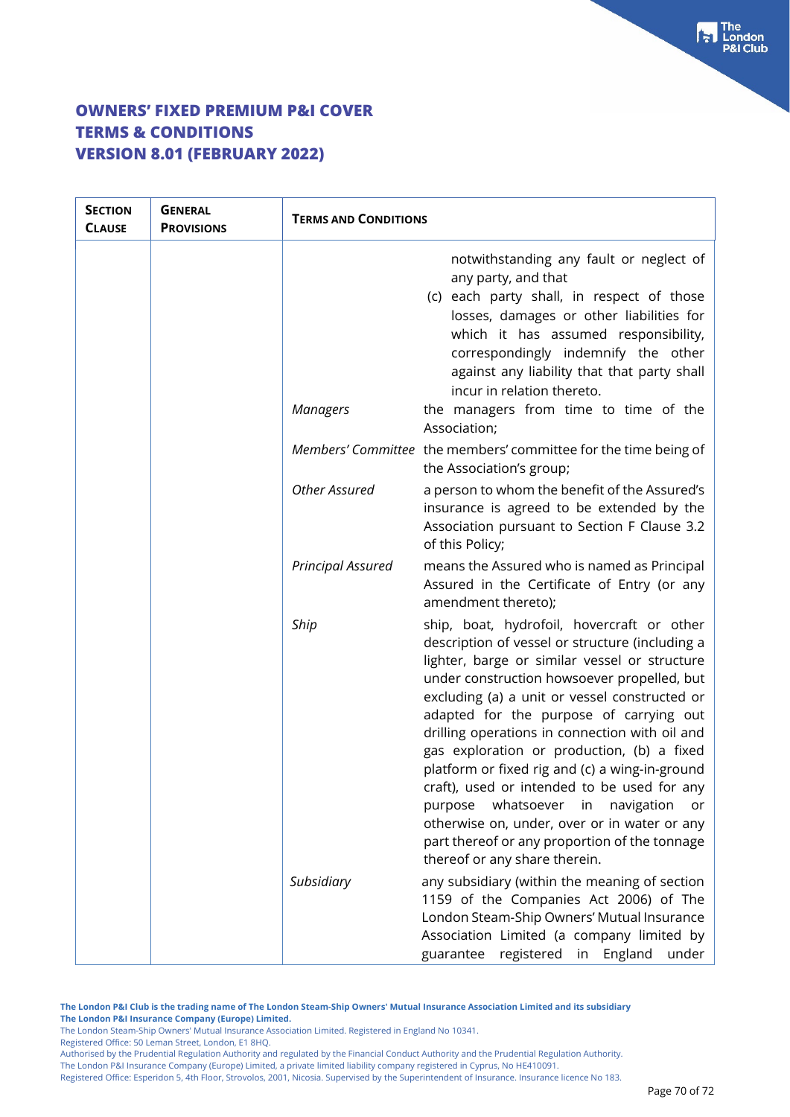| <b>SECTION</b><br><b>CLAUSE</b> | <b>GENERAL</b><br><b>PROVISIONS</b> | <b>TERMS AND CONDITIONS</b> |                                                                                                                                                                                                                                                                                                                                                                                                                                                                                                                                                                                                                                                                                 |
|---------------------------------|-------------------------------------|-----------------------------|---------------------------------------------------------------------------------------------------------------------------------------------------------------------------------------------------------------------------------------------------------------------------------------------------------------------------------------------------------------------------------------------------------------------------------------------------------------------------------------------------------------------------------------------------------------------------------------------------------------------------------------------------------------------------------|
|                                 |                                     |                             | notwithstanding any fault or neglect of<br>any party, and that<br>(c) each party shall, in respect of those<br>losses, damages or other liabilities for<br>which it has assumed responsibility,<br>correspondingly indemnify the other<br>against any liability that that party shall<br>incur in relation thereto.                                                                                                                                                                                                                                                                                                                                                             |
|                                 |                                     | <b>Managers</b>             | the managers from time to time of the<br>Association;                                                                                                                                                                                                                                                                                                                                                                                                                                                                                                                                                                                                                           |
|                                 |                                     |                             | Members' Committee the members' committee for the time being of<br>the Association's group;                                                                                                                                                                                                                                                                                                                                                                                                                                                                                                                                                                                     |
|                                 |                                     | <b>Other Assured</b>        | a person to whom the benefit of the Assured's<br>insurance is agreed to be extended by the<br>Association pursuant to Section F Clause 3.2<br>of this Policy;                                                                                                                                                                                                                                                                                                                                                                                                                                                                                                                   |
|                                 |                                     | <b>Principal Assured</b>    | means the Assured who is named as Principal<br>Assured in the Certificate of Entry (or any<br>amendment thereto);                                                                                                                                                                                                                                                                                                                                                                                                                                                                                                                                                               |
|                                 |                                     | Ship                        | ship, boat, hydrofoil, hovercraft or other<br>description of vessel or structure (including a<br>lighter, barge or similar vessel or structure<br>under construction howsoever propelled, but<br>excluding (a) a unit or vessel constructed or<br>adapted for the purpose of carrying out<br>drilling operations in connection with oil and<br>gas exploration or production, (b) a fixed<br>platform or fixed rig and (c) a wing-in-ground<br>craft), used or intended to be used for any<br>whatsoever<br>navigation<br>purpose<br>in<br>or<br>otherwise on, under, over or in water or any<br>part thereof or any proportion of the tonnage<br>thereof or any share therein. |
|                                 |                                     | Subsidiary                  | any subsidiary (within the meaning of section<br>1159 of the Companies Act 2006) of The<br>London Steam-Ship Owners' Mutual Insurance<br>Association Limited (a company limited by<br>registered in England<br>under<br>guarantee                                                                                                                                                                                                                                                                                                                                                                                                                                               |

**The London P&I Club is the trading name of The London Steam-Ship Owners' Mutual Insurance Association Limited and its subsidiary The London P&I Insurance Company (Europe) Limited.**

The London Steam-Ship Owners' Mutual Insurance Association Limited. Registered in England No 10341.

Registered Office: 50 Leman Street, London, E1 8HQ.

Authorised by the Prudential Regulation Authority and regulated by the Financial Conduct Authority and the Prudential Regulation Authority. The London P&I Insurance Company (Europe) Limited, a private limited liability company registered in Cyprus, No HE410091.

Registered Office: Esperidon 5, 4th Floor, Strovolos, 2001, Nicosia. Supervised by the Superintendent of Insurance. Insurance licence No 183.

 $\begin{bmatrix} \bullet \\ \bullet \end{bmatrix}$  The **8I Club**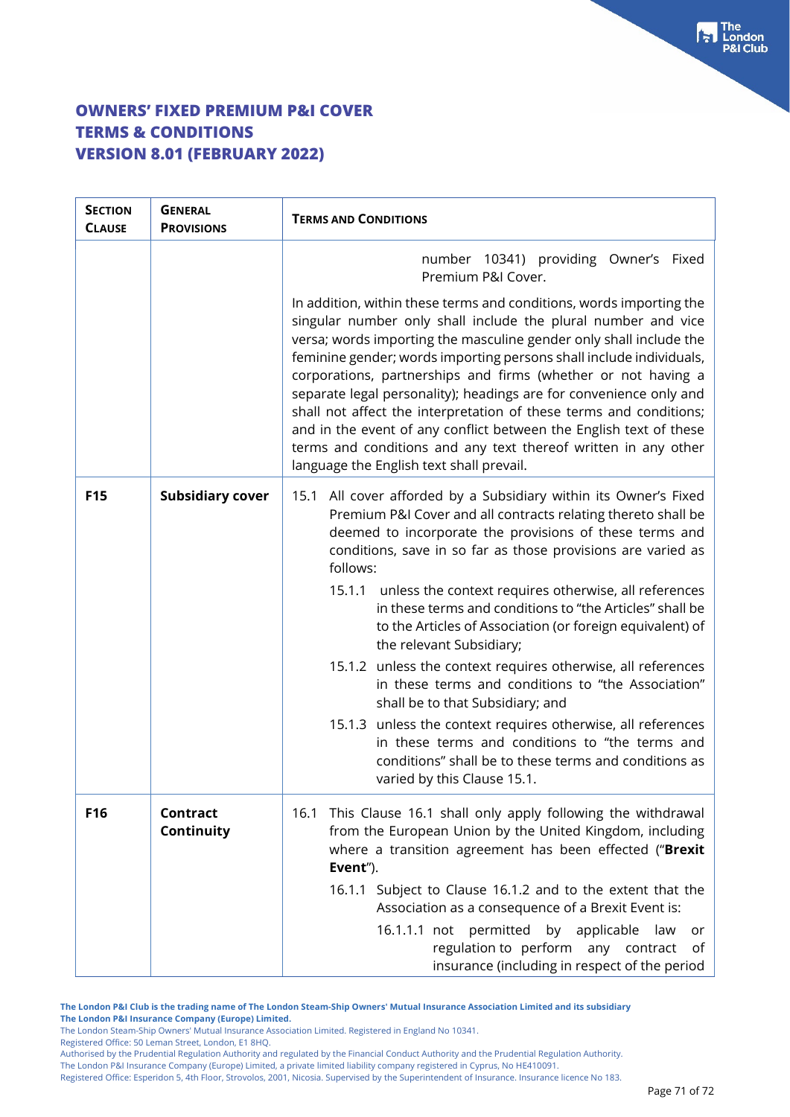## **OWNERS' FIXED PREMIUM P&I COVER TERMS & CONDITIONS VERSION 8.01 (FEBRUARY 2022)**

| <b>SECTION</b><br><b>CLAUSE</b> | <b>GENERAL</b><br><b>PROVISIONS</b> | <b>TERMS AND CONDITIONS</b>                                                                                                                                                                                                                                                                                                                                                                                                                                                                                                                                                                                                                                                                                                                                                                                                                                              |
|---------------------------------|-------------------------------------|--------------------------------------------------------------------------------------------------------------------------------------------------------------------------------------------------------------------------------------------------------------------------------------------------------------------------------------------------------------------------------------------------------------------------------------------------------------------------------------------------------------------------------------------------------------------------------------------------------------------------------------------------------------------------------------------------------------------------------------------------------------------------------------------------------------------------------------------------------------------------|
|                                 |                                     | number 10341) providing Owner's Fixed<br>Premium P&I Cover.                                                                                                                                                                                                                                                                                                                                                                                                                                                                                                                                                                                                                                                                                                                                                                                                              |
|                                 |                                     | In addition, within these terms and conditions, words importing the<br>singular number only shall include the plural number and vice<br>versa; words importing the masculine gender only shall include the<br>feminine gender; words importing persons shall include individuals,<br>corporations, partnerships and firms (whether or not having a<br>separate legal personality); headings are for convenience only and<br>shall not affect the interpretation of these terms and conditions;<br>and in the event of any conflict between the English text of these<br>terms and conditions and any text thereof written in any other<br>language the English text shall prevail.                                                                                                                                                                                       |
| <b>F15</b>                      | <b>Subsidiary cover</b>             | All cover afforded by a Subsidiary within its Owner's Fixed<br>15.1<br>Premium P&I Cover and all contracts relating thereto shall be<br>deemed to incorporate the provisions of these terms and<br>conditions, save in so far as those provisions are varied as<br>follows:<br>15.1.1<br>unless the context requires otherwise, all references<br>in these terms and conditions to "the Articles" shall be<br>to the Articles of Association (or foreign equivalent) of<br>the relevant Subsidiary;<br>15.1.2 unless the context requires otherwise, all references<br>in these terms and conditions to "the Association"<br>shall be to that Subsidiary; and<br>15.1.3 unless the context requires otherwise, all references<br>in these terms and conditions to "the terms and<br>conditions" shall be to these terms and conditions as<br>varied by this Clause 15.1. |
| F16                             | <b>Contract</b><br>Continuity       | This Clause 16.1 shall only apply following the withdrawal<br>16.1<br>from the European Union by the United Kingdom, including<br>where a transition agreement has been effected ("Brexit<br>Event").<br>16.1.1 Subject to Clause 16.1.2 and to the extent that the<br>Association as a consequence of a Brexit Event is:<br>16.1.1.1 not permitted<br>by applicable<br>law<br>or<br>regulation to perform any contract<br>of<br>insurance (including in respect of the period                                                                                                                                                                                                                                                                                                                                                                                           |

**The London P&I Club is the trading name of The London Steam-Ship Owners' Mutual Insurance Association Limited and its subsidiary The London P&I Insurance Company (Europe) Limited.**

The London Steam-Ship Owners' Mutual Insurance Association Limited. Registered in England No 10341.

Registered Office: 50 Leman Street, London, E1 8HQ.

Authorised by the Prudential Regulation Authority and regulated by the Financial Conduct Authority and the Prudential Regulation Authority.

The London P&I Insurance Company (Europe) Limited, a private limited liability company registered in Cyprus, No HE410091.

Registered Office: Esperidon 5, 4th Floor, Strovolos, 2001, Nicosia. Supervised by the Superintendent of Insurance. Insurance licence No 183.

 $\begin{bmatrix} 1 \\ 2 \end{bmatrix}$  The London **8I Club**